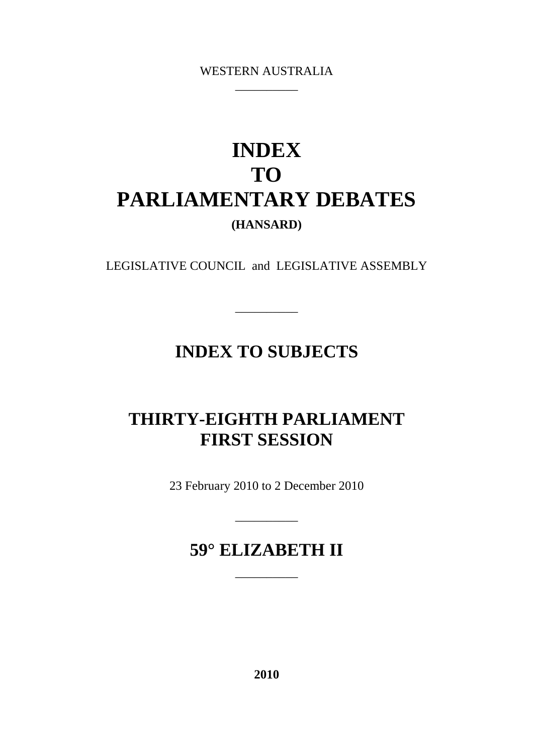WESTERN AUSTRALIA \_\_\_\_\_\_\_\_\_\_

# **INDEX TO PARLIAMENTARY DEBATES (HANSARD)**

LEGISLATIVE COUNCIL and LEGISLATIVE ASSEMBLY

\_\_\_\_\_\_\_\_\_\_

## **INDEX TO SUBJECTS**

# **THIRTY-EIGHTH PARLIAMENT FIRST SESSION**

23 February 2010 to 2 December 2010

\_\_\_\_\_\_\_\_\_\_

## **59° ELIZABETH II**

\_\_\_\_\_\_\_\_\_\_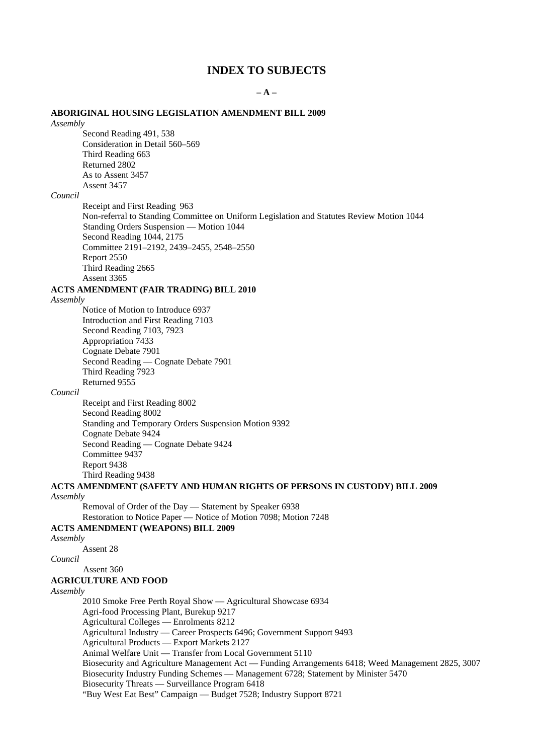### **INDEX TO SUBJECTS**

**– A –**

#### **ABORIGINAL HOUSING LEGISLATION AMENDMENT BILL 2009**

*Assembly*

Second Reading 491, 538 Consideration in Detail 560–569 Third Reading 663 Returned 2802 As to Assent 3457 Assent 3457

#### *Council*

Receipt and First Reading 963 Non-referral to Standing Committee on Uniform Legislation and Statutes Review Motion 1044 Standing Orders Suspension — Motion 1044 Second Reading 1044, 2175 Committee 2191–2192, 2439–2455, 2548–2550 Report 2550 Third Reading 2665 Assent 3365

### **ACTS AMENDMENT (FAIR TRADING) BILL 2010**

*Assembly*

Notice of Motion to Introduce 6937 Introduction and First Reading 7103 Second Reading 7103, 7923 Appropriation 7433 Cognate Debate 7901 Second Reading — Cognate Debate 7901 Third Reading 7923 Returned 9555

#### *Council*

Receipt and First Reading 8002 Second Reading 8002 Standing and Temporary Orders Suspension Motion 9392 Cognate Debate 9424 Second Reading — Cognate Debate 9424 Committee 9437 Report 9438 Third Reading 9438

### **ACTS AMENDMENT (SAFETY AND HUMAN RIGHTS OF PERSONS IN CUSTODY) BILL 2009** *Assembly*

Removal of Order of the Day — Statement by Speaker 6938

Restoration to Notice Paper — Notice of Motion 7098; Motion 7248

### **ACTS AMENDMENT (WEAPONS) BILL 2009**

*Assembly*

Assent 28

*Council*

Assent 360

### **AGRICULTURE AND FOOD**

*Assembly*

2010 Smoke Free Perth Royal Show — Agricultural Showcase 6934

Agri-food Processing Plant, Burekup 9217

Agricultural Colleges — Enrolments 8212

Agricultural Industry — Career Prospects 6496; Government Support 9493

Agricultural Products — Export Markets 2127

Animal Welfare Unit — Transfer from Local Government 5110

Biosecurity and Agriculture Management Act — Funding Arrangements 6418; Weed Management 2825, 3007 Biosecurity Industry Funding Schemes — Management 6728; Statement by Minister 5470 Biosecurity Threats — Surveillance Program 6418

"Buy West Eat Best" Campaign — Budget 7528; Industry Support 8721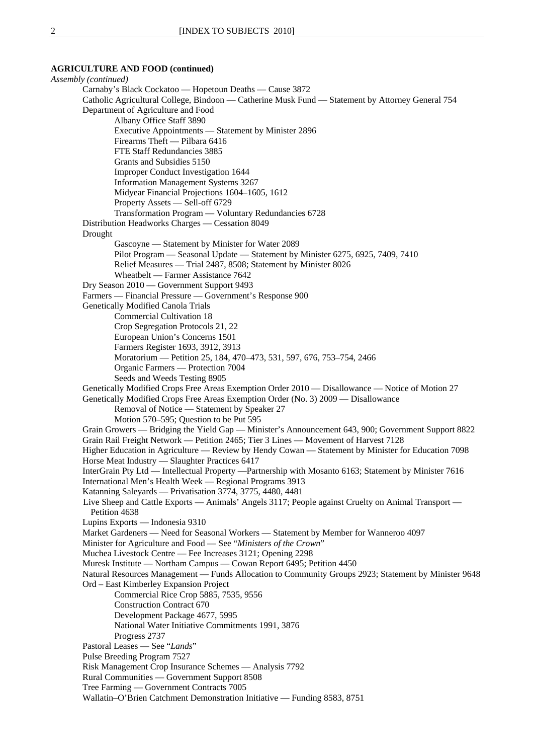### **AGRICULTURE AND FOOD (continued)**

*Assembly (continued)* Carnaby's Black Cockatoo — Hopetoun Deaths — Cause 3872 Catholic Agricultural College, Bindoon — Catherine Musk Fund — Statement by Attorney General 754 Department of Agriculture and Food Albany Office Staff 3890 Executive Appointments — Statement by Minister 2896 Firearms Theft — Pilbara 6416 FTE Staff Redundancies 3885 Grants and Subsidies 5150 Improper Conduct Investigation 1644 Information Management Systems 3267 Midyear Financial Projections 1604–1605, 1612 Property Assets — Sell-off 6729 Transformation Program — Voluntary Redundancies 6728 Distribution Headworks Charges — Cessation 8049 Drought Gascoyne — Statement by Minister for Water 2089 Pilot Program — Seasonal Update — Statement by Minister 6275, 6925, 7409, 7410 Relief Measures — Trial 2487, 8508; Statement by Minister 8026 Wheatbelt — Farmer Assistance 7642 Dry Season 2010 — Government Support 9493 Farmers — Financial Pressure — Government's Response 900 Genetically Modified Canola Trials Commercial Cultivation 18 Crop Segregation Protocols 21, 22 European Union's Concerns 1501 Farmers Register 1693, 3912, 3913 Moratorium — Petition 25, 184, 470–473, 531, 597, 676, 753–754, 2466 Organic Farmers — Protection 7004 Seeds and Weeds Testing 8905 Genetically Modified Crops Free Areas Exemption Order 2010 — Disallowance — Notice of Motion 27 Genetically Modified Crops Free Areas Exemption Order (No. 3) 2009 — Disallowance Removal of Notice — Statement by Speaker 27 Motion 570–595; Question to be Put 595 Grain Growers — Bridging the Yield Gap — Minister's Announcement 643, 900; Government Support 8822 Grain Rail Freight Network — Petition 2465; Tier 3 Lines — Movement of Harvest 7128 Higher Education in Agriculture — Review by Hendy Cowan — Statement by Minister for Education 7098 Horse Meat Industry — Slaughter Practices 6417 InterGrain Pty Ltd — Intellectual Property —Partnership with Mosanto 6163; Statement by Minister 7616 International Men's Health Week — Regional Programs 3913 Katanning Saleyards — Privatisation 3774, 3775, 4480, 4481 Live Sheep and Cattle Exports — Animals' Angels 3117; People against Cruelty on Animal Transport — Petition 4638 Lupins Exports — Indonesia 9310 Market Gardeners — Need for Seasonal Workers — Statement by Member for Wanneroo 4097 Minister for Agriculture and Food — See "*Ministers of the Crown*" Muchea Livestock Centre — Fee Increases 3121; Opening 2298 Muresk Institute — Northam Campus — Cowan Report 6495; Petition 4450 Natural Resources Management — Funds Allocation to Community Groups 2923; Statement by Minister 9648 Ord – East Kimberley Expansion Project Commercial Rice Crop 5885, 7535, 9556 Construction Contract 670 Development Package 4677, 5995 National Water Initiative Commitments 1991, 3876 Progress 2737 Pastoral Leases — See "*Lands*" Pulse Breeding Program 7527 Risk Management Crop Insurance Schemes — Analysis 7792 Rural Communities — Government Support 8508 Tree Farming — Government Contracts 7005 Wallatin–O'Brien Catchment Demonstration Initiative — Funding 8583, 8751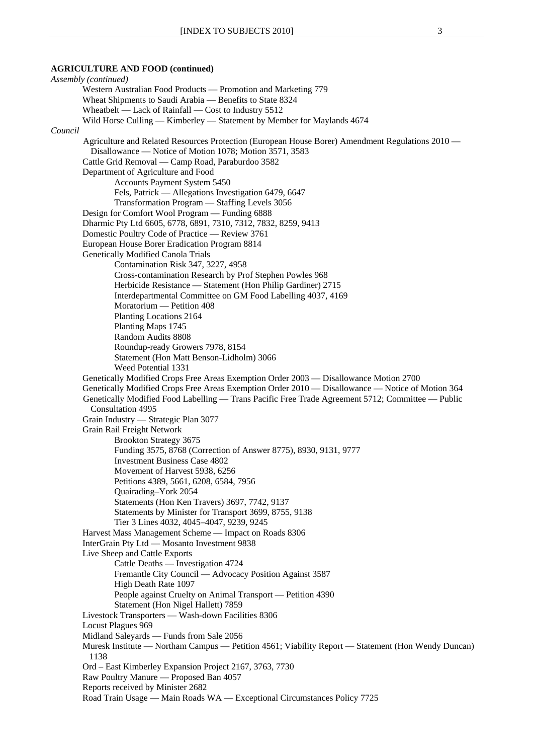### **AGRICULTURE AND FOOD (continued)**

*Assembly (continued)* Western Australian Food Products — Promotion and Marketing 779 Wheat Shipments to Saudi Arabia — Benefits to State 8324 Wheatbelt — Lack of Rainfall — Cost to Industry 5512 Wild Horse Culling — Kimberley — Statement by Member for Maylands 4674 *Council* Agriculture and Related Resources Protection (European House Borer) Amendment Regulations 2010 — Disallowance — Notice of Motion 1078; Motion 3571, 3583 Cattle Grid Removal — Camp Road, Paraburdoo 3582 Department of Agriculture and Food Accounts Payment System 5450 Fels, Patrick — Allegations Investigation 6479, 6647 Transformation Program — Staffing Levels 3056 Design for Comfort Wool Program — Funding 6888 Dharmic Pty Ltd 6605, 6778, 6891, 7310, 7312, 7832, 8259, 9413 Domestic Poultry Code of Practice — Review 3761 European House Borer Eradication Program 8814 Genetically Modified Canola Trials Contamination Risk 347, 3227, 4958 Cross-contamination Research by Prof Stephen Powles 968 Herbicide Resistance — Statement (Hon Philip Gardiner) 2715 Interdepartmental Committee on GM Food Labelling 4037, 4169 Moratorium — Petition 408 Planting Locations 2164 Planting Maps 1745 Random Audits 8808 Roundup-ready Growers 7978, 8154 Statement (Hon Matt Benson-Lidholm) 3066 Weed Potential 1331 Genetically Modified Crops Free Areas Exemption Order 2003 — Disallowance Motion 2700 Genetically Modified Crops Free Areas Exemption Order 2010 — Disallowance — Notice of Motion 364 Genetically Modified Food Labelling — Trans Pacific Free Trade Agreement 5712; Committee — Public Consultation 4995 Grain Industry — Strategic Plan 3077 Grain Rail Freight Network Brookton Strategy 3675 Funding 3575, 8768 (Correction of Answer 8775), 8930, 9131, 9777 Investment Business Case 4802 Movement of Harvest 5938, 6256 Petitions 4389, 5661, 6208, 6584, 7956 Quairading–York 2054 Statements (Hon Ken Travers) 3697, 7742, 9137 Statements by Minister for Transport 3699, 8755, 9138 Tier 3 Lines 4032, 4045–4047, 9239, 9245 Harvest Mass Management Scheme — Impact on Roads 8306 InterGrain Pty Ltd — Mosanto Investment 9838 Live Sheep and Cattle Exports Cattle Deaths — Investigation 4724 Fremantle City Council — Advocacy Position Against 3587 High Death Rate 1097 People against Cruelty on Animal Transport — Petition 4390 Statement (Hon Nigel Hallett) 7859 Livestock Transporters — Wash-down Facilities 8306 Locust Plagues 969 Midland Saleyards — Funds from Sale 2056 Muresk Institute — Northam Campus — Petition 4561; Viability Report — Statement (Hon Wendy Duncan) 1138 Ord – East Kimberley Expansion Project 2167, 3763, 7730 Raw Poultry Manure — Proposed Ban 4057 Reports received by Minister 2682 Road Train Usage — Main Roads WA — Exceptional Circumstances Policy 7725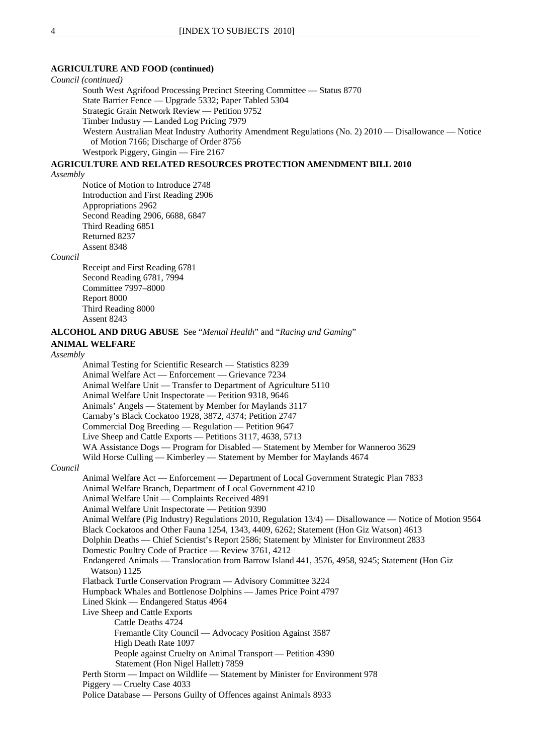### **AGRICULTURE AND FOOD (continued)**

*Council (continued)* South West Agrifood Processing Precinct Steering Committee — Status 8770 State Barrier Fence — Upgrade 5332; Paper Tabled 5304 Strategic Grain Network Review — Petition 9752 Timber Industry — Landed Log Pricing 7979 Western Australian Meat Industry Authority Amendment Regulations (No. 2) 2010 — Disallowance — Notice of Motion 7166; Discharge of Order 8756 Westpork Piggery, Gingin — Fire 2167

### **AGRICULTURE AND RELATED RESOURCES PROTECTION AMENDMENT BILL 2010**

*Assembly*

Notice of Motion to Introduce 2748 Introduction and First Reading 2906 Appropriations 2962 Second Reading 2906, 6688, 6847 Third Reading 6851 Returned 8237 Assent 8348

#### *Council*

Receipt and First Reading 6781 Second Reading 6781, 7994 Committee 7997–8000 Report 8000 Third Reading 8000 Assent 8243

#### **ALCOHOL AND DRUG ABUSE** See "*Mental Health*" and "*Racing and Gaming*"

**ANIMAL WELFARE**

*Assembly*

```
Animal Testing for Scientific Research — Statistics 8239 
        Animal Welfare Act — Enforcement — Grievance 7234 
        Animal Welfare Unit — Transfer to Department of Agriculture 5110 
        Animal Welfare Unit Inspectorate — Petition 9318, 9646 
        Animals' Angels — Statement by Member for Maylands 3117 
        Carnaby's Black Cockatoo 1928, 3872, 4374; Petition 2747 
        Commercial Dog Breeding — Regulation — Petition 9647 
        Live Sheep and Cattle Exports — Petitions 3117, 4638, 5713 
        WA Assistance Dogs — Program for Disabled — Statement by Member for Wanneroo 3629
        Wild Horse Culling — Kimberley — Statement by Member for Maylands 4674
Council
        Animal Welfare Act — Enforcement — Department of Local Government Strategic Plan 7833 
        Animal Welfare Branch, Department of Local Government 4210 
        Animal Welfare Unit — Complaints Received 4891 
        Animal Welfare Unit Inspectorate — Petition 9390 
        Animal Welfare (Pig Industry) Regulations 2010, Regulation 13/4) — Disallowance — Notice of Motion 9564 
        Black Cockatoos and Other Fauna 1254, 1343, 4409, 6262; Statement (Hon Giz Watson) 4613 
        Dolphin Deaths — Chief Scientist's Report 2586; Statement by Minister for Environment 2833 
        Domestic Poultry Code of Practice — Review 3761, 4212 
        Endangered Animals — Translocation from Barrow Island 441, 3576, 4958, 9245; Statement (Hon Giz
          Watson) 1125 
        Flatback Turtle Conservation Program — Advisory Committee 3224 
        Humpback Whales and Bottlenose Dolphins — James Price Point 4797 
        Lined Skink — Endangered Status 4964 
        Live Sheep and Cattle Exports 
                Cattle Deaths 4724 
                Fremantle City Council — Advocacy Position Against 3587 
                High Death Rate 1097 
                People against Cruelty on Animal Transport — Petition 4390 
                 Statement (Hon Nigel Hallett) 7859 
        Perth Storm — Impact on Wildlife — Statement by Minister for Environment 978 
        Piggery — Cruelty Case 4033 
        Police Database — Persons Guilty of Offences against Animals 8933
```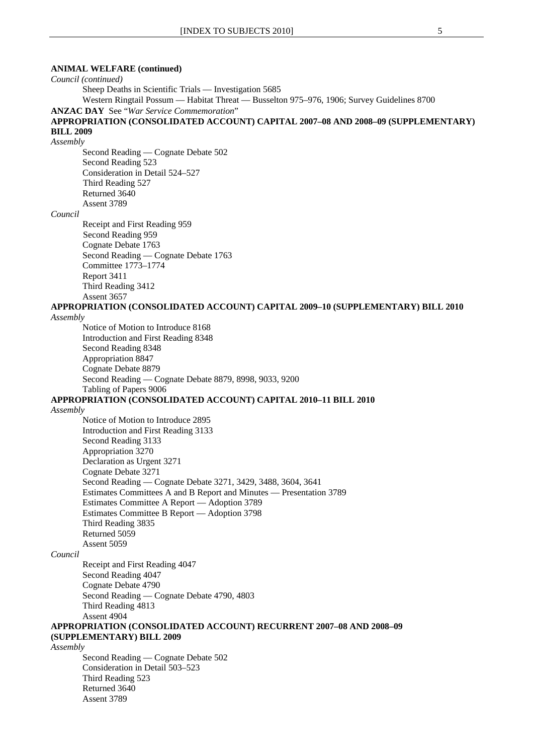### **ANIMAL WELFARE (continued)**

*Council (continued)*

Sheep Deaths in Scientific Trials — Investigation 5685

Western Ringtail Possum — Habitat Threat — Busselton 975–976, 1906; Survey Guidelines 8700

**ANZAC DAY** See "*War Service Commemoration*"

### **APPROPRIATION (CONSOLIDATED ACCOUNT) CAPITAL 2007–08 AND 2008–09 (SUPPLEMENTARY) BILL 2009**

*Assembly*

Second Reading — Cognate Debate 502 Second Reading 523 Consideration in Detail 524–527 Third Reading 527 Returned 3640 Assent 3789

#### *Council*

Receipt and First Reading 959 Second Reading 959 Cognate Debate 1763 Second Reading — Cognate Debate 1763 Committee 1773–1774 Report 3411 Third Reading 3412 Assent 3657

**APPROPRIATION (CONSOLIDATED ACCOUNT) CAPITAL 2009–10 (SUPPLEMENTARY) BILL 2010**

#### *Assembly*

Notice of Motion to Introduce 8168 Introduction and First Reading 8348 Second Reading 8348 Appropriation 8847 Cognate Debate 8879 Second Reading — Cognate Debate 8879, 8998, 9033, 9200 Tabling of Papers 9006

### **APPROPRIATION (CONSOLIDATED ACCOUNT) CAPITAL 2010–11 BILL 2010**

### *Assembly*

Notice of Motion to Introduce 2895 Introduction and First Reading 3133 Second Reading 3133 Appropriation 3270 Declaration as Urgent 3271 Cognate Debate 3271 Second Reading — Cognate Debate 3271, 3429, 3488, 3604, 3641 Estimates Committees A and B Report and Minutes — Presentation 3789 Estimates Committee A Report — Adoption 3789 Estimates Committee B Report — Adoption 3798 Third Reading 3835 Returned 5059 Assent 5059

### *Council*

Receipt and First Reading 4047 Second Reading 4047 Cognate Debate 4790 Second Reading — Cognate Debate 4790, 4803 Third Reading 4813 Assent 4904

### **APPROPRIATION (CONSOLIDATED ACCOUNT) RECURRENT 2007–08 AND 2008–09 (SUPPLEMENTARY) BILL 2009**

*Assembly*

Second Reading — Cognate Debate 502 Consideration in Detail 503–523 Third Reading 523 Returned 3640 Assent 3789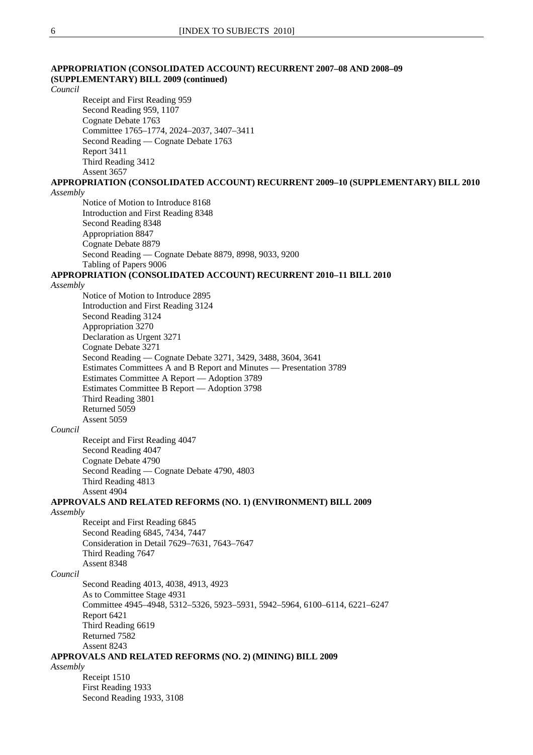| APPROPRIATION (CONSOLIDATED ACCOUNT) RECURRENT 2007-08 AND 2008-09<br>(SUPPLEMENTARY) BILL 2009 (continued) |
|-------------------------------------------------------------------------------------------------------------|
| Council<br>Receipt and First Reading 959                                                                    |
| Second Reading 959, 1107                                                                                    |
| Cognate Debate 1763                                                                                         |
| Committee 1765-1774, 2024-2037, 3407-3411                                                                   |
| Second Reading — Cognate Debate 1763                                                                        |
| Report 3411                                                                                                 |
| Third Reading 3412                                                                                          |
| Assent 3657                                                                                                 |
| APPROPRIATION (CONSOLIDATED ACCOUNT) RECURRENT 2009–10 (SUPPLEMENTARY) BILL 2010                            |
| Assembly                                                                                                    |
| Notice of Motion to Introduce 8168                                                                          |
| Introduction and First Reading 8348<br>Second Reading 8348                                                  |
| Appropriation 8847                                                                                          |
| Cognate Debate 8879                                                                                         |
| Second Reading - Cognate Debate 8879, 8998, 9033, 9200                                                      |
| Tabling of Papers 9006                                                                                      |
| APPROPRIATION (CONSOLIDATED ACCOUNT) RECURRENT 2010-11 BILL 2010                                            |
| Assembly                                                                                                    |
| Notice of Motion to Introduce 2895                                                                          |
| Introduction and First Reading 3124                                                                         |
| Second Reading 3124<br>Appropriation 3270                                                                   |
| Declaration as Urgent 3271                                                                                  |
| Cognate Debate 3271                                                                                         |
| Second Reading — Cognate Debate 3271, 3429, 3488, 3604, 3641                                                |
| Estimates Committees A and B Report and Minutes — Presentation 3789                                         |
| Estimates Committee A Report - Adoption 3789                                                                |
| Estimates Committee B Report - Adoption 3798                                                                |
| Third Reading 3801                                                                                          |
| Returned 5059                                                                                               |
| Assent 5059                                                                                                 |
| Council<br>Receipt and First Reading 4047                                                                   |
| Second Reading 4047                                                                                         |
| Cognate Debate 4790                                                                                         |
| Second Reading — Cognate Debate 4790, 4803                                                                  |
| Third Reading 4813                                                                                          |
| Assent 4904                                                                                                 |
| APPROVALS AND RELATED REFORMS (NO. 1) (ENVIRONMENT) BILL 2009                                               |
| Assembly                                                                                                    |
| Receipt and First Reading 6845                                                                              |
| Second Reading 6845, 7434, 7447                                                                             |
| Consideration in Detail 7629-7631, 7643-7647                                                                |
| Third Reading 7647<br>Assent 8348                                                                           |
| Council                                                                                                     |
| Second Reading 4013, 4038, 4913, 4923                                                                       |
| As to Committee Stage 4931                                                                                  |
| Committee 4945-4948, 5312-5326, 5923-5931, 5942-5964, 6100-6114, 6221-6247                                  |
| Report 6421                                                                                                 |
| Third Reading 6619                                                                                          |
| Returned 7582                                                                                               |
| Assent 8243                                                                                                 |
| APPROVALS AND RELATED REFORMS (NO. 2) (MINING) BILL 2009                                                    |
| Assembly                                                                                                    |
| Receipt 1510<br>First Reading 1933                                                                          |
| Second Reading 1933, 3108                                                                                   |
|                                                                                                             |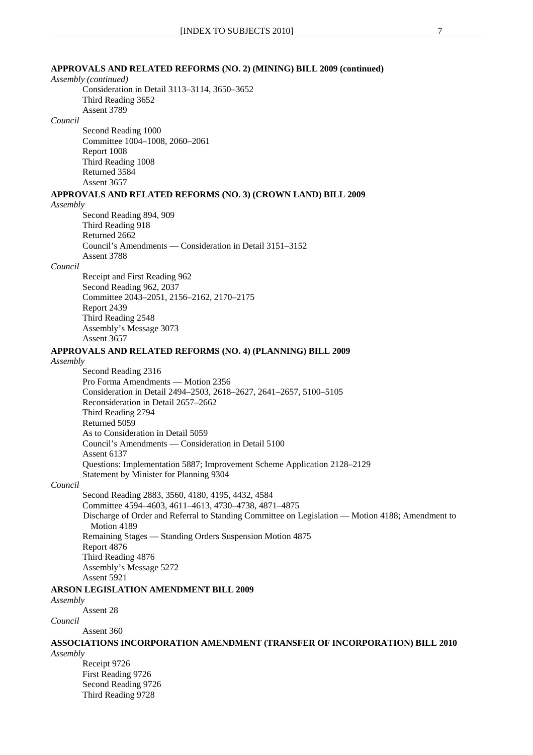### **APPROVALS AND RELATED REFORMS (NO. 2) (MINING) BILL 2009 (continued)**

*Assembly (continued)*

Consideration in Detail 3113–3114, 3650–3652 Third Reading 3652 Assent 3789

#### *Council*

Second Reading 1000 Committee 1004–1008, 2060–2061 Report 1008 Third Reading 1008 Returned 3584 Assent 3657

### **APPROVALS AND RELATED REFORMS (NO. 3) (CROWN LAND) BILL 2009**

*Assembly*

Second Reading 894, 909 Third Reading 918 Returned 2662 Council's Amendments — Consideration in Detail 3151–3152 Assent 3788

#### *Council*

Receipt and First Reading 962 Second Reading 962, 2037 Committee 2043–2051, 2156–2162, 2170–2175 Report 2439 Third Reading 2548 Assembly's Message 3073 Assent 3657

#### **APPROVALS AND RELATED REFORMS (NO. 4) (PLANNING) BILL 2009**

#### *Assembly*

Second Reading 2316 Pro Forma Amendments — Motion 2356 Consideration in Detail 2494–2503, 2618–2627, 2641–2657, 5100–5105 Reconsideration in Detail 2657–2662 Third Reading 2794 Returned 5059 As to Consideration in Detail 5059 Council's Amendments — Consideration in Detail 5100 Assent 6137 Questions: Implementation 5887; Improvement Scheme Application 2128–2129 Statement by Minister for Planning 9304

#### *Council*

Second Reading 2883, 3560, 4180, 4195, 4432, 4584 Committee 4594–4603, 4611–4613, 4730–4738, 4871–4875 Discharge of Order and Referral to Standing Committee on Legislation — Motion 4188; Amendment to Motion 4189 Remaining Stages — Standing Orders Suspension Motion 4875 Report 4876 Third Reading 4876 Assembly's Message 5272 Assent 5921

**ARSON LEGISLATION AMENDMENT BILL 2009**

### *Assembly*

Assent 28

#### *Council*

Assent 360

**ASSOCIATIONS INCORPORATION AMENDMENT (TRANSFER OF INCORPORATION) BILL 2010** *Assembly*

Receipt 9726 First Reading 9726 Second Reading 9726 Third Reading 9728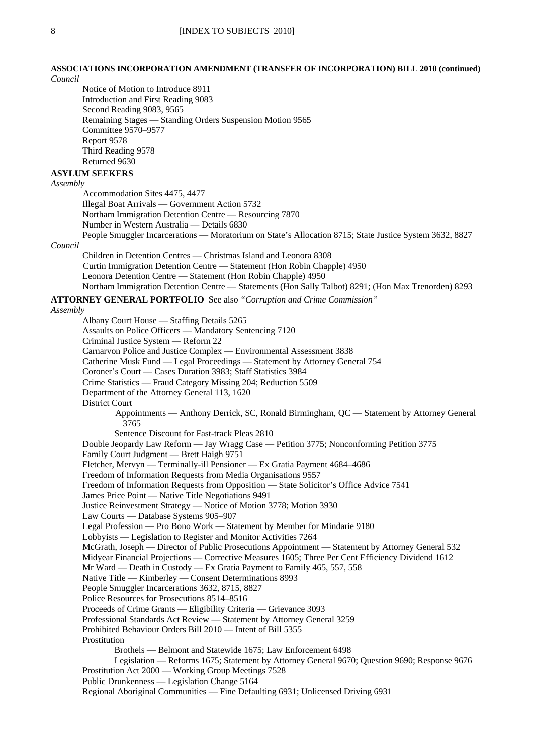### **ASSOCIATIONS INCORPORATION AMENDMENT (TRANSFER OF INCORPORATION) BILL 2010 (continued)**

*Council*

Notice of Motion to Introduce 8911 Introduction and First Reading 9083 Second Reading 9083, 9565 Remaining Stages — Standing Orders Suspension Motion 9565 Committee 9570–9577 Report 9578 Third Reading 9578 Returned 9630

### **ASYLUM SEEKERS**

*Assembly*

Accommodation Sites 4475, 4477 Illegal Boat Arrivals — Government Action 5732 Northam Immigration Detention Centre — Resourcing 7870 Number in Western Australia — Details 6830 People Smuggler Incarcerations — Moratorium on State's Allocation 8715; State Justice System 3632, 8827

*Council*

Children in Detention Centres — Christmas Island and Leonora 8308 Curtin Immigration Detention Centre — Statement (Hon Robin Chapple) 4950 Leonora Detention Centre — Statement (Hon Robin Chapple) 4950 Northam Immigration Detention Centre — Statements (Hon Sally Talbot) 8291; (Hon Max Trenorden) 8293

**ATTORNEY GENERAL PORTFOLIO** See also *"Corruption and Crime Commission"* 

#### *Assembly*

Albany Court House — Staffing Details 5265 Assaults on Police Officers — Mandatory Sentencing 7120 Criminal Justice System — Reform 22 Carnarvon Police and Justice Complex — Environmental Assessment 3838 Catherine Musk Fund — Legal Proceedings — Statement by Attorney General 754 Coroner's Court — Cases Duration 3983; Staff Statistics 3984 Crime Statistics — Fraud Category Missing 204; Reduction 5509 Department of the Attorney General 113, 1620 District Court Appointments — Anthony Derrick, SC, Ronald Birmingham, QC — Statement by Attorney General 3765 Sentence Discount for Fast-track Pleas 2810 Double Jeopardy Law Reform — Jay Wragg Case — Petition 3775; Nonconforming Petition 3775 Family Court Judgment — Brett Haigh 9751 Fletcher, Mervyn — Terminally-ill Pensioner — Ex Gratia Payment 4684–4686 Freedom of Information Requests from Media Organisations 9557 Freedom of Information Requests from Opposition — State Solicitor's Office Advice 7541 James Price Point — Native Title Negotiations 9491 Justice Reinvestment Strategy — Notice of Motion 3778; Motion 3930 Law Courts — Database Systems 905–907 Legal Profession — Pro Bono Work — Statement by Member for Mindarie 9180 Lobbyists — Legislation to Register and Monitor Activities 7264 McGrath, Joseph — Director of Public Prosecutions Appointment — Statement by Attorney General 532 Midyear Financial Projections — Corrective Measures 1605; Three Per Cent Efficiency Dividend 1612 Mr Ward — Death in Custody — Ex Gratia Payment to Family 465, 557, 558 Native Title — Kimberley — Consent Determinations 8993 People Smuggler Incarcerations 3632, 8715, 8827 Police Resources for Prosecutions 8514–8516 Proceeds of Crime Grants — Eligibility Criteria — Grievance 3093 Professional Standards Act Review — Statement by Attorney General 3259 Prohibited Behaviour Orders Bill 2010 — Intent of Bill 5355 Prostitution Brothels — Belmont and Statewide 1675; Law Enforcement 6498 Legislation — Reforms 1675; Statement by Attorney General 9670; Question 9690; Response 9676 Prostitution Act 2000 — Working Group Meetings 7528 Public Drunkenness — Legislation Change 5164 Regional Aboriginal Communities — Fine Defaulting 6931; Unlicensed Driving 6931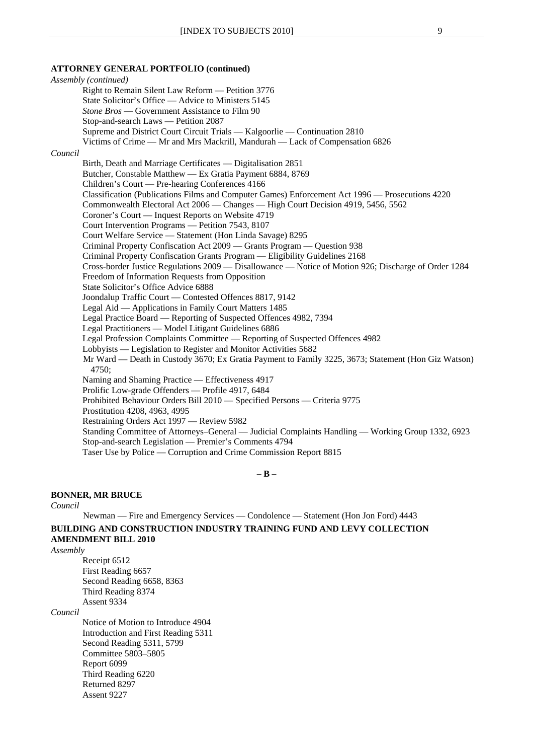#### **ATTORNEY GENERAL PORTFOLIO (continued)**

### *Assembly (continued)* Right to Remain Silent Law Reform — Petition 3776 State Solicitor's Office — Advice to Ministers 5145 *Stone Bros* — Government Assistance to Film 90 Stop-and-search Laws — Petition 2087 Supreme and District Court Circuit Trials — Kalgoorlie — Continuation 2810 Victims of Crime — Mr and Mrs Mackrill, Mandurah — Lack of Compensation 6826 *Council* Birth, Death and Marriage Certificates — Digitalisation 2851 Butcher, Constable Matthew — Ex Gratia Payment 6884, 8769 Children's Court — Pre-hearing Conferences 4166 Classification (Publications Films and Computer Games) Enforcement Act 1996 — Prosecutions 4220 Commonwealth Electoral Act 2006 — Changes — High Court Decision 4919, 5456, 5562 Coroner's Court — Inquest Reports on Website 4719 Court Intervention Programs — Petition 7543, 8107 Court Welfare Service — Statement (Hon Linda Savage) 8295 Criminal Property Confiscation Act 2009 — Grants Program — Question 938 Criminal Property Confiscation Grants Program — Eligibility Guidelines 2168 Cross-border Justice Regulations 2009 — Disallowance — Notice of Motion 926; Discharge of Order 1284 Freedom of Information Requests from Opposition State Solicitor's Office Advice 6888 Joondalup Traffic Court — Contested Offences 8817, 9142 Legal Aid — Applications in Family Court Matters 1485 Legal Practice Board — Reporting of Suspected Offences 4982, 7394 Legal Practitioners — Model Litigant Guidelines 6886 Legal Profession Complaints Committee — Reporting of Suspected Offences 4982 Lobbyists — Legislation to Register and Monitor Activities 5682 Mr Ward — Death in Custody 3670; Ex Gratia Payment to Family 3225, 3673; Statement (Hon Giz Watson) 4750; Naming and Shaming Practice — Effectiveness 4917 Prolific Low-grade Offenders — Profile 4917, 6484 Prohibited Behaviour Orders Bill 2010 — Specified Persons — Criteria 9775 Prostitution 4208, 4963, 4995 Restraining Orders Act 1997 — Review 5982 Standing Committee of Attorneys–General — Judicial Complaints Handling — Working Group 1332, 6923 Stop-and-search Legislation — Premier's Comments 4794 Taser Use by Police — Corruption and Crime Commission Report 8815

**– B –** 

### **BONNER, MR BRUCE**

### *Council*

Newman — Fire and Emergency Services — Condolence — Statement (Hon Jon Ford) 4443 **BUILDING AND CONSTRUCTION INDUSTRY TRAINING FUND AND LEVY COLLECTION AMENDMENT BILL 2010**

*Assembly*

Receipt 6512 First Reading 6657 Second Reading 6658, 8363 Third Reading 8374 Assent 9334

### *Council*

Notice of Motion to Introduce 4904 Introduction and First Reading 5311 Second Reading 5311, 5799 Committee 5803–5805 Report 6099 Third Reading 6220 Returned 8297 Assent 9227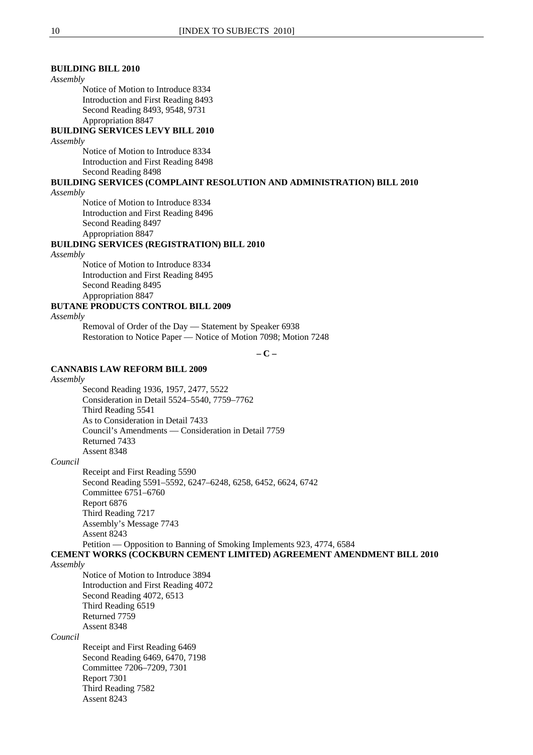### **BUILDING BILL 2010**

#### *Assembly*

Notice of Motion to Introduce 8334 Introduction and First Reading 8493 Second Reading 8493, 9548, 9731 Appropriation 8847

### **BUILDING SERVICES LEVY BILL 2010**

*Assembly*

Notice of Motion to Introduce 8334 Introduction and First Reading 8498 Second Reading 8498

## **BUILDING SERVICES (COMPLAINT RESOLUTION AND ADMINISTRATION) BILL 2010**

*Assembly*

Notice of Motion to Introduce 8334 Introduction and First Reading 8496 Second Reading 8497 Appropriation 8847

### **BUILDING SERVICES (REGISTRATION) BILL 2010**

### *Assembly*

Notice of Motion to Introduce 8334 Introduction and First Reading 8495 Second Reading 8495 Appropriation 8847

### **BUTANE PRODUCTS CONTROL BILL 2009**

*Assembly*

Removal of Order of the Day — Statement by Speaker 6938 Restoration to Notice Paper — Notice of Motion 7098; Motion 7248

**– C –** 

### **CANNABIS LAW REFORM BILL 2009**

#### *Assembly*

Second Reading 1936, 1957, 2477, 5522 Consideration in Detail 5524–5540, 7759–7762 Third Reading 5541 As to Consideration in Detail 7433 Council's Amendments — Consideration in Detail 7759 Returned 7433 Assent 8348

*Council*

Receipt and First Reading 5590 Second Reading 5591–5592, 6247–6248, 6258, 6452, 6624, 6742 Committee 6751–6760 Report 6876 Third Reading 7217 Assembly's Message 7743 Assent 8243 Petition — Opposition to Banning of Smoking Implements 923, 4774, 6584

### **CEMENT WORKS (COCKBURN CEMENT LIMITED) AGREEMENT AMENDMENT BILL 2010**

### *Assembly*

Notice of Motion to Introduce 3894 Introduction and First Reading 4072 Second Reading 4072, 6513 Third Reading 6519 Returned 7759 Assent 8348

#### *Council*

Receipt and First Reading 6469 Second Reading 6469, 6470, 7198 Committee 7206–7209, 7301 Report 7301 Third Reading 7582 Assent 8243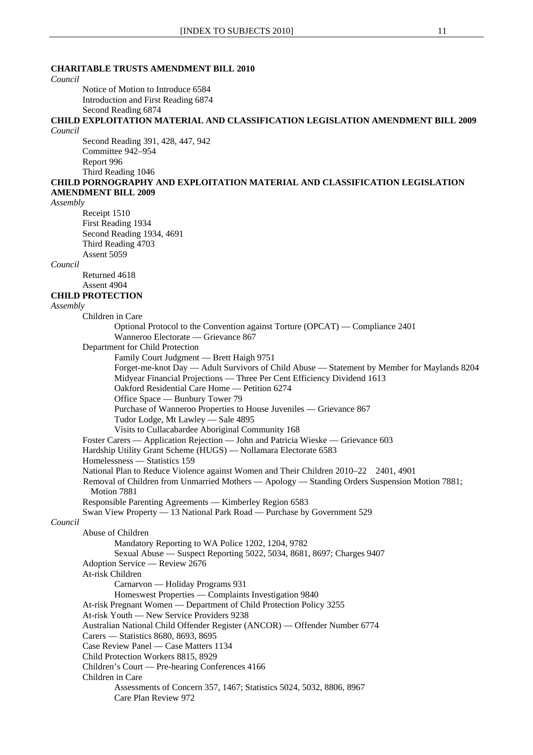### **CHARITABLE TRUSTS AMENDMENT BILL 2010**

*Council*  Notice of Motion to Introduce 6584 Introduction and First Reading 6874 Second Reading 6874 **CHILD EXPLOITATION MATERIAL AND CLASSIFICATION LEGISLATION AMENDMENT BILL 2009** *Council* Second Reading 391, 428, 447, 942 Committee 942–954 Report 996 Third Reading 1046 **CHILD PORNOGRAPHY AND EXPLOITATION MATERIAL AND CLASSIFICATION LEGISLATION AMENDMENT BILL 2009** *Assembly* Receipt 1510 First Reading 1934 Second Reading 1934, 4691 Third Reading 4703 Assent 5059 *Council* Returned 4618 Assent 4904 **CHILD PROTECTION** *Assembly* Children in Care Optional Protocol to the Convention against Torture (OPCAT) — Compliance 2401 Wanneroo Electorate — Grievance 867 Department for Child Protection Family Court Judgment — Brett Haigh 9751 Forget-me-knot Day — Adult Survivors of Child Abuse — Statement by Member for Maylands 8204 Midyear Financial Projections — Three Per Cent Efficiency Dividend 1613 Oakford Residential Care Home — Petition 6274 Office Space — Bunbury Tower 79 Purchase of Wanneroo Properties to House Juveniles — Grievance 867 Tudor Lodge, Mt Lawley — Sale 4895 Visits to Cullacabardee Aboriginal Community 168 Foster Carers — Application Rejection — John and Patricia Wieske — Grievance 603 Hardship Utility Grant Scheme (HUGS) — Nollamara Electorate 6583 Homelessness — Statistics 159 National Plan to Reduce Violence against Women and Their Children 2010–22 2401, 4901 Removal of Children from Unmarried Mothers — Apology — Standing Orders Suspension Motion 7881; Motion 7881 Responsible Parenting Agreements — Kimberley Region 6583 Swan View Property — 13 National Park Road — Purchase by Government 529 *Council* Abuse of Children Mandatory Reporting to WA Police 1202, 1204, 9782 Sexual Abuse — Suspect Reporting 5022, 5034, 8681, 8697; Charges 9407 Adoption Service — Review 2676 At-risk Children Carnarvon — Holiday Programs 931 Homeswest Properties — Complaints Investigation 9840 At-risk Pregnant Women — Department of Child Protection Policy 3255 At-risk Youth — New Service Providers 9238 Australian National Child Offender Register (ANCOR) — Offender Number 6774 Carers — Statistics 8680, 8693, 8695 Case Review Panel — Case Matters 1134 Child Protection Workers 8815, 8929 Children's Court — Pre-hearing Conferences 4166 Children in Care Assessments of Concern 357, 1467; Statistics 5024, 5032, 8806, 8967 Care Plan Review 972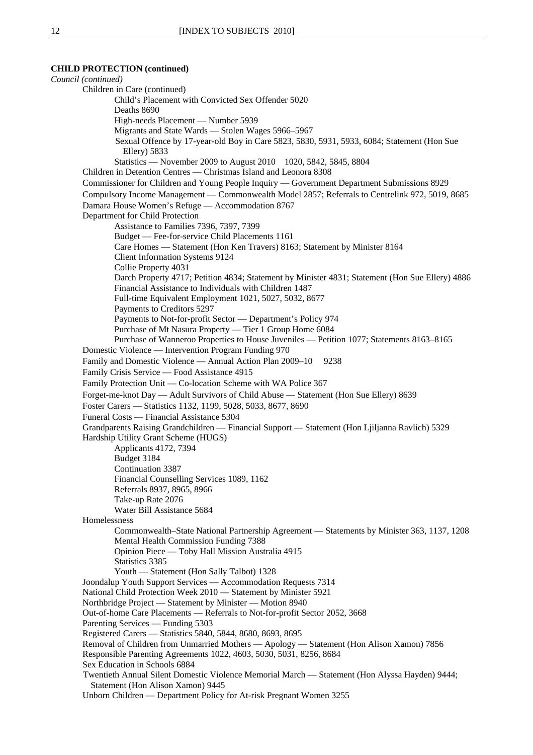#### **CHILD PROTECTION (continued)**

*Council (continued)* Children in Care (continued) Child's Placement with Convicted Sex Offender 5020 Deaths 8690 High-needs Placement — Number 5939 Migrants and State Wards — Stolen Wages 5966–5967 Sexual Offence by 17-year-old Boy in Care 5823, 5830, 5931, 5933, 6084; Statement (Hon Sue Ellery) 5833 Statistics — November 2009 to August 2010 1020, 5842, 5845, 8804 Children in Detention Centres — Christmas Island and Leonora 8308 Commissioner for Children and Young People Inquiry — Government Department Submissions 8929 Compulsory Income Management — Commonwealth Model 2857; Referrals to Centrelink 972, 5019, 8685 Damara House Women's Refuge — Accommodation 8767 Department for Child Protection Assistance to Families 7396, 7397, 7399 Budget — Fee-for-service Child Placements 1161 Care Homes — Statement (Hon Ken Travers) 8163; Statement by Minister 8164 Client Information Systems 9124 Collie Property 4031 Darch Property 4717; Petition 4834; Statement by Minister 4831; Statement (Hon Sue Ellery) 4886 Financial Assistance to Individuals with Children 1487 Full-time Equivalent Employment 1021, 5027, 5032, 8677 Payments to Creditors 5297 Payments to Not-for-profit Sector — Department's Policy 974 Purchase of Mt Nasura Property — Tier 1 Group Home 6084 Purchase of Wanneroo Properties to House Juveniles — Petition 1077; Statements 8163–8165 Domestic Violence — Intervention Program Funding 970 Family and Domestic Violence — Annual Action Plan 2009–10 9238 Family Crisis Service — Food Assistance 4915 Family Protection Unit — Co-location Scheme with WA Police 367 Forget-me-knot Day — Adult Survivors of Child Abuse — Statement (Hon Sue Ellery) 8639 Foster Carers — Statistics 1132, 1199, 5028, 5033, 8677, 8690 Funeral Costs — Financial Assistance 5304 Grandparents Raising Grandchildren — Financial Support — Statement (Hon Ljiljanna Ravlich) 5329 Hardship Utility Grant Scheme (HUGS) Applicants 4172, 7394 Budget 3184 Continuation 3387 Financial Counselling Services 1089, 1162 Referrals 8937, 8965, 8966 Take-up Rate 2076 Water Bill Assistance 5684 Homelessness Commonwealth–State National Partnership Agreement — Statements by Minister 363, 1137, 1208 Mental Health Commission Funding 7388 Opinion Piece — Toby Hall Mission Australia 4915 Statistics 3385 Youth — Statement (Hon Sally Talbot) 1328 Joondalup Youth Support Services — Accommodation Requests 7314 National Child Protection Week 2010 — Statement by Minister 5921 Northbridge Project — Statement by Minister — Motion 8940 Out-of-home Care Placements — Referrals to Not-for-profit Sector 2052, 3668 Parenting Services — Funding 5303 Registered Carers — Statistics 5840, 5844, 8680, 8693, 8695 Removal of Children from Unmarried Mothers — Apology — Statement (Hon Alison Xamon) 7856 Responsible Parenting Agreements 1022, 4603, 5030, 5031, 8256, 8684 Sex Education in Schools 6884 Twentieth Annual Silent Domestic Violence Memorial March — Statement (Hon Alyssa Hayden) 9444; Statement (Hon Alison Xamon) 9445 Unborn Children — Department Policy for At-risk Pregnant Women 3255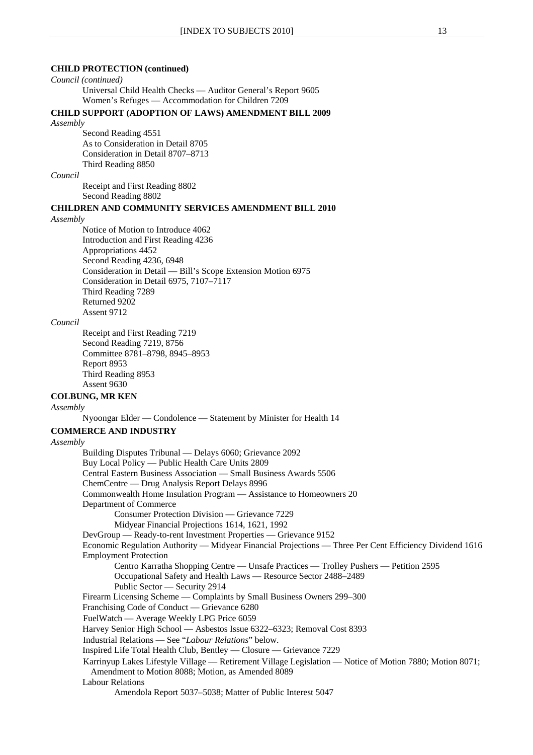### **CHILD PROTECTION (continued)**

#### *Council (continued)*

Universal Child Health Checks — Auditor General's Report 9605 Women's Refuges — Accommodation for Children 7209

### **CHILD SUPPORT (ADOPTION OF LAWS) AMENDMENT BILL 2009**

#### *Assembly*

Second Reading 4551 As to Consideration in Detail 8705 Consideration in Detail 8707–8713 Third Reading 8850

#### *Council*

Receipt and First Reading 8802 Second Reading 8802

#### **CHILDREN AND COMMUNITY SERVICES AMENDMENT BILL 2010**

### *Assembly*

Notice of Motion to Introduce 4062 Introduction and First Reading 4236 Appropriations 4452 Second Reading 4236, 6948 Consideration in Detail — Bill's Scope Extension Motion 6975 Consideration in Detail 6975, 7107–7117 Third Reading 7289 Returned 9202 Assent 9712

### *Council*

Receipt and First Reading 7219 Second Reading 7219, 8756 Committee 8781–8798, 8945–8953 Report 8953 Third Reading 8953 Assent 9630

### **COLBUNG, MR KEN**

*Assembly*

Nyoongar Elder — Condolence — Statement by Minister for Health 14

### **COMMERCE AND INDUSTRY**

#### *Assembly*

Building Disputes Tribunal — Delays 6060; Grievance 2092 Buy Local Policy — Public Health Care Units 2809 Central Eastern Business Association — Small Business Awards 5506 ChemCentre — Drug Analysis Report Delays 8996 Commonwealth Home Insulation Program — Assistance to Homeowners 20 Department of Commerce Consumer Protection Division — Grievance 7229 Midyear Financial Projections 1614, 1621, 1992 DevGroup — Ready-to-rent Investment Properties — Grievance 9152 Economic Regulation Authority — Midyear Financial Projections — Three Per Cent Efficiency Dividend 1616 Employment Protection Centro Karratha Shopping Centre — Unsafe Practices — Trolley Pushers — Petition 2595 Occupational Safety and Health Laws — Resource Sector 2488–2489 Public Sector — Security 2914 Firearm Licensing Scheme — Complaints by Small Business Owners 299–300 Franchising Code of Conduct — Grievance 6280 FuelWatch — Average Weekly LPG Price 6059 Harvey Senior High School — Asbestos Issue 6322–6323; Removal Cost 8393 Industrial Relations — See "*Labour Relations*" below. Inspired Life Total Health Club, Bentley — Closure — Grievance 7229 Karrinyup Lakes Lifestyle Village — Retirement Village Legislation — Notice of Motion 7880; Motion 8071; Amendment to Motion 8088; Motion, as Amended 8089 Labour Relations Amendola Report 5037–5038; Matter of Public Interest 5047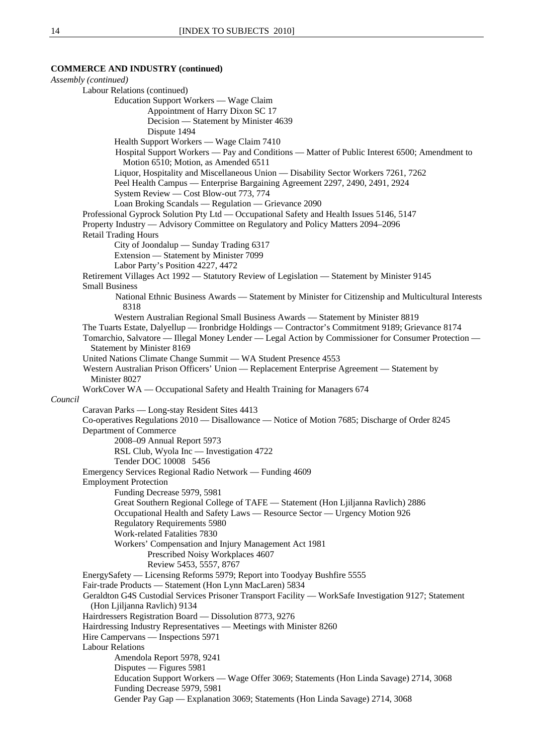### **COMMERCE AND INDUSTRY (continued)**

*Assembly (continued)*  Labour Relations (continued) Education Support Workers — Wage Claim Appointment of Harry Dixon SC 17 Decision — Statement by Minister 4639 Dispute 1494 Health Support Workers — Wage Claim 7410 Hospital Support Workers — Pay and Conditions — Matter of Public Interest 6500; Amendment to Motion 6510; Motion, as Amended 6511 Liquor, Hospitality and Miscellaneous Union — Disability Sector Workers 7261, 7262 Peel Health Campus — Enterprise Bargaining Agreement 2297, 2490, 2491, 2924 System Review — Cost Blow-out 773, 774 Loan Broking Scandals — Regulation — Grievance 2090 Professional Gyprock Solution Pty Ltd — Occupational Safety and Health Issues 5146, 5147 Property Industry — Advisory Committee on Regulatory and Policy Matters 2094–2096 Retail Trading Hours City of Joondalup — Sunday Trading 6317 Extension — Statement by Minister 7099 Labor Party's Position 4227, 4472 Retirement Villages Act 1992 — Statutory Review of Legislation — Statement by Minister 9145 Small Business National Ethnic Business Awards — Statement by Minister for Citizenship and Multicultural Interests 8318 Western Australian Regional Small Business Awards — Statement by Minister 8819 The Tuarts Estate, Dalyellup — Ironbridge Holdings — Contractor's Commitment 9189; Grievance 8174 Tomarchio, Salvatore — Illegal Money Lender — Legal Action by Commissioner for Consumer Protection — Statement by Minister 8169 United Nations Climate Change Summit — WA Student Presence 4553 Western Australian Prison Officers' Union — Replacement Enterprise Agreement — Statement by Minister 8027 WorkCover WA — Occupational Safety and Health Training for Managers 674 *Council* Caravan Parks — Long-stay Resident Sites 4413 Co-operatives Regulations 2010 — Disallowance — Notice of Motion 7685; Discharge of Order 8245 Department of Commerce 2008–09 Annual Report 5973 RSL Club, Wyola Inc — Investigation 4722 Tender DOC 10008 5456 Emergency Services Regional Radio Network — Funding 4609 Employment Protection Funding Decrease 5979, 5981 Great Southern Regional College of TAFE — Statement (Hon Ljiljanna Ravlich) 2886 Occupational Health and Safety Laws — Resource Sector — Urgency Motion 926 Regulatory Requirements 5980 Work-related Fatalities 7830 Workers' Compensation and Injury Management Act 1981 Prescribed Noisy Workplaces 4607 Review 5453, 5557, 8767 EnergySafety — Licensing Reforms 5979; Report into Toodyay Bushfire 5555 Fair-trade Products — Statement (Hon Lynn MacLaren) 5834 Geraldton G4S Custodial Services Prisoner Transport Facility — WorkSafe Investigation 9127; Statement (Hon Ljiljanna Ravlich) 9134 Hairdressers Registration Board — Dissolution 8773, 9276 Hairdressing Industry Representatives — Meetings with Minister 8260 Hire Campervans — Inspections 5971 Labour Relations Amendola Report 5978, 9241 Disputes — Figures 5981 Education Support Workers — Wage Offer 3069; Statements (Hon Linda Savage) 2714, 3068 Funding Decrease 5979, 5981 Gender Pay Gap — Explanation 3069; Statements (Hon Linda Savage) 2714, 3068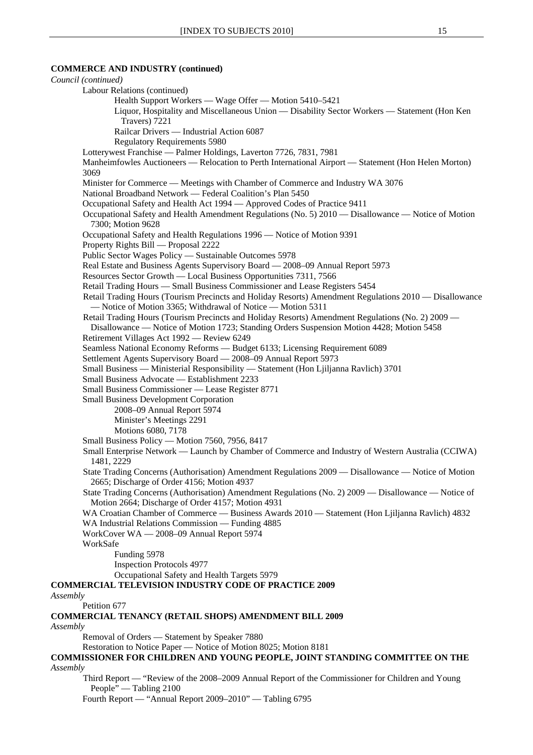### **COMMERCE AND INDUSTRY (continued)**

|          | Council (continued)                                                                                                                                                                            |
|----------|------------------------------------------------------------------------------------------------------------------------------------------------------------------------------------------------|
|          | Labour Relations (continued)                                                                                                                                                                   |
|          | Health Support Workers — Wage Offer — Motion 5410–5421                                                                                                                                         |
|          | Liquor, Hospitality and Miscellaneous Union — Disability Sector Workers — Statement (Hon Ken<br>Travers) 7221                                                                                  |
|          | Railcar Drivers - Industrial Action 6087                                                                                                                                                       |
|          | <b>Regulatory Requirements 5980</b>                                                                                                                                                            |
|          | Lotterywest Franchise - Palmer Holdings, Laverton 7726, 7831, 7981                                                                                                                             |
|          | Manheimfowles Auctioneers — Relocation to Perth International Airport — Statement (Hon Helen Morton)<br>3069                                                                                   |
|          | Minister for Commerce — Meetings with Chamber of Commerce and Industry WA 3076                                                                                                                 |
|          | National Broadband Network — Federal Coalition's Plan 5450                                                                                                                                     |
|          | Occupational Safety and Health Act 1994 - Approved Codes of Practice 9411                                                                                                                      |
|          | Occupational Safety and Health Amendment Regulations (No. 5) 2010 — Disallowance — Notice of Motion<br>7300; Motion 9628                                                                       |
|          | Occupational Safety and Health Regulations 1996 - Notice of Motion 9391                                                                                                                        |
|          | Property Rights Bill — Proposal 2222                                                                                                                                                           |
|          | Public Sector Wages Policy - Sustainable Outcomes 5978                                                                                                                                         |
|          | Real Estate and Business Agents Supervisory Board — 2008–09 Annual Report 5973                                                                                                                 |
|          | Resources Sector Growth — Local Business Opportunities 7311, 7566                                                                                                                              |
|          | Retail Trading Hours - Small Business Commissioner and Lease Registers 5454                                                                                                                    |
|          | Retail Trading Hours (Tourism Precincts and Holiday Resorts) Amendment Regulations 2010 — Disallowance                                                                                         |
|          | - Notice of Motion 3365; Withdrawal of Notice - Motion 5311                                                                                                                                    |
|          | Retail Trading Hours (Tourism Precincts and Holiday Resorts) Amendment Regulations (No. 2) 2009 -<br>Disallowance — Notice of Motion 1723; Standing Orders Suspension Motion 4428; Motion 5458 |
|          | Retirement Villages Act 1992 - Review 6249                                                                                                                                                     |
|          | Seamless National Economy Reforms - Budget 6133; Licensing Requirement 6089                                                                                                                    |
|          | Settlement Agents Supervisory Board - 2008-09 Annual Report 5973                                                                                                                               |
|          | Small Business — Ministerial Responsibility — Statement (Hon Ljiljanna Ravlich) 3701                                                                                                           |
|          | Small Business Advocate - Establishment 2233                                                                                                                                                   |
|          | Small Business Commissioner - Lease Register 8771                                                                                                                                              |
|          | <b>Small Business Development Corporation</b>                                                                                                                                                  |
|          | 2008-09 Annual Report 5974                                                                                                                                                                     |
|          | Minister's Meetings 2291                                                                                                                                                                       |
|          | Motions 6080, 7178                                                                                                                                                                             |
|          | Small Business Policy — Motion 7560, 7956, 8417                                                                                                                                                |
|          | Small Enterprise Network — Launch by Chamber of Commerce and Industry of Western Australia (CCIWA)<br>1481, 2229                                                                               |
|          | State Trading Concerns (Authorisation) Amendment Regulations 2009 — Disallowance — Notice of Motion<br>2665; Discharge of Order 4156; Motion 4937                                              |
|          | State Trading Concerns (Authorisation) Amendment Regulations (No. 2) 2009 — Disallowance — Notice of                                                                                           |
|          | Motion 2664; Discharge of Order 4157; Motion 4931                                                                                                                                              |
|          | WA Croatian Chamber of Commerce — Business Awards 2010 — Statement (Hon Ljiljanna Ravlich) 4832                                                                                                |
|          | WA Industrial Relations Commission — Funding 4885                                                                                                                                              |
|          | WorkCover WA - 2008-09 Annual Report 5974                                                                                                                                                      |
|          | WorkSafe                                                                                                                                                                                       |
|          | Funding 5978                                                                                                                                                                                   |
|          | <b>Inspection Protocols 4977</b>                                                                                                                                                               |
|          | Occupational Safety and Health Targets 5979                                                                                                                                                    |
|          | <b>COMMERCIAL TELEVISION INDUSTRY CODE OF PRACTICE 2009</b>                                                                                                                                    |
| Assembly |                                                                                                                                                                                                |
|          | Petition 677                                                                                                                                                                                   |
|          | COMMERCIAL TENANCY (RETAIL SHOPS) AMENDMENT BILL 2009                                                                                                                                          |
| Assembly |                                                                                                                                                                                                |
|          | Removal of Orders - Statement by Speaker 7880                                                                                                                                                  |
|          | Restoration to Notice Paper - Notice of Motion 8025; Motion 8181                                                                                                                               |
|          | COMMISSIONER FOR CHILDREN AND YOUNG PEOPLE, JOINT STANDING COMMITTEE ON THE                                                                                                                    |
| Assembly |                                                                                                                                                                                                |
|          | Third Report — "Review of the 2008-2009 Annual Report of the Commissioner for Children and Young                                                                                               |
|          | People" — Tabling 2100                                                                                                                                                                         |
|          | Fourth Report — "Annual Report 2009–2010" — Tabling 6795                                                                                                                                       |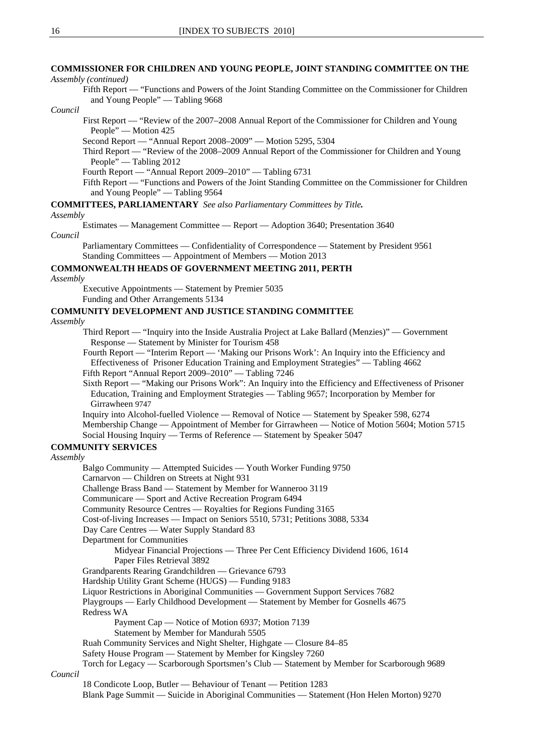### **COMMISSIONER FOR CHILDREN AND YOUNG PEOPLE, JOINT STANDING COMMITTEE ON THE**

*Assembly (continued)*

Fifth Report — "Functions and Powers of the Joint Standing Committee on the Commissioner for Children and Young People" — Tabling 9668

#### *Council*

First Report — "Review of the 2007–2008 Annual Report of the Commissioner for Children and Young People" — Motion 425

Second Report — "Annual Report 2008–2009" — Motion 5295, 5304

Third Report — "Review of the 2008–2009 Annual Report of the Commissioner for Children and Young People" — Tabling 2012

Fourth Report — "Annual Report 2009–2010" — Tabling 6731

Fifth Report — "Functions and Powers of the Joint Standing Committee on the Commissioner for Children and Young People" — Tabling 9564

**COMMITTEES, PARLIAMENTARY** *See also Parliamentary Committees by Title.*

#### *Assembly*

Estimates — Management Committee — Report — Adoption 3640; Presentation 3640 *Council*

Parliamentary Committees — Confidentiality of Correspondence — Statement by President 9561 Standing Committees — Appointment of Members — Motion 2013

### **COMMONWEALTH HEADS OF GOVERNMENT MEETING 2011, PERTH**

*Assembly*

Executive Appointments — Statement by Premier 5035

Funding and Other Arrangements 5134

### **COMMUNITY DEVELOPMENT AND JUSTICE STANDING COMMITTEE**

*Assembly*

Third Report — "Inquiry into the Inside Australia Project at Lake Ballard (Menzies)" — Government Response — Statement by Minister for Tourism 458

Fourth Report — "Interim Report — 'Making our Prisons Work': An Inquiry into the Efficiency and Effectiveness of Prisoner Education Training and Employment Strategies" — Tabling 4662 Fifth Report "Annual Report 2009–2010" — Tabling 7246

Sixth Report — "Making our Prisons Work": An Inquiry into the Efficiency and Effectiveness of Prisoner Education, Training and Employment Strategies — Tabling 9657; Incorporation by Member for Girrawheen 9747

Inquiry into Alcohol-fuelled Violence — Removal of Notice — Statement by Speaker 598, 6274 Membership Change — Appointment of Member for Girrawheen — Notice of Motion 5604; Motion 5715

Social Housing Inquiry — Terms of Reference — Statement by Speaker 5047

### **COMMUNITY SERVICES**

#### *Assembly*

Balgo Community — Attempted Suicides — Youth Worker Funding 9750 Carnarvon — Children on Streets at Night 931 Challenge Brass Band — Statement by Member for Wanneroo 3119 Communicare — Sport and Active Recreation Program 6494 Community Resource Centres — Royalties for Regions Funding 3165 Cost-of-living Increases — Impact on Seniors 5510, 5731; Petitions 3088, 5334 Day Care Centres — Water Supply Standard 83 Department for Communities Midyear Financial Projections — Three Per Cent Efficiency Dividend 1606, 1614 Paper Files Retrieval 3892 Grandparents Rearing Grandchildren — Grievance 6793 Hardship Utility Grant Scheme (HUGS) — Funding 9183 Liquor Restrictions in Aboriginal Communities — Government Support Services 7682 Playgroups — Early Childhood Development — Statement by Member for Gosnells 4675 Redress WA Payment Cap — Notice of Motion 6937; Motion 7139 Statement by Member for Mandurah 5505 Ruah Community Services and Night Shelter, Highgate — Closure 84–85 Safety House Program — Statement by Member for Kingsley 7260 Torch for Legacy — Scarborough Sportsmen's Club — Statement by Member for Scarborough 9689 *Council*

18 Condicote Loop, Butler — Behaviour of Tenant — Petition 1283 Blank Page Summit — Suicide in Aboriginal Communities — Statement (Hon Helen Morton) 9270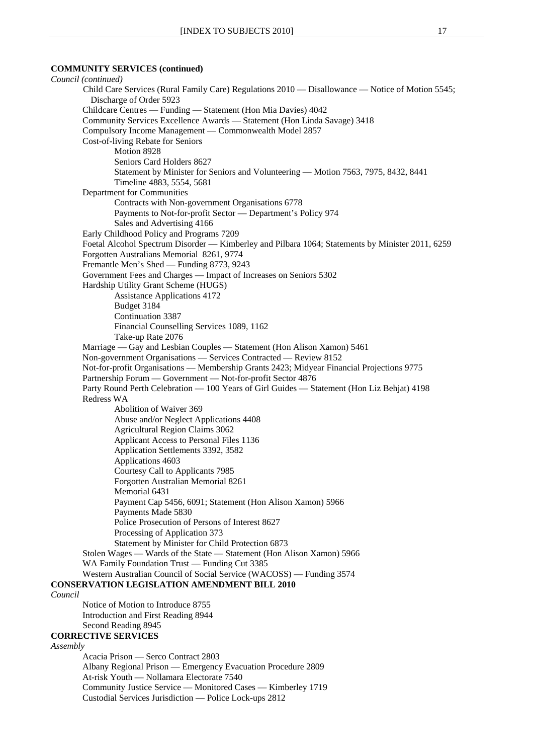### **COMMUNITY SERVICES (continued)**

*Council (continued)* Child Care Services (Rural Family Care) Regulations 2010 — Disallowance — Notice of Motion 5545; Discharge of Order 5923 Childcare Centres — Funding — Statement (Hon Mia Davies) 4042 Community Services Excellence Awards — Statement (Hon Linda Savage) 3418 Compulsory Income Management — Commonwealth Model 2857 Cost-of-living Rebate for Seniors Motion 8928 Seniors Card Holders 8627 Statement by Minister for Seniors and Volunteering — Motion 7563, 7975, 8432, 8441 Timeline 4883, 5554, 5681 Department for Communities Contracts with Non-government Organisations 6778 Payments to Not-for-profit Sector — Department's Policy 974 Sales and Advertising 4166 Early Childhood Policy and Programs 7209 Foetal Alcohol Spectrum Disorder — Kimberley and Pilbara 1064; Statements by Minister 2011, 6259 Forgotten Australians Memorial 8261, 9774 Fremantle Men's Shed — Funding 8773, 9243 Government Fees and Charges — Impact of Increases on Seniors 5302 Hardship Utility Grant Scheme (HUGS) Assistance Applications 4172 Budget 3184 Continuation 3387 Financial Counselling Services 1089, 1162 Take-up Rate 2076 Marriage — Gay and Lesbian Couples — Statement (Hon Alison Xamon) 5461 Non-government Organisations — Services Contracted — Review 8152 Not-for-profit Organisations — Membership Grants 2423; Midyear Financial Projections 9775 Partnership Forum — Government — Not-for-profit Sector 4876 Party Round Perth Celebration — 100 Years of Girl Guides — Statement (Hon Liz Behjat) 4198 Redress WA Abolition of Waiver 369 Abuse and/or Neglect Applications 4408 Agricultural Region Claims 3062 Applicant Access to Personal Files 1136 Application Settlements 3392, 3582 Applications 4603 Courtesy Call to Applicants 7985 Forgotten Australian Memorial 8261 Memorial 6431 Payment Cap 5456, 6091; Statement (Hon Alison Xamon) 5966 Payments Made 5830 Police Prosecution of Persons of Interest 8627 Processing of Application 373 Statement by Minister for Child Protection 6873 Stolen Wages — Wards of the State — Statement (Hon Alison Xamon) 5966 WA Family Foundation Trust — Funding Cut 3385 Western Australian Council of Social Service (WACOSS) — Funding 3574 **CONSERVATION LEGISLATION AMENDMENT BILL 2010** *Council* Notice of Motion to Introduce 8755 Introduction and First Reading 8944 Second Reading 8945 **CORRECTIVE SERVICES** *Assembly* Acacia Prison — Serco Contract 2803 Albany Regional Prison — Emergency Evacuation Procedure 2809 At-risk Youth — Nollamara Electorate 7540 Community Justice Service — Monitored Cases — Kimberley 1719

Custodial Services Jurisdiction — Police Lock-ups 2812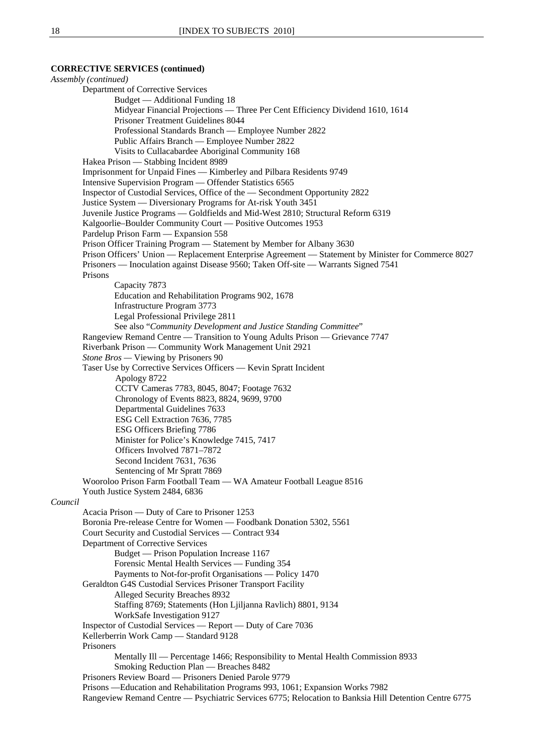### **CORRECTIVE SERVICES (continued)**

*Assembly (continued)* Department of Corrective Services Budget — Additional Funding 18 Midyear Financial Projections — Three Per Cent Efficiency Dividend 1610, 1614 Prisoner Treatment Guidelines 8044 Professional Standards Branch — Employee Number 2822 Public Affairs Branch — Employee Number 2822 Visits to Cullacabardee Aboriginal Community 168 Hakea Prison — Stabbing Incident 8989 Imprisonment for Unpaid Fines — Kimberley and Pilbara Residents 9749 Intensive Supervision Program — Offender Statistics 6565 Inspector of Custodial Services, Office of the — Secondment Opportunity 2822 Justice System — Diversionary Programs for At-risk Youth 3451 Juvenile Justice Programs — Goldfields and Mid-West 2810; Structural Reform 6319 Kalgoorlie–Boulder Community Court — Positive Outcomes 1953 Pardelup Prison Farm — Expansion 558 Prison Officer Training Program — Statement by Member for Albany 3630 Prison Officers' Union — Replacement Enterprise Agreement — Statement by Minister for Commerce 8027 Prisoners — Inoculation against Disease 9560; Taken Off-site — Warrants Signed 7541 Prisons Capacity 7873 Education and Rehabilitation Programs 902, 1678 Infrastructure Program 3773 Legal Professional Privilege 2811 See also "*Community Development and Justice Standing Committee*" Rangeview Remand Centre — Transition to Young Adults Prison — Grievance 7747 Riverbank Prison — Community Work Management Unit 2921 *Stone Bros —* Viewing by Prisoners 90 Taser Use by Corrective Services Officers — Kevin Spratt Incident Apology 8722 CCTV Cameras 7783, 8045, 8047; Footage 7632 Chronology of Events 8823, 8824, 9699, 9700 Departmental Guidelines 7633 ESG Cell Extraction 7636, 7785 ESG Officers Briefing 7786 Minister for Police's Knowledge 7415, 7417 Officers Involved 7871–7872 Second Incident 7631, 7636 Sentencing of Mr Spratt 7869 Wooroloo Prison Farm Football Team — WA Amateur Football League 8516 Youth Justice System 2484, 6836 *Council* Acacia Prison — Duty of Care to Prisoner 1253 Boronia Pre-release Centre for Women — Foodbank Donation 5302, 5561 Court Security and Custodial Services — Contract 934 Department of Corrective Services Budget — Prison Population Increase 1167 Forensic Mental Health Services — Funding 354 Payments to Not-for-profit Organisations — Policy 1470 Geraldton G4S Custodial Services Prisoner Transport Facility Alleged Security Breaches 8932 Staffing 8769; Statements (Hon Ljiljanna Ravlich) 8801, 9134 WorkSafe Investigation 9127 Inspector of Custodial Services — Report — Duty of Care 7036 Kellerberrin Work Camp — Standard 9128 Prisoners Mentally Ill — Percentage 1466; Responsibility to Mental Health Commission 8933 Smoking Reduction Plan — Breaches 8482 Prisoners Review Board — Prisoners Denied Parole 9779 Prisons —Education and Rehabilitation Programs 993, 1061; Expansion Works 7982 Rangeview Remand Centre — Psychiatric Services 6775; Relocation to Banksia Hill Detention Centre 6775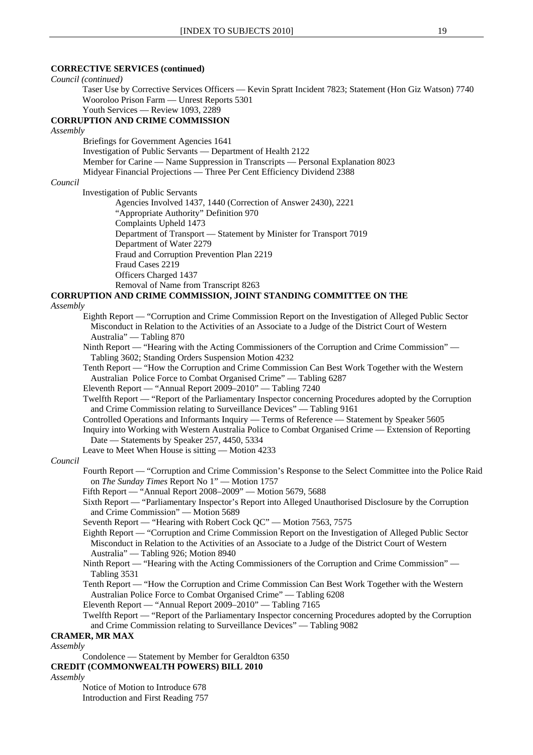### **CORRECTIVE SERVICES (continued)**

*Council (continued)*

Taser Use by Corrective Services Officers — Kevin Spratt Incident 7823; Statement (Hon Giz Watson) 7740 Wooroloo Prison Farm — Unrest Reports 5301

#### Youth Services — Review 1093, 2289 **CORRUPTION AND CRIME COMMISSION**

*Assembly* 

Briefings for Government Agencies 1641 Investigation of Public Servants — Department of Health 2122 Member for Carine — Name Suppression in Transcripts — Personal Explanation 8023 Midyear Financial Projections — Three Per Cent Efficiency Dividend 2388

### *Council*

Investigation of Public Servants

Agencies Involved 1437, 1440 (Correction of Answer 2430), 2221 "Appropriate Authority" Definition 970 Complaints Upheld 1473 Department of Transport — Statement by Minister for Transport 7019 Department of Water 2279 Fraud and Corruption Prevention Plan 2219 Fraud Cases 2219 Officers Charged 1437 Removal of Name from Transcript 8263

### **CORRUPTION AND CRIME COMMISSION, JOINT STANDING COMMITTEE ON THE**

*Assembly*

- Eighth Report "Corruption and Crime Commission Report on the Investigation of Alleged Public Sector Misconduct in Relation to the Activities of an Associate to a Judge of the District Court of Western Australia" — Tabling 870
- Ninth Report "Hearing with the Acting Commissioners of the Corruption and Crime Commission" Tabling 3602; Standing Orders Suspension Motion 4232
- Tenth Report "How the Corruption and Crime Commission Can Best Work Together with the Western Australian Police Force to Combat Organised Crime" — Tabling 6287
- Eleventh Report "Annual Report 2009–2010" Tabling 7240
- Twelfth Report "Report of the Parliamentary Inspector concerning Procedures adopted by the Corruption and Crime Commission relating to Surveillance Devices" — Tabling 9161
- Controlled Operations and Informants Inquiry Terms of Reference Statement by Speaker 5605 Inquiry into Working with Western Australia Police to Combat Organised Crime — Extension of Reporting
- Date Statements by Speaker 257, 4450, 5334

Leave to Meet When House is sitting — Motion 4233

#### *Council*

- Fourth Report "Corruption and Crime Commission's Response to the Select Committee into the Police Raid on *The Sunday Times* Report No 1" — Motion 1757
- Fifth Report "Annual Report 2008–2009" Motion 5679, 5688

Sixth Report — "Parliamentary Inspector's Report into Alleged Unauthorised Disclosure by the Corruption and Crime Commission" — Motion 5689

- Seventh Report "Hearing with Robert Cock QC" Motion 7563, 7575
- Eighth Report "Corruption and Crime Commission Report on the Investigation of Alleged Public Sector Misconduct in Relation to the Activities of an Associate to a Judge of the District Court of Western Australia" — Tabling 926; Motion 8940
- Ninth Report "Hearing with the Acting Commissioners of the Corruption and Crime Commission" Tabling 3531
- Tenth Report "How the Corruption and Crime Commission Can Best Work Together with the Western Australian Police Force to Combat Organised Crime" — Tabling 6208

Eleventh Report — "Annual Report 2009–2010" — Tabling 7165

Twelfth Report — "Report of the Parliamentary Inspector concerning Procedures adopted by the Corruption and Crime Commission relating to Surveillance Devices" — Tabling 9082

### **CRAMER, MR MAX**

### *Assembly*

Condolence — Statement by Member for Geraldton 6350

### **CREDIT (COMMONWEALTH POWERS) BILL 2010**

*Assembly*

Notice of Motion to Introduce 678 Introduction and First Reading 757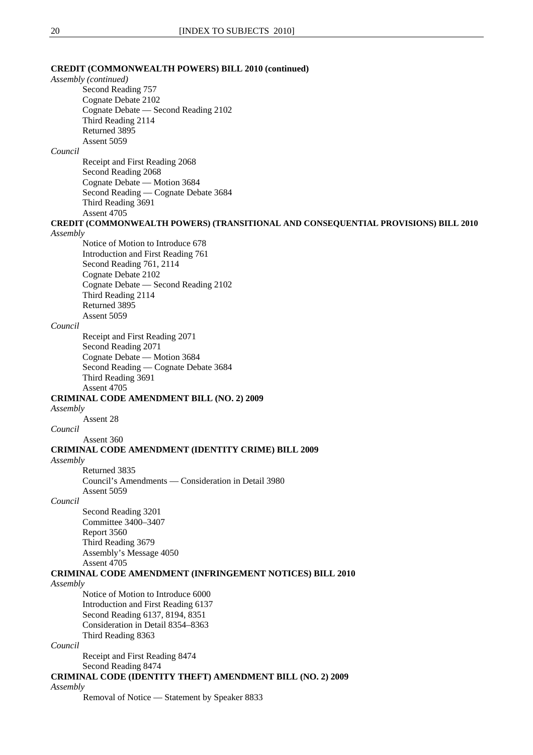### **CREDIT (COMMONWEALTH POWERS) BILL 2010 (continued)**

*Assembly (continued)*

Second Reading 757 Cognate Debate 2102 Cognate Debate — Second Reading 2102 Third Reading 2114 Returned 3895 Assent 5059

### *Council*

Receipt and First Reading 2068 Second Reading 2068 Cognate Debate — Motion 3684 Second Reading — Cognate Debate 3684 Third Reading 3691 Assent 4705

**CREDIT (COMMONWEALTH POWERS) (TRANSITIONAL AND CONSEQUENTIAL PROVISIONS) BILL 2010** *Assembly*

## Notice of Motion to Introduce 678

Introduction and First Reading 761 Second Reading 761, 2114 Cognate Debate 2102 Cognate Debate — Second Reading 2102 Third Reading 2114 Returned 3895 Assent 5059

#### *Council*

Receipt and First Reading 2071 Second Reading 2071 Cognate Debate — Motion 3684 Second Reading — Cognate Debate 3684 Third Reading 3691 Assent 4705

### **CRIMINAL CODE AMENDMENT BILL (NO. 2) 2009**

*Assembly*

Assent 28

### *Council*

Assent 360

### **CRIMINAL CODE AMENDMENT (IDENTITY CRIME) BILL 2009**

*Assembly*

Returned 3835 Council's Amendments — Consideration in Detail 3980 Assent 5059

### *Council*

Second Reading 3201 Committee 3400–3407 Report 3560 Third Reading 3679 Assembly's Message 4050 Assent 4705

### **CRIMINAL CODE AMENDMENT (INFRINGEMENT NOTICES) BILL 2010**

### *Assembly*

Notice of Motion to Introduce 6000 Introduction and First Reading 6137 Second Reading 6137, 8194, 8351 Consideration in Detail 8354–8363 Third Reading 8363

### *Council*

Receipt and First Reading 8474

Second Reading 8474

### **CRIMINAL CODE (IDENTITY THEFT) AMENDMENT BILL (NO. 2) 2009**

### *Assembly*

Removal of Notice — Statement by Speaker 8833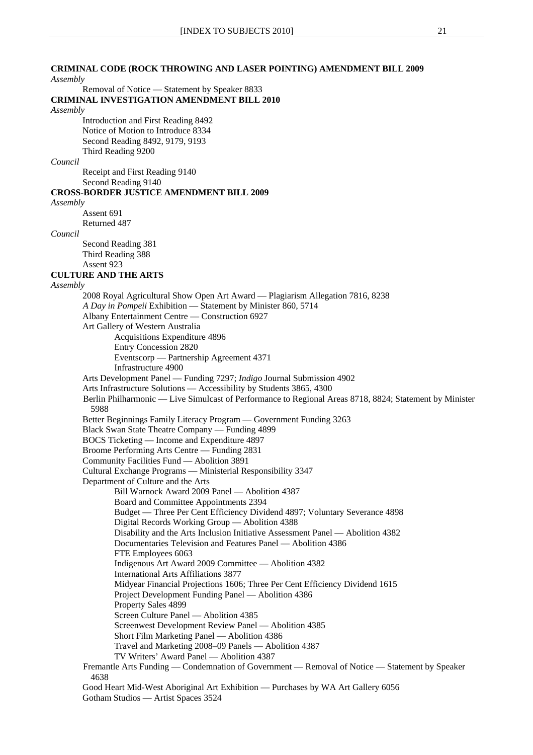### **CRIMINAL CODE (ROCK THROWING AND LASER POINTING) AMENDMENT BILL 2009**

*Assembly*

Removal of Notice — Statement by Speaker 8833

**CRIMINAL INVESTIGATION AMENDMENT BILL 2010**

#### *Assembly*

Introduction and First Reading 8492 Notice of Motion to Introduce 8334 Second Reading 8492, 9179, 9193 Third Reading 9200

#### *Council*

Receipt and First Reading 9140 Second Reading 9140

### **CROSS-BORDER JUSTICE AMENDMENT BILL 2009**

*Assembly*

Assent 691 Returned 487

#### *Council*

Second Reading 381 Third Reading 388 Assent 923

#### **CULTURE AND THE ARTS**

#### *Assembly*

2008 Royal Agricultural Show Open Art Award — Plagiarism Allegation 7816, 8238  *A Day in Pompeii* Exhibition — Statement by Minister 860, 5714 Albany Entertainment Centre — Construction 6927 Art Gallery of Western Australia Acquisitions Expenditure 4896 Entry Concession 2820 Eventscorp — Partnership Agreement 4371 Infrastructure 4900 Arts Development Panel — Funding 7297; *Indigo* Journal Submission 4902 Arts Infrastructure Solutions — Accessibility by Students 3865, 4300 Berlin Philharmonic — Live Simulcast of Performance to Regional Areas 8718, 8824; Statement by Minister 5988 Better Beginnings Family Literacy Program — Government Funding 3263 Black Swan State Theatre Company — Funding 4899 BOCS Ticketing — Income and Expenditure 4897 Broome Performing Arts Centre — Funding 2831 Community Facilities Fund — Abolition 3891 Cultural Exchange Programs — Ministerial Responsibility 3347 Department of Culture and the Arts Bill Warnock Award 2009 Panel — Abolition 4387 Board and Committee Appointments 2394 Budget — Three Per Cent Efficiency Dividend 4897; Voluntary Severance 4898 Digital Records Working Group — Abolition 4388 Disability and the Arts Inclusion Initiative Assessment Panel — Abolition 4382 Documentaries Television and Features Panel — Abolition 4386 FTE Employees 6063 Indigenous Art Award 2009 Committee — Abolition 4382 International Arts Affiliations 3877 Midyear Financial Projections 1606; Three Per Cent Efficiency Dividend 1615 Project Development Funding Panel — Abolition 4386 Property Sales 4899 Screen Culture Panel — Abolition 4385 Screenwest Development Review Panel — Abolition 4385 Short Film Marketing Panel — Abolition 4386 Travel and Marketing 2008–09 Panels — Abolition 4387 TV Writers' Award Panel — Abolition 4387 Fremantle Arts Funding — Condemnation of Government — Removal of Notice — Statement by Speaker 4638

Good Heart Mid-West Aboriginal Art Exhibition — Purchases by WA Art Gallery 6056 Gotham Studios — Artist Spaces 3524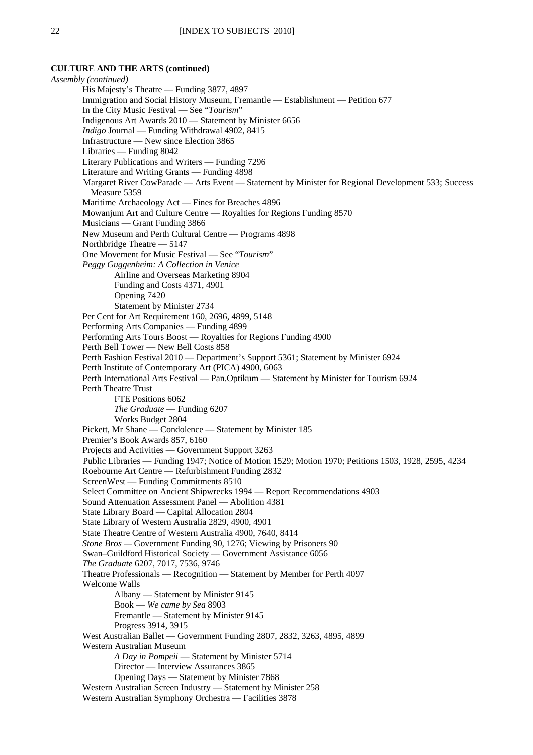#### **CULTURE AND THE ARTS (continued)**

*Assembly (continued)* His Majesty's Theatre — Funding 3877, 4897 Immigration and Social History Museum, Fremantle — Establishment — Petition 677 In the City Music Festival — See "*Tourism*" Indigenous Art Awards 2010 — Statement by Minister 6656 *Indigo* Journal — Funding Withdrawal 4902, 8415 Infrastructure — New since Election 3865 Libraries — Funding 8042 Literary Publications and Writers — Funding 7296 Literature and Writing Grants — Funding 4898 Margaret River CowParade — Arts Event — Statement by Minister for Regional Development 533; Success Measure 5359 Maritime Archaeology Act — Fines for Breaches 4896 Mowanjum Art and Culture Centre — Royalties for Regions Funding 8570 Musicians — Grant Funding 3866 New Museum and Perth Cultural Centre — Programs 4898 Northbridge Theatre — 5147 One Movement for Music Festival — See "*Tourism*" *Peggy Guggenheim: A Collection in Venice*  Airline and Overseas Marketing 8904 Funding and Costs 4371, 4901 Opening 7420 Statement by Minister 2734 Per Cent for Art Requirement 160, 2696, 4899, 5148 Performing Arts Companies — Funding 4899 Performing Arts Tours Boost — Royalties for Regions Funding 4900 Perth Bell Tower — New Bell Costs 858 Perth Fashion Festival 2010 — Department's Support 5361; Statement by Minister 6924 Perth Institute of Contemporary Art (PICA) 4900, 6063 Perth International Arts Festival — Pan.Optikum — Statement by Minister for Tourism 6924 Perth Theatre Trust FTE Positions 6062 *The Graduate* — Funding 6207 Works Budget 2804 Pickett, Mr Shane — Condolence — Statement by Minister 185 Premier's Book Awards 857, 6160 Projects and Activities — Government Support 3263 Public Libraries — Funding 1947; Notice of Motion 1529; Motion 1970; Petitions 1503, 1928, 2595, 4234 Roebourne Art Centre — Refurbishment Funding 2832 ScreenWest — Funding Commitments 8510 Select Committee on Ancient Shipwrecks 1994 — Report Recommendations 4903 Sound Attenuation Assessment Panel — Abolition 4381 State Library Board — Capital Allocation 2804 State Library of Western Australia 2829, 4900, 4901 State Theatre Centre of Western Australia 4900, 7640, 8414 *Stone Bros —* Government Funding 90, 1276; Viewing by Prisoners 90 Swan–Guildford Historical Society — Government Assistance 6056 *The Graduate* 6207, 7017, 7536, 9746 Theatre Professionals — Recognition — Statement by Member for Perth 4097 Welcome Walls Albany — Statement by Minister 9145 Book — *We came by Sea* 8903 Fremantle — Statement by Minister 9145 Progress 3914, 3915 West Australian Ballet — Government Funding 2807, 2832, 3263, 4895, 4899 Western Australian Museum *A Day in Pompeii* — Statement by Minister 5714 Director — Interview Assurances 3865 Opening Days — Statement by Minister 7868 Western Australian Screen Industry — Statement by Minister 258 Western Australian Symphony Orchestra — Facilities 3878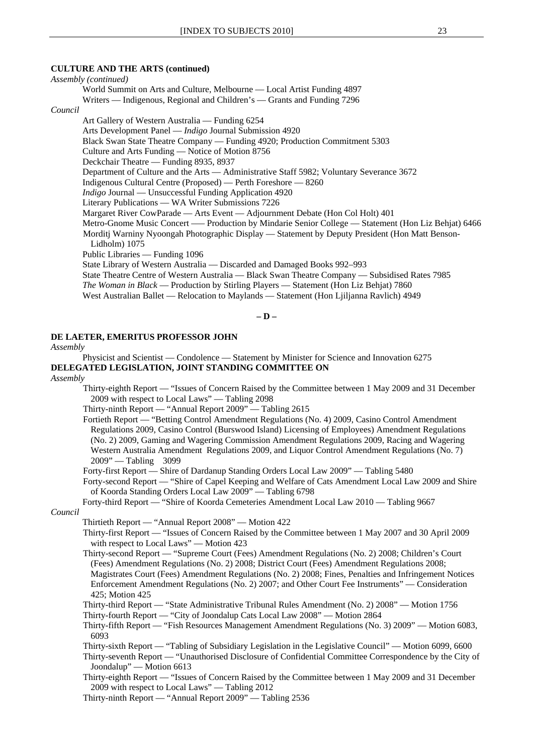### **CULTURE AND THE ARTS (continued)**

*Assembly (continued)* World Summit on Arts and Culture, Melbourne — Local Artist Funding 4897 Writers — Indigenous, Regional and Children's — Grants and Funding 7296 *Council* Art Gallery of Western Australia — Funding 6254 Arts Development Panel — *Indigo* Journal Submission 4920 Black Swan State Theatre Company — Funding 4920; Production Commitment 5303 Culture and Arts Funding — Notice of Motion 8756 Deckchair Theatre — Funding 8935, 8937 Department of Culture and the Arts — Administrative Staff 5982; Voluntary Severance 3672 Indigenous Cultural Centre (Proposed) — Perth Foreshore — 8260 *Indigo* Journal — Unsuccessful Funding Application 4920 Literary Publications — WA Writer Submissions 7226 Margaret River CowParade — Arts Event — Adjournment Debate (Hon Col Holt) 401 Metro-Gnome Music Concert –— Production by Mindarie Senior College — Statement (Hon Liz Behjat) 6466 Morditj Warniny Nyoongah Photographic Display — Statement by Deputy President (Hon Matt Benson-Lidholm) 1075 Public Libraries — Funding 1096 State Library of Western Australia — Discarded and Damaged Books 992–993 State Theatre Centre of Western Australia — Black Swan Theatre Company — Subsidised Rates 7985 *The Woman in Black* — Production by Stirling Players — Statement (Hon Liz Behjat) 7860 West Australian Ballet — Relocation to Maylands — Statement (Hon Ljiljanna Ravlich) 4949

**– D –** 

### **DE LAETER, EMERITUS PROFESSOR JOHN**

#### *Assembly*

Physicist and Scientist — Condolence — Statement by Minister for Science and Innovation 6275 **DELEGATED LEGISLATION, JOINT STANDING COMMITTEE ON**

#### *Assembly*

Thirty-eighth Report — "Issues of Concern Raised by the Committee between 1 May 2009 and 31 December 2009 with respect to Local Laws" — Tabling 2098

Thirty-ninth Report — "Annual Report 2009" — Tabling 2615

Fortieth Report — "Betting Control Amendment Regulations (No. 4) 2009, Casino Control Amendment Regulations 2009, Casino Control (Burswood Island) Licensing of Employees) Amendment Regulations (No. 2) 2009, Gaming and Wagering Commission Amendment Regulations 2009, Racing and Wagering Western Australia Amendment Regulations 2009, and Liquor Control Amendment Regulations (No. 7) 2009" — Tabling 3099

Forty-first Report — Shire of Dardanup Standing Orders Local Law 2009" — Tabling 5480

Forty-second Report — "Shire of Capel Keeping and Welfare of Cats Amendment Local Law 2009 and Shire of Koorda Standing Orders Local Law 2009" — Tabling 6798

Forty-third Report — "Shire of Koorda Cemeteries Amendment Local Law 2010 — Tabling 9667

#### *Council*

Thirtieth Report — "Annual Report 2008" — Motion 422

Thirty-first Report — "Issues of Concern Raised by the Committee between 1 May 2007 and 30 April 2009 with respect to Local Laws" — Motion 423

Thirty-second Report — "Supreme Court (Fees) Amendment Regulations (No. 2) 2008; Children's Court (Fees) Amendment Regulations (No. 2) 2008; District Court (Fees) Amendment Regulations 2008; Magistrates Court (Fees) Amendment Regulations (No. 2) 2008; Fines, Penalties and Infringement Notices Enforcement Amendment Regulations (No. 2) 2007; and Other Court Fee Instruments" — Consideration 425; Motion 425

- Thirty-third Report "State Administrative Tribunal Rules Amendment (No. 2) 2008" Motion 1756
- Thirty-fourth Report "City of Joondalup Cats Local Law 2008" Motion 2864

Thirty-fifth Report — "Fish Resources Management Amendment Regulations (No. 3) 2009" — Motion 6083, 6093

Thirty-sixth Report — "Tabling of Subsidiary Legislation in the Legislative Council" — Motion 6099, 6600

Thirty-seventh Report — "Unauthorised Disclosure of Confidential Committee Correspondence by the City of Joondalup" — Motion 6613

Thirty-eighth Report — "Issues of Concern Raised by the Committee between 1 May 2009 and 31 December 2009 with respect to Local Laws" — Tabling 2012

Thirty-ninth Report — "Annual Report 2009" — Tabling 2536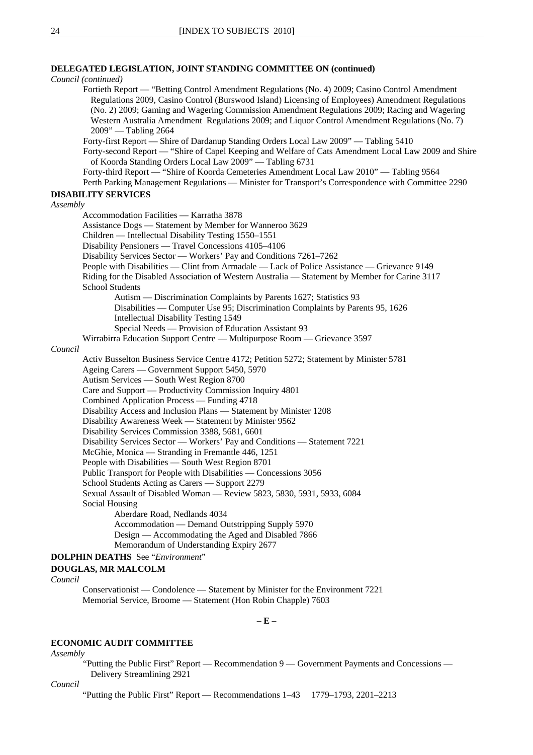### **DELEGATED LEGISLATION, JOINT STANDING COMMITTEE ON (continued)**

*Council (continued)*

Fortieth Report — "Betting Control Amendment Regulations (No. 4) 2009; Casino Control Amendment Regulations 2009, Casino Control (Burswood Island) Licensing of Employees) Amendment Regulations (No. 2) 2009; Gaming and Wagering Commission Amendment Regulations 2009; Racing and Wagering Western Australia Amendment Regulations 2009; and Liquor Control Amendment Regulations (No. 7) 2009" — Tabling 2664 Forty-first Report — Shire of Dardanup Standing Orders Local Law 2009" — Tabling 5410 Forty-second Report — "Shire of Capel Keeping and Welfare of Cats Amendment Local Law 2009 and Shire of Koorda Standing Orders Local Law 2009" — Tabling 6731 Forty-third Report — "Shire of Koorda Cemeteries Amendment Local Law 2010" — Tabling 9564 Perth Parking Management Regulations — Minister for Transport's Correspondence with Committee 2290 **DISABILITY SERVICES** *Assembly* Accommodation Facilities — Karratha 3878

Assistance Dogs — Statement by Member for Wanneroo 3629 Children — Intellectual Disability Testing 1550–1551

Disability Pensioners — Travel Concessions 4105–4106

Disability Services Sector — Workers' Pay and Conditions 7261–7262

People with Disabilities — Clint from Armadale — Lack of Police Assistance — Grievance 9149

Riding for the Disabled Association of Western Australia — Statement by Member for Carine 3117 School Students

Autism — Discrimination Complaints by Parents 1627; Statistics 93 Disabilities — Computer Use 95; Discrimination Complaints by Parents 95, 1626 Intellectual Disability Testing 1549

Special Needs — Provision of Education Assistant 93

Wirrabirra Education Support Centre — Multipurpose Room — Grievance 3597

#### *Council*

Activ Busselton Business Service Centre 4172; Petition 5272; Statement by Minister 5781 Ageing Carers — Government Support 5450, 5970 Autism Services — South West Region 8700 Care and Support — Productivity Commission Inquiry 4801 Combined Application Process — Funding 4718 Disability Access and Inclusion Plans — Statement by Minister 1208 Disability Awareness Week — Statement by Minister 9562 Disability Services Commission 3388, 5681, 6601 Disability Services Sector — Workers' Pay and Conditions — Statement 7221 McGhie, Monica — Stranding in Fremantle 446, 1251 People with Disabilities — South West Region 8701 Public Transport for People with Disabilities — Concessions 3056 School Students Acting as Carers — Support 2279 Sexual Assault of Disabled Woman — Review 5823, 5830, 5931, 5933, 6084 Social Housing Aberdare Road, Nedlands 4034 Accommodation — Demand Outstripping Supply 5970 Design — Accommodating the Aged and Disabled 7866

Memorandum of Understanding Expiry 2677

### **DOLPHIN DEATHS** See "*Environment*"

#### **DOUGLAS, MR MALCOLM**

*Council*

Conservationist — Condolence — Statement by Minister for the Environment 7221 Memorial Service, Broome — Statement (Hon Robin Chapple) 7603

**– E –** 

### **ECONOMIC AUDIT COMMITTEE**

*Assembly*

"Putting the Public First" Report — Recommendation 9 — Government Payments and Concessions — Delivery Streamlining 2921

*Council*

"Putting the Public First" Report — Recommendations 1–43 1779–1793, 2201–2213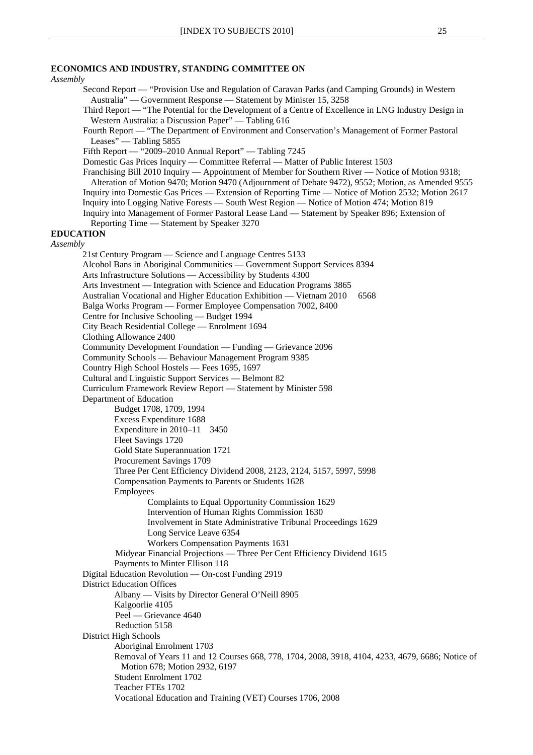### **ECONOMICS AND INDUSTRY, STANDING COMMITTEE ON**

*Assembly* Second Report — "Provision Use and Regulation of Caravan Parks (and Camping Grounds) in Western Australia" — Government Response — Statement by Minister 15, 3258 Third Report — "The Potential for the Development of a Centre of Excellence in LNG Industry Design in Western Australia: a Discussion Paper" — Tabling 616 Fourth Report — "The Department of Environment and Conservation's Management of Former Pastoral Leases" — Tabling 5855 Fifth Report — "2009–2010 Annual Report" — Tabling 7245 Domestic Gas Prices Inquiry — Committee Referral — Matter of Public Interest 1503 Franchising Bill 2010 Inquiry — Appointment of Member for Southern River — Notice of Motion 9318; Alteration of Motion 9470; Motion 9470 (Adjournment of Debate 9472), 9552; Motion, as Amended 9555 Inquiry into Domestic Gas Prices — Extension of Reporting Time — Notice of Motion 2532; Motion 2617 Inquiry into Logging Native Forests — South West Region — Notice of Motion 474; Motion 819 Inquiry into Management of Former Pastoral Lease Land — Statement by Speaker 896; Extension of Reporting Time — Statement by Speaker 3270 **EDUCATION** *Assembly* 21st Century Program — Science and Language Centres 5133 Alcohol Bans in Aboriginal Communities — Government Support Services 8394 Arts Infrastructure Solutions — Accessibility by Students 4300 Arts Investment — Integration with Science and Education Programs 3865 Australian Vocational and Higher Education Exhibition — Vietnam 2010 6568 Balga Works Program — Former Employee Compensation 7002, 8400 Centre for Inclusive Schooling — Budget 1994 City Beach Residential College — Enrolment 1694 Clothing Allowance 2400 Community Development Foundation — Funding — Grievance 2096 Community Schools — Behaviour Management Program 9385 Country High School Hostels — Fees 1695, 1697 Cultural and Linguistic Support Services — Belmont 82 Curriculum Framework Review Report — Statement by Minister 598 Department of Education Budget 1708, 1709, 1994 Excess Expenditure 1688 Expenditure in 2010–11 3450 Fleet Savings 1720 Gold State Superannuation 1721 Procurement Savings 1709 Three Per Cent Efficiency Dividend 2008, 2123, 2124, 5157, 5997, 5998 Compensation Payments to Parents or Students 1628 Employees Complaints to Equal Opportunity Commission 1629 Intervention of Human Rights Commission 1630 Involvement in State Administrative Tribunal Proceedings 1629 Long Service Leave 6354 Workers Compensation Payments 1631 Midyear Financial Projections — Three Per Cent Efficiency Dividend 1615 Payments to Minter Ellison 118 Digital Education Revolution — On-cost Funding 2919 District Education Offices Albany — Visits by Director General O'Neill 8905 Kalgoorlie 4105 Peel — Grievance 4640 Reduction 5158 District High Schools Aboriginal Enrolment 1703 Removal of Years 11 and 12 Courses 668, 778, 1704, 2008, 3918, 4104, 4233, 4679, 6686; Notice of Motion 678; Motion 2932, 6197 Student Enrolment 1702 Teacher FTEs 1702 Vocational Education and Training (VET) Courses 1706, 2008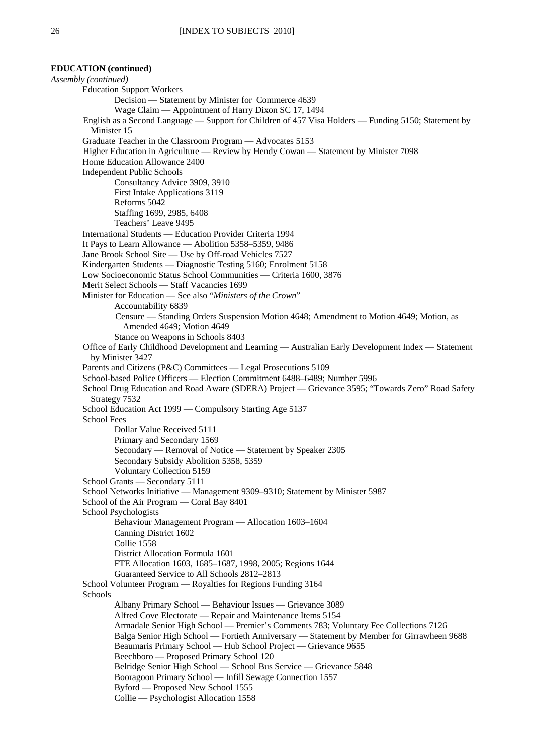**EDUCATION (continued)** *Assembly (continued)* Education Support Workers Decision — Statement by Minister for Commerce 4639 Wage Claim — Appointment of Harry Dixon SC 17, 1494 English as a Second Language — Support for Children of 457 Visa Holders — Funding 5150; Statement by Minister 15 Graduate Teacher in the Classroom Program — Advocates 5153 Higher Education in Agriculture — Review by Hendy Cowan — Statement by Minister 7098 Home Education Allowance 2400 Independent Public Schools Consultancy Advice 3909, 3910 First Intake Applications 3119 Reforms 5042 Staffing 1699, 2985, 6408 Teachers' Leave 9495 International Students — Education Provider Criteria 1994 It Pays to Learn Allowance — Abolition 5358–5359, 9486 Jane Brook School Site — Use by Off-road Vehicles 7527 Kindergarten Students — Diagnostic Testing 5160; Enrolment 5158 Low Socioeconomic Status School Communities — Criteria 1600, 3876 Merit Select Schools — Staff Vacancies 1699 Minister for Education — See also "*Ministers of the Crown*" Accountability 6839 Censure — Standing Orders Suspension Motion 4648; Amendment to Motion 4649; Motion, as Amended 4649; Motion 4649 Stance on Weapons in Schools 8403 Office of Early Childhood Development and Learning — Australian Early Development Index — Statement by Minister 3427 Parents and Citizens (P&C) Committees — Legal Prosecutions 5109 School-based Police Officers — Election Commitment 6488–6489; Number 5996 School Drug Education and Road Aware (SDERA) Project — Grievance 3595; "Towards Zero" Road Safety Strategy 7532 School Education Act 1999 — Compulsory Starting Age 5137 School Fees Dollar Value Received 5111 Primary and Secondary 1569 Secondary — Removal of Notice — Statement by Speaker 2305 Secondary Subsidy Abolition 5358, 5359 Voluntary Collection 5159 School Grants — Secondary 5111 School Networks Initiative — Management 9309–9310; Statement by Minister 5987 School of the Air Program — Coral Bay 8401 School Psychologists Behaviour Management Program — Allocation 1603–1604 Canning District 1602 Collie 1558 District Allocation Formula 1601 FTE Allocation 1603, 1685–1687, 1998, 2005; Regions 1644 Guaranteed Service to All Schools 2812–2813 School Volunteer Program — Royalties for Regions Funding 3164 Schools Albany Primary School — Behaviour Issues — Grievance 3089 Alfred Cove Electorate — Repair and Maintenance Items 5154 Armadale Senior High School — Premier's Comments 783; Voluntary Fee Collections 7126 Balga Senior High School — Fortieth Anniversary — Statement by Member for Girrawheen 9688 Beaumaris Primary School — Hub School Project — Grievance 9655 Beechboro — Proposed Primary School 120 Belridge Senior High School — School Bus Service — Grievance 5848 Booragoon Primary School — Infill Sewage Connection 1557 Byford — Proposed New School 1555 Collie — Psychologist Allocation 1558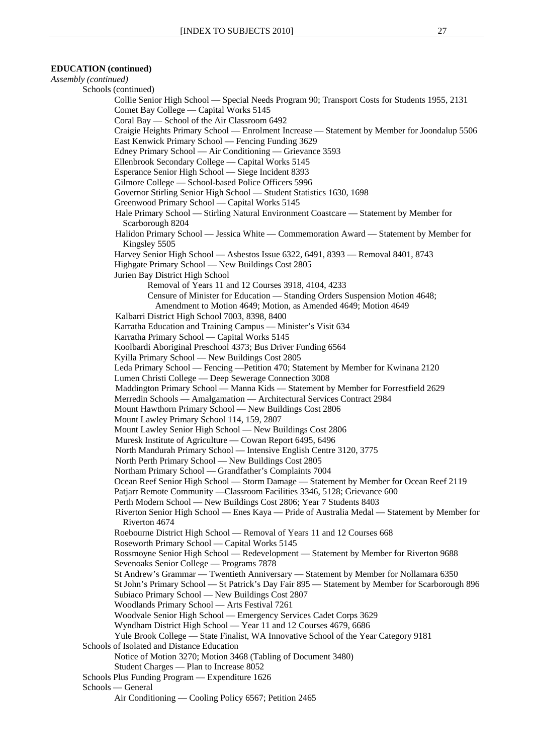*Assembly (continued)* 

Schools (continued) Collie Senior High School — Special Needs Program 90; Transport Costs for Students 1955, 2131 Comet Bay College — Capital Works 5145 Coral Bay — School of the Air Classroom 6492 Craigie Heights Primary School — Enrolment Increase — Statement by Member for Joondalup 5506 East Kenwick Primary School — Fencing Funding 3629 Edney Primary School — Air Conditioning — Grievance 3593 Ellenbrook Secondary College — Capital Works 5145 Esperance Senior High School — Siege Incident 8393 Gilmore College — School-based Police Officers 5996 Governor Stirling Senior High School — Student Statistics 1630, 1698 Greenwood Primary School — Capital Works 5145 Hale Primary School — Stirling Natural Environment Coastcare — Statement by Member for Scarborough 8204 Halidon Primary School — Jessica White — Commemoration Award — Statement by Member for Kingsley 5505 Harvey Senior High School — Asbestos Issue 6322, 6491, 8393 — Removal 8401, 8743 Highgate Primary School — New Buildings Cost 2805 Jurien Bay District High School Removal of Years 11 and 12 Courses 3918, 4104, 4233 Censure of Minister for Education — Standing Orders Suspension Motion 4648; Amendment to Motion 4649; Motion, as Amended 4649; Motion 4649 Kalbarri District High School 7003, 8398, 8400 Karratha Education and Training Campus — Minister's Visit 634 Karratha Primary School — Capital Works 5145 Koolbardi Aboriginal Preschool 4373; Bus Driver Funding 6564 Kyilla Primary School — New Buildings Cost 2805 Leda Primary School — Fencing —Petition 470; Statement by Member for Kwinana 2120 Lumen Christi College — Deep Sewerage Connection 3008 Maddington Primary School — Manna Kids — Statement by Member for Forrestfield 2629 Merredin Schools — Amalgamation — Architectural Services Contract 2984 Mount Hawthorn Primary School — New Buildings Cost 2806 Mount Lawley Primary School 114, 159, 2807 Mount Lawley Senior High School — New Buildings Cost 2806 Muresk Institute of Agriculture — Cowan Report 6495, 6496 North Mandurah Primary School — Intensive English Centre 3120, 3775 North Perth Primary School — New Buildings Cost 2805 Northam Primary School — Grandfather's Complaints 7004 Ocean Reef Senior High School — Storm Damage — Statement by Member for Ocean Reef 2119 Patjarr Remote Community —Classroom Facilities 3346, 5128; Grievance 600 Perth Modern School — New Buildings Cost 2806; Year 7 Students 8403 Riverton Senior High School — Enes Kaya — Pride of Australia Medal — Statement by Member for Riverton 4674 Roebourne District High School — Removal of Years 11 and 12 Courses 668 Roseworth Primary School — Capital Works 5145 Rossmoyne Senior High School — Redevelopment — Statement by Member for Riverton 9688 Sevenoaks Senior College — Programs 7878 St Andrew's Grammar — Twentieth Anniversary — Statement by Member for Nollamara 6350 St John's Primary School — St Patrick's Day Fair 895 — Statement by Member for Scarborough 896 Subiaco Primary School — New Buildings Cost 2807 Woodlands Primary School — Arts Festival 7261 Woodvale Senior High School — Emergency Services Cadet Corps 3629 Wyndham District High School — Year 11 and 12 Courses 4679, 6686 Yule Brook College — State Finalist, WA Innovative School of the Year Category 9181 Schools of Isolated and Distance Education Notice of Motion 3270; Motion 3468 (Tabling of Document 3480) Student Charges — Plan to Increase 8052 Schools Plus Funding Program — Expenditure 1626 Schools — General Air Conditioning — Cooling Policy 6567; Petition 2465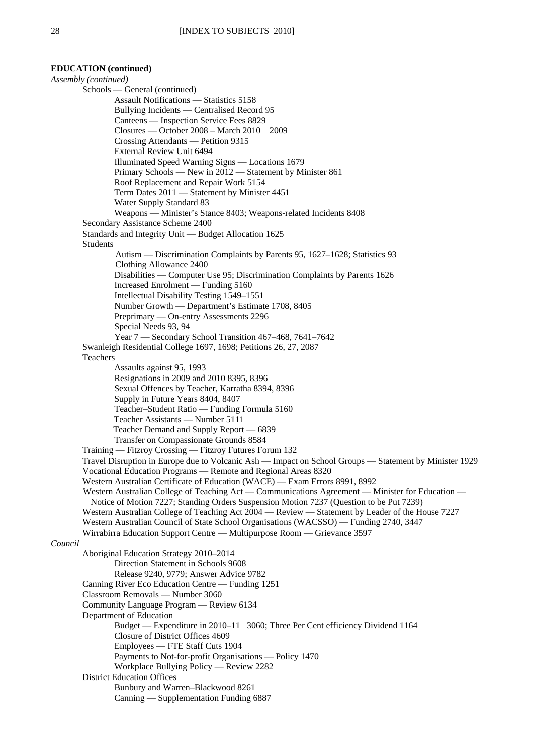### **EDUCATION (continued)** *Assembly (continued)*  Schools — General (continued) Assault Notifications — Statistics 5158 Bullying Incidents — Centralised Record 95 Canteens — Inspection Service Fees 8829 Closures — October 2008 – March 2010 2009 Crossing Attendants — Petition 9315 External Review Unit 6494 Illuminated Speed Warning Signs — Locations 1679 Primary Schools — New in 2012 — Statement by Minister 861 Roof Replacement and Repair Work 5154 Term Dates 2011 — Statement by Minister 4451 Water Supply Standard 83 Weapons — Minister's Stance 8403; Weapons-related Incidents 8408 Secondary Assistance Scheme 2400 Standards and Integrity Unit — Budget Allocation 1625 Students Autism — Discrimination Complaints by Parents 95, 1627–1628; Statistics 93 Clothing Allowance 2400 Disabilities — Computer Use 95; Discrimination Complaints by Parents 1626 Increased Enrolment — Funding 5160 Intellectual Disability Testing 1549–1551 Number Growth — Department's Estimate 1708, 8405 Preprimary — On-entry Assessments 2296 Special Needs 93, 94 Year 7 — Secondary School Transition 467–468, 7641–7642 Swanleigh Residential College 1697, 1698; Petitions 26, 27, 2087 Teachers Assaults against 95, 1993 Resignations in 2009 and 2010 8395, 8396 Sexual Offences by Teacher, Karratha 8394, 8396 Supply in Future Years 8404, 8407 Teacher–Student Ratio — Funding Formula 5160 Teacher Assistants — Number 5111 Teacher Demand and Supply Report — 6839 Transfer on Compassionate Grounds 8584 Training — Fitzroy Crossing — Fitzroy Futures Forum 132 Travel Disruption in Europe due to Volcanic Ash — Impact on School Groups — Statement by Minister 1929 Vocational Education Programs — Remote and Regional Areas 8320 Western Australian Certificate of Education (WACE) — Exam Errors 8991, 8992 Western Australian College of Teaching Act — Communications Agreement — Minister for Education — Notice of Motion 7227; Standing Orders Suspension Motion 7237 (Question to be Put 7239) Western Australian College of Teaching Act 2004 — Review — Statement by Leader of the House 7227 Western Australian Council of State School Organisations (WACSSO) — Funding 2740, 3447 Wirrabirra Education Support Centre — Multipurpose Room — Grievance 3597 *Council* Aboriginal Education Strategy 2010–2014 Direction Statement in Schools 9608 Release 9240, 9779; Answer Advice 9782 Canning River Eco Education Centre — Funding 1251 Classroom Removals — Number 3060 Community Language Program — Review 6134 Department of Education Budget — Expenditure in 2010–11 3060; Three Per Cent efficiency Dividend 1164 Closure of District Offices 4609 Employees — FTE Staff Cuts 1904 Payments to Not-for-profit Organisations — Policy 1470 Workplace Bullying Policy — Review 2282 District Education Offices Bunbury and Warren–Blackwood 8261 Canning — Supplementation Funding 6887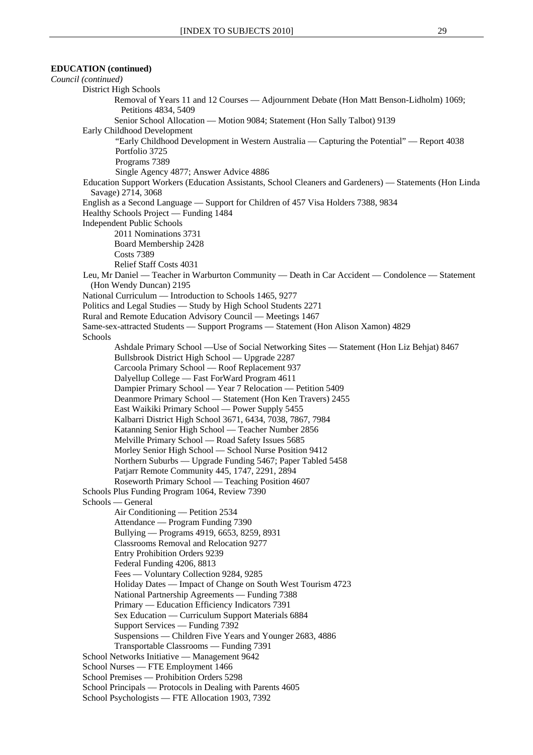```
EDUCATION (continued) 
Council (continued)
        District High Schools 
                Removal of Years 11 and 12 Courses — Adjournment Debate (Hon Matt Benson-Lidholm) 1069; 
                   Petitions 4834, 5409 
                Senior School Allocation — Motion 9084; Statement (Hon Sally Talbot) 9139 
        Early Childhood Development 
                "Early Childhood Development in Western Australia — Capturing the Potential" — Report 4038 
                Portfolio 3725 
                Programs 7389 
                Single Agency 4877; Answer Advice 4886 
        Education Support Workers (Education Assistants, School Cleaners and Gardeners) — Statements (Hon Linda 
          Savage) 2714, 3068 
        English as a Second Language — Support for Children of 457 Visa Holders 7388, 9834 
        Healthy Schools Project — Funding 1484 
        Independent Public Schools 
                2011 Nominations 3731 
                Board Membership 2428 
                Costs 7389 
                Relief Staff Costs 4031 
        Leu, Mr Daniel — Teacher in Warburton Community — Death in Car Accident — Condolence — Statement 
          (Hon Wendy Duncan) 2195 
        National Curriculum — Introduction to Schools 1465, 9277 
        Politics and Legal Studies — Study by High School Students 2271 
        Rural and Remote Education Advisory Council — Meetings 1467 
        Same-sex-attracted Students — Support Programs — Statement (Hon Alison Xamon) 4829 
        Schools 
                Ashdale Primary School —Use of Social Networking Sites — Statement (Hon Liz Behjat) 8467 
                Bullsbrook District High School — Upgrade 2287 
                Carcoola Primary School — Roof Replacement 937 
                Dalyellup College — Fast ForWard Program 4611 
                Dampier Primary School — Year 7 Relocation — Petition 5409 
                Deanmore Primary School — Statement (Hon Ken Travers) 2455 
                East Waikiki Primary School — Power Supply 5455 
                Kalbarri District High School 3671, 6434, 7038, 7867, 7984 
                Katanning Senior High School — Teacher Number 2856 
                Melville Primary School — Road Safety Issues 5685 
                Morley Senior High School — School Nurse Position 9412 
                Northern Suburbs — Upgrade Funding 5467; Paper Tabled 5458 
                Patjarr Remote Community 445, 1747, 2291, 2894 
                Roseworth Primary School — Teaching Position 4607 
        Schools Plus Funding Program 1064, Review 7390 
        Schools — General 
                Air Conditioning — Petition 2534 
                Attendance — Program Funding 7390 
                Bullying — Programs 4919, 6653, 8259, 8931 
                Classrooms Removal and Relocation 9277 
                Entry Prohibition Orders 9239 
                Federal Funding 4206, 8813 
                Fees — Voluntary Collection 9284, 9285 
                Holiday Dates — Impact of Change on South West Tourism 4723 
                National Partnership Agreements — Funding 7388 
                Primary — Education Efficiency Indicators 7391 
                Sex Education — Curriculum Support Materials 6884 
                Support Services — Funding 7392 
                Suspensions — Children Five Years and Younger 2683, 4886 
                Transportable Classrooms — Funding 7391 
        School Networks Initiative — Management 9642 
        School Nurses — FTE Employment 1466 
        School Premises — Prohibition Orders 5298 
        School Principals — Protocols in Dealing with Parents 4605 
        School Psychologists — FTE Allocation 1903, 7392
```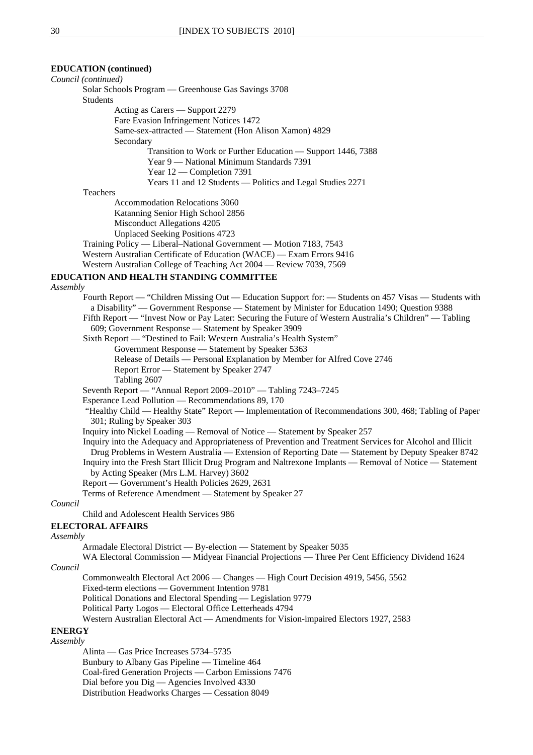### **EDUCATION (continued)**

| Council (continued)                                                                                                                                                                                     |
|---------------------------------------------------------------------------------------------------------------------------------------------------------------------------------------------------------|
| Solar Schools Program — Greenhouse Gas Savings 3708                                                                                                                                                     |
| <b>Students</b>                                                                                                                                                                                         |
| Acting as Carers - Support 2279                                                                                                                                                                         |
| Fare Evasion Infringement Notices 1472                                                                                                                                                                  |
| Same-sex-attracted - Statement (Hon Alison Xamon) 4829<br>Secondary                                                                                                                                     |
| Transition to Work or Further Education - Support 1446, 7388                                                                                                                                            |
| Year 9 — National Minimum Standards 7391                                                                                                                                                                |
| Year 12 - Completion 7391                                                                                                                                                                               |
| Years 11 and 12 Students — Politics and Legal Studies 2271                                                                                                                                              |
| Teachers                                                                                                                                                                                                |
| <b>Accommodation Relocations 3060</b>                                                                                                                                                                   |
| Katanning Senior High School 2856                                                                                                                                                                       |
| Misconduct Allegations 4205                                                                                                                                                                             |
| <b>Unplaced Seeking Positions 4723</b>                                                                                                                                                                  |
| Training Policy — Liberal-National Government — Motion 7183, 7543                                                                                                                                       |
| Western Australian Certificate of Education (WACE) — Exam Errors 9416                                                                                                                                   |
| Western Australian College of Teaching Act 2004 — Review 7039, 7569                                                                                                                                     |
|                                                                                                                                                                                                         |
| EDUCATION AND HEALTH STANDING COMMITTEE                                                                                                                                                                 |
| Assembly                                                                                                                                                                                                |
| Fourth Report — "Children Missing Out — Education Support for: — Students on 457 Visas — Students with<br>a Disability" — Government Response — Statement by Minister for Education 1490; Question 9388 |
| Fifth Report — "Invest Now or Pay Later: Securing the Future of Western Australia's Children" — Tabling                                                                                                 |
| 609; Government Response - Statement by Speaker 3909                                                                                                                                                    |
| Sixth Report - "Destined to Fail: Western Australia's Health System"                                                                                                                                    |
| Government Response - Statement by Speaker 5363                                                                                                                                                         |
| Release of Details — Personal Explanation by Member for Alfred Cove 2746                                                                                                                                |
| Report Error - Statement by Speaker 2747                                                                                                                                                                |
| Tabling 2607                                                                                                                                                                                            |
| Seventh Report — "Annual Report 2009–2010" — Tabling 7243–7245                                                                                                                                          |
| Esperance Lead Pollution — Recommendations 89, 170                                                                                                                                                      |
| "Healthy Child — Healthy State" Report — Implementation of Recommendations 300, 468; Tabling of Paper                                                                                                   |
| 301; Ruling by Speaker 303                                                                                                                                                                              |
| Inquiry into Nickel Loading — Removal of Notice — Statement by Speaker 257                                                                                                                              |
| Inquiry into the Adequacy and Appropriateness of Prevention and Treatment Services for Alcohol and Illicit                                                                                              |
| Drug Problems in Western Australia — Extension of Reporting Date — Statement by Deputy Speaker 8742                                                                                                     |
| Inquiry into the Fresh Start Illicit Drug Program and Naltrexone Implants — Removal of Notice — Statement                                                                                               |
| by Acting Speaker (Mrs L.M. Harvey) 3602                                                                                                                                                                |
| Report — Government's Health Policies 2629, 2631                                                                                                                                                        |
| Terms of Reference Amendment - Statement by Speaker 27                                                                                                                                                  |
| Council                                                                                                                                                                                                 |
| Child and Adolescent Health Services 986                                                                                                                                                                |
| <b>ELECTORAL AFFAIRS</b>                                                                                                                                                                                |
| Assembly                                                                                                                                                                                                |
| Armadale Electoral District — By-election — Statement by Speaker 5035                                                                                                                                   |
| WA Electoral Commission — Midyear Financial Projections — Three Per Cent Efficiency Dividend 1624                                                                                                       |
| Council                                                                                                                                                                                                 |
| Commonwealth Electoral Act 2006 - Changes - High Court Decision 4919, 5456, 5562                                                                                                                        |
| Fixed-term elections — Government Intention 9781                                                                                                                                                        |
| Political Donations and Electoral Spending — Legislation 9779                                                                                                                                           |
| Political Party Logos - Electoral Office Letterheads 4794                                                                                                                                               |
| Western Australian Electoral Act — Amendments for Vision-impaired Electors 1927, 2583                                                                                                                   |
| <b>ENERGY</b>                                                                                                                                                                                           |
| Assembly                                                                                                                                                                                                |
| Alinta — Gas Price Increases 5734–5735                                                                                                                                                                  |
| Bunbury to Albany Gas Pipeline — Timeline 464                                                                                                                                                           |

Coal-fired Generation Projects — Carbon Emissions 7476

Dial before you Dig — Agencies Involved 4330

Distribution Headworks Charges — Cessation 8049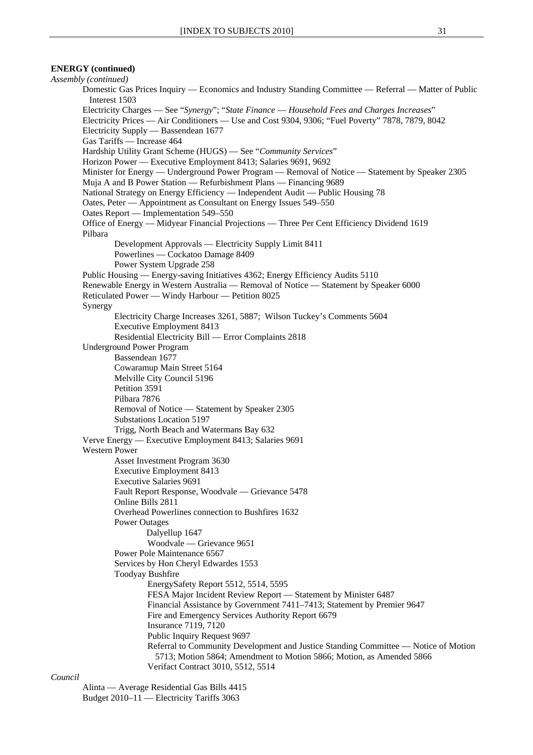### **ENERGY (continued)**

*Assembly (continued)* Domestic Gas Prices Inquiry — Economics and Industry Standing Committee — Referral — Matter of Public Interest 1503 Electricity Charges — See "*Synergy*"; "*State Finance* — *Household Fees and Charges Increases*" Electricity Prices — Air Conditioners — Use and Cost 9304, 9306; "Fuel Poverty" 7878, 7879, 8042 Electricity Supply — Bassendean 1677 Gas Tariffs — Increase 464 Hardship Utility Grant Scheme (HUGS) — See "*Community Services*" Horizon Power — Executive Employment 8413; Salaries 9691, 9692 Minister for Energy — Underground Power Program — Removal of Notice — Statement by Speaker 2305 Muja A and B Power Station — Refurbishment Plans — Financing 9689 National Strategy on Energy Efficiency — Independent Audit — Public Housing 78 Oates, Peter — Appointment as Consultant on Energy Issues 549–550 Oates Report — Implementation 549–550 Office of Energy — Midyear Financial Projections — Three Per Cent Efficiency Dividend 1619 Pilbara Development Approvals — Electricity Supply Limit 8411 Powerlines — Cockatoo Damage 8409 Power System Upgrade 258 Public Housing — Energy-saving Initiatives 4362; Energy Efficiency Audits 5110 Renewable Energy in Western Australia — Removal of Notice — Statement by Speaker 6000 Reticulated Power — Windy Harbour — Petition 8025 Synergy Electricity Charge Increases 3261, 5887; Wilson Tuckey's Comments 5604 Executive Employment 8413 Residential Electricity Bill — Error Complaints 2818 Underground Power Program Bassendean 1677 Cowaramup Main Street 5164 Melville City Council 5196 Petition 3591 Pilbara 7876 Removal of Notice — Statement by Speaker 2305 Substations Location 5197 Trigg, North Beach and Watermans Bay 632 Verve Energy — Executive Employment 8413; Salaries 9691 Western Power Asset Investment Program 3630 Executive Employment 8413 Executive Salaries 9691 Fault Report Response, Woodvale — Grievance 5478 Online Bills 2811 Overhead Powerlines connection to Bushfires 1632 Power Outages Dalyellup 1647 Woodvale — Grievance 9651 Power Pole Maintenance 6567 Services by Hon Cheryl Edwardes 1553 Toodyay Bushfire EnergySafety Report 5512, 5514, 5595 FESA Major Incident Review Report — Statement by Minister 6487 Financial Assistance by Government 7411–7413; Statement by Premier 9647 Fire and Emergency Services Authority Report 6679 Insurance 7119, 7120 Public Inquiry Request 9697 Referral to Community Development and Justice Standing Committee — Notice of Motion 5713; Motion 5864; Amendment to Motion 5866; Motion, as Amended 5866 Verifact Contract 3010, 5512, 5514

#### *Council*

Alinta — Average Residential Gas Bills 4415 Budget 2010–11 — Electricity Tariffs 3063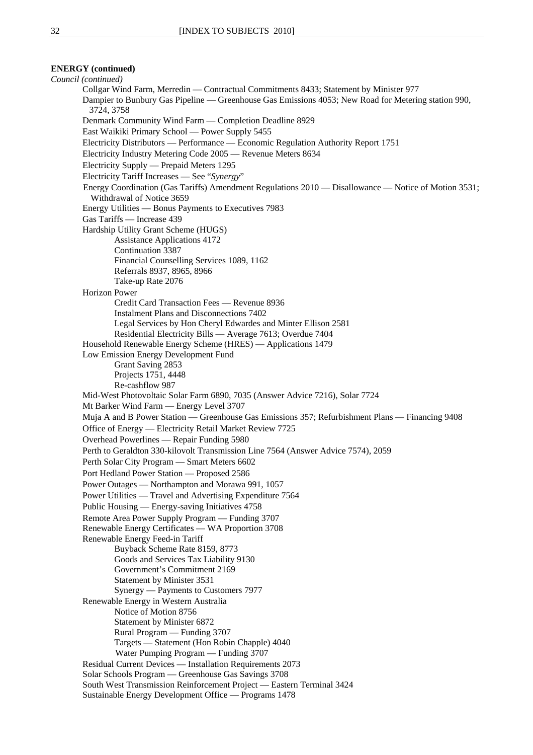### **ENERGY (continued)**

*Council (continued)* Collgar Wind Farm, Merredin — Contractual Commitments 8433; Statement by Minister 977 Dampier to Bunbury Gas Pipeline — Greenhouse Gas Emissions 4053; New Road for Metering station 990, 3724, 3758 Denmark Community Wind Farm — Completion Deadline 8929 East Waikiki Primary School — Power Supply 5455 Electricity Distributors — Performance — Economic Regulation Authority Report 1751 Electricity Industry Metering Code 2005 — Revenue Meters 8634 Electricity Supply — Prepaid Meters 1295 Electricity Tariff Increases — See "*Synergy*" Energy Coordination (Gas Tariffs) Amendment Regulations 2010 — Disallowance — Notice of Motion 3531; Withdrawal of Notice 3659 Energy Utilities — Bonus Payments to Executives 7983 Gas Tariffs — Increase 439 Hardship Utility Grant Scheme (HUGS) Assistance Applications 4172 Continuation 3387 Financial Counselling Services 1089, 1162 Referrals 8937, 8965, 8966 Take-up Rate 2076 Horizon Power Credit Card Transaction Fees — Revenue 8936 Instalment Plans and Disconnections 7402 Legal Services by Hon Cheryl Edwardes and Minter Ellison 2581 Residential Electricity Bills — Average 7613; Overdue 7404 Household Renewable Energy Scheme (HRES) — Applications 1479 Low Emission Energy Development Fund Grant Saving 2853 Projects 1751, 4448 Re-cashflow 987 Mid-West Photovoltaic Solar Farm 6890, 7035 (Answer Advice 7216), Solar 7724 Mt Barker Wind Farm — Energy Level 3707 Muja A and B Power Station — Greenhouse Gas Emissions 357; Refurbishment Plans — Financing 9408 Office of Energy — Electricity Retail Market Review 7725 Overhead Powerlines — Repair Funding 5980 Perth to Geraldton 330-kilovolt Transmission Line 7564 (Answer Advice 7574), 2059 Perth Solar City Program — Smart Meters 6602 Port Hedland Power Station — Proposed 2586 Power Outages — Northampton and Morawa 991, 1057 Power Utilities — Travel and Advertising Expenditure 7564 Public Housing — Energy-saving Initiatives 4758 Remote Area Power Supply Program — Funding 3707 Renewable Energy Certificates — WA Proportion 3708 Renewable Energy Feed-in Tariff Buyback Scheme Rate 8159, 8773 Goods and Services Tax Liability 9130 Government's Commitment 2169 Statement by Minister 3531 Synergy — Payments to Customers 7977 Renewable Energy in Western Australia Notice of Motion 8756 Statement by Minister 6872 Rural Program — Funding 3707 Targets — Statement (Hon Robin Chapple) 4040 Water Pumping Program — Funding 3707 Residual Current Devices — Installation Requirements 2073 Solar Schools Program — Greenhouse Gas Savings 3708 South West Transmission Reinforcement Project — Eastern Terminal 3424 Sustainable Energy Development Office — Programs 1478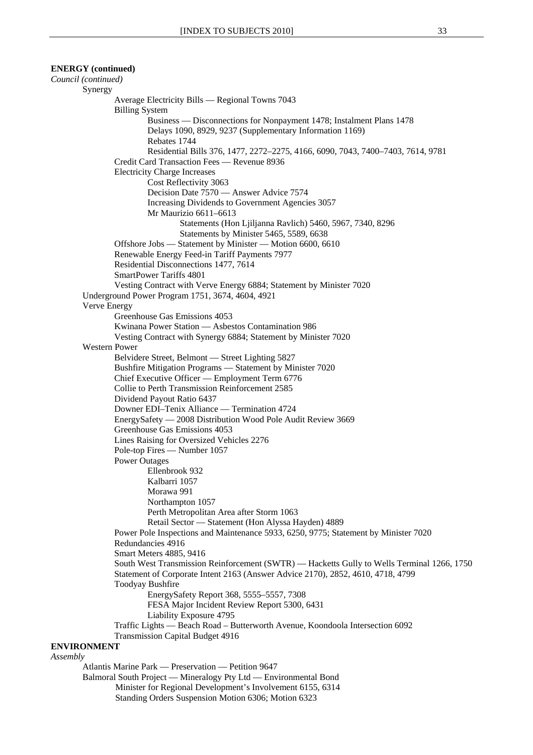### **ENERGY (continued)**

*Council (continued)* Synergy Average Electricity Bills — Regional Towns 7043 Billing System Business — Disconnections for Nonpayment 1478; Instalment Plans 1478 Delays 1090, 8929, 9237 (Supplementary Information 1169) Rebates 1744 Residential Bills 376, 1477, 2272–2275, 4166, 6090, 7043, 7400–7403, 7614, 9781 Credit Card Transaction Fees — Revenue 8936 Electricity Charge Increases Cost Reflectivity 3063 Decision Date 7570 — Answer Advice 7574 Increasing Dividends to Government Agencies 3057 Mr Maurizio 6611–6613 Statements (Hon Ljiljanna Ravlich) 5460, 5967, 7340, 8296 Statements by Minister 5465, 5589, 6638 Offshore Jobs — Statement by Minister — Motion 6600, 6610 Renewable Energy Feed-in Tariff Payments 7977 Residential Disconnections 1477, 7614 SmartPower Tariffs 4801 Vesting Contract with Verve Energy 6884; Statement by Minister 7020 Underground Power Program 1751, 3674, 4604, 4921 Verve Energy Greenhouse Gas Emissions 4053 Kwinana Power Station — Asbestos Contamination 986 Vesting Contract with Synergy 6884; Statement by Minister 7020 Western Power Belvidere Street, Belmont — Street Lighting 5827 Bushfire Mitigation Programs — Statement by Minister 7020 Chief Executive Officer — Employment Term 6776 Collie to Perth Transmission Reinforcement 2585 Dividend Payout Ratio 6437 Downer EDI–Tenix Alliance — Termination 4724 EnergySafety — 2008 Distribution Wood Pole Audit Review 3669 Greenhouse Gas Emissions 4053 Lines Raising for Oversized Vehicles 2276 Pole-top Fires — Number 1057 Power Outages Ellenbrook 932 Kalbarri 1057 Morawa 991 Northampton 1057 Perth Metropolitan Area after Storm 1063 Retail Sector — Statement (Hon Alyssa Hayden) 4889 Power Pole Inspections and Maintenance 5933, 6250, 9775; Statement by Minister 7020 Redundancies 4916 Smart Meters 4885, 9416 South West Transmission Reinforcement (SWTR) — Hacketts Gully to Wells Terminal 1266, 1750 Statement of Corporate Intent 2163 (Answer Advice 2170), 2852, 4610, 4718, 4799 Toodyay Bushfire EnergySafety Report 368, 5555–5557, 7308 FESA Major Incident Review Report 5300, 6431 Liability Exposure 4795 Traffic Lights — Beach Road – Butterworth Avenue, Koondoola Intersection 6092 Transmission Capital Budget 4916 **ENVIRONMENT** *Assembly* Atlantis Marine Park — Preservation — Petition 9647 Balmoral South Project — Mineralogy Pty Ltd — Environmental Bond

Minister for Regional Development's Involvement 6155, 6314 Standing Orders Suspension Motion 6306; Motion 6323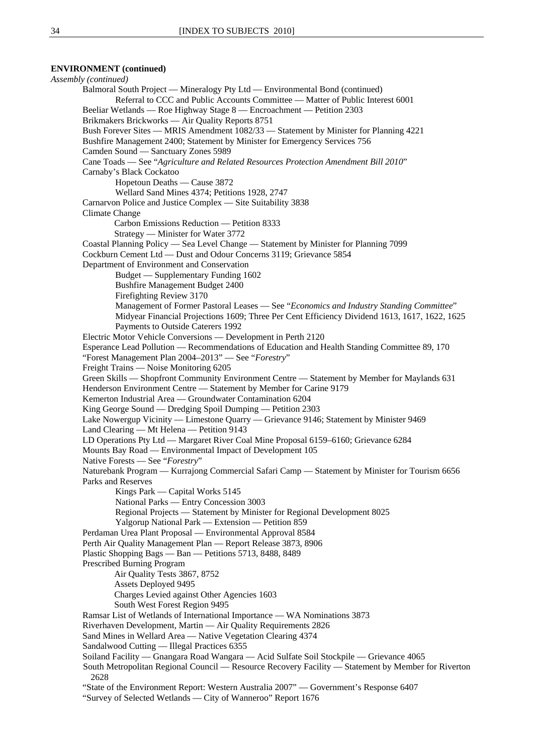### **ENVIRONMENT (continued)**

*Assembly (continued)*  Balmoral South Project — Mineralogy Pty Ltd — Environmental Bond (continued) Referral to CCC and Public Accounts Committee — Matter of Public Interest 6001 Beeliar Wetlands — Roe Highway Stage 8 — Encroachment — Petition 2303 Brikmakers Brickworks — Air Quality Reports 8751 Bush Forever Sites — MRIS Amendment 1082/33 — Statement by Minister for Planning 4221 Bushfire Management 2400; Statement by Minister for Emergency Services 756 Camden Sound — Sanctuary Zones 5989 Cane Toads — See "*Agriculture and Related Resources Protection Amendment Bill 2010*" Carnaby's Black Cockatoo Hopetoun Deaths — Cause 3872 Wellard Sand Mines 4374; Petitions 1928, 2747 Carnarvon Police and Justice Complex — Site Suitability 3838 Climate Change Carbon Emissions Reduction — Petition 8333 Strategy — Minister for Water 3772 Coastal Planning Policy — Sea Level Change — Statement by Minister for Planning 7099 Cockburn Cement Ltd — Dust and Odour Concerns 3119; Grievance 5854 Department of Environment and Conservation Budget — Supplementary Funding 1602 Bushfire Management Budget 2400 Firefighting Review 3170 Management of Former Pastoral Leases — See "*Economics and Industry Standing Committee*" Midyear Financial Projections 1609; Three Per Cent Efficiency Dividend 1613, 1617, 1622, 1625 Payments to Outside Caterers 1992 Electric Motor Vehicle Conversions — Development in Perth 2120 Esperance Lead Pollution — Recommendations of Education and Health Standing Committee 89, 170 "Forest Management Plan 2004–2013" — See "*Forestry*" Freight Trains — Noise Monitoring 6205 Green Skills — Shopfront Community Environment Centre — Statement by Member for Maylands 631 Henderson Environment Centre — Statement by Member for Carine 9179 Kemerton Industrial Area — Groundwater Contamination 6204 King George Sound — Dredging Spoil Dumping — Petition 2303 Lake Nowergup Vicinity — Limestone Quarry — Grievance 9146; Statement by Minister 9469 Land Clearing — Mt Helena — Petition 9143 LD Operations Pty Ltd — Margaret River Coal Mine Proposal 6159–6160; Grievance 6284 Mounts Bay Road — Environmental Impact of Development 105 Native Forests — See "*Forestry*" Naturebank Program — Kurrajong Commercial Safari Camp — Statement by Minister for Tourism 6656 Parks and Reserves Kings Park — Capital Works 5145 National Parks — Entry Concession 3003 Regional Projects — Statement by Minister for Regional Development 8025 Yalgorup National Park — Extension — Petition 859 Perdaman Urea Plant Proposal — Environmental Approval 8584 Perth Air Quality Management Plan — Report Release 3873, 8906 Plastic Shopping Bags — Ban — Petitions 5713, 8488, 8489 Prescribed Burning Program Air Quality Tests 3867, 8752 Assets Deployed 9495 Charges Levied against Other Agencies 1603 South West Forest Region 9495 Ramsar List of Wetlands of International Importance — WA Nominations 3873 Riverhaven Development, Martin — Air Quality Requirements 2826 Sand Mines in Wellard Area — Native Vegetation Clearing 4374 Sandalwood Cutting — Illegal Practices 6355 Soiland Facility — Gnangara Road Wangara — Acid Sulfate Soil Stockpile — Grievance 4065 South Metropolitan Regional Council — Resource Recovery Facility — Statement by Member for Riverton 2628 "State of the Environment Report: Western Australia 2007" — Government's Response 6407 "Survey of Selected Wetlands — City of Wanneroo" Report 1676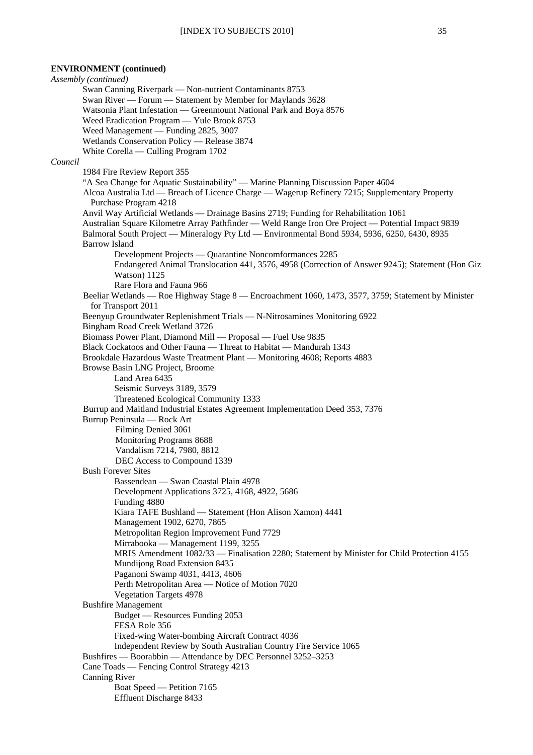```
Assembly (continued) 
        Swan Canning Riverpark — Non-nutrient Contaminants 8753 
        Swan River — Forum — Statement by Member for Maylands 3628 
        Watsonia Plant Infestation — Greenmount National Park and Boya 8576 
        Weed Eradication Program — Yule Brook 8753 
        Weed Management — Funding 2825, 3007 
        Wetlands Conservation Policy — Release 3874 
        White Corella — Culling Program 1702 
Council
        1984 Fire Review Report 355 
        "A Sea Change for Aquatic Sustainability" — Marine Planning Discussion Paper 4604 
        Alcoa Australia Ltd — Breach of Licence Charge — Wagerup Refinery 7215; Supplementary Property 
          Purchase Program 4218 
        Anvil Way Artificial Wetlands — Drainage Basins 2719; Funding for Rehabilitation 1061 
        Australian Square Kilometre Array Pathfinder — Weld Range Iron Ore Project — Potential Impact 9839 
        Balmoral South Project — Mineralogy Pty Ltd — Environmental Bond 5934, 5936, 6250, 6430, 8935 
        Barrow Island 
                Development Projects — Quarantine Noncomformances 2285 
                Endangered Animal Translocation 441, 3576, 4958 (Correction of Answer 9245); Statement (Hon Giz 
                Watson) 1125 
                Rare Flora and Fauna 966 
        Beeliar Wetlands — Roe Highway Stage 8 — Encroachment 1060, 1473, 3577, 3759; Statement by Minister 
          for Transport 2011 
        Beenyup Groundwater Replenishment Trials — N-Nitrosamines Monitoring 6922 
        Bingham Road Creek Wetland 3726 
        Biomass Power Plant, Diamond Mill — Proposal — Fuel Use 9835 
        Black Cockatoos and Other Fauna — Threat to Habitat — Mandurah 1343 
        Brookdale Hazardous Waste Treatment Plant — Monitoring 4608; Reports 4883 
        Browse Basin LNG Project, Broome 
                Land Area 6435 
                Seismic Surveys 3189, 3579 
                Threatened Ecological Community 1333 
        Burrup and Maitland Industrial Estates Agreement Implementation Deed 353, 7376 
        Burrup Peninsula — Rock Art 
                Filming Denied 3061 
                 Monitoring Programs 8688 
                 Vandalism 7214, 7980, 8812 
                DEC Access to Compound 1339 
        Bush Forever Sites 
                Bassendean — Swan Coastal Plain 4978 
                Development Applications 3725, 4168, 4922, 5686 
                Funding 4880 
                Kiara TAFE Bushland — Statement (Hon Alison Xamon) 4441 
                Management 1902, 6270, 7865 
                Metropolitan Region Improvement Fund 7729 
                Mirrabooka — Management 1199, 3255 
                MRIS Amendment 1082/33 — Finalisation 2280; Statement by Minister for Child Protection 4155 
                Mundijong Road Extension 8435 
                Paganoni Swamp 4031, 4413, 4606 
                Perth Metropolitan Area — Notice of Motion 7020 
                Vegetation Targets 4978 
        Bushfire Management 
                Budget — Resources Funding 2053 
                FESA Role 356 
                Fixed-wing Water-bombing Aircraft Contract 4036 
                Independent Review by South Australian Country Fire Service 1065 
        Bushfires — Boorabbin — Attendance by DEC Personnel 3252–3253 
        Cane Toads — Fencing Control Strategy 4213 
        Canning River 
                Boat Speed — Petition 7165 
                Effluent Discharge 8433
```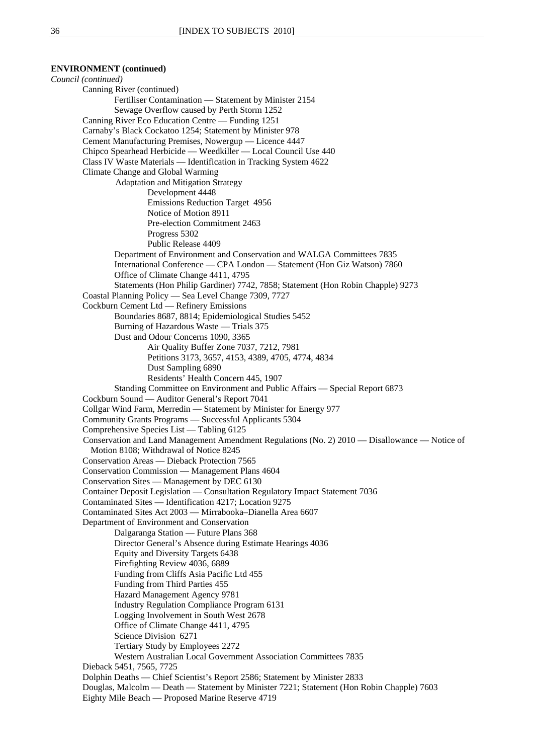*Council (continued)* Canning River (continued) Fertiliser Contamination — Statement by Minister 2154 Sewage Overflow caused by Perth Storm 1252 Canning River Eco Education Centre — Funding 1251 Carnaby's Black Cockatoo 1254; Statement by Minister 978 Cement Manufacturing Premises, Nowergup — Licence 4447 Chipco Spearhead Herbicide — Weedkiller — Local Council Use 440 Class IV Waste Materials — Identification in Tracking System 4622 Climate Change and Global Warming Adaptation and Mitigation Strategy Development 4448 Emissions Reduction Target 4956 Notice of Motion 8911 Pre-election Commitment 2463 Progress 5302 Public Release 4409 Department of Environment and Conservation and WALGA Committees 7835 International Conference — CPA London — Statement (Hon Giz Watson) 7860 Office of Climate Change 4411, 4795 Statements (Hon Philip Gardiner) 7742, 7858; Statement (Hon Robin Chapple) 9273 Coastal Planning Policy — Sea Level Change 7309, 7727 Cockburn Cement Ltd — Refinery Emissions Boundaries 8687, 8814; Epidemiological Studies 5452 Burning of Hazardous Waste — Trials 375 Dust and Odour Concerns 1090, 3365 Air Quality Buffer Zone 7037, 7212, 7981 Petitions 3173, 3657, 4153, 4389, 4705, 4774, 4834 Dust Sampling 6890 Residents' Health Concern 445, 1907 Standing Committee on Environment and Public Affairs — Special Report 6873 Cockburn Sound — Auditor General's Report 7041 Collgar Wind Farm, Merredin — Statement by Minister for Energy 977 Community Grants Programs — Successful Applicants 5304 Comprehensive Species List — Tabling 6125 Conservation and Land Management Amendment Regulations (No. 2) 2010 — Disallowance — Notice of Motion 8108; Withdrawal of Notice 8245 Conservation Areas — Dieback Protection 7565 Conservation Commission — Management Plans 4604 Conservation Sites — Management by DEC 6130 Container Deposit Legislation — Consultation Regulatory Impact Statement 7036 Contaminated Sites — Identification 4217; Location 9275 Contaminated Sites Act 2003 — Mirrabooka–Dianella Area 6607 Department of Environment and Conservation Dalgaranga Station — Future Plans 368 Director General's Absence during Estimate Hearings 4036 Equity and Diversity Targets 6438 Firefighting Review 4036, 6889 Funding from Cliffs Asia Pacific Ltd 455 Funding from Third Parties 455 Hazard Management Agency 9781 Industry Regulation Compliance Program 6131 Logging Involvement in South West 2678 Office of Climate Change 4411, 4795 Science Division 6271 Tertiary Study by Employees 2272 Western Australian Local Government Association Committees 7835 Dieback 5451, 7565, 7725 Dolphin Deaths — Chief Scientist's Report 2586; Statement by Minister 2833 Douglas, Malcolm — Death — Statement by Minister 7221; Statement (Hon Robin Chapple) 7603 Eighty Mile Beach — Proposed Marine Reserve 4719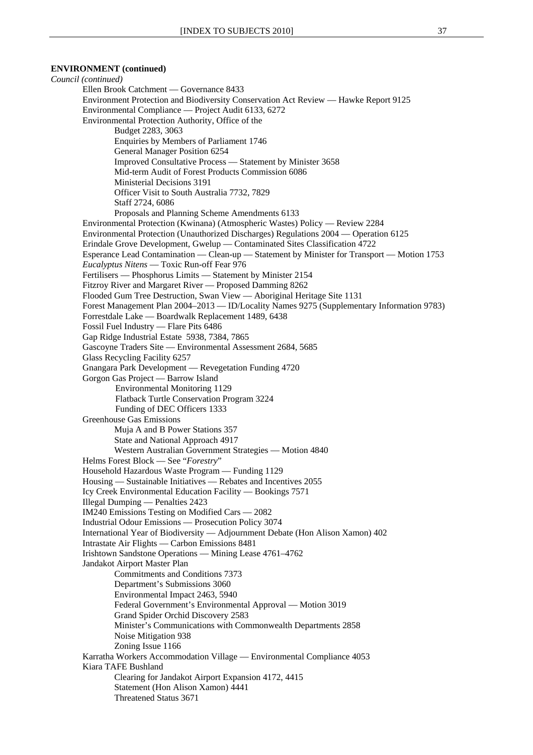*Council (continued)* Ellen Brook Catchment — Governance 8433 Environment Protection and Biodiversity Conservation Act Review — Hawke Report 9125 Environmental Compliance — Project Audit 6133, 6272 Environmental Protection Authority, Office of the Budget 2283, 3063 Enquiries by Members of Parliament 1746 General Manager Position 6254 Improved Consultative Process — Statement by Minister 3658 Mid-term Audit of Forest Products Commission 6086 Ministerial Decisions 3191 Officer Visit to South Australia 7732, 7829 Staff 2724, 6086 Proposals and Planning Scheme Amendments 6133 Environmental Protection (Kwinana) (Atmospheric Wastes) Policy — Review 2284 Environmental Protection (Unauthorized Discharges) Regulations 2004 — Operation 6125 Erindale Grove Development, Gwelup — Contaminated Sites Classification 4722 Esperance Lead Contamination — Clean-up — Statement by Minister for Transport — Motion 1753 *Eucalyptus Nitens* — Toxic Run-off Fear 976 Fertilisers — Phosphorus Limits — Statement by Minister 2154 Fitzroy River and Margaret River — Proposed Damming 8262 Flooded Gum Tree Destruction, Swan View — Aboriginal Heritage Site 1131 Forest Management Plan 2004–2013 — ID/Locality Names 9275 (Supplementary Information 9783) Forrestdale Lake — Boardwalk Replacement 1489, 6438 Fossil Fuel Industry — Flare Pits 6486 Gap Ridge Industrial Estate 5938, 7384, 7865 Gascoyne Traders Site — Environmental Assessment 2684, 5685 Glass Recycling Facility 6257 Gnangara Park Development — Revegetation Funding 4720 Gorgon Gas Project — Barrow Island Environmental Monitoring 1129 Flatback Turtle Conservation Program 3224 Funding of DEC Officers 1333 Greenhouse Gas Emissions Muja A and B Power Stations 357 State and National Approach 4917 Western Australian Government Strategies — Motion 4840 Helms Forest Block — See "*Forestry*" Household Hazardous Waste Program — Funding 1129 Housing — Sustainable Initiatives — Rebates and Incentives 2055 Icy Creek Environmental Education Facility — Bookings 7571 Illegal Dumping — Penalties 2423 IM240 Emissions Testing on Modified Cars — 2082 Industrial Odour Emissions — Prosecution Policy 3074 International Year of Biodiversity — Adjournment Debate (Hon Alison Xamon) 402 Intrastate Air Flights — Carbon Emissions 8481 Irishtown Sandstone Operations — Mining Lease 4761–4762 Jandakot Airport Master Plan Commitments and Conditions 7373 Department's Submissions 3060 Environmental Impact 2463, 5940 Federal Government's Environmental Approval — Motion 3019 Grand Spider Orchid Discovery 2583 Minister's Communications with Commonwealth Departments 2858 Noise Mitigation 938 Zoning Issue 1166 Karratha Workers Accommodation Village — Environmental Compliance 4053 Kiara TAFE Bushland Clearing for Jandakot Airport Expansion 4172, 4415 Statement (Hon Alison Xamon) 4441 Threatened Status 3671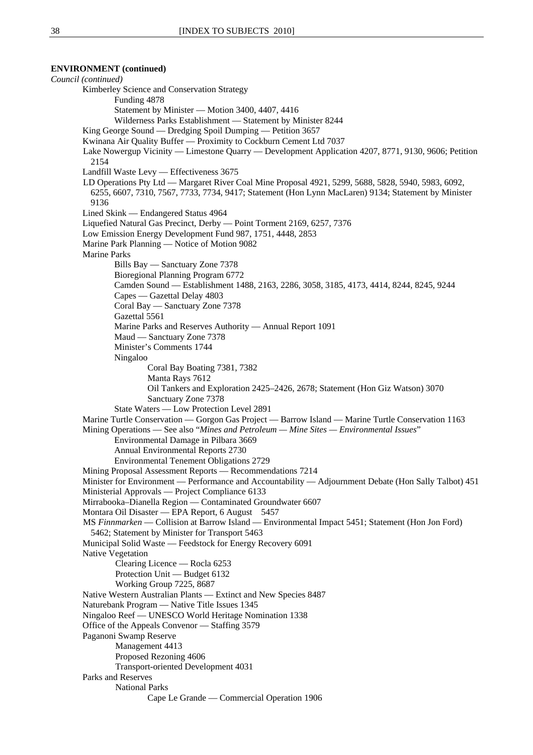*Council (continued)* Kimberley Science and Conservation Strategy Funding 4878 Statement by Minister — Motion 3400, 4407, 4416 Wilderness Parks Establishment — Statement by Minister 8244 King George Sound — Dredging Spoil Dumping — Petition 3657 Kwinana Air Quality Buffer — Proximity to Cockburn Cement Ltd 7037 Lake Nowergup Vicinity — Limestone Quarry — Development Application 4207, 8771, 9130, 9606; Petition 2154 Landfill Waste Levy — Effectiveness 3675 LD Operations Pty Ltd — Margaret River Coal Mine Proposal 4921, 5299, 5688, 5828, 5940, 5983, 6092, 6255, 6607, 7310, 7567, 7733, 7734, 9417; Statement (Hon Lynn MacLaren) 9134; Statement by Minister 9136 Lined Skink — Endangered Status 4964 Liquefied Natural Gas Precinct, Derby — Point Torment 2169, 6257, 7376 Low Emission Energy Development Fund 987, 1751, 4448, 2853 Marine Park Planning — Notice of Motion 9082 Marine Parks Bills Bay — Sanctuary Zone 7378 Bioregional Planning Program 6772 Camden Sound — Establishment 1488, 2163, 2286, 3058, 3185, 4173, 4414, 8244, 8245, 9244 Capes — Gazettal Delay 4803 Coral Bay — Sanctuary Zone 7378 Gazettal 5561 Marine Parks and Reserves Authority — Annual Report 1091 Maud — Sanctuary Zone 7378 Minister's Comments 1744 Ningaloo Coral Bay Boating 7381, 7382 Manta Rays 7612 Oil Tankers and Exploration 2425–2426, 2678; Statement (Hon Giz Watson) 3070 Sanctuary Zone 7378 State Waters — Low Protection Level 2891 Marine Turtle Conservation — Gorgon Gas Project — Barrow Island — Marine Turtle Conservation 1163 Mining Operations — See also "*Mines and Petroleum — Mine Sites — Environmental Issues*" Environmental Damage in Pilbara 3669 Annual Environmental Reports 2730 Environmental Tenement Obligations 2729 Mining Proposal Assessment Reports — Recommendations 7214 Minister for Environment — Performance and Accountability — Adjournment Debate (Hon Sally Talbot) 451 Ministerial Approvals — Project Compliance 6133 Mirrabooka–Dianella Region — Contaminated Groundwater 6607 Montara Oil Disaster — EPA Report, 6 August 5457 MS *Finnmarken* — Collision at Barrow Island — Environmental Impact 5451; Statement (Hon Jon Ford) 5462; Statement by Minister for Transport 5463 Municipal Solid Waste — Feedstock for Energy Recovery 6091 Native Vegetation Clearing Licence — Rocla 6253 Protection Unit — Budget 6132 Working Group 7225, 8687 Native Western Australian Plants — Extinct and New Species 8487 Naturebank Program — Native Title Issues 1345 Ningaloo Reef — UNESCO World Heritage Nomination 1338 Office of the Appeals Convenor — Staffing 3579 Paganoni Swamp Reserve Management 4413 Proposed Rezoning 4606 Transport-oriented Development 4031 Parks and Reserves National Parks Cape Le Grande — Commercial Operation 1906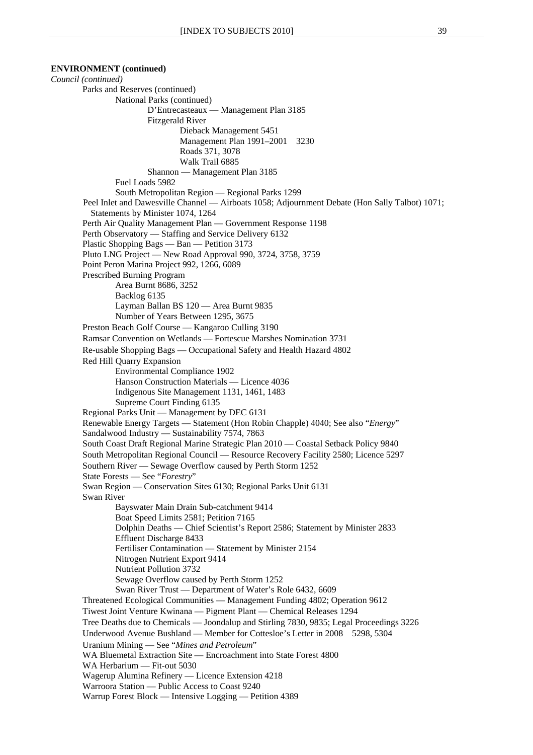**ENVIRONMENT (continued)**  *Council (continued)* Parks and Reserves (continued) National Parks (continued) D'Entrecasteaux — Management Plan 3185 Fitzgerald River Dieback Management 5451 Management Plan 1991–2001 3230 Roads 371, 3078 Walk Trail 6885 Shannon — Management Plan 3185 Fuel Loads 5982 South Metropolitan Region — Regional Parks 1299 Peel Inlet and Dawesville Channel — Airboats 1058; Adjournment Debate (Hon Sally Talbot) 1071; Statements by Minister 1074, 1264 Perth Air Quality Management Plan — Government Response 1198 Perth Observatory — Staffing and Service Delivery 6132 Plastic Shopping Bags — Ban — Petition 3173 Pluto LNG Project — New Road Approval 990, 3724, 3758, 3759 Point Peron Marina Project 992, 1266, 6089 Prescribed Burning Program Area Burnt 8686, 3252 Backlog 6135 Layman Ballan BS 120 — Area Burnt 9835 Number of Years Between 1295, 3675 Preston Beach Golf Course — Kangaroo Culling 3190 Ramsar Convention on Wetlands — Fortescue Marshes Nomination 3731 Re-usable Shopping Bags — Occupational Safety and Health Hazard 4802 Red Hill Quarry Expansion Environmental Compliance 1902 Hanson Construction Materials — Licence 4036 Indigenous Site Management 1131, 1461, 1483 Supreme Court Finding 6135 Regional Parks Unit — Management by DEC 6131 Renewable Energy Targets — Statement (Hon Robin Chapple) 4040; See also "*Energy*" Sandalwood Industry — Sustainability 7574, 7863 South Coast Draft Regional Marine Strategic Plan 2010 — Coastal Setback Policy 9840 South Metropolitan Regional Council — Resource Recovery Facility 2580; Licence 5297 Southern River — Sewage Overflow caused by Perth Storm 1252 State Forests — See "*Forestry*" Swan Region — Conservation Sites 6130; Regional Parks Unit 6131 Swan River Bayswater Main Drain Sub-catchment 9414 Boat Speed Limits 2581; Petition 7165 Dolphin Deaths — Chief Scientist's Report 2586; Statement by Minister 2833 Effluent Discharge 8433 Fertiliser Contamination — Statement by Minister 2154 Nitrogen Nutrient Export 9414 Nutrient Pollution 3732 Sewage Overflow caused by Perth Storm 1252 Swan River Trust — Department of Water's Role 6432, 6609 Threatened Ecological Communities — Management Funding 4802; Operation 9612 Tiwest Joint Venture Kwinana — Pigment Plant — Chemical Releases 1294 Tree Deaths due to Chemicals — Joondalup and Stirling 7830, 9835; Legal Proceedings 3226 Underwood Avenue Bushland — Member for Cottesloe's Letter in 2008 5298, 5304 Uranium Mining — See "*Mines and Petroleum*" WA Bluemetal Extraction Site — Encroachment into State Forest 4800 WA Herbarium — Fit-out 5030 Wagerup Alumina Refinery — Licence Extension 4218 Warroora Station — Public Access to Coast 9240 Warrup Forest Block — Intensive Logging — Petition 4389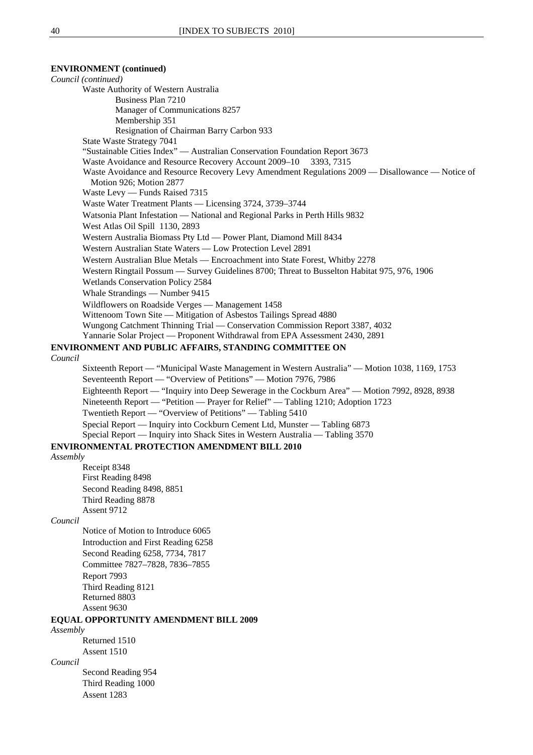*Council (continued)* Waste Authority of Western Australia Business Plan 7210 Manager of Communications 8257 Membership 351 Resignation of Chairman Barry Carbon 933 State Waste Strategy 7041 "Sustainable Cities Index" — Australian Conservation Foundation Report 3673 Waste Avoidance and Resource Recovery Account 2009–10 3393, 7315 Waste Avoidance and Resource Recovery Levy Amendment Regulations 2009 — Disallowance — Notice of Motion 926; Motion 2877 Waste Levy — Funds Raised 7315 Waste Water Treatment Plants — Licensing 3724, 3739–3744 Watsonia Plant Infestation — National and Regional Parks in Perth Hills 9832 West Atlas Oil Spill 1130, 2893 Western Australia Biomass Pty Ltd — Power Plant, Diamond Mill 8434 Western Australian State Waters — Low Protection Level 2891 Western Australian Blue Metals — Encroachment into State Forest, Whitby 2278 Western Ringtail Possum — Survey Guidelines 8700; Threat to Busselton Habitat 975, 976, 1906 Wetlands Conservation Policy 2584 Whale Strandings — Number 9415 Wildflowers on Roadside Verges — Management 1458 Wittenoom Town Site — Mitigation of Asbestos Tailings Spread 4880 Wungong Catchment Thinning Trial — Conservation Commission Report 3387, 4032 Yannarie Solar Project — Proponent Withdrawal from EPA Assessment 2430, 2891 **ENVIRONMENT AND PUBLIC AFFAIRS, STANDING COMMITTEE ON** *Council* Sixteenth Report — "Municipal Waste Management in Western Australia" — Motion 1038, 1169, 1753 Seventeenth Report — "Overview of Petitions" — Motion 7976, 7986 Eighteenth Report — "Inquiry into Deep Sewerage in the Cockburn Area" — Motion 7992, 8928, 8938 Nineteenth Report — "Petition — Prayer for Relief" — Tabling 1210; Adoption 1723 Twentieth Report — "Overview of Petitions" — Tabling 5410 Special Report — Inquiry into Cockburn Cement Ltd, Munster — Tabling 6873 Special Report — Inquiry into Shack Sites in Western Australia — Tabling 3570 **ENVIRONMENTAL PROTECTION AMENDMENT BILL 2010** *Assembly* Receipt 8348 First Reading 8498 Second Reading 8498, 8851 Third Reading 8878 Assent 9712 *Council* Notice of Motion to Introduce 6065 Introduction and First Reading 6258 Second Reading 6258, 7734, 7817 Committee 7827–7828, 7836–7855 Report 7993 Third Reading 8121 Returned 8803 Assent 9630 **EQUAL OPPORTUNITY AMENDMENT BILL 2009** *Assembly* Returned 1510 Assent 1510 *Council*

Second Reading 954 Third Reading 1000 Assent 1283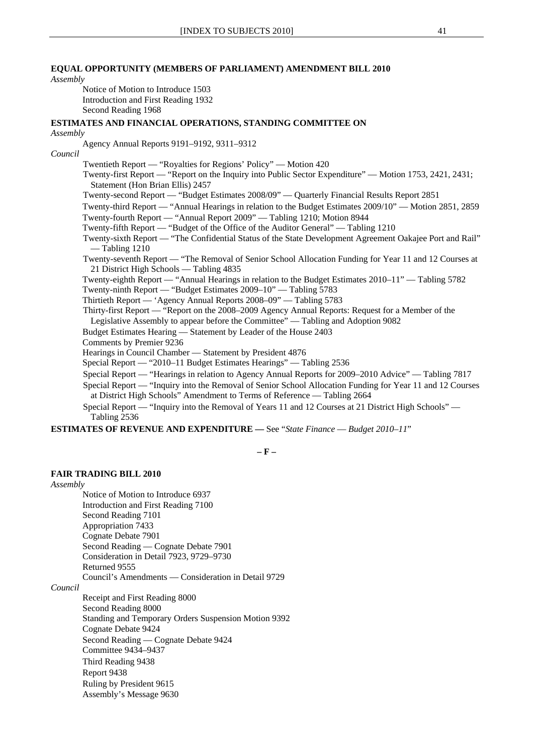#### **EQUAL OPPORTUNITY (MEMBERS OF PARLIAMENT) AMENDMENT BILL 2010**

#### *Assembly*

Notice of Motion to Introduce 1503 Introduction and First Reading 1932 Second Reading 1968

### **ESTIMATES AND FINANCIAL OPERATIONS, STANDING COMMITTEE ON**

#### *Assembly*

Agency Annual Reports 9191–9192, 9311–9312

#### *Council*

Twentieth Report — "Royalties for Regions' Policy" — Motion 420

Twenty-first Report — "Report on the Inquiry into Public Sector Expenditure" — Motion 1753, 2421, 2431; Statement (Hon Brian Ellis) 2457

Twenty-second Report — "Budget Estimates 2008/09" — Quarterly Financial Results Report 2851

Twenty-third Report — "Annual Hearings in relation to the Budget Estimates 2009/10" — Motion 2851, 2859

Twenty-fourth Report — "Annual Report 2009" — Tabling 1210; Motion 8944

Twenty-fifth Report — "Budget of the Office of the Auditor General" — Tabling 1210

Twenty-sixth Report — "The Confidential Status of the State Development Agreement Oakajee Port and Rail" — Tabling 1210

Twenty-seventh Report — "The Removal of Senior School Allocation Funding for Year 11 and 12 Courses at 21 District High Schools — Tabling 4835

Twenty-eighth Report — "Annual Hearings in relation to the Budget Estimates 2010–11" — Tabling 5782 Twenty-ninth Report — "Budget Estimates 2009–10" — Tabling 5783

Thirtieth Report — 'Agency Annual Reports 2008–09" — Tabling 5783

Thirty-first Report — "Report on the 2008–2009 Agency Annual Reports: Request for a Member of the

Legislative Assembly to appear before the Committee" — Tabling and Adoption 9082

Budget Estimates Hearing — Statement by Leader of the House 2403

Comments by Premier 9236

Hearings in Council Chamber — Statement by President 4876

Special Report — "2010–11 Budget Estimates Hearings" — Tabling 2536

Special Report — "Hearings in relation to Agency Annual Reports for 2009–2010 Advice" — Tabling 7817

Special Report — "Inquiry into the Removal of Senior School Allocation Funding for Year 11 and 12 Courses at District High Schools" Amendment to Terms of Reference — Tabling 2664

Special Report — "Inquiry into the Removal of Years 11 and 12 Courses at 21 District High Schools" — Tabling 2536

**ESTIMATES OF REVENUE AND EXPENDITURE —** See "*State Finance* — *Budget 2010–11*"

**– F –** 

#### **FAIR TRADING BILL 2010**

#### *Assembly*

Notice of Motion to Introduce 6937 Introduction and First Reading 7100 Second Reading 7101 Appropriation 7433 Cognate Debate 7901 Second Reading — Cognate Debate 7901 Consideration in Detail 7923, 9729–9730 Returned 9555 Council's Amendments — Consideration in Detail 9729

#### *Council*

Receipt and First Reading 8000 Second Reading 8000 Standing and Temporary Orders Suspension Motion 9392 Cognate Debate 9424 Second Reading — Cognate Debate 9424 Committee 9434–9437 Third Reading 9438 Report 9438 Ruling by President 9615 Assembly's Message 9630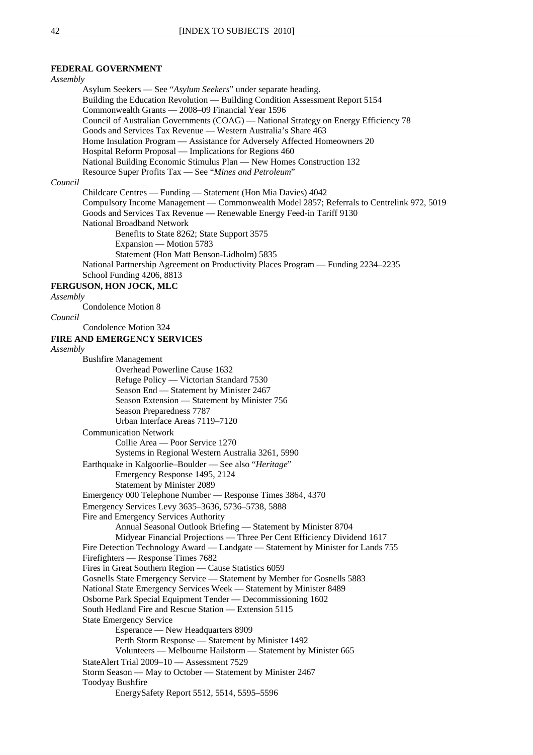# **FEDERAL GOVERNMENT**

| Assembly                                                                                                               |  |
|------------------------------------------------------------------------------------------------------------------------|--|
| Asylum Seekers - See "Asylum Seekers" under separate heading.                                                          |  |
| Building the Education Revolution — Building Condition Assessment Report 5154                                          |  |
| Commonwealth Grants - 2008-09 Financial Year 1596                                                                      |  |
| Council of Australian Governments (COAG) — National Strategy on Energy Efficiency 78                                   |  |
| Goods and Services Tax Revenue — Western Australia's Share 463                                                         |  |
| Home Insulation Program — Assistance for Adversely Affected Homeowners 20                                              |  |
| Hospital Reform Proposal — Implications for Regions 460                                                                |  |
| National Building Economic Stimulus Plan — New Homes Construction 132                                                  |  |
| Resource Super Profits Tax - See "Mines and Petroleum"                                                                 |  |
| Council                                                                                                                |  |
| Childcare Centres — Funding — Statement (Hon Mia Davies) 4042                                                          |  |
| Compulsory Income Management — Commonwealth Model 2857; Referrals to Centrelink 972, 5019                              |  |
| Goods and Services Tax Revenue — Renewable Energy Feed-in Tariff 9130                                                  |  |
| National Broadband Network                                                                                             |  |
| Benefits to State 8262; State Support 3575<br>Expansion — Motion 5783                                                  |  |
| Statement (Hon Matt Benson-Lidholm) 5835                                                                               |  |
| National Partnership Agreement on Productivity Places Program - Funding 2234-2235                                      |  |
| School Funding 4206, 8813                                                                                              |  |
| FERGUSON, HON JOCK, MLC                                                                                                |  |
| Assembly                                                                                                               |  |
| Condolence Motion 8                                                                                                    |  |
| Council                                                                                                                |  |
| Condolence Motion 324                                                                                                  |  |
| FIRE AND EMERGENCY SERVICES                                                                                            |  |
| Assembly                                                                                                               |  |
| <b>Bushfire Management</b>                                                                                             |  |
| Overhead Powerline Cause 1632                                                                                          |  |
| Refuge Policy — Victorian Standard 7530                                                                                |  |
| Season End - Statement by Minister 2467                                                                                |  |
| Season Extension - Statement by Minister 756                                                                           |  |
| Season Preparedness 7787                                                                                               |  |
| Urban Interface Areas 7119-7120                                                                                        |  |
| <b>Communication Network</b>                                                                                           |  |
| Collie Area - Poor Service 1270                                                                                        |  |
| Systems in Regional Western Australia 3261, 5990                                                                       |  |
| Earthquake in Kalgoorlie-Boulder — See also "Heritage"                                                                 |  |
| Emergency Response 1495, 2124                                                                                          |  |
| Statement by Minister 2089                                                                                             |  |
| Emergency 000 Telephone Number - Response Times 3864, 4370                                                             |  |
| Emergency Services Levy 3635-3636, 5736-5738, 5888                                                                     |  |
| Fire and Emergency Services Authority                                                                                  |  |
| Annual Seasonal Outlook Briefing — Statement by Minister 8704                                                          |  |
| Midyear Financial Projections — Three Per Cent Efficiency Dividend 1617                                                |  |
| Fire Detection Technology Award — Landgate — Statement by Minister for Lands 755<br>Firefighters — Response Times 7682 |  |
| Fires in Great Southern Region - Cause Statistics 6059                                                                 |  |
| Gosnells State Emergency Service - Statement by Member for Gosnells 5883                                               |  |
| National State Emergency Services Week - Statement by Minister 8489                                                    |  |
| Osborne Park Special Equipment Tender — Decommissioning 1602                                                           |  |
| South Hedland Fire and Rescue Station - Extension 5115                                                                 |  |
| <b>State Emergency Service</b>                                                                                         |  |
| Esperance — New Headquarters 8909                                                                                      |  |
| Perth Storm Response - Statement by Minister 1492                                                                      |  |
| Volunteers — Melbourne Hailstorm — Statement by Minister 665                                                           |  |
| StateAlert Trial 2009-10 - Assessment 7529                                                                             |  |
| Storm Season — May to October — Statement by Minister 2467                                                             |  |
| <b>Toodyay Bushfire</b>                                                                                                |  |
| EnergySafety Report 5512, 5514, 5595-5596                                                                              |  |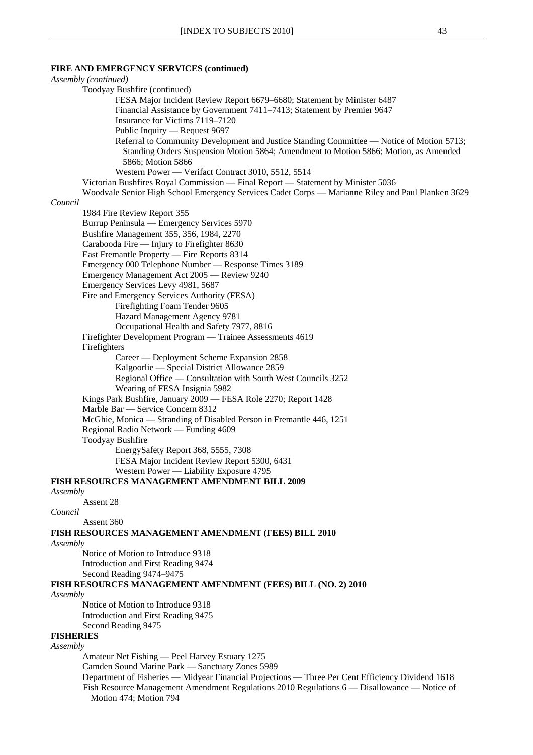### **FIRE AND EMERGENCY SERVICES (continued)**

### *Assembly (continued)* Toodyay Bushfire (continued) FESA Major Incident Review Report 6679–6680; Statement by Minister 6487 Financial Assistance by Government 7411–7413; Statement by Premier 9647 Insurance for Victims 7119–7120 Public Inquiry — Request 9697 Referral to Community Development and Justice Standing Committee — Notice of Motion 5713; Standing Orders Suspension Motion 5864; Amendment to Motion 5866; Motion, as Amended 5866; Motion 5866 Western Power — Verifact Contract 3010, 5512, 5514 Victorian Bushfires Royal Commission — Final Report — Statement by Minister 5036 Woodvale Senior High School Emergency Services Cadet Corps — Marianne Riley and Paul Planken 3629 *Council* 1984 Fire Review Report 355 Burrup Peninsula — Emergency Services 5970 Bushfire Management 355, 356, 1984, 2270 Carabooda Fire — Injury to Firefighter 8630 East Fremantle Property — Fire Reports 8314 Emergency 000 Telephone Number — Response Times 3189 Emergency Management Act 2005 — Review 9240 Emergency Services Levy 4981, 5687 Fire and Emergency Services Authority (FESA) Firefighting Foam Tender 9605 Hazard Management Agency 9781 Occupational Health and Safety 7977, 8816 Firefighter Development Program — Trainee Assessments 4619 Firefighters Career — Deployment Scheme Expansion 2858 Kalgoorlie — Special District Allowance 2859 Regional Office — Consultation with South West Councils 3252 Wearing of FESA Insignia 5982 Kings Park Bushfire, January 2009 — FESA Role 2270; Report 1428 Marble Bar — Service Concern 8312 McGhie, Monica — Stranding of Disabled Person in Fremantle 446, 1251 Regional Radio Network — Funding 4609 Toodyay Bushfire EnergySafety Report 368, 5555, 7308 FESA Major Incident Review Report 5300, 6431 Western Power — Liability Exposure 4795 **FISH RESOURCES MANAGEMENT AMENDMENT BILL 2009** *Assembly* Assent 28 *Council* Assent 360 **FISH RESOURCES MANAGEMENT AMENDMENT (FEES) BILL 2010** *Assembly* Notice of Motion to Introduce 9318 Introduction and First Reading 9474 Second Reading 9474–9475 **FISH RESOURCES MANAGEMENT AMENDMENT (FEES) BILL (NO. 2) 2010** *Assembly* Notice of Motion to Introduce 9318 Introduction and First Reading 9475 Second Reading 9475 **FISHERIES** *Assembly* Amateur Net Fishing — Peel Harvey Estuary 1275 Camden Sound Marine Park — Sanctuary Zones 5989 Department of Fisheries — Midyear Financial Projections — Three Per Cent Efficiency Dividend 1618 Fish Resource Management Amendment Regulations 2010 Regulations 6 — Disallowance — Notice of Motion 474; Motion 794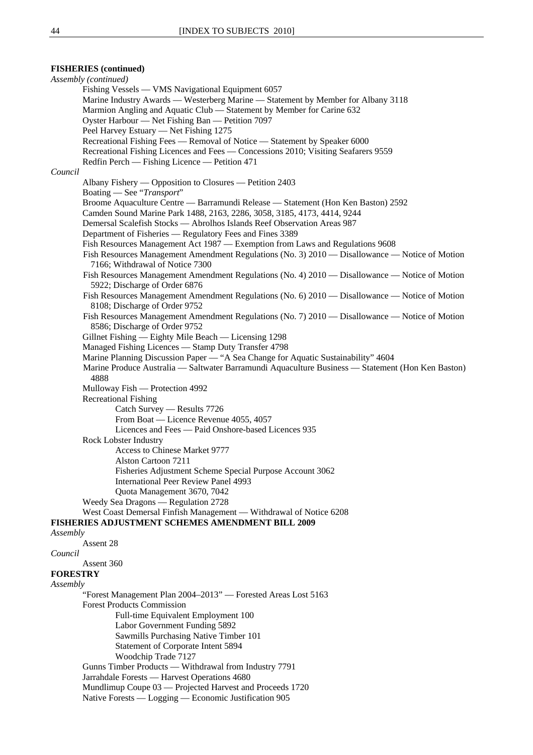### **FISHERIES (continued)**

*Assembly (continued)* Fishing Vessels — VMS Navigational Equipment 6057 Marine Industry Awards — Westerberg Marine — Statement by Member for Albany 3118 Marmion Angling and Aquatic Club — Statement by Member for Carine 632 Oyster Harbour — Net Fishing Ban — Petition 7097 Peel Harvey Estuary — Net Fishing 1275 Recreational Fishing Fees — Removal of Notice — Statement by Speaker 6000 Recreational Fishing Licences and Fees — Concessions 2010; Visiting Seafarers 9559 Redfin Perch — Fishing Licence — Petition 471 *Council* Albany Fishery — Opposition to Closures — Petition 2403 Boating — See "*Transport*" Broome Aquaculture Centre — Barramundi Release — Statement (Hon Ken Baston) 2592 Camden Sound Marine Park 1488, 2163, 2286, 3058, 3185, 4173, 4414, 9244 Demersal Scalefish Stocks — Abrolhos Islands Reef Observation Areas 987 Department of Fisheries — Regulatory Fees and Fines 3389 Fish Resources Management Act 1987 — Exemption from Laws and Regulations 9608 Fish Resources Management Amendment Regulations (No. 3) 2010 — Disallowance — Notice of Motion 7166; Withdrawal of Notice 7300 Fish Resources Management Amendment Regulations (No. 4) 2010 — Disallowance — Notice of Motion 5922; Discharge of Order 6876 Fish Resources Management Amendment Regulations (No. 6) 2010 — Disallowance — Notice of Motion 8108; Discharge of Order 9752 Fish Resources Management Amendment Regulations (No. 7) 2010 — Disallowance — Notice of Motion 8586; Discharge of Order 9752 Gillnet Fishing — Eighty Mile Beach — Licensing 1298 Managed Fishing Licences — Stamp Duty Transfer 4798 Marine Planning Discussion Paper — "A Sea Change for Aquatic Sustainability" 4604 Marine Produce Australia — Saltwater Barramundi Aquaculture Business — Statement (Hon Ken Baston) 4888 Mulloway Fish — Protection 4992 Recreational Fishing Catch Survey — Results 7726 From Boat — Licence Revenue 4055, 4057 Licences and Fees — Paid Onshore-based Licences 935 Rock Lobster Industry Access to Chinese Market 9777 Alston Cartoon 7211 Fisheries Adjustment Scheme Special Purpose Account 3062 International Peer Review Panel 4993 Quota Management 3670, 7042 Weedy Sea Dragons — Regulation 2728 West Coast Demersal Finfish Management — Withdrawal of Notice 6208 **FISHERIES ADJUSTMENT SCHEMES AMENDMENT BILL 2009** *Assembly* Assent 28 *Council* Assent 360 **FORESTRY** *Assembly* "Forest Management Plan 2004–2013" — Forested Areas Lost 5163 Forest Products Commission Full-time Equivalent Employment 100 Labor Government Funding 5892 Sawmills Purchasing Native Timber 101 Statement of Corporate Intent 5894 Woodchip Trade 7127 Gunns Timber Products — Withdrawal from Industry 7791 Jarrahdale Forests — Harvest Operations 4680 Mundlimup Coupe 03 — Projected Harvest and Proceeds 1720 Native Forests — Logging — Economic Justification 905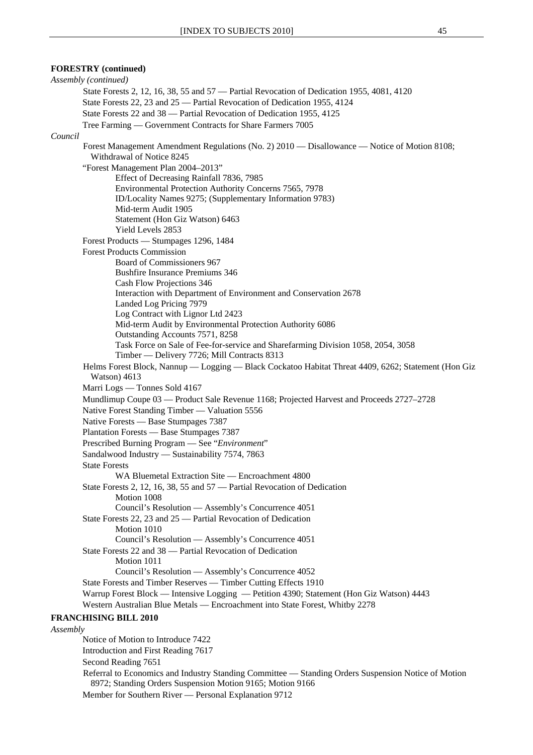### **FORESTRY (continued)**

*Assembly (continued)* State Forests 2, 12, 16, 38, 55 and 57 — Partial Revocation of Dedication 1955, 4081, 4120 State Forests 22, 23 and 25 — Partial Revocation of Dedication 1955, 4124 State Forests 22 and 38 — Partial Revocation of Dedication 1955, 4125 Tree Farming — Government Contracts for Share Farmers 7005 *Council* Forest Management Amendment Regulations (No. 2) 2010 — Disallowance — Notice of Motion 8108; Withdrawal of Notice 8245 "Forest Management Plan 2004–2013" Effect of Decreasing Rainfall 7836, 7985 Environmental Protection Authority Concerns 7565, 7978 ID/Locality Names 9275; (Supplementary Information 9783) Mid-term Audit 1905 Statement (Hon Giz Watson) 6463 Yield Levels 2853 Forest Products — Stumpages 1296, 1484 Forest Products Commission Board of Commissioners 967 Bushfire Insurance Premiums 346 Cash Flow Projections 346 Interaction with Department of Environment and Conservation 2678 Landed Log Pricing 7979 Log Contract with Lignor Ltd 2423 Mid-term Audit by Environmental Protection Authority 6086 Outstanding Accounts 7571, 8258 Task Force on Sale of Fee-for-service and Sharefarming Division 1058, 2054, 3058 Timber — Delivery 7726; Mill Contracts 8313 Helms Forest Block, Nannup — Logging — Black Cockatoo Habitat Threat 4409, 6262; Statement (Hon Giz Watson) 4613 Marri Logs — Tonnes Sold 4167 Mundlimup Coupe 03 — Product Sale Revenue 1168; Projected Harvest and Proceeds 2727–2728 Native Forest Standing Timber — Valuation 5556 Native Forests — Base Stumpages 7387 Plantation Forests — Base Stumpages 7387 Prescribed Burning Program — See "*Environment*" Sandalwood Industry — Sustainability 7574, 7863 State Forests WA Bluemetal Extraction Site — Encroachment 4800 State Forests 2, 12, 16, 38, 55 and 57 — Partial Revocation of Dedication Motion 1008 Council's Resolution — Assembly's Concurrence 4051 State Forests 22, 23 and 25 — Partial Revocation of Dedication Motion 1010 Council's Resolution — Assembly's Concurrence 4051 State Forests 22 and 38 — Partial Revocation of Dedication Motion 1011 Council's Resolution — Assembly's Concurrence 4052 State Forests and Timber Reserves — Timber Cutting Effects 1910 Warrup Forest Block — Intensive Logging — Petition 4390; Statement (Hon Giz Watson) 4443 Western Australian Blue Metals — Encroachment into State Forest, Whitby 2278 **FRANCHISING BILL 2010** *Assembly* Notice of Motion to Introduce 7422 Introduction and First Reading 7617 Second Reading 7651

Referral to Economics and Industry Standing Committee — Standing Orders Suspension Notice of Motion 8972; Standing Orders Suspension Motion 9165; Motion 9166

Member for Southern River — Personal Explanation 9712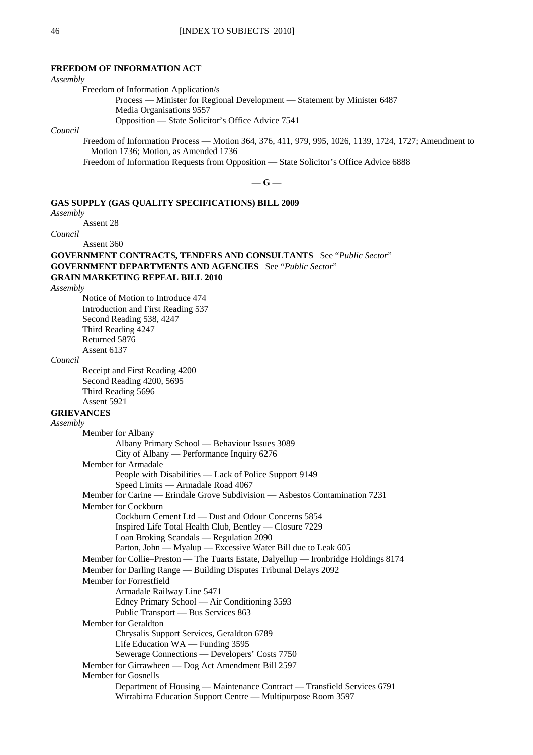#### **FREEDOM OF INFORMATION ACT**

#### *Assembly*

Freedom of Information Application/s

Process — Minister for Regional Development — Statement by Minister 6487 Media Organisations 9557 Opposition — State Solicitor's Office Advice 7541

*Council*

Freedom of Information Process — Motion 364, 376, 411, 979, 995, 1026, 1139, 1724, 1727; Amendment to Motion 1736; Motion, as Amended 1736

Freedom of Information Requests from Opposition — State Solicitor's Office Advice 6888

**— G —** 

### **GAS SUPPLY (GAS QUALITY SPECIFICATIONS) BILL 2009**

*Assembly*

Assent 28

*Council*

Assent 360

**GOVERNMENT CONTRACTS, TENDERS AND CONSULTANTS** See "*Public Sector*" **GOVERNMENT DEPARTMENTS AND AGENCIES** See "*Public Sector*" **GRAIN MARKETING REPEAL BILL 2010**

*Assembly*

Notice of Motion to Introduce 474 Introduction and First Reading 537 Second Reading 538, 4247 Third Reading 4247 Returned 5876 Assent 6137

#### *Council*

Receipt and First Reading 4200 Second Reading 4200, 5695 Third Reading 5696 Assent 5921

### **GRIEVANCES**

*Assembly* Member for Albany Albany Primary School — Behaviour Issues 3089 City of Albany — Performance Inquiry 6276 Member for Armadale People with Disabilities — Lack of Police Support 9149 Speed Limits — Armadale Road 4067 Member for Carine — Erindale Grove Subdivision — Asbestos Contamination 7231 Member for Cockburn Cockburn Cement Ltd — Dust and Odour Concerns 5854 Inspired Life Total Health Club, Bentley — Closure 7229 Loan Broking Scandals — Regulation 2090 Parton, John — Myalup — Excessive Water Bill due to Leak 605 Member for Collie–Preston — The Tuarts Estate, Dalyellup — Ironbridge Holdings 8174 Member for Darling Range — Building Disputes Tribunal Delays 2092 Member for Forrestfield Armadale Railway Line 5471 Edney Primary School — Air Conditioning 3593 Public Transport — Bus Services 863 Member for Geraldton Chrysalis Support Services, Geraldton 6789 Life Education WA — Funding 3595 Sewerage Connections — Developers' Costs 7750 Member for Girrawheen — Dog Act Amendment Bill 2597 Member for Gosnells Department of Housing — Maintenance Contract — Transfield Services 6791 Wirrabirra Education Support Centre — Multipurpose Room 3597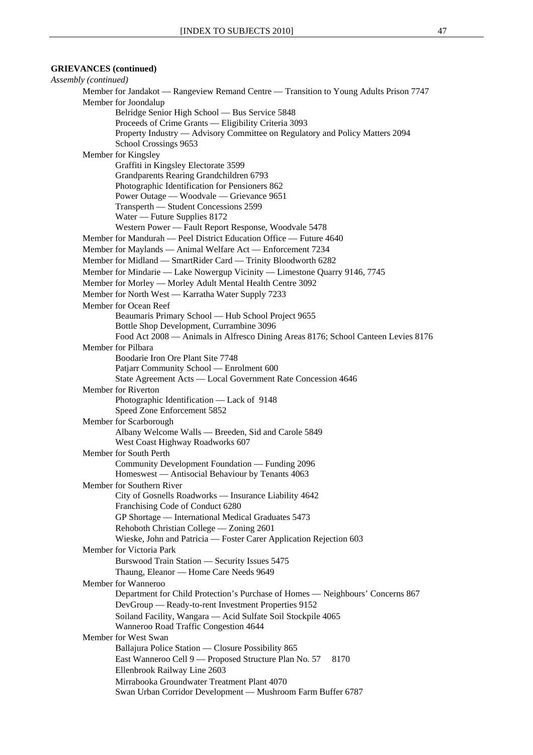#### **GRIEVANCES (continued)**

*Assembly (continued)* Member for Jandakot — Rangeview Remand Centre — Transition to Young Adults Prison 7747 Member for Joondalup Belridge Senior High School — Bus Service 5848 Proceeds of Crime Grants — Eligibility Criteria 3093 Property Industry — Advisory Committee on Regulatory and Policy Matters 2094 School Crossings 9653 Member for Kingsley Graffiti in Kingsley Electorate 3599 Grandparents Rearing Grandchildren 6793 Photographic Identification for Pensioners 862 Power Outage — Woodvale — Grievance 9651 Transperth — Student Concessions 2599 Water — Future Supplies 8172 Western Power — Fault Report Response, Woodvale 5478 Member for Mandurah — Peel District Education Office — Future 4640 Member for Maylands — Animal Welfare Act — Enforcement 7234 Member for Midland — SmartRider Card — Trinity Bloodworth 6282 Member for Mindarie — Lake Nowergup Vicinity — Limestone Quarry 9146, 7745 Member for Morley — Morley Adult Mental Health Centre 3092 Member for North West — Karratha Water Supply 7233 Member for Ocean Reef Beaumaris Primary School — Hub School Project 9655 Bottle Shop Development, Currambine 3096 Food Act 2008 — Animals in Alfresco Dining Areas 8176; School Canteen Levies 8176 Member for Pilbara Boodarie Iron Ore Plant Site 7748 Patjarr Community School — Enrolment 600 State Agreement Acts — Local Government Rate Concession 4646 Member for Riverton Photographic Identification — Lack of 9148 Speed Zone Enforcement 5852 Member for Scarborough Albany Welcome Walls — Breeden, Sid and Carole 5849 West Coast Highway Roadworks 607 Member for South Perth Community Development Foundation — Funding 2096 Homeswest — Antisocial Behaviour by Tenants 4063 Member for Southern River City of Gosnells Roadworks — Insurance Liability 4642 Franchising Code of Conduct 6280 GP Shortage — International Medical Graduates 5473 Rehoboth Christian College — Zoning 2601 Wieske, John and Patricia — Foster Carer Application Rejection 603 Member for Victoria Park Burswood Train Station — Security Issues 5475 Thaung, Eleanor — Home Care Needs 9649 Member for Wanneroo Department for Child Protection's Purchase of Homes — Neighbours' Concerns 867 DevGroup — Ready-to-rent Investment Properties 9152 Soiland Facility, Wangara — Acid Sulfate Soil Stockpile 4065 Wanneroo Road Traffic Congestion 4644 Member for West Swan Ballajura Police Station — Closure Possibility 865 East Wanneroo Cell 9 — Proposed Structure Plan No. 57 8170 Ellenbrook Railway Line 2603 Mirrabooka Groundwater Treatment Plant 4070 Swan Urban Corridor Development — Mushroom Farm Buffer 6787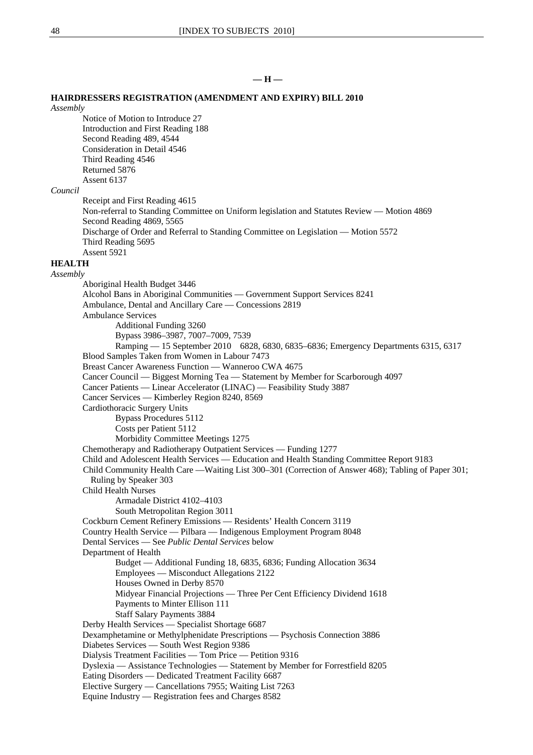### **— H —**

#### **HAIRDRESSERS REGISTRATION (AMENDMENT AND EXPIRY) BILL 2010**

### *Assembly*

Notice of Motion to Introduce 27 Introduction and First Reading 188 Second Reading 489, 4544 Consideration in Detail 4546 Third Reading 4546 Returned 5876 Assent 6137

#### *Council*

Receipt and First Reading 4615 Non-referral to Standing Committee on Uniform legislation and Statutes Review — Motion 4869 Second Reading 4869, 5565 Discharge of Order and Referral to Standing Committee on Legislation — Motion 5572 Third Reading 5695 Assent 5921

# **HEALTH**

*Assembly*

Aboriginal Health Budget 3446 Alcohol Bans in Aboriginal Communities — Government Support Services 8241 Ambulance, Dental and Ancillary Care — Concessions 2819 Ambulance Services Additional Funding 3260 Bypass 3986–3987, 7007–7009, 7539 Ramping — 15 September 2010 6828, 6830, 6835–6836; Emergency Departments 6315, 6317 Blood Samples Taken from Women in Labour 7473 Breast Cancer Awareness Function — Wanneroo CWA 4675 Cancer Council — Biggest Morning Tea — Statement by Member for Scarborough 4097 Cancer Patients — Linear Accelerator (LINAC) — Feasibility Study 3887 Cancer Services — Kimberley Region 8240, 8569 Cardiothoracic Surgery Units Bypass Procedures 5112 Costs per Patient 5112 Morbidity Committee Meetings 1275 Chemotherapy and Radiotherapy Outpatient Services — Funding 1277 Child and Adolescent Health Services — Education and Health Standing Committee Report 9183 Child Community Health Care —Waiting List 300–301 (Correction of Answer 468); Tabling of Paper 301; Ruling by Speaker 303 Child Health Nurses Armadale District 4102–4103 South Metropolitan Region 3011 Cockburn Cement Refinery Emissions — Residents' Health Concern 3119 Country Health Service — Pilbara — Indigenous Employment Program 8048 Dental Services — See *Public Dental Services* below Department of Health Budget — Additional Funding 18, 6835, 6836; Funding Allocation 3634 Employees — Misconduct Allegations 2122 Houses Owned in Derby 8570 Midyear Financial Projections — Three Per Cent Efficiency Dividend 1618 Payments to Minter Ellison 111 Staff Salary Payments 3884 Derby Health Services — Specialist Shortage 6687 Dexamphetamine or Methylphenidate Prescriptions — Psychosis Connection 3886 Diabetes Services — South West Region 9386 Dialysis Treatment Facilities — Tom Price — Petition 9316 Dyslexia — Assistance Technologies — Statement by Member for Forrestfield 8205 Eating Disorders — Dedicated Treatment Facility 6687 Elective Surgery — Cancellations 7955; Waiting List 7263 Equine Industry — Registration fees and Charges 8582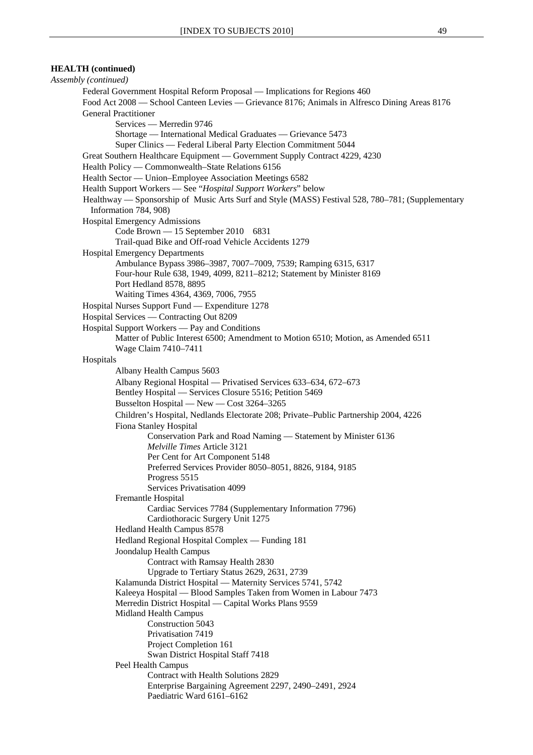*Assembly (continued)* Federal Government Hospital Reform Proposal — Implications for Regions 460 Food Act 2008 — School Canteen Levies — Grievance 8176; Animals in Alfresco Dining Areas 8176 General Practitioner Services — Merredin 9746 Shortage — International Medical Graduates — Grievance 5473 Super Clinics — Federal Liberal Party Election Commitment 5044 Great Southern Healthcare Equipment — Government Supply Contract 4229, 4230 Health Policy — Commonwealth–State Relations 6156 Health Sector — Union–Employee Association Meetings 6582 Health Support Workers — See "*Hospital Support Workers*" below Healthway — Sponsorship of Music Arts Surf and Style (MASS) Festival 528, 780–781; (Supplementary Information 784, 908) Hospital Emergency Admissions Code Brown — 15 September 2010 6831 Trail-quad Bike and Off-road Vehicle Accidents 1279 Hospital Emergency Departments Ambulance Bypass 3986–3987, 7007–7009, 7539; Ramping 6315, 6317 Four-hour Rule 638, 1949, 4099, 8211–8212; Statement by Minister 8169 Port Hedland 8578, 8895 Waiting Times 4364, 4369, 7006, 7955 Hospital Nurses Support Fund — Expenditure 1278 Hospital Services — Contracting Out 8209 Hospital Support Workers — Pay and Conditions Matter of Public Interest 6500; Amendment to Motion 6510; Motion, as Amended 6511 Wage Claim 7410–7411 Hospitals Albany Health Campus 5603 Albany Regional Hospital — Privatised Services 633–634, 672–673 Bentley Hospital — Services Closure 5516; Petition 5469 Busselton Hospital — New — Cost 3264–3265 Children's Hospital, Nedlands Electorate 208; Private–Public Partnership 2004, 4226 Fiona Stanley Hospital Conservation Park and Road Naming — Statement by Minister 6136 *Melville Times* Article 3121 Per Cent for Art Component 5148 Preferred Services Provider 8050–8051, 8826, 9184, 9185 Progress 5515 Services Privatisation 4099 Fremantle Hospital Cardiac Services 7784 (Supplementary Information 7796) Cardiothoracic Surgery Unit 1275 Hedland Health Campus 8578 Hedland Regional Hospital Complex — Funding 181 Joondalup Health Campus Contract with Ramsay Health 2830 Upgrade to Tertiary Status 2629, 2631, 2739 Kalamunda District Hospital — Maternity Services 5741, 5742 Kaleeya Hospital — Blood Samples Taken from Women in Labour 7473 Merredin District Hospital — Capital Works Plans 9559 Midland Health Campus Construction 5043 Privatisation 7419 Project Completion 161 Swan District Hospital Staff 7418 Peel Health Campus Contract with Health Solutions 2829 Enterprise Bargaining Agreement 2297, 2490–2491, 2924 Paediatric Ward 6161–6162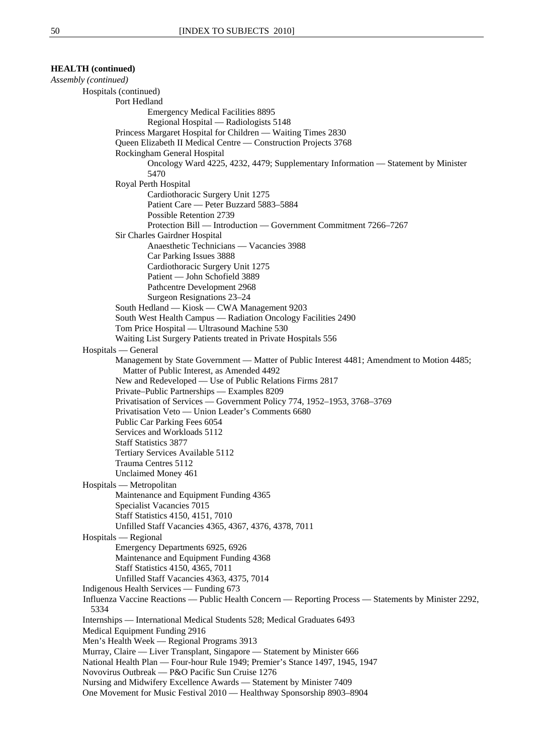| <b>HEALTH</b> (continued)                                                                                      |  |
|----------------------------------------------------------------------------------------------------------------|--|
| Assembly (continued)                                                                                           |  |
| Hospitals (continued)                                                                                          |  |
| Port Hedland                                                                                                   |  |
| <b>Emergency Medical Facilities 8895</b>                                                                       |  |
| Regional Hospital - Radiologists 5148                                                                          |  |
| Princess Margaret Hospital for Children — Waiting Times 2830                                                   |  |
| Queen Elizabeth II Medical Centre — Construction Projects 3768                                                 |  |
| Rockingham General Hospital                                                                                    |  |
| Oncology Ward 4225, 4232, 4479; Supplementary Information — Statement by Minister<br>5470                      |  |
| Royal Perth Hospital                                                                                           |  |
| Cardiothoracic Surgery Unit 1275                                                                               |  |
| Patient Care — Peter Buzzard 5883-5884                                                                         |  |
| Possible Retention 2739                                                                                        |  |
| Protection Bill — Introduction — Government Commitment 7266–7267                                               |  |
| Sir Charles Gairdner Hospital                                                                                  |  |
| Anaesthetic Technicians — Vacancies 3988                                                                       |  |
| Car Parking Issues 3888                                                                                        |  |
| Cardiothoracic Surgery Unit 1275                                                                               |  |
| Patient - John Schofield 3889                                                                                  |  |
| Pathcentre Development 2968                                                                                    |  |
| Surgeon Resignations 23-24                                                                                     |  |
| South Hedland - Kiosk - CWA Management 9203                                                                    |  |
| South West Health Campus - Radiation Oncology Facilities 2490                                                  |  |
| Tom Price Hospital — Ultrasound Machine 530                                                                    |  |
| Waiting List Surgery Patients treated in Private Hospitals 556                                                 |  |
| Hospitals — General                                                                                            |  |
| Management by State Government - Matter of Public Interest 4481; Amendment to Motion 4485;                     |  |
| Matter of Public Interest, as Amended 4492                                                                     |  |
| New and Redeveloped — Use of Public Relations Firms 2817                                                       |  |
| Private-Public Partnerships - Examples 8209                                                                    |  |
| Privatisation of Services — Government Policy 774, 1952-1953, 3768-3769                                        |  |
| Privatisation Veto — Union Leader's Comments 6680                                                              |  |
| Public Car Parking Fees 6054<br>Services and Workloads 5112                                                    |  |
| <b>Staff Statistics 3877</b>                                                                                   |  |
| Tertiary Services Available 5112                                                                               |  |
| Trauma Centres 5112                                                                                            |  |
| Unclaimed Money 461                                                                                            |  |
| Hospitals — Metropolitan                                                                                       |  |
| Maintenance and Equipment Funding 4365                                                                         |  |
| Specialist Vacancies 7015                                                                                      |  |
| Staff Statistics 4150, 4151, 7010                                                                              |  |
| Unfilled Staff Vacancies 4365, 4367, 4376, 4378, 7011                                                          |  |
| Hospitals — Regional                                                                                           |  |
| Emergency Departments 6925, 6926                                                                               |  |
| Maintenance and Equipment Funding 4368                                                                         |  |
| Staff Statistics 4150, 4365, 7011                                                                              |  |
| Unfilled Staff Vacancies 4363, 4375, 7014                                                                      |  |
| Indigenous Health Services — Funding 673                                                                       |  |
| Influenza Vaccine Reactions — Public Health Concern — Reporting Process — Statements by Minister 2292,<br>5334 |  |
| Internships — International Medical Students 528; Medical Graduates 6493                                       |  |
| Medical Equipment Funding 2916                                                                                 |  |
| Men's Health Week — Regional Programs 3913                                                                     |  |
| Murray, Claire — Liver Transplant, Singapore — Statement by Minister 666                                       |  |
| National Health Plan — Four-hour Rule 1949; Premier's Stance 1497, 1945, 1947                                  |  |
| Novovirus Outbreak — P&O Pacific Sun Cruise 1276                                                               |  |
| Nursing and Midwifery Excellence Awards - Statement by Minister 7409                                           |  |
| One Movement for Music Festival 2010 - Healthway Sponsorship 8903-8904                                         |  |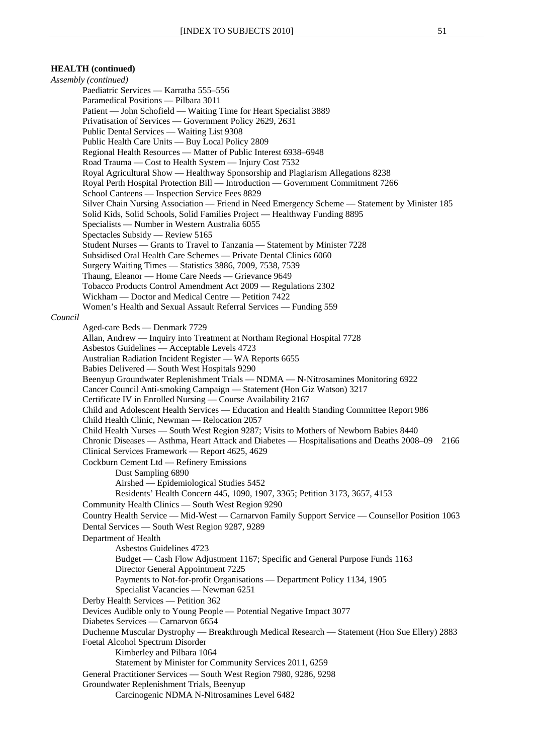### **HEALTH (continued)**

*Assembly (continued)*  Paediatric Services — Karratha 555–556 Paramedical Positions — Pilbara 3011 Patient — John Schofield — Waiting Time for Heart Specialist 3889 Privatisation of Services — Government Policy 2629, 2631 Public Dental Services — Waiting List 9308 Public Health Care Units — Buy Local Policy 2809 Regional Health Resources — Matter of Public Interest 6938–6948 Road Trauma — Cost to Health System — Injury Cost 7532 Royal Agricultural Show — Healthway Sponsorship and Plagiarism Allegations 8238 Royal Perth Hospital Protection Bill — Introduction — Government Commitment 7266 School Canteens — Inspection Service Fees 8829 Silver Chain Nursing Association — Friend in Need Emergency Scheme — Statement by Minister 185 Solid Kids, Solid Schools, Solid Families Project — Healthway Funding 8895 Specialists — Number in Western Australia 6055 Spectacles Subsidy — Review 5165 Student Nurses — Grants to Travel to Tanzania — Statement by Minister 7228 Subsidised Oral Health Care Schemes — Private Dental Clinics 6060 Surgery Waiting Times — Statistics 3886, 7009, 7538, 7539 Thaung, Eleanor — Home Care Needs — Grievance 9649 Tobacco Products Control Amendment Act 2009 — Regulations 2302 Wickham — Doctor and Medical Centre — Petition 7422 Women's Health and Sexual Assault Referral Services — Funding 559 *Council* Aged-care Beds — Denmark 7729 Allan, Andrew — Inquiry into Treatment at Northam Regional Hospital 7728 Asbestos Guidelines — Acceptable Levels 4723 Australian Radiation Incident Register — WA Reports 6655 Babies Delivered — South West Hospitals 9290 Beenyup Groundwater Replenishment Trials — NDMA — N-Nitrosamines Monitoring 6922 Cancer Council Anti-smoking Campaign — Statement (Hon Giz Watson) 3217 Certificate IV in Enrolled Nursing — Course Availability 2167 Child and Adolescent Health Services — Education and Health Standing Committee Report 986 Child Health Clinic, Newman — Relocation 2057 Child Health Nurses — South West Region 9287; Visits to Mothers of Newborn Babies 8440 Chronic Diseases — Asthma, Heart Attack and Diabetes — Hospitalisations and Deaths 2008–09 2166 Clinical Services Framework — Report 4625, 4629 Cockburn Cement Ltd — Refinery Emissions Dust Sampling 6890 Airshed — Epidemiological Studies 5452 Residents' Health Concern 445, 1090, 1907, 3365; Petition 3173, 3657, 4153 Community Health Clinics — South West Region 9290 Country Health Service — Mid-West — Carnarvon Family Support Service — Counsellor Position 1063 Dental Services — South West Region 9287, 9289 Department of Health Asbestos Guidelines 4723 Budget — Cash Flow Adjustment 1167; Specific and General Purpose Funds 1163 Director General Appointment 7225 Payments to Not-for-profit Organisations — Department Policy 1134, 1905 Specialist Vacancies — Newman 6251 Derby Health Services — Petition 362 Devices Audible only to Young People — Potential Negative Impact 3077 Diabetes Services — Carnarvon 6654 Duchenne Muscular Dystrophy — Breakthrough Medical Research — Statement (Hon Sue Ellery) 2883 Foetal Alcohol Spectrum Disorder Kimberley and Pilbara 1064 Statement by Minister for Community Services 2011, 6259 General Practitioner Services — South West Region 7980, 9286, 9298 Groundwater Replenishment Trials, Beenyup Carcinogenic NDMA N-Nitrosamines Level 6482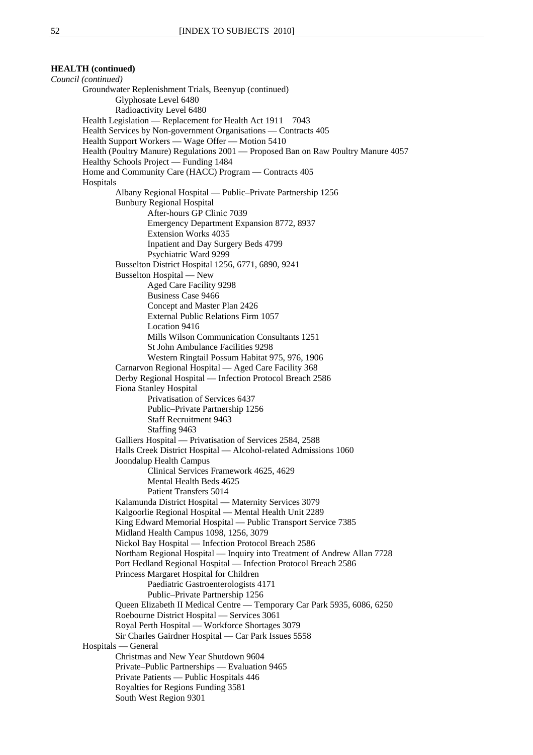**HEALTH (continued)** 

*Council (continued)* Groundwater Replenishment Trials, Beenyup (continued) Glyphosate Level 6480 Radioactivity Level 6480 Health Legislation — Replacement for Health Act 1911 7043 Health Services by Non-government Organisations — Contracts 405 Health Support Workers — Wage Offer — Motion 5410 Health (Poultry Manure) Regulations 2001 — Proposed Ban on Raw Poultry Manure 4057 Healthy Schools Project — Funding 1484 Home and Community Care (HACC) Program — Contracts 405 Hospitals Albany Regional Hospital — Public–Private Partnership 1256 Bunbury Regional Hospital After-hours GP Clinic 7039 Emergency Department Expansion 8772, 8937 Extension Works 4035 Inpatient and Day Surgery Beds 4799 Psychiatric Ward 9299 Busselton District Hospital 1256, 6771, 6890, 9241 Busselton Hospital — New Aged Care Facility 9298 Business Case 9466 Concept and Master Plan 2426 External Public Relations Firm 1057 Location 9416 Mills Wilson Communication Consultants 1251 St John Ambulance Facilities 9298 Western Ringtail Possum Habitat 975, 976, 1906 Carnarvon Regional Hospital — Aged Care Facility 368 Derby Regional Hospital — Infection Protocol Breach 2586 Fiona Stanley Hospital Privatisation of Services 6437 Public–Private Partnership 1256 Staff Recruitment 9463 Staffing 9463 Galliers Hospital — Privatisation of Services 2584, 2588 Halls Creek District Hospital — Alcohol-related Admissions 1060 Joondalup Health Campus Clinical Services Framework 4625, 4629 Mental Health Beds 4625 Patient Transfers 5014 Kalamunda District Hospital — Maternity Services 3079 Kalgoorlie Regional Hospital — Mental Health Unit 2289 King Edward Memorial Hospital — Public Transport Service 7385 Midland Health Campus 1098, 1256, 3079 Nickol Bay Hospital — Infection Protocol Breach 2586 Northam Regional Hospital — Inquiry into Treatment of Andrew Allan 7728 Port Hedland Regional Hospital — Infection Protocol Breach 2586 Princess Margaret Hospital for Children Paediatric Gastroenterologists 4171 Public–Private Partnership 1256 Queen Elizabeth II Medical Centre — Temporary Car Park 5935, 6086, 6250 Roebourne District Hospital — Services 3061 Royal Perth Hospital — Workforce Shortages 3079 Sir Charles Gairdner Hospital — Car Park Issues 5558 Hospitals — General Christmas and New Year Shutdown 9604 Private–Public Partnerships — Evaluation 9465 Private Patients — Public Hospitals 446 Royalties for Regions Funding 3581 South West Region 9301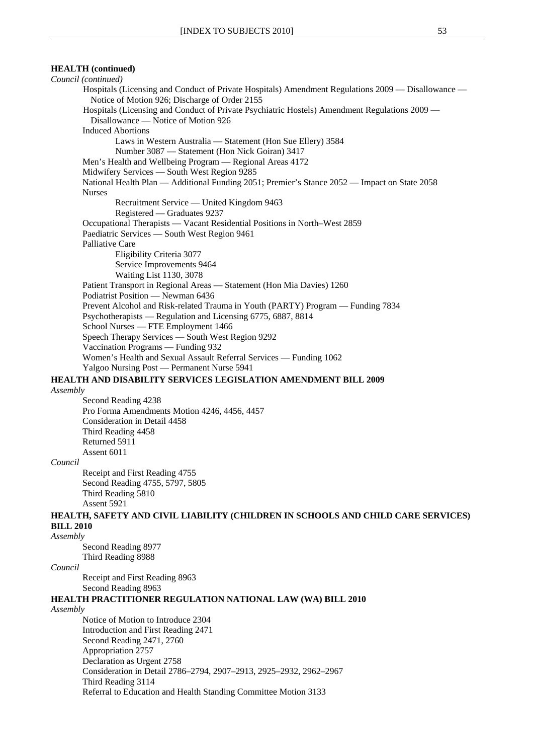### *Council (continued)* Hospitals (Licensing and Conduct of Private Hospitals) Amendment Regulations 2009 — Disallowance — Notice of Motion 926; Discharge of Order 2155 Hospitals (Licensing and Conduct of Private Psychiatric Hostels) Amendment Regulations 2009 — Disallowance — Notice of Motion 926 Induced Abortions Laws in Western Australia — Statement (Hon Sue Ellery) 3584 Number 3087 — Statement (Hon Nick Goiran) 3417 Men's Health and Wellbeing Program — Regional Areas 4172 Midwifery Services — South West Region 9285 National Health Plan — Additional Funding 2051; Premier's Stance 2052 — Impact on State 2058 Nurses Recruitment Service — United Kingdom 9463 Registered — Graduates 9237 Occupational Therapists — Vacant Residential Positions in North–West 2859 Paediatric Services — South West Region 9461 Palliative Care Eligibility Criteria 3077 Service Improvements 9464 Waiting List 1130, 3078 Patient Transport in Regional Areas — Statement (Hon Mia Davies) 1260 Podiatrist Position — Newman 6436 Prevent Alcohol and Risk-related Trauma in Youth (PARTY) Program — Funding 7834 Psychotherapists — Regulation and Licensing 6775, 6887, 8814 School Nurses — FTE Employment 1466 Speech Therapy Services — South West Region 9292 Vaccination Programs — Funding 932 Women's Health and Sexual Assault Referral Services — Funding 1062 Yalgoo Nursing Post — Permanent Nurse 5941 **HEALTH AND DISABILITY SERVICES LEGISLATION AMENDMENT BILL 2009** *Assembly* Second Reading 4238 Pro Forma Amendments Motion 4246, 4456, 4457 Consideration in Detail 4458 Third Reading 4458 Returned 5911 Assent 6011

#### *Council*

Receipt and First Reading 4755 Second Reading 4755, 5797, 5805 Third Reading 5810 Assent 5921

### **HEALTH, SAFETY AND CIVIL LIABILITY (CHILDREN IN SCHOOLS AND CHILD CARE SERVICES) BILL 2010**

*Assembly*

Second Reading 8977 Third Reading 8988

#### *Council*

Receipt and First Reading 8963 Second Reading 8963

### **HEALTH PRACTITIONER REGULATION NATIONAL LAW (WA) BILL 2010**

#### *Assembly*

Notice of Motion to Introduce 2304 Introduction and First Reading 2471 Second Reading 2471, 2760 Appropriation 2757 Declaration as Urgent 2758 Consideration in Detail 2786–2794, 2907–2913, 2925–2932, 2962–2967 Third Reading 3114 Referral to Education and Health Standing Committee Motion 3133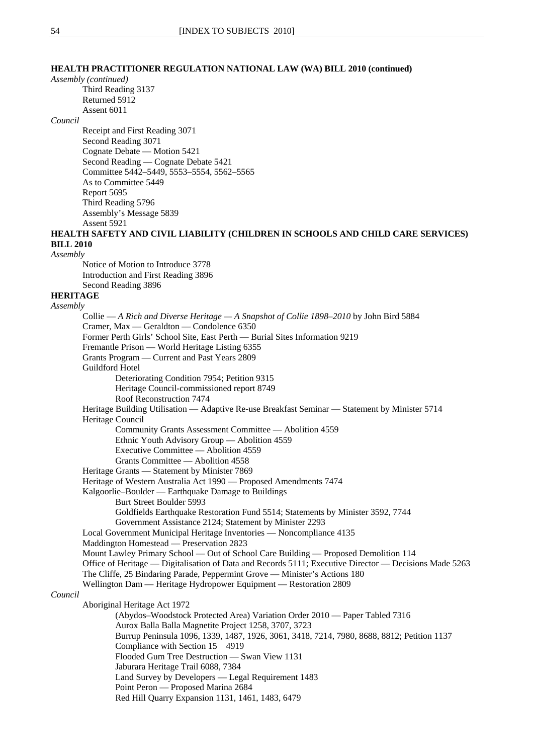### **HEALTH PRACTITIONER REGULATION NATIONAL LAW (WA) BILL 2010 (continued)**

#### *Assembly (continued)*

Third Reading 3137 Returned 5912 Assent 6011

#### *Council*

Receipt and First Reading 3071 Second Reading 3071 Cognate Debate — Motion 5421 Second Reading — Cognate Debate 5421 Committee 5442–5449, 5553–5554, 5562–5565 As to Committee 5449 Report 5695 Third Reading 5796 Assembly's Message 5839 Assent 5921

**HEALTH SAFETY AND CIVIL LIABILITY (CHILDREN IN SCHOOLS AND CHILD CARE SERVICES) BILL 2010**

*Assembly*

Notice of Motion to Introduce 3778 Introduction and First Reading 3896 Second Reading 3896

### **HERITAGE**

*Assembly* Collie — *A Rich and Diverse Heritage — A Snapshot of Collie 1898–2010* by John Bird 5884 Cramer, Max — Geraldton — Condolence 6350 Former Perth Girls' School Site, East Perth — Burial Sites Information 9219 Fremantle Prison — World Heritage Listing 6355 Grants Program — Current and Past Years 2809 Guildford Hotel Deteriorating Condition 7954; Petition 9315 Heritage Council-commissioned report 8749 Roof Reconstruction 7474 Heritage Building Utilisation — Adaptive Re-use Breakfast Seminar — Statement by Minister 5714 Heritage Council Community Grants Assessment Committee — Abolition 4559 Ethnic Youth Advisory Group — Abolition 4559 Executive Committee — Abolition 4559 Grants Committee — Abolition 4558 Heritage Grants — Statement by Minister 7869 Heritage of Western Australia Act 1990 — Proposed Amendments 7474 Kalgoorlie–Boulder — Earthquake Damage to Buildings Burt Street Boulder 5993 Goldfields Earthquake Restoration Fund 5514; Statements by Minister 3592, 7744 Government Assistance 2124; Statement by Minister 2293 Local Government Municipal Heritage Inventories — Noncompliance 4135 Maddington Homestead — Preservation 2823 Mount Lawley Primary School — Out of School Care Building — Proposed Demolition 114 Office of Heritage — Digitalisation of Data and Records 5111; Executive Director — Decisions Made 5263 The Cliffe, 25 Bindaring Parade, Peppermint Grove — Minister's Actions 180 Wellington Dam — Heritage Hydropower Equipment — Restoration 2809 *Council* Aboriginal Heritage Act 1972 (Abydos–Woodstock Protected Area) Variation Order 2010 — Paper Tabled 7316 Aurox Balla Balla Magnetite Project 1258, 3707, 3723 Burrup Peninsula 1096, 1339, 1487, 1926, 3061, 3418, 7214, 7980, 8688, 8812; Petition 1137 Compliance with Section 15 4919 Flooded Gum Tree Destruction — Swan View 1131 Jaburara Heritage Trail 6088, 7384 Land Survey by Developers — Legal Requirement 1483 Point Peron — Proposed Marina 2684

Red Hill Quarry Expansion 1131, 1461, 1483, 6479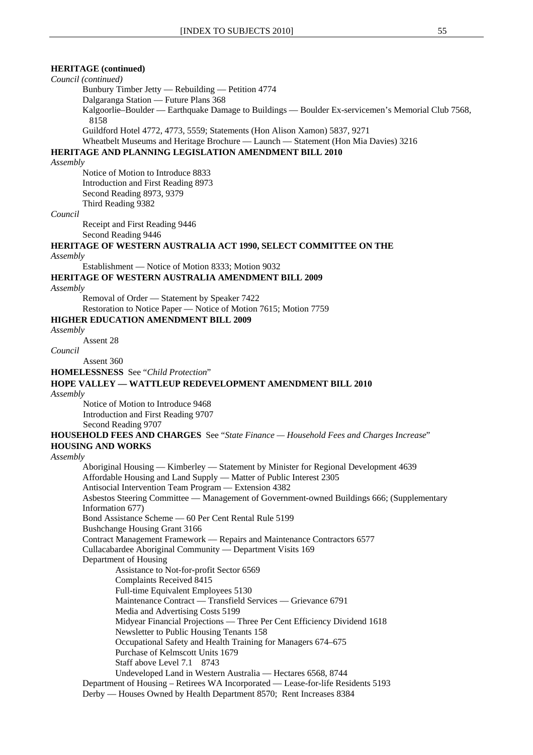#### **HERITAGE (continued)**

# *Council (continued)*

Bunbury Timber Jetty — Rebuilding — Petition 4774 Dalgaranga Station — Future Plans 368 Kalgoorlie–Boulder — Earthquake Damage to Buildings — Boulder Ex-servicemen's Memorial Club 7568, 8158

Guildford Hotel 4772, 4773, 5559; Statements (Hon Alison Xamon) 5837, 9271

Wheatbelt Museums and Heritage Brochure — Launch — Statement (Hon Mia Davies) 3216

# **HERITAGE AND PLANNING LEGISLATION AMENDMENT BILL 2010**

### *Assembly*

Notice of Motion to Introduce 8833 Introduction and First Reading 8973 Second Reading 8973, 9379 Third Reading 9382

#### *Council*

Receipt and First Reading 9446 Second Reading 9446

**HERITAGE OF WESTERN AUSTRALIA ACT 1990, SELECT COMMITTEE ON THE**

#### *Assembly*

Establishment — Notice of Motion 8333; Motion 9032

#### **HERITAGE OF WESTERN AUSTRALIA AMENDMENT BILL 2009**

#### *Assembly*

Removal of Order — Statement by Speaker 7422 Restoration to Notice Paper — Notice of Motion 7615; Motion 7759

#### **HIGHER EDUCATION AMENDMENT BILL 2009**

#### *Assembly*

Assent 28

# *Council*

Assent 360

**HOMELESSNESS** See "*Child Protection*"

### **HOPE VALLEY — WATTLEUP REDEVELOPMENT AMENDMENT BILL 2010**

*Assembly*

 Notice of Motion to Introduce 9468 Introduction and First Reading 9707 Second Reading 9707

#### **HOUSEHOLD FEES AND CHARGES** See "*State Finance — Household Fees and Charges Increase*" **HOUSING AND WORKS**

#### *Assembly*

Aboriginal Housing — Kimberley — Statement by Minister for Regional Development 4639 Affordable Housing and Land Supply — Matter of Public Interest 2305 Antisocial Intervention Team Program — Extension 4382 Asbestos Steering Committee — Management of Government-owned Buildings 666; (Supplementary Information 677) Bond Assistance Scheme — 60 Per Cent Rental Rule 5199 Bushchange Housing Grant 3166 Contract Management Framework — Repairs and Maintenance Contractors 6577 Cullacabardee Aboriginal Community — Department Visits 169 Department of Housing Assistance to Not-for-profit Sector 6569 Complaints Received 8415 Full-time Equivalent Employees 5130 Maintenance Contract — Transfield Services — Grievance 6791 Media and Advertising Costs 5199 Midyear Financial Projections — Three Per Cent Efficiency Dividend 1618 Newsletter to Public Housing Tenants 158 Occupational Safety and Health Training for Managers 674–675 Purchase of Kelmscott Units 1679 Staff above Level 7.1 8743 Undeveloped Land in Western Australia — Hectares 6568, 8744 Department of Housing – Retirees WA Incorporated — Lease-for-life Residents 5193 Derby — Houses Owned by Health Department 8570; Rent Increases 8384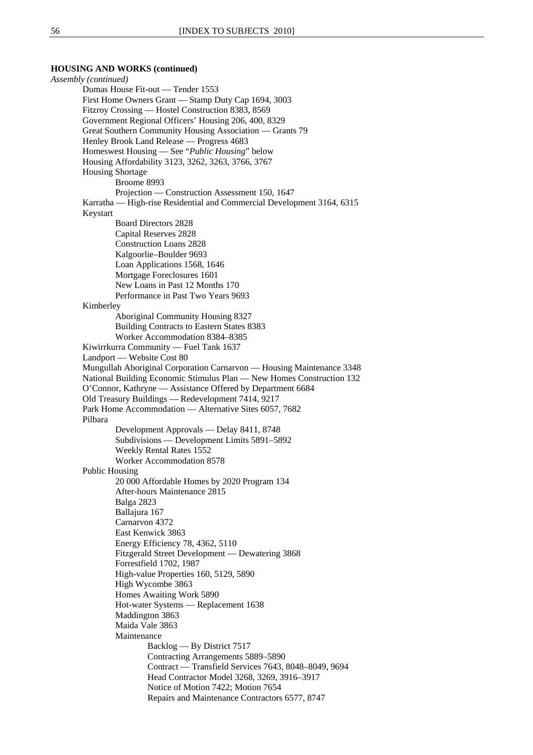#### **HOUSING AND WORKS (continued)**

*Assembly (continued)* Dumas House Fit-out — Tender 1553 First Home Owners Grant — Stamp Duty Cap 1694, 3003 Fitzroy Crossing — Hostel Construction 8383, 8569 Government Regional Officers' Housing 206, 400, 8329 Great Southern Community Housing Association — Grants 79 Henley Brook Land Release — Progress 4683 Homeswest Housing — See "*Public Housing*" below Housing Affordability 3123, 3262, 3263, 3766, 3767 Housing Shortage Broome 8993 Projection — Construction Assessment 150, 1647 Karratha — High-rise Residential and Commercial Development 3164, 6315 Keystart Board Directors 2828 Capital Reserves 2828 Construction Loans 2828 Kalgoorlie–Boulder 9693 Loan Applications 1568, 1646 Mortgage Foreclosures 1601 New Loans in Past 12 Months 170 Performance in Past Two Years 9693 Kimberley Aboriginal Community Housing 8327 Building Contracts to Eastern States 8383 Worker Accommodation 8384–8385 Kiwirrkurra Community — Fuel Tank 1637 Landport — Website Cost 80 Mungullah Aboriginal Corporation Carnarvon — Housing Maintenance 3348 National Building Economic Stimulus Plan — New Homes Construction 132 O'Connor, Kathryne — Assistance Offered by Department 6684 Old Treasury Buildings — Redevelopment 7414, 9217 Park Home Accommodation — Alternative Sites 6057, 7682 Pilbara Development Approvals — Delay 8411, 8748 Subdivisions — Development Limits 5891–5892 Weekly Rental Rates 1552 Worker Accommodation 8578 Public Housing 20 000 Affordable Homes by 2020 Program 134 After-hours Maintenance 2815 Balga 2823 Ballajura 167 Carnarvon 4372 East Kenwick 3863 Energy Efficiency 78, 4362, 5110 Fitzgerald Street Development — Dewatering 3868 Forrestfield 1702, 1987 High-value Properties 160, 5129, 5890 High Wycombe 3863 Homes Awaiting Work 5890 Hot-water Systems — Replacement 1638 Maddington 3863 Maida Vale 3863 Maintenance Backlog — By District 7517 Contracting Arrangements 5889–5890 Contract — Transfield Services 7643, 8048–8049, 9694 Head Contractor Model 3268, 3269, 3916–3917 Notice of Motion 7422; Motion 7654 Repairs and Maintenance Contractors 6577, 8747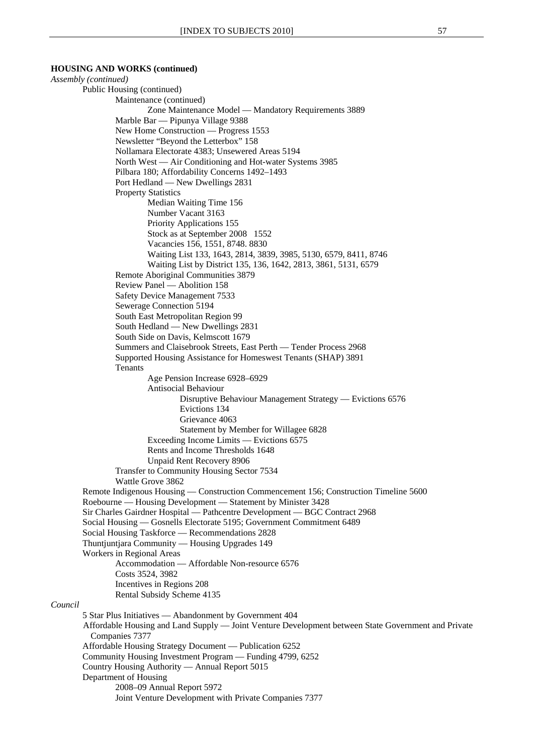#### **HOUSING AND WORKS (continued)**

*Assembly (continued)*  Public Housing (continued) Maintenance (continued) Zone Maintenance Model — Mandatory Requirements 3889 Marble Bar — Pipunya Village 9388 New Home Construction — Progress 1553 Newsletter "Beyond the Letterbox" 158 Nollamara Electorate 4383; Unsewered Areas 5194 North West — Air Conditioning and Hot-water Systems 3985 Pilbara 180; Affordability Concerns 1492–1493 Port Hedland — New Dwellings 2831 Property Statistics Median Waiting Time 156 Number Vacant 3163 Priority Applications 155 Stock as at September 2008 1552 Vacancies 156, 1551, 8748. 8830 Waiting List 133, 1643, 2814, 3839, 3985, 5130, 6579, 8411, 8746 Waiting List by District 135, 136, 1642, 2813, 3861, 5131, 6579 Remote Aboriginal Communities 3879 Review Panel — Abolition 158 Safety Device Management 7533 Sewerage Connection 5194 South East Metropolitan Region 99 South Hedland — New Dwellings 2831 South Side on Davis, Kelmscott 1679 Summers and Claisebrook Streets, East Perth — Tender Process 2968 Supported Housing Assistance for Homeswest Tenants (SHAP) 3891 Tenants Age Pension Increase 6928–6929 Antisocial Behaviour Disruptive Behaviour Management Strategy — Evictions 6576 Evictions 134 Grievance 4063 Statement by Member for Willagee 6828 Exceeding Income Limits — Evictions 6575 Rents and Income Thresholds 1648 Unpaid Rent Recovery 8906 Transfer to Community Housing Sector 7534 Wattle Grove 3862 Remote Indigenous Housing — Construction Commencement 156; Construction Timeline 5600 Roebourne — Housing Development — Statement by Minister 3428 Sir Charles Gairdner Hospital — Pathcentre Development — BGC Contract 2968 Social Housing — Gosnells Electorate 5195; Government Commitment 6489 Social Housing Taskforce — Recommendations 2828 Thuntjuntjara Community — Housing Upgrades 149 Workers in Regional Areas Accommodation — Affordable Non-resource 6576 Costs 3524, 3982 Incentives in Regions 208 Rental Subsidy Scheme 4135 *Council* 5 Star Plus Initiatives — Abandonment by Government 404 Affordable Housing and Land Supply — Joint Venture Development between State Government and Private Companies 7377 Affordable Housing Strategy Document — Publication 6252 Community Housing Investment Program — Funding 4799, 6252 Country Housing Authority — Annual Report 5015 Department of Housing 2008–09 Annual Report 5972 Joint Venture Development with Private Companies 7377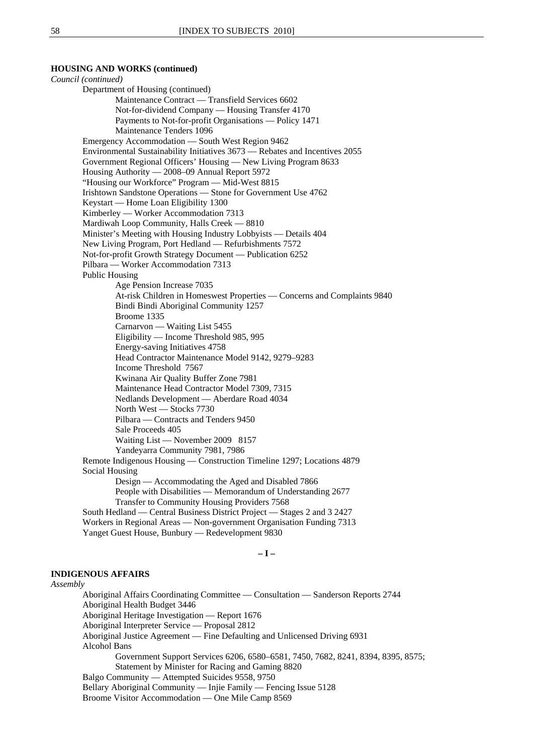#### **HOUSING AND WORKS (continued)**

*Council (continued)* Department of Housing (continued) Maintenance Contract — Transfield Services 6602 Not-for-dividend Company — Housing Transfer 4170 Payments to Not-for-profit Organisations — Policy 1471 Maintenance Tenders 1096 Emergency Accommodation — South West Region 9462 Environmental Sustainability Initiatives 3673 — Rebates and Incentives 2055 Government Regional Officers' Housing — New Living Program 8633 Housing Authority — 2008–09 Annual Report 5972 "Housing our Workforce" Program — Mid-West 8815 Irishtown Sandstone Operations — Stone for Government Use 4762 Keystart — Home Loan Eligibility 1300 Kimberley — Worker Accommodation 7313 Mardiwah Loop Community, Halls Creek — 8810 Minister's Meeting with Housing Industry Lobbyists — Details 404 New Living Program, Port Hedland — Refurbishments 7572 Not-for-profit Growth Strategy Document — Publication 6252 Pilbara — Worker Accommodation 7313 Public Housing Age Pension Increase 7035 At-risk Children in Homeswest Properties — Concerns and Complaints 9840 Bindi Bindi Aboriginal Community 1257 Broome 1335 Carnarvon — Waiting List 5455 Eligibility — Income Threshold 985, 995 Energy-saving Initiatives 4758 Head Contractor Maintenance Model 9142, 9279–9283 Income Threshold 7567 Kwinana Air Quality Buffer Zone 7981 Maintenance Head Contractor Model 7309, 7315 Nedlands Development — Aberdare Road 4034 North West — Stocks 7730 Pilbara — Contracts and Tenders 9450 Sale Proceeds 405 Waiting List — November 2009 8157 Yandeyarra Community 7981, 7986 Remote Indigenous Housing — Construction Timeline 1297; Locations 4879 Social Housing Design — Accommodating the Aged and Disabled 7866 People with Disabilities — Memorandum of Understanding 2677 Transfer to Community Housing Providers 7568 South Hedland — Central Business District Project — Stages 2 and 3 2427 Workers in Regional Areas — Non-government Organisation Funding 7313 Yanget Guest House, Bunbury — Redevelopment 9830

# **– I –**

### **INDIGENOUS AFFAIRS**

### *Assembly*

Aboriginal Affairs Coordinating Committee — Consultation — Sanderson Reports 2744 Aboriginal Health Budget 3446 Aboriginal Heritage Investigation — Report 1676 Aboriginal Interpreter Service — Proposal 2812 Aboriginal Justice Agreement — Fine Defaulting and Unlicensed Driving 6931 Alcohol Bans Government Support Services 6206, 6580–6581, 7450, 7682, 8241, 8394, 8395, 8575; Statement by Minister for Racing and Gaming 8820 Balgo Community — Attempted Suicides 9558, 9750 Bellary Aboriginal Community — Injie Family — Fencing Issue 5128 Broome Visitor Accommodation — One Mile Camp 8569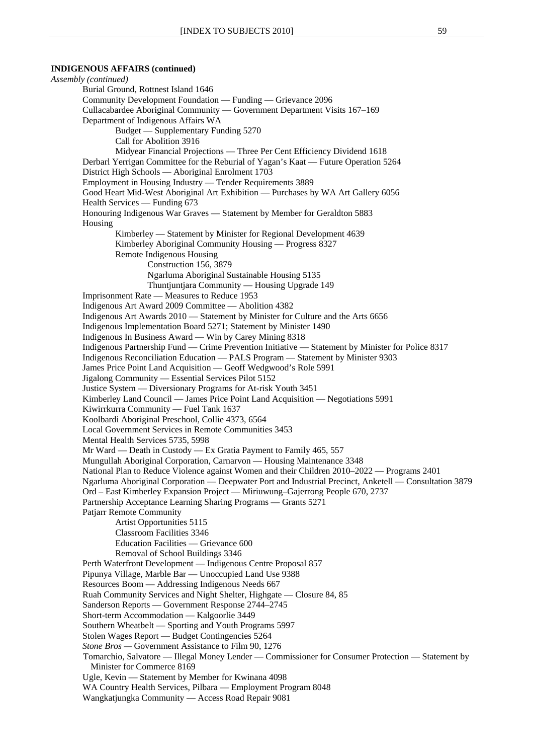# **INDIGENOUS AFFAIRS (continued)**

*Assembly (continued)* Burial Ground, Rottnest Island 1646 Community Development Foundation — Funding — Grievance 2096 Cullacabardee Aboriginal Community — Government Department Visits 167–169 Department of Indigenous Affairs WA Budget — Supplementary Funding 5270 Call for Abolition 3916 Midyear Financial Projections — Three Per Cent Efficiency Dividend 1618 Derbarl Yerrigan Committee for the Reburial of Yagan's Kaat — Future Operation 5264 District High Schools — Aboriginal Enrolment 1703 Employment in Housing Industry — Tender Requirements 3889 Good Heart Mid-West Aboriginal Art Exhibition — Purchases by WA Art Gallery 6056 Health Services — Funding 673 Honouring Indigenous War Graves — Statement by Member for Geraldton 5883 Housing Kimberley — Statement by Minister for Regional Development 4639 Kimberley Aboriginal Community Housing — Progress 8327 Remote Indigenous Housing Construction 156, 3879 Ngarluma Aboriginal Sustainable Housing 5135 Thuntjuntjara Community — Housing Upgrade 149 Imprisonment Rate — Measures to Reduce 1953 Indigenous Art Award 2009 Committee — Abolition 4382 Indigenous Art Awards 2010 — Statement by Minister for Culture and the Arts 6656 Indigenous Implementation Board 5271; Statement by Minister 1490 Indigenous In Business Award — Win by Carey Mining 8318 Indigenous Partnership Fund — Crime Prevention Initiative — Statement by Minister for Police 8317 Indigenous Reconciliation Education — PALS Program — Statement by Minister 9303 James Price Point Land Acquisition — Geoff Wedgwood's Role 5991 Jigalong Community — Essential Services Pilot 5152 Justice System — Diversionary Programs for At-risk Youth 3451 Kimberley Land Council — James Price Point Land Acquisition — Negotiations 5991 Kiwirrkurra Community — Fuel Tank 1637 Koolbardi Aboriginal Preschool, Collie 4373, 6564 Local Government Services in Remote Communities 3453 Mental Health Services 5735, 5998 Mr Ward — Death in Custody — Ex Gratia Payment to Family 465, 557 Mungullah Aboriginal Corporation, Carnarvon — Housing Maintenance 3348 National Plan to Reduce Violence against Women and their Children 2010–2022 — Programs 2401 Ngarluma Aboriginal Corporation — Deepwater Port and Industrial Precinct, Anketell — Consultation 3879 Ord – East Kimberley Expansion Project — Miriuwung–Gajerrong People 670, 2737 Partnership Acceptance Learning Sharing Programs — Grants 5271 Patjarr Remote Community Artist Opportunities 5115 Classroom Facilities 3346 Education Facilities — Grievance 600 Removal of School Buildings 3346 Perth Waterfront Development — Indigenous Centre Proposal 857 Pipunya Village, Marble Bar — Unoccupied Land Use 9388 Resources Boom — Addressing Indigenous Needs 667 Ruah Community Services and Night Shelter, Highgate — Closure 84, 85 Sanderson Reports — Government Response 2744–2745 Short-term Accommodation — Kalgoorlie 3449 Southern Wheatbelt — Sporting and Youth Programs 5997 Stolen Wages Report — Budget Contingencies 5264 *Stone Bros —* Government Assistance to Film 90, 1276 Tomarchio, Salvatore — Illegal Money Lender — Commissioner for Consumer Protection — Statement by Minister for Commerce 8169 Ugle, Kevin — Statement by Member for Kwinana 4098 WA Country Health Services, Pilbara — Employment Program 8048 Wangkatjungka Community — Access Road Repair 9081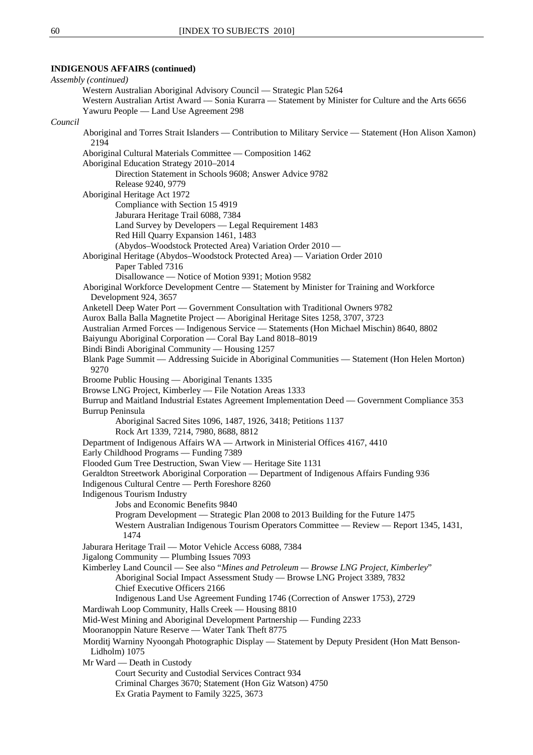# **INDIGENOUS AFFAIRS (continued)**

|         | Assembly (continued)                                                                                     |
|---------|----------------------------------------------------------------------------------------------------------|
|         | Western Australian Aboriginal Advisory Council — Strategic Plan 5264                                     |
|         | Western Australian Artist Award — Sonia Kurarra — Statement by Minister for Culture and the Arts 6656    |
|         | Yawuru People — Land Use Agreement 298                                                                   |
| Council |                                                                                                          |
|         | Aboriginal and Torres Strait Islanders — Contribution to Military Service — Statement (Hon Alison Xamon) |
|         | 2194                                                                                                     |
|         | Aboriginal Cultural Materials Committee - Composition 1462                                               |
|         | Aboriginal Education Strategy 2010-2014                                                                  |
|         | Direction Statement in Schools 9608; Answer Advice 9782                                                  |
|         | Release 9240, 9779                                                                                       |
|         | Aboriginal Heritage Act 1972                                                                             |
|         | Compliance with Section 15 4919                                                                          |
|         | Jaburara Heritage Trail 6088, 7384                                                                       |
|         | Land Survey by Developers — Legal Requirement 1483                                                       |
|         | Red Hill Quarry Expansion 1461, 1483                                                                     |
|         | (Abydos-Woodstock Protected Area) Variation Order 2010 -                                                 |
|         | Aboriginal Heritage (Abydos-Woodstock Protected Area) — Variation Order 2010                             |
|         | Paper Tabled 7316                                                                                        |
|         | Disallowance — Notice of Motion 9391; Motion 9582                                                        |
|         | Aboriginal Workforce Development Centre — Statement by Minister for Training and Workforce               |
|         |                                                                                                          |
|         | Development 924, 3657                                                                                    |
|         | Anketell Deep Water Port — Government Consultation with Traditional Owners 9782                          |
|         | Aurox Balla Balla Magnetite Project - Aboriginal Heritage Sites 1258, 3707, 3723                         |
|         | Australian Armed Forces — Indigenous Service — Statements (Hon Michael Mischin) 8640, 8802               |
|         | Baiyungu Aboriginal Corporation - Coral Bay Land 8018-8019                                               |
|         | Bindi Bindi Aboriginal Community - Housing 1257                                                          |
|         | Blank Page Summit — Addressing Suicide in Aboriginal Communities — Statement (Hon Helen Morton)<br>9270  |
|         | Broome Public Housing — Aboriginal Tenants 1335                                                          |
|         | Browse LNG Project, Kimberley — File Notation Areas 1333                                                 |
|         | Burrup and Maitland Industrial Estates Agreement Implementation Deed — Government Compliance 353         |
|         | Burrup Peninsula                                                                                         |
|         | Aboriginal Sacred Sites 1096, 1487, 1926, 3418; Petitions 1137                                           |
|         | Rock Art 1339, 7214, 7980, 8688, 8812                                                                    |
|         | Department of Indigenous Affairs WA — Artwork in Ministerial Offices 4167, 4410                          |
|         | Early Childhood Programs — Funding 7389                                                                  |
|         | Flooded Gum Tree Destruction, Swan View - Heritage Site 1131                                             |
|         | Geraldton Streetwork Aboriginal Corporation — Department of Indigenous Affairs Funding 936               |
|         | Indigenous Cultural Centre — Perth Foreshore 8260                                                        |
|         | Indigenous Tourism Industry                                                                              |
|         | Jobs and Economic Benefits 9840                                                                          |
|         | Program Development - Strategic Plan 2008 to 2013 Building for the Future 1475                           |
|         | Western Australian Indigenous Tourism Operators Committee — Review — Report 1345, 1431,                  |
|         | 1474                                                                                                     |
|         |                                                                                                          |
|         | Jaburara Heritage Trail - Motor Vehicle Access 6088, 7384                                                |
|         | Jigalong Community — Plumbing Issues 7093                                                                |
|         | Kimberley Land Council — See also "Mines and Petroleum — Browse LNG Project, Kimberley"                  |
|         | Aboriginal Social Impact Assessment Study - Browse LNG Project 3389, 7832                                |
|         | Chief Executive Officers 2166                                                                            |
|         | Indigenous Land Use Agreement Funding 1746 (Correction of Answer 1753), 2729                             |
|         | Mardiwah Loop Community, Halls Creek — Housing 8810                                                      |
|         | Mid-West Mining and Aboriginal Development Partnership - Funding 2233                                    |
|         | Mooranoppin Nature Reserve - Water Tank Theft 8775                                                       |
|         | Morditj Warniny Nyoongah Photographic Display — Statement by Deputy President (Hon Matt Benson-          |
|         | Lidholm) 1075                                                                                            |
|         | Mr Ward — Death in Custody                                                                               |
|         | Court Security and Custodial Services Contract 934                                                       |
|         | Criminal Charges 3670; Statement (Hon Giz Watson) 4750                                                   |
|         | Ex Gratia Payment to Family 3225, 3673                                                                   |
|         |                                                                                                          |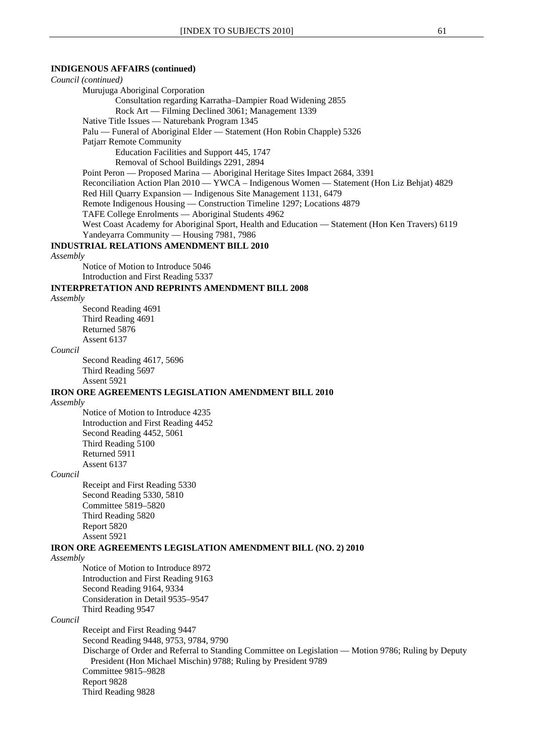#### **INDIGENOUS AFFAIRS (continued)**

*Council (continued)* Murujuga Aboriginal Corporation Consultation regarding Karratha–Dampier Road Widening 2855 Rock Art — Filming Declined 3061; Management 1339 Native Title Issues — Naturebank Program 1345 Palu — Funeral of Aboriginal Elder — Statement (Hon Robin Chapple) 5326 Patjarr Remote Community Education Facilities and Support 445, 1747 Removal of School Buildings 2291, 2894

Point Peron — Proposed Marina — Aboriginal Heritage Sites Impact 2684, 3391 Reconciliation Action Plan 2010 — YWCA – Indigenous Women — Statement (Hon Liz Behjat) 4829 Red Hill Quarry Expansion — Indigenous Site Management 1131, 6479

Remote Indigenous Housing — Construction Timeline 1297; Locations 4879

TAFE College Enrolments — Aboriginal Students 4962

West Coast Academy for Aboriginal Sport, Health and Education — Statement (Hon Ken Travers) 6119 Yandeyarra Community — Housing 7981, 7986

#### **INDUSTRIAL RELATIONS AMENDMENT BILL 2010**

#### *Assembly*

Notice of Motion to Introduce 5046 Introduction and First Reading 5337

#### **INTERPRETATION AND REPRINTS AMENDMENT BILL 2008**

*Assembly*

Second Reading 4691 Third Reading 4691 Returned 5876 Assent 6137

### *Council*

Second Reading 4617, 5696 Third Reading 5697 Assent 5921

#### **IRON ORE AGREEMENTS LEGISLATION AMENDMENT BILL 2010**

*Assembly*

Notice of Motion to Introduce 4235 Introduction and First Reading 4452 Second Reading 4452, 5061 Third Reading 5100 Returned 5911 Assent 6137

#### *Council*

Receipt and First Reading 5330 Second Reading 5330, 5810 Committee 5819–5820 Third Reading 5820 Report 5820 Assent 5921

### **IRON ORE AGREEMENTS LEGISLATION AMENDMENT BILL (NO. 2) 2010**

*Assembly*

Notice of Motion to Introduce 8972 Introduction and First Reading 9163 Second Reading 9164, 9334 Consideration in Detail 9535–9547 Third Reading 9547

#### *Council*

Receipt and First Reading 9447 Second Reading 9448, 9753, 9784, 9790 Discharge of Order and Referral to Standing Committee on Legislation — Motion 9786; Ruling by Deputy President (Hon Michael Mischin) 9788; Ruling by President 9789 Committee 9815–9828 Report 9828 Third Reading 9828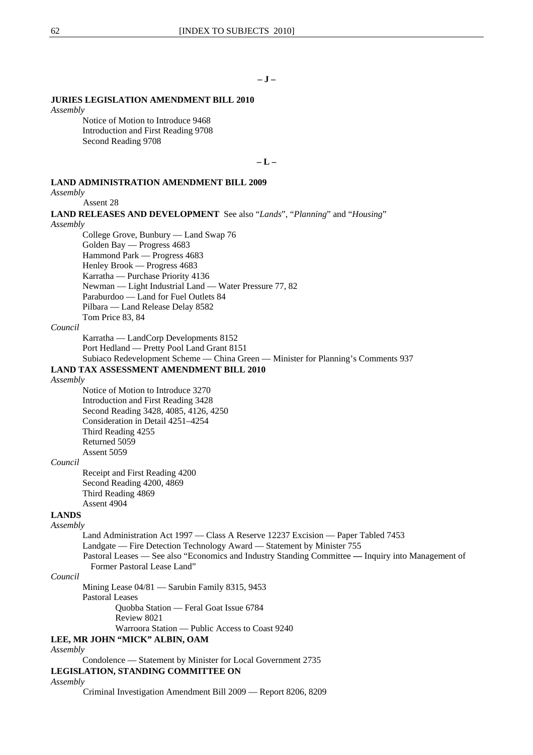### **JURIES LEGISLATION AMENDMENT BILL 2010**

*Assembly*

Notice of Motion to Introduce 9468 Introduction and First Reading 9708 Second Reading 9708

**– L –** 

### **LAND ADMINISTRATION AMENDMENT BILL 2009**

*Assembly*

Assent 28

**LAND RELEASES AND DEVELOPMENT** See also "*Lands*", "*Planning*" and "*Housing*" *Assembly* College Grove, Bunbury — Land Swap 76 Golden Bay — Progress 4683 Hammond Park — Progress 4683 Henley Brook — Progress 4683 Karratha — Purchase Priority 4136 Newman — Light Industrial Land — Water Pressure 77, 82 Paraburdoo — Land for Fuel Outlets 84 Pilbara — Land Release Delay 8582 Tom Price 83, 84 *Council* Karratha — LandCorp Developments 8152 Port Hedland — Pretty Pool Land Grant 8151 Subiaco Redevelopment Scheme — China Green — Minister for Planning's Comments 937 **LAND TAX ASSESSMENT AMENDMENT BILL 2010** *Assembly*  Notice of Motion to Introduce 3270 Introduction and First Reading 3428 Second Reading 3428, 4085, 4126, 4250 Consideration in Detail 4251–4254 Third Reading 4255 Returned 5059 Assent 5059 *Council* Receipt and First Reading 4200 Second Reading 4200, 4869 Third Reading 4869 Assent 4904 **LANDS** *Assembly* Land Administration Act 1997 — Class A Reserve 12237 Excision — Paper Tabled 7453 Landgate — Fire Detection Technology Award — Statement by Minister 755 Pastoral Leases — See also "Economics and Industry Standing Committee **—** Inquiry into Management of Former Pastoral Lease Land" *Council* Mining Lease 04/81 — Sarubin Family 8315, 9453 Pastoral Leases Quobba Station — Feral Goat Issue 6784 Review 8021 Warroora Station — Public Access to Coast 9240 **LEE, MR JOHN "MICK" ALBIN, OAM** *Assembly* Condolence — Statement by Minister for Local Government 2735 **LEGISLATION, STANDING COMMITTEE ON** *Assembly* Criminal Investigation Amendment Bill 2009 — Report 8206, 8209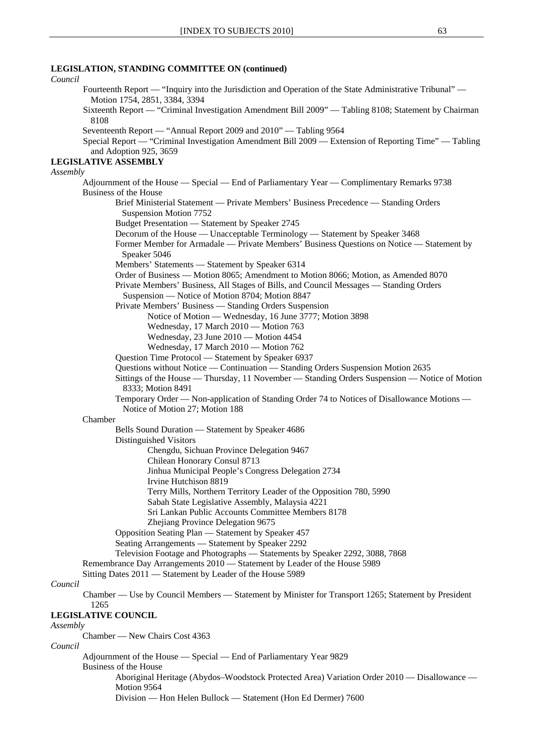| Council  |                                                                                                                                                                                          |
|----------|------------------------------------------------------------------------------------------------------------------------------------------------------------------------------------------|
|          | Fourteenth Report — "Inquiry into the Jurisdiction and Operation of the State Administrative Tribunal" —<br>Motion 1754, 2851, 3384, 3394                                                |
|          | Sixteenth Report — "Criminal Investigation Amendment Bill 2009" — Tabling 8108; Statement by Chairman<br>8108                                                                            |
|          | Seventeenth Report — "Annual Report 2009 and 2010" — Tabling 9564<br>Special Report — "Criminal Investigation Amendment Bill 2009 — Extension of Reporting Time" — Tabling               |
|          | and Adoption 925, 3659<br><b>LEGISLATIVE ASSEMBLY</b>                                                                                                                                    |
| Assembly |                                                                                                                                                                                          |
|          | Adjournment of the House — Special — End of Parliamentary Year — Complimentary Remarks 9738                                                                                              |
|          | Business of the House                                                                                                                                                                    |
|          | Brief Ministerial Statement — Private Members' Business Precedence — Standing Orders                                                                                                     |
|          | Suspension Motion 7752                                                                                                                                                                   |
|          | Budget Presentation — Statement by Speaker 2745                                                                                                                                          |
|          | Decorum of the House — Unacceptable Terminology — Statement by Speaker 3468<br>Former Member for Armadale — Private Members' Business Questions on Notice — Statement by<br>Speaker 5046 |
|          | Members' Statements — Statement by Speaker 6314                                                                                                                                          |
|          | Order of Business — Motion 8065; Amendment to Motion 8066; Motion, as Amended 8070<br>Private Members' Business, All Stages of Bills, and Council Messages - Standing Orders             |
|          | Suspension — Notice of Motion 8704; Motion 8847                                                                                                                                          |
|          | Private Members' Business — Standing Orders Suspension                                                                                                                                   |
|          | Notice of Motion — Wednesday, 16 June 3777; Motion 3898                                                                                                                                  |
|          | Wednesday, 17 March 2010 - Motion 763<br>Wednesday, 23 June 2010 - Motion 4454                                                                                                           |
|          | Wednesday, 17 March 2010 - Motion 762                                                                                                                                                    |
|          | Question Time Protocol — Statement by Speaker 6937                                                                                                                                       |
|          | Questions without Notice — Continuation — Standing Orders Suspension Motion 2635                                                                                                         |
|          | Sittings of the House — Thursday, 11 November — Standing Orders Suspension — Notice of Motion<br>8333; Motion 8491                                                                       |
|          | Temporary Order — Non-application of Standing Order 74 to Notices of Disallowance Motions —<br>Notice of Motion 27; Motion 188                                                           |
|          | Chamber                                                                                                                                                                                  |
|          | Bells Sound Duration - Statement by Speaker 4686<br>Distinguished Visitors                                                                                                               |
|          | Chengdu, Sichuan Province Delegation 9467<br>Chilean Honorary Consul 8713                                                                                                                |
|          | Jinhua Municipal People's Congress Delegation 2734<br>Irvine Hutchison 8819                                                                                                              |
|          | Terry Mills, Northern Territory Leader of the Opposition 780, 5990                                                                                                                       |
|          | Sabah State Legislative Assembly, Malaysia 4221                                                                                                                                          |
|          | Sri Lankan Public Accounts Committee Members 8178                                                                                                                                        |
|          | Zhejiang Province Delegation 9675<br>Opposition Seating Plan — Statement by Speaker 457                                                                                                  |
|          | Seating Arrangements — Statement by Speaker 2292                                                                                                                                         |
|          | Television Footage and Photographs - Statements by Speaker 2292, 3088, 7868                                                                                                              |
|          | Remembrance Day Arrangements 2010 - Statement by Leader of the House 5989                                                                                                                |
|          | Sitting Dates 2011 - Statement by Leader of the House 5989                                                                                                                               |
| Council  |                                                                                                                                                                                          |
|          | Chamber — Use by Council Members — Statement by Minister for Transport 1265; Statement by President<br>1265                                                                              |
|          | <b>LEGISLATIVE COUNCIL</b>                                                                                                                                                               |
| Assembly | Chamber - New Chairs Cost 4363                                                                                                                                                           |
| Council  |                                                                                                                                                                                          |
|          | Adjournment of the House — Special — End of Parliamentary Year 9829                                                                                                                      |
|          | Business of the House                                                                                                                                                                    |
|          | Aboriginal Heritage (Abydos-Woodstock Protected Area) Variation Order 2010 — Disallowance —<br>Motion 9564                                                                               |
|          | Division — Hon Helen Bullock — Statement (Hon Ed Dermer) 7600                                                                                                                            |

# **LEGISLATION, STANDING COMMITTEE ON (continued)**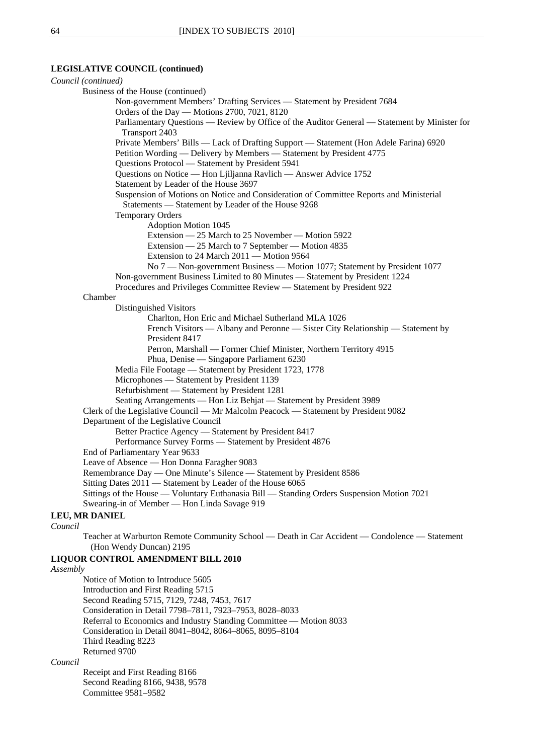### **LEGISLATIVE COUNCIL (continued)**

| Council (continued)                                                                                                                          |
|----------------------------------------------------------------------------------------------------------------------------------------------|
| Business of the House (continued)                                                                                                            |
| Non-government Members' Drafting Services - Statement by President 7684                                                                      |
| Orders of the Day — Motions 2700, 7021, 8120                                                                                                 |
| Parliamentary Questions — Review by Office of the Auditor General — Statement by Minister for<br>Transport 2403                              |
| Private Members' Bills - Lack of Drafting Support - Statement (Hon Adele Farina) 6920                                                        |
| Petition Wording — Delivery by Members — Statement by President 4775                                                                         |
| Questions Protocol — Statement by President 5941                                                                                             |
| Questions on Notice - Hon Ljiljanna Ravlich - Answer Advice 1752                                                                             |
| Statement by Leader of the House 3697                                                                                                        |
| Suspension of Motions on Notice and Consideration of Committee Reports and Ministerial<br>Statements — Statement by Leader of the House 9268 |
| <b>Temporary Orders</b>                                                                                                                      |
| <b>Adoption Motion 1045</b>                                                                                                                  |
| Extension - 25 March to 25 November - Motion 5922                                                                                            |
| Extension - 25 March to 7 September - Motion 4835                                                                                            |
| Extension to 24 March 2011 — Motion 9564                                                                                                     |
| No 7 — Non-government Business — Motion 1077; Statement by President 1077                                                                    |
| Non-government Business Limited to 80 Minutes - Statement by President 1224                                                                  |
| Procedures and Privileges Committee Review — Statement by President 922                                                                      |
| Chamber                                                                                                                                      |
| Distinguished Visitors                                                                                                                       |
| Charlton, Hon Eric and Michael Sutherland MLA 1026                                                                                           |
| French Visitors — Albany and Peronne — Sister City Relationship — Statement by<br>President 8417                                             |
| Perron, Marshall — Former Chief Minister, Northern Territory 4915                                                                            |
| Phua, Denise - Singapore Parliament 6230                                                                                                     |
| Media File Footage - Statement by President 1723, 1778                                                                                       |
| Microphones - Statement by President 1139                                                                                                    |
| Refurbishment - Statement by President 1281                                                                                                  |
| Seating Arrangements — Hon Liz Behjat — Statement by President 3989                                                                          |
| Clerk of the Legislative Council — Mr Malcolm Peacock — Statement by President 9082                                                          |
| Department of the Legislative Council                                                                                                        |
| Better Practice Agency — Statement by President 8417                                                                                         |
| Performance Survey Forms - Statement by President 4876                                                                                       |
| End of Parliamentary Year 9633                                                                                                               |
| Leave of Absence - Hon Donna Faragher 9083                                                                                                   |
| Remembrance Day — One Minute's Silence — Statement by President 8586                                                                         |
| Sitting Dates 2011 — Statement by Leader of the House 6065                                                                                   |
| Sittings of the House — Voluntary Euthanasia Bill — Standing Orders Suspension Motion 7021                                                   |
| Swearing-in of Member — Hon Linda Savage 919                                                                                                 |
| <b>LEU, MR DANIEL</b>                                                                                                                        |
| Council                                                                                                                                      |
| Teacher at Warburton Remote Community School — Death in Car Accident — Condolence — Statement<br>(Hon Wendy Duncan) 2195                     |

#### **LIQUOR CONTROL AMENDMENT BILL 2010**

#### *Assembly*

Notice of Motion to Introduce 5605 Introduction and First Reading 5715 Second Reading 5715, 7129, 7248, 7453, 7617 Consideration in Detail 7798–7811, 7923–7953, 8028–8033 Referral to Economics and Industry Standing Committee — Motion 8033 Consideration in Detail 8041–8042, 8064–8065, 8095–8104 Third Reading 8223 Returned 9700

### *Council*

Receipt and First Reading 8166 Second Reading 8166, 9438, 9578 Committee 9581–9582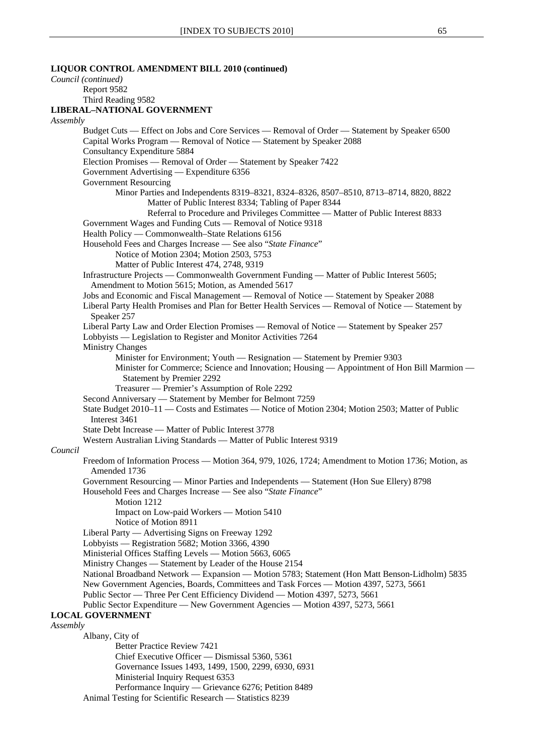| LIQUOR CONTROL AMENDMENT BILL 2010 (continued)                                                                                                                                                         |
|--------------------------------------------------------------------------------------------------------------------------------------------------------------------------------------------------------|
| Council (continued)                                                                                                                                                                                    |
| Report 9582                                                                                                                                                                                            |
| Third Reading 9582                                                                                                                                                                                     |
| <b>LIBERAL-NATIONAL GOVERNMENT</b>                                                                                                                                                                     |
| Assembly                                                                                                                                                                                               |
| Budget Cuts — Effect on Jobs and Core Services — Removal of Order — Statement by Speaker 6500<br>Capital Works Program — Removal of Notice — Statement by Speaker 2088<br>Consultancy Expenditure 5884 |
| Election Promises — Removal of Order — Statement by Speaker 7422                                                                                                                                       |
| Government Advertising — Expenditure 6356                                                                                                                                                              |
| Government Resourcing                                                                                                                                                                                  |
| Minor Parties and Independents 8319-8321, 8324-8326, 8507-8510, 8713-8714, 8820, 8822                                                                                                                  |
| Matter of Public Interest 8334; Tabling of Paper 8344<br>Referral to Procedure and Privileges Committee - Matter of Public Interest 8833                                                               |
| Government Wages and Funding Cuts - Removal of Notice 9318                                                                                                                                             |
| Health Policy — Commonwealth-State Relations 6156                                                                                                                                                      |
| Household Fees and Charges Increase - See also "State Finance"                                                                                                                                         |
| Notice of Motion 2304; Motion 2503, 5753                                                                                                                                                               |
| Matter of Public Interest 474, 2748, 9319                                                                                                                                                              |
| Infrastructure Projects — Commonwealth Government Funding — Matter of Public Interest 5605;                                                                                                            |
| Amendment to Motion 5615; Motion, as Amended 5617                                                                                                                                                      |
| Jobs and Economic and Fiscal Management — Removal of Notice — Statement by Speaker 2088                                                                                                                |
| Liberal Party Health Promises and Plan for Better Health Services — Removal of Notice — Statement by<br>Speaker 257                                                                                    |
| Liberal Party Law and Order Election Promises — Removal of Notice — Statement by Speaker 257                                                                                                           |
| Lobbyists — Legislation to Register and Monitor Activities 7264                                                                                                                                        |
| <b>Ministry Changes</b>                                                                                                                                                                                |
| Minister for Environment; Youth — Resignation — Statement by Premier 9303                                                                                                                              |
| Minister for Commerce; Science and Innovation; Housing - Appointment of Hon Bill Marmion -                                                                                                             |
| Statement by Premier 2292                                                                                                                                                                              |
| Treasurer — Premier's Assumption of Role 2292                                                                                                                                                          |
|                                                                                                                                                                                                        |
| Second Anniversary - Statement by Member for Belmont 7259<br>State Budget 2010–11 — Costs and Estimates — Notice of Motion 2304; Motion 2503; Matter of Public<br>Interest 3461                        |
| State Debt Increase — Matter of Public Interest 3778                                                                                                                                                   |
| Western Australian Living Standards - Matter of Public Interest 9319                                                                                                                                   |
| Council                                                                                                                                                                                                |
| Freedom of Information Process — Motion 364, 979, 1026, 1724; Amendment to Motion 1736; Motion, as<br>Amended 1736                                                                                     |
| Government Resourcing — Minor Parties and Independents — Statement (Hon Sue Ellery) 8798<br>Household Fees and Charges Increase - See also "State Finance"                                             |
| Motion 1212<br>Impact on Low-paid Workers - Motion 5410<br>Notice of Motion 8911                                                                                                                       |
| Liberal Party — Advertising Signs on Freeway 1292                                                                                                                                                      |
| Lobbyists - Registration 5682; Motion 3366, 4390                                                                                                                                                       |
| Ministerial Offices Staffing Levels - Motion 5663, 6065                                                                                                                                                |
| Ministry Changes — Statement by Leader of the House 2154                                                                                                                                               |
| National Broadband Network — Expansion — Motion 5783; Statement (Hon Matt Benson-Lidholm) 5835                                                                                                         |
| New Government Agencies, Boards, Committees and Task Forces - Motion 4397, 5273, 5661                                                                                                                  |
| Public Sector — Three Per Cent Efficiency Dividend — Motion 4397, 5273, 5661                                                                                                                           |
| Public Sector Expenditure - New Government Agencies - Motion 4397, 5273, 5661                                                                                                                          |
| <b>LOCAL GOVERNMENT</b>                                                                                                                                                                                |
| Assembly                                                                                                                                                                                               |
| Albany, City of                                                                                                                                                                                        |
| <b>Better Practice Review 7421</b>                                                                                                                                                                     |
| Chief Executive Officer — Dismissal 5360, 5361                                                                                                                                                         |
| Governance Issues 1493, 1499, 1500, 2299, 6930, 6931                                                                                                                                                   |
| Ministerial Inquiry Request 6353                                                                                                                                                                       |
| Performance Inquiry — Grievance 6276; Petition 8489                                                                                                                                                    |
| Animal Testing for Scientific Research - Statistics 8239                                                                                                                                               |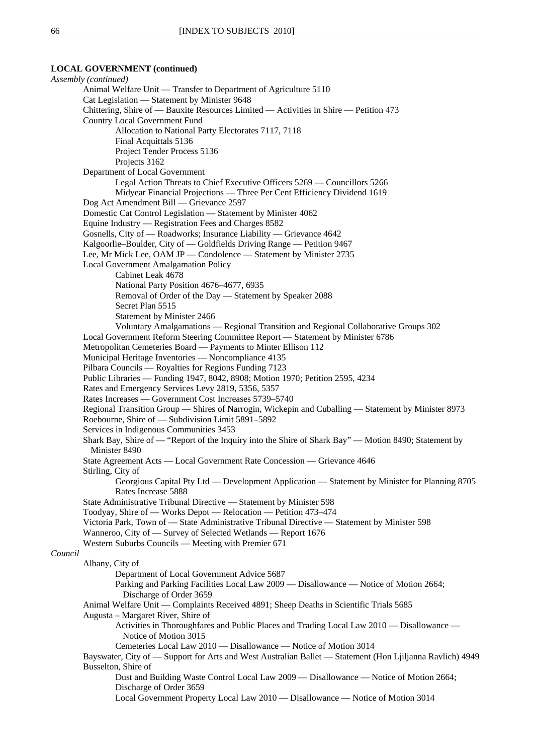#### **LOCAL GOVERNMENT (continued)**

*Assembly (continued)* Animal Welfare Unit — Transfer to Department of Agriculture 5110 Cat Legislation — Statement by Minister 9648 Chittering, Shire of — Bauxite Resources Limited — Activities in Shire — Petition 473 Country Local Government Fund Allocation to National Party Electorates 7117, 7118 Final Acquittals 5136 Project Tender Process 5136 Projects 3162 Department of Local Government Legal Action Threats to Chief Executive Officers 5269 — Councillors 5266 Midyear Financial Projections — Three Per Cent Efficiency Dividend 1619 Dog Act Amendment Bill — Grievance 2597 Domestic Cat Control Legislation — Statement by Minister 4062 Equine Industry — Registration Fees and Charges 8582 Gosnells, City of — Roadworks; Insurance Liability — Grievance 4642 Kalgoorlie–Boulder, City of — Goldfields Driving Range — Petition 9467 Lee, Mr Mick Lee, OAM JP — Condolence — Statement by Minister 2735 Local Government Amalgamation Policy Cabinet Leak 4678 National Party Position 4676–4677, 6935 Removal of Order of the Day — Statement by Speaker 2088 Secret Plan 5515 Statement by Minister 2466 Voluntary Amalgamations — Regional Transition and Regional Collaborative Groups 302 Local Government Reform Steering Committee Report — Statement by Minister 6786 Metropolitan Cemeteries Board — Payments to Minter Ellison 112 Municipal Heritage Inventories — Noncompliance 4135 Pilbara Councils — Royalties for Regions Funding 7123 Public Libraries — Funding 1947, 8042, 8908; Motion 1970; Petition 2595, 4234 Rates and Emergency Services Levy 2819, 5356, 5357 Rates Increases — Government Cost Increases 5739–5740 Regional Transition Group — Shires of Narrogin, Wickepin and Cuballing — Statement by Minister 8973 Roebourne, Shire of — Subdivision Limit 5891–5892 Services in Indigenous Communities 3453 Shark Bay, Shire of — "Report of the Inquiry into the Shire of Shark Bay" — Motion 8490; Statement by Minister 8490 State Agreement Acts — Local Government Rate Concession — Grievance 4646 Stirling, City of Georgious Capital Pty Ltd — Development Application — Statement by Minister for Planning 8705 Rates Increase 5888 State Administrative Tribunal Directive — Statement by Minister 598 Toodyay, Shire of — Works Depot — Relocation — Petition 473–474 Victoria Park, Town of — State Administrative Tribunal Directive — Statement by Minister 598 Wanneroo, City of — Survey of Selected Wetlands — Report 1676 Western Suburbs Councils — Meeting with Premier 671 *Council* Albany, City of Department of Local Government Advice 5687 Parking and Parking Facilities Local Law 2009 — Disallowance — Notice of Motion 2664; Discharge of Order 3659 Animal Welfare Unit — Complaints Received 4891; Sheep Deaths in Scientific Trials 5685 Augusta – Margaret River, Shire of Activities in Thoroughfares and Public Places and Trading Local Law 2010 — Disallowance — Notice of Motion 3015 Cemeteries Local Law 2010 — Disallowance — Notice of Motion 3014 Bayswater, City of — Support for Arts and West Australian Ballet — Statement (Hon Ljiljanna Ravlich) 4949 Busselton, Shire of Dust and Building Waste Control Local Law 2009 — Disallowance — Notice of Motion 2664; Discharge of Order 3659 Local Government Property Local Law 2010 — Disallowance — Notice of Motion 3014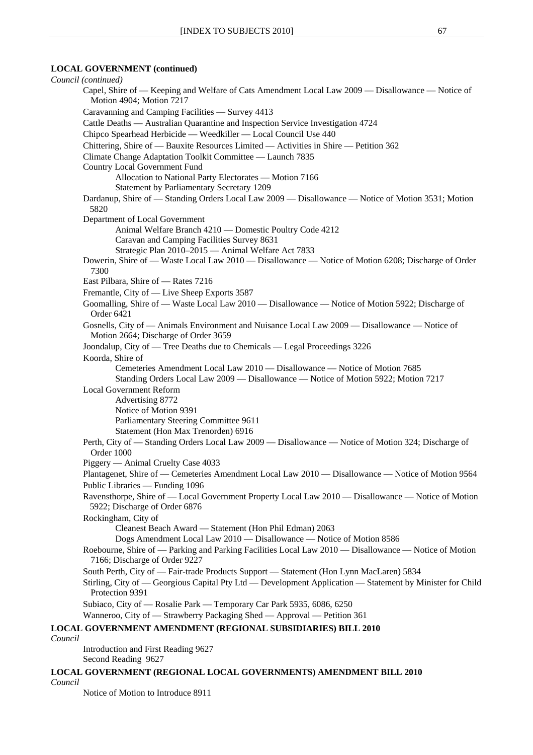### **LOCAL GOVERNMENT (continued)**

*Council (continued)* Capel, Shire of — Keeping and Welfare of Cats Amendment Local Law 2009 — Disallowance — Notice of Motion 4904; Motion 7217 Caravanning and Camping Facilities — Survey 4413 Cattle Deaths — Australian Quarantine and Inspection Service Investigation 4724 Chipco Spearhead Herbicide — Weedkiller — Local Council Use 440 Chittering, Shire of — Bauxite Resources Limited — Activities in Shire — Petition 362 Climate Change Adaptation Toolkit Committee — Launch 7835 Country Local Government Fund Allocation to National Party Electorates — Motion 7166 Statement by Parliamentary Secretary 1209 Dardanup, Shire of — Standing Orders Local Law 2009 — Disallowance — Notice of Motion 3531; Motion 5820 Department of Local Government Animal Welfare Branch 4210 — Domestic Poultry Code 4212 Caravan and Camping Facilities Survey 8631 Strategic Plan 2010–2015 — Animal Welfare Act 7833 Dowerin, Shire of — Waste Local Law 2010 — Disallowance — Notice of Motion 6208; Discharge of Order 7300 East Pilbara, Shire of — Rates 7216 Fremantle, City of — Live Sheep Exports 3587 Goomalling, Shire of — Waste Local Law 2010 — Disallowance — Notice of Motion 5922; Discharge of Order 6421 Gosnells, City of — Animals Environment and Nuisance Local Law 2009 — Disallowance — Notice of Motion 2664; Discharge of Order 3659 Joondalup, City of — Tree Deaths due to Chemicals — Legal Proceedings 3226 Koorda, Shire of Cemeteries Amendment Local Law 2010 — Disallowance — Notice of Motion 7685 Standing Orders Local Law 2009 — Disallowance — Notice of Motion 5922; Motion 7217 Local Government Reform Advertising 8772 Notice of Motion 9391 Parliamentary Steering Committee 9611 Statement (Hon Max Trenorden) 6916 Perth, City of — Standing Orders Local Law 2009 — Disallowance — Notice of Motion 324; Discharge of Order 1000 Piggery — Animal Cruelty Case 4033 Plantagenet, Shire of — Cemeteries Amendment Local Law 2010 — Disallowance — Notice of Motion 9564 Public Libraries — Funding 1096 Ravensthorpe, Shire of — Local Government Property Local Law 2010 — Disallowance — Notice of Motion 5922; Discharge of Order 6876 Rockingham, City of Cleanest Beach Award — Statement (Hon Phil Edman) 2063 Dogs Amendment Local Law 2010 — Disallowance — Notice of Motion 8586 Roebourne, Shire of — Parking and Parking Facilities Local Law 2010 — Disallowance — Notice of Motion 7166; Discharge of Order 9227 South Perth, City of — Fair-trade Products Support — Statement (Hon Lynn MacLaren) 5834 Stirling, City of — Georgious Capital Pty Ltd — Development Application — Statement by Minister for Child Protection 9391 Subiaco, City of — Rosalie Park — Temporary Car Park 5935, 6086, 6250 Wanneroo, City of — Strawberry Packaging Shed — Approval — Petition 361 **LOCAL GOVERNMENT AMENDMENT (REGIONAL SUBSIDIARIES) BILL 2010** *Council* Introduction and First Reading 9627 Second Reading 9627 **LOCAL GOVERNMENT (REGIONAL LOCAL GOVERNMENTS) AMENDMENT BILL 2010** *Council*

Notice of Motion to Introduce 8911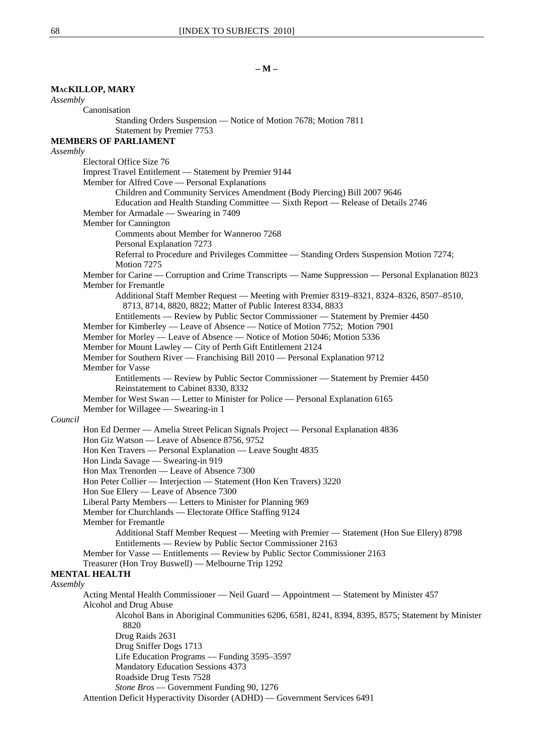### **MACKILLOP, MARY** *Assembly* Canonisation Standing Orders Suspension — Notice of Motion 7678; Motion 7811 Statement by Premier 7753 **MEMBERS OF PARLIAMENT** *Assembly* Electoral Office Size 76 Imprest Travel Entitlement — Statement by Premier 9144 Member for Alfred Cove — Personal Explanations Children and Community Services Amendment (Body Piercing) Bill 2007 9646 Education and Health Standing Committee — Sixth Report — Release of Details 2746 Member for Armadale — Swearing in 7409 Member for Cannington Comments about Member for Wanneroo 7268 Personal Explanation 7273 Referral to Procedure and Privileges Committee — Standing Orders Suspension Motion 7274; Motion 7275 Member for Carine — Corruption and Crime Transcripts — Name Suppression — Personal Explanation 8023 Member for Fremantle Additional Staff Member Request — Meeting with Premier 8319–8321, 8324–8326, 8507–8510, 8713, 8714, 8820, 8822; Matter of Public Interest 8334, 8833 Entitlements — Review by Public Sector Commissioner — Statement by Premier 4450 Member for Kimberley — Leave of Absence — Notice of Motion 7752; Motion 7901 Member for Morley — Leave of Absence — Notice of Motion 5046; Motion 5336 Member for Mount Lawley — City of Perth Gift Entitlement 2124 Member for Southern River — Franchising Bill 2010 — Personal Explanation 9712 Member for Vasse Entitlements — Review by Public Sector Commissioner — Statement by Premier 4450 Reinstatement to Cabinet 8330, 8332 Member for West Swan — Letter to Minister for Police — Personal Explanation 6165 Member for Willagee — Swearing-in 1 *Council* Hon Ed Dermer — Amelia Street Pelican Signals Project — Personal Explanation 4836 Hon Giz Watson — Leave of Absence 8756, 9752 Hon Ken Travers — Personal Explanation — Leave Sought 4835 Hon Linda Savage — Swearing-in 919 Hon Max Trenorden — Leave of Absence 7300 Hon Peter Collier — Interjection — Statement (Hon Ken Travers) 3220 Hon Sue Ellery — Leave of Absence 7300 Liberal Party Members — Letters to Minister for Planning 969 Member for Churchlands — Electorate Office Staffing 9124 Member for Fremantle Additional Staff Member Request — Meeting with Premier — Statement (Hon Sue Ellery) 8798 Entitlements — Review by Public Sector Commissioner 2163 Member for Vasse — Entitlements — Review by Public Sector Commissioner 2163 Treasurer (Hon Troy Buswell) — Melbourne Trip 1292 **MENTAL HEALTH** *Assembly* Acting Mental Health Commissioner — Neil Guard — Appointment — Statement by Minister 457 Alcohol and Drug Abuse Alcohol Bans in Aboriginal Communities 6206, 6581, 8241, 8394, 8395, 8575; Statement by Minister 8820 Drug Raids 2631 Drug Sniffer Dogs 1713 Life Education Programs — Funding 3595–3597 Mandatory Education Sessions 4373 Roadside Drug Tests 7528 *Stone Bros* — Government Funding 90, 1276 Attention Deficit Hyperactivity Disorder (ADHD) — Government Services 6491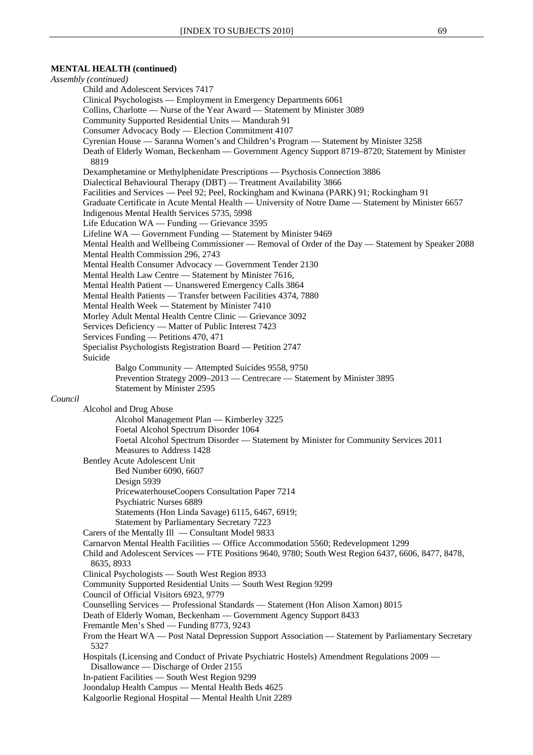#### **MENTAL HEALTH (continued)**

*Assembly (continued)* Child and Adolescent Services 7417 Clinical Psychologists — Employment in Emergency Departments 6061 Collins, Charlotte — Nurse of the Year Award — Statement by Minister 3089 Community Supported Residential Units — Mandurah 91 Consumer Advocacy Body — Election Commitment 4107 Cyrenian House — Saranna Women's and Children's Program — Statement by Minister 3258 Death of Elderly Woman, Beckenham — Government Agency Support 8719–8720; Statement by Minister 8819 Dexamphetamine or Methylphenidate Prescriptions — Psychosis Connection 3886 Dialectical Behavioural Therapy (DBT) — Treatment Availability 3866 Facilities and Services — Peel 92; Peel, Rockingham and Kwinana (PARK) 91; Rockingham 91 Graduate Certificate in Acute Mental Health — University of Notre Dame — Statement by Minister 6657 Indigenous Mental Health Services 5735, 5998 Life Education WA — Funding — Grievance 3595 Lifeline WA — Government Funding — Statement by Minister 9469 Mental Health and Wellbeing Commissioner — Removal of Order of the Day — Statement by Speaker 2088 Mental Health Commission 296, 2743 Mental Health Consumer Advocacy — Government Tender 2130 Mental Health Law Centre — Statement by Minister 7616, Mental Health Patient — Unanswered Emergency Calls 3864 Mental Health Patients — Transfer between Facilities 4374, 7880 Mental Health Week — Statement by Minister 7410 Morley Adult Mental Health Centre Clinic — Grievance 3092 Services Deficiency — Matter of Public Interest 7423 Services Funding — Petitions 470, 471 Specialist Psychologists Registration Board — Petition 2747 Suicide Balgo Community — Attempted Suicides 9558, 9750 Prevention Strategy 2009–2013 — Centrecare — Statement by Minister 3895 Statement by Minister 2595 *Council* Alcohol and Drug Abuse Alcohol Management Plan — Kimberley 3225 Foetal Alcohol Spectrum Disorder 1064 Foetal Alcohol Spectrum Disorder — Statement by Minister for Community Services 2011 Measures to Address 1428 Bentley Acute Adolescent Unit Bed Number 6090, 6607 Design 5939 PricewaterhouseCoopers Consultation Paper 7214 Psychiatric Nurses 6889 Statements (Hon Linda Savage) 6115, 6467, 6919; Statement by Parliamentary Secretary 7223 Carers of the Mentally Ill — Consultant Model 9833 Carnarvon Mental Health Facilities — Office Accommodation 5560; Redevelopment 1299 Child and Adolescent Services — FTE Positions 9640, 9780; South West Region 6437, 6606, 8477, 8478, 8635, 8933 Clinical Psychologists — South West Region 8933 Community Supported Residential Units — South West Region 9299 Council of Official Visitors 6923, 9779 Counselling Services — Professional Standards — Statement (Hon Alison Xamon) 8015 Death of Elderly Woman, Beckenham — Government Agency Support 8433 Fremantle Men's Shed — Funding 8773, 9243 From the Heart WA — Post Natal Depression Support Association — Statement by Parliamentary Secretary 5327 Hospitals (Licensing and Conduct of Private Psychiatric Hostels) Amendment Regulations 2009 — Disallowance — Discharge of Order 2155 In-patient Facilities — South West Region 9299 Joondalup Health Campus — Mental Health Beds 4625 Kalgoorlie Regional Hospital — Mental Health Unit 2289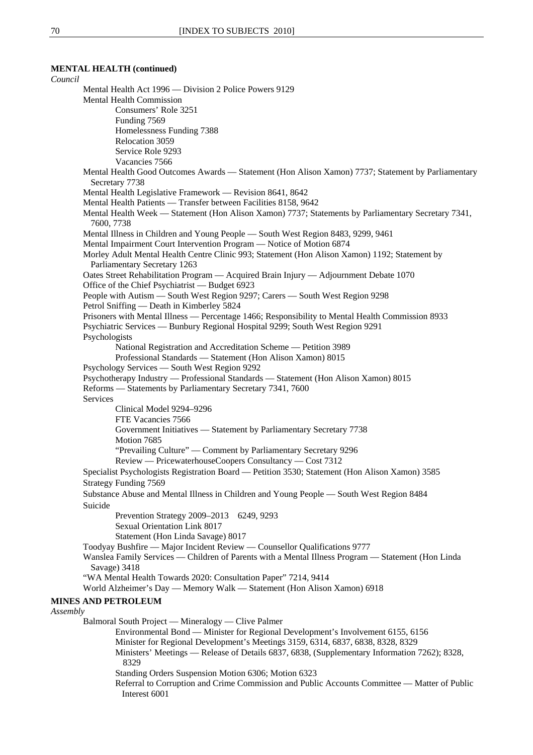# **MENTAL HEALTH (continued)**

### *Council* Mental Health Act 1996 — Division 2 Police Powers 9129 Mental Health Commission Consumers' Role 3251 Funding 7569 Homelessness Funding 7388 Relocation 3059 Service Role 9293 Vacancies 7566 Mental Health Good Outcomes Awards — Statement (Hon Alison Xamon) 7737; Statement by Parliamentary Secretary 7738 Mental Health Legislative Framework — Revision 8641, 8642 Mental Health Patients — Transfer between Facilities 8158, 9642 Mental Health Week — Statement (Hon Alison Xamon) 7737; Statements by Parliamentary Secretary 7341, 7600, 7738 Mental Illness in Children and Young People — South West Region 8483, 9299, 9461 Mental Impairment Court Intervention Program — Notice of Motion 6874 Morley Adult Mental Health Centre Clinic 993; Statement (Hon Alison Xamon) 1192; Statement by Parliamentary Secretary 1263 Oates Street Rehabilitation Program — Acquired Brain Injury — Adjournment Debate 1070 Office of the Chief Psychiatrist — Budget 6923 People with Autism — South West Region 9297; Carers — South West Region 9298 Petrol Sniffing — Death in Kimberley 5824 Prisoners with Mental Illness — Percentage 1466; Responsibility to Mental Health Commission 8933 Psychiatric Services — Bunbury Regional Hospital 9299; South West Region 9291 Psychologists National Registration and Accreditation Scheme — Petition 3989 Professional Standards — Statement (Hon Alison Xamon) 8015 Psychology Services — South West Region 9292 Psychotherapy Industry — Professional Standards — Statement (Hon Alison Xamon) 8015 Reforms — Statements by Parliamentary Secretary 7341, 7600 **Services** Clinical Model 9294–9296 FTE Vacancies 7566 Government Initiatives — Statement by Parliamentary Secretary 7738 Motion 7685 "Prevailing Culture" — Comment by Parliamentary Secretary 9296 Review — PricewaterhouseCoopers Consultancy — Cost 7312 Specialist Psychologists Registration Board — Petition 3530; Statement (Hon Alison Xamon) 3585 Strategy Funding 7569 Substance Abuse and Mental Illness in Children and Young People — South West Region 8484 Suicide Prevention Strategy 2009–2013 6249, 9293 Sexual Orientation Link 8017 Statement (Hon Linda Savage) 8017 Toodyay Bushfire — Major Incident Review — Counsellor Qualifications 9777 Wanslea Family Services — Children of Parents with a Mental Illness Program — Statement (Hon Linda Savage) 3418 "WA Mental Health Towards 2020: Consultation Paper" 7214, 9414 World Alzheimer's Day — Memory Walk — Statement (Hon Alison Xamon) 6918 **MINES AND PETROLEUM** *Assembly* Balmoral South Project — Mineralogy — Clive Palmer Environmental Bond — Minister for Regional Development's Involvement 6155, 6156 Minister for Regional Development's Meetings 3159, 6314, 6837, 6838, 8328, 8329 Ministers' Meetings — Release of Details 6837, 6838, (Supplementary Information 7262); 8328, 8329 Standing Orders Suspension Motion 6306; Motion 6323 Referral to Corruption and Crime Commission and Public Accounts Committee — Matter of Public Interest 6001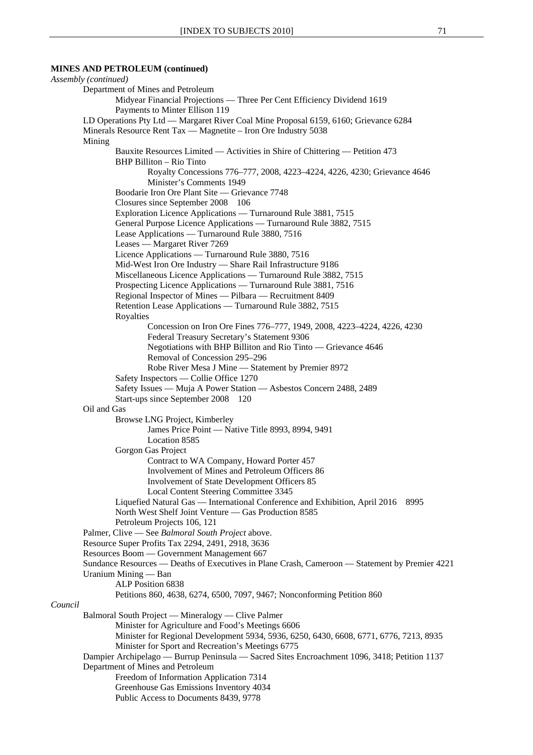*Assembly (continued)* Department of Mines and Petroleum Midyear Financial Projections — Three Per Cent Efficiency Dividend 1619 Payments to Minter Ellison 119 LD Operations Pty Ltd — Margaret River Coal Mine Proposal 6159, 6160; Grievance 6284 Minerals Resource Rent Tax — Magnetite – Iron Ore Industry 5038 Mining Bauxite Resources Limited — Activities in Shire of Chittering — Petition 473 BHP Billiton – Rio Tinto Royalty Concessions 776–777, 2008, 4223–4224, 4226, 4230; Grievance 4646 Minister's Comments 1949 Boodarie Iron Ore Plant Site — Grievance 7748 Closures since September 2008 106 Exploration Licence Applications — Turnaround Rule 3881, 7515 General Purpose Licence Applications — Turnaround Rule 3882, 7515 Lease Applications — Turnaround Rule 3880, 7516 Leases — Margaret River 7269 Licence Applications — Turnaround Rule 3880, 7516 Mid-West Iron Ore Industry — Share Rail Infrastructure 9186 Miscellaneous Licence Applications — Turnaround Rule 3882, 7515 Prospecting Licence Applications — Turnaround Rule 3881, 7516 Regional Inspector of Mines — Pilbara — Recruitment 8409 Retention Lease Applications — Turnaround Rule 3882, 7515 Royalties Concession on Iron Ore Fines 776–777, 1949, 2008, 4223–4224, 4226, 4230 Federal Treasury Secretary's Statement 9306 Negotiations with BHP Billiton and Rio Tinto — Grievance 4646 Removal of Concession 295–296 Robe River Mesa J Mine — Statement by Premier 8972 Safety Inspectors — Collie Office 1270 Safety Issues — Muja A Power Station — Asbestos Concern 2488, 2489 Start-ups since September 2008 120 Oil and Gas Browse LNG Project, Kimberley James Price Point — Native Title 8993, 8994, 9491 Location 8585 Gorgon Gas Project Contract to WA Company, Howard Porter 457 Involvement of Mines and Petroleum Officers 86 Involvement of State Development Officers 85 Local Content Steering Committee 3345 Liquefied Natural Gas — International Conference and Exhibition, April 2016 8995 North West Shelf Joint Venture — Gas Production 8585 Petroleum Projects 106, 121 Palmer, Clive — See *Balmoral South Project* above. Resource Super Profits Tax 2294, 2491, 2918, 3636 Resources Boom — Government Management 667 Sundance Resources — Deaths of Executives in Plane Crash, Cameroon — Statement by Premier 4221 Uranium Mining — Ban ALP Position 6838 Petitions 860, 4638, 6274, 6500, 7097, 9467; Nonconforming Petition 860 *Council* Balmoral South Project — Mineralogy — Clive Palmer Minister for Agriculture and Food's Meetings 6606 Minister for Regional Development 5934, 5936, 6250, 6430, 6608, 6771, 6776, 7213, 8935 Minister for Sport and Recreation's Meetings 6775 Dampier Archipelago — Burrup Peninsula — Sacred Sites Encroachment 1096, 3418; Petition 1137 Department of Mines and Petroleum Freedom of Information Application 7314 Greenhouse Gas Emissions Inventory 4034 Public Access to Documents 8439, 9778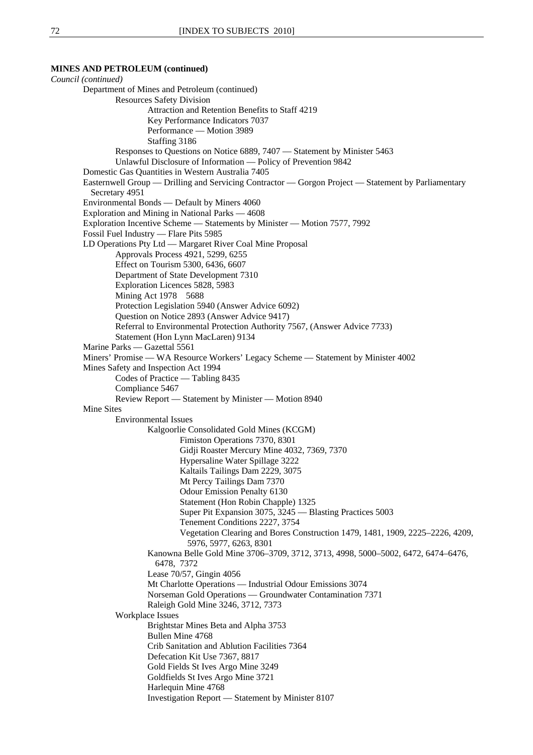*Council (continued)* Department of Mines and Petroleum (continued) Resources Safety Division Attraction and Retention Benefits to Staff 4219 Key Performance Indicators 7037 Performance — Motion 3989 Staffing 3186 Responses to Questions on Notice 6889, 7407 — Statement by Minister 5463 Unlawful Disclosure of Information — Policy of Prevention 9842 Domestic Gas Quantities in Western Australia 7405 Easternwell Group — Drilling and Servicing Contractor — Gorgon Project — Statement by Parliamentary Secretary 4951 Environmental Bonds — Default by Miners 4060 Exploration and Mining in National Parks — 4608 Exploration Incentive Scheme — Statements by Minister — Motion 7577, 7992 Fossil Fuel Industry — Flare Pits 5985 LD Operations Pty Ltd — Margaret River Coal Mine Proposal Approvals Process 4921, 5299, 6255 Effect on Tourism 5300, 6436, 6607 Department of State Development 7310 Exploration Licences 5828, 5983 Mining Act 1978 5688 Protection Legislation 5940 (Answer Advice 6092) Question on Notice 2893 (Answer Advice 9417) Referral to Environmental Protection Authority 7567, (Answer Advice 7733) Statement (Hon Lynn MacLaren) 9134 Marine Parks — Gazettal 5561 Miners' Promise — WA Resource Workers' Legacy Scheme — Statement by Minister 4002 Mines Safety and Inspection Act 1994 Codes of Practice — Tabling 8435 Compliance 5467 Review Report — Statement by Minister — Motion 8940 Mine Sites Environmental Issues Kalgoorlie Consolidated Gold Mines (KCGM) Fimiston Operations 7370, 8301 Gidii Roaster Mercury Mine 4032, 7369, 7370 Hypersaline Water Spillage 3222 Kaltails Tailings Dam 2229, 3075 Mt Percy Tailings Dam 7370 Odour Emission Penalty 6130 Statement (Hon Robin Chapple) 1325 Super Pit Expansion 3075, 3245 — Blasting Practices 5003 Tenement Conditions 2227, 3754 Vegetation Clearing and Bores Construction 1479, 1481, 1909, 2225–2226, 4209, 5976, 5977, 6263, 8301 Kanowna Belle Gold Mine 3706–3709, 3712, 3713, 4998, 5000–5002, 6472, 6474–6476, 6478, 7372 Lease 70/57, Gingin 4056 Mt Charlotte Operations — Industrial Odour Emissions 3074 Norseman Gold Operations — Groundwater Contamination 7371 Raleigh Gold Mine 3246, 3712, 7373 Workplace Issues Brightstar Mines Beta and Alpha 3753 Bullen Mine 4768 Crib Sanitation and Ablution Facilities 7364 Defecation Kit Use 7367, 8817 Gold Fields St Ives Argo Mine 3249 Goldfields St Ives Argo Mine 3721 Harlequin Mine 4768 Investigation Report — Statement by Minister 8107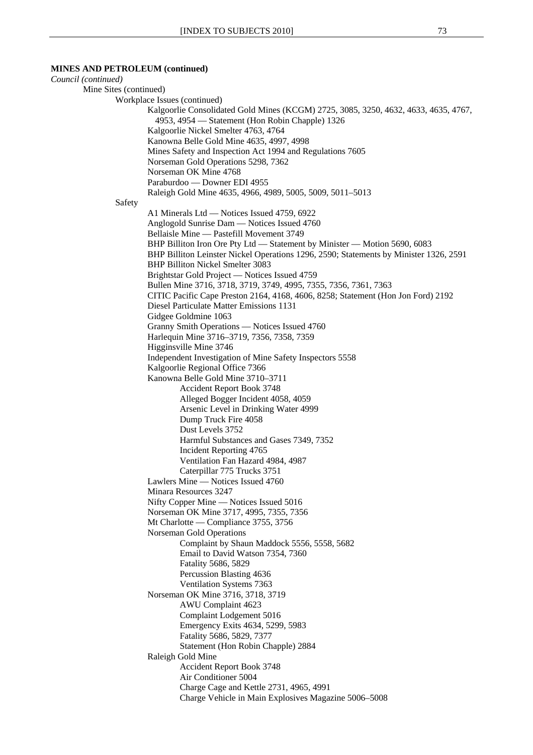## *Council (continued)* Mine Sites (continued) Workplace Issues (continued) Kalgoorlie Consolidated Gold Mines (KCGM) 2725, 3085, 3250, 4632, 4633, 4635, 4767, 4953, 4954 — Statement (Hon Robin Chapple) 1326 Kalgoorlie Nickel Smelter 4763, 4764 Kanowna Belle Gold Mine 4635, 4997, 4998 Mines Safety and Inspection Act 1994 and Regulations 7605 Norseman Gold Operations 5298, 7362 Norseman OK Mine 4768 Paraburdoo — Downer EDI 4955 Raleigh Gold Mine 4635, 4966, 4989, 5005, 5009, 5011–5013 Safety A1 Minerals Ltd — Notices Issued 4759, 6922 Anglogold Sunrise Dam — Notices Issued 4760 Bellaisle Mine — Pastefill Movement 3749 BHP Billiton Iron Ore Pty Ltd — Statement by Minister — Motion 5690, 6083 BHP Billiton Leinster Nickel Operations 1296, 2590; Statements by Minister 1326, 2591 BHP Billiton Nickel Smelter 3083 Brightstar Gold Project — Notices Issued 4759 Bullen Mine 3716, 3718, 3719, 3749, 4995, 7355, 7356, 7361, 7363 CITIC Pacific Cape Preston 2164, 4168, 4606, 8258; Statement (Hon Jon Ford) 2192 Diesel Particulate Matter Emissions 1131 Gidgee Goldmine 1063 Granny Smith Operations — Notices Issued 4760 Harlequin Mine 3716–3719, 7356, 7358, 7359 Higginsville Mine 3746 Independent Investigation of Mine Safety Inspectors 5558 Kalgoorlie Regional Office 7366 Kanowna Belle Gold Mine 3710–3711 Accident Report Book 3748 Alleged Bogger Incident 4058, 4059 Arsenic Level in Drinking Water 4999 Dump Truck Fire 4058 Dust Levels 3752 Harmful Substances and Gases 7349, 7352 Incident Reporting 4765 Ventilation Fan Hazard 4984, 4987 Caterpillar 775 Trucks 3751 Lawlers Mine — Notices Issued 4760 Minara Resources 3247 Nifty Copper Mine — Notices Issued 5016 Norseman OK Mine 3717, 4995, 7355, 7356 Mt Charlotte — Compliance 3755, 3756 Norseman Gold Operations Complaint by Shaun Maddock 5556, 5558, 5682 Email to David Watson 7354, 7360 Fatality 5686, 5829 Percussion Blasting 4636 Ventilation Systems 7363 Norseman OK Mine 3716, 3718, 3719 AWU Complaint 4623 Complaint Lodgement 5016 Emergency Exits 4634, 5299, 5983 Fatality 5686, 5829, 7377 Statement (Hon Robin Chapple) 2884 Raleigh Gold Mine Accident Report Book 3748 Air Conditioner 5004 Charge Cage and Kettle 2731, 4965, 4991 Charge Vehicle in Main Explosives Magazine 5006–5008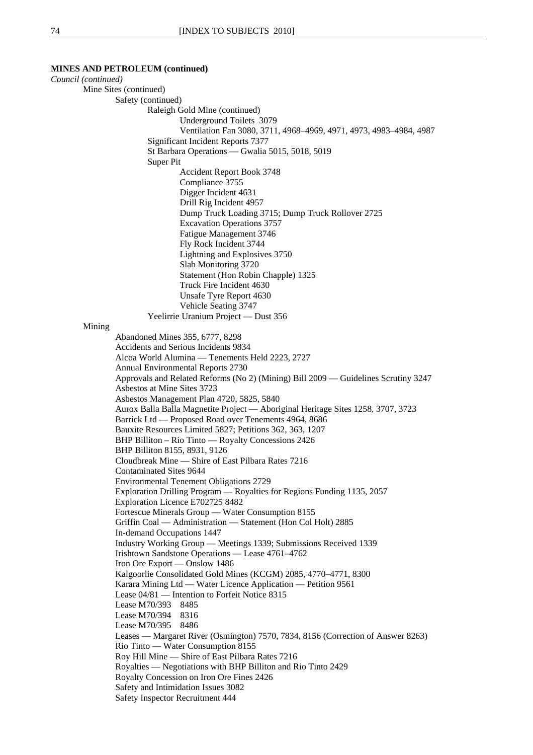*Council (continued)*  Mine Sites (continued) Safety (continued) Raleigh Gold Mine (continued) Underground Toilets 3079 Ventilation Fan 3080, 3711, 4968–4969, 4971, 4973, 4983–4984, 4987 Significant Incident Reports 7377 St Barbara Operations — Gwalia 5015, 5018, 5019 Super Pit Accident Report Book 3748 Compliance 3755 Digger Incident 4631 Drill Rig Incident 4957 Dump Truck Loading 3715; Dump Truck Rollover 2725 Excavation Operations 3757 Fatigue Management 3746 Fly Rock Incident 3744 Lightning and Explosives 3750 Slab Monitoring 3720 Statement (Hon Robin Chapple) 1325 Truck Fire Incident 4630 Unsafe Tyre Report 4630 Vehicle Seating 3747 Yeelirrie Uranium Project — Dust 356 Mining Abandoned Mines 355, 6777, 8298 Accidents and Serious Incidents 9834 Alcoa World Alumina — Tenements Held 2223, 2727 Annual Environmental Reports 2730 Approvals and Related Reforms (No 2) (Mining) Bill 2009 — Guidelines Scrutiny 3247 Asbestos at Mine Sites 3723 Asbestos Management Plan 4720, 5825, 5840 Aurox Balla Balla Magnetite Project — Aboriginal Heritage Sites 1258, 3707, 3723 Barrick Ltd — Proposed Road over Tenements 4964, 8686 Bauxite Resources Limited 5827; Petitions 362, 363, 1207 BHP Billiton – Rio Tinto — Royalty Concessions 2426 BHP Billiton 8155, 8931, 9126 Cloudbreak Mine — Shire of East Pilbara Rates 7216 Contaminated Sites 9644 Environmental Tenement Obligations 2729 Exploration Drilling Program — Royalties for Regions Funding 1135, 2057 Exploration Licence E702725 8482 Fortescue Minerals Group — Water Consumption 8155 Griffin Coal — Administration — Statement (Hon Col Holt) 2885 In-demand Occupations 1447 Industry Working Group — Meetings 1339; Submissions Received 1339 Irishtown Sandstone Operations — Lease 4761–4762 Iron Ore Export — Onslow 1486 Kalgoorlie Consolidated Gold Mines (KCGM) 2085, 4770–4771, 8300 Karara Mining Ltd — Water Licence Application — Petition 9561 Lease 04/81 — Intention to Forfeit Notice 8315 Lease M70/393 8485 Lease M70/394 8316 Lease M70/395 8486 Leases — Margaret River (Osmington) 7570, 7834, 8156 (Correction of Answer 8263) Rio Tinto — Water Consumption 8155 Roy Hill Mine — Shire of East Pilbara Rates 7216 Royalties — Negotiations with BHP Billiton and Rio Tinto 2429 Royalty Concession on Iron Ore Fines 2426 Safety and Intimidation Issues 3082 Safety Inspector Recruitment 444

**MINES AND PETROLEUM (continued)**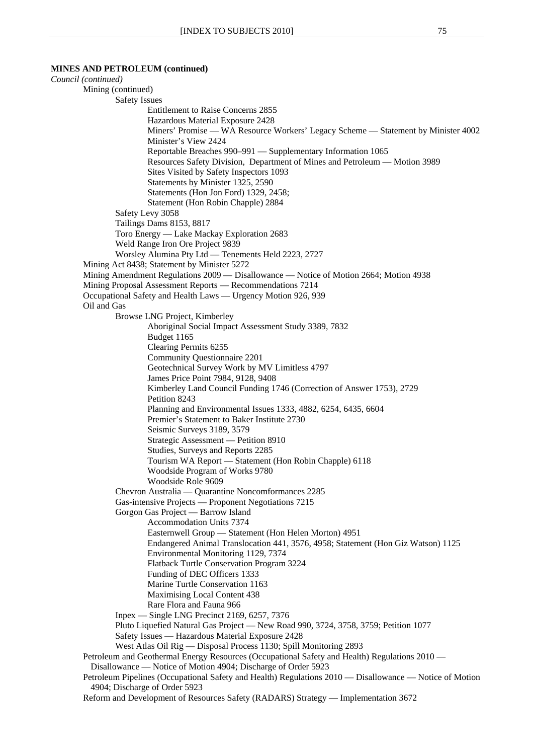*Council (continued)*  Mining (continued) Safety Issues Entitlement to Raise Concerns 2855 Hazardous Material Exposure 2428 Miners' Promise — WA Resource Workers' Legacy Scheme — Statement by Minister 4002 Minister's View 2424 Reportable Breaches 990–991 — Supplementary Information 1065 Resources Safety Division, Department of Mines and Petroleum — Motion 3989 Sites Visited by Safety Inspectors 1093 Statements by Minister 1325, 2590 Statements (Hon Jon Ford) 1329, 2458; Statement (Hon Robin Chapple) 2884 Safety Levy 3058 Tailings Dams 8153, 8817 Toro Energy — Lake Mackay Exploration 2683 Weld Range Iron Ore Project 9839 Worsley Alumina Pty Ltd — Tenements Held 2223, 2727 Mining Act 8438; Statement by Minister 5272 Mining Amendment Regulations 2009 — Disallowance — Notice of Motion 2664; Motion 4938 Mining Proposal Assessment Reports — Recommendations 7214 Occupational Safety and Health Laws — Urgency Motion 926, 939 Oil and Gas Browse LNG Project, Kimberley Aboriginal Social Impact Assessment Study 3389, 7832 Budget 1165 Clearing Permits 6255 Community Questionnaire 2201 Geotechnical Survey Work by MV Limitless 4797 James Price Point 7984, 9128, 9408 Kimberley Land Council Funding 1746 (Correction of Answer 1753), 2729 Petition 8243 Planning and Environmental Issues 1333, 4882, 6254, 6435, 6604 Premier's Statement to Baker Institute 2730 Seismic Surveys 3189, 3579 Strategic Assessment — Petition 8910 Studies, Surveys and Reports 2285 Tourism WA Report — Statement (Hon Robin Chapple) 6118 Woodside Program of Works 9780 Woodside Role 9609 Chevron Australia — Quarantine Noncomformances 2285 Gas-intensive Projects — Proponent Negotiations 7215 Gorgon Gas Project — Barrow Island Accommodation Units 7374 Easternwell Group — Statement (Hon Helen Morton) 4951 Endangered Animal Translocation 441, 3576, 4958; Statement (Hon Giz Watson) 1125 Environmental Monitoring 1129, 7374 Flatback Turtle Conservation Program 3224 Funding of DEC Officers 1333 Marine Turtle Conservation 1163 Maximising Local Content 438 Rare Flora and Fauna 966 Inpex — Single LNG Precinct 2169, 6257, 7376 Pluto Liquefied Natural Gas Project — New Road 990, 3724, 3758, 3759; Petition 1077 Safety Issues — Hazardous Material Exposure 2428 West Atlas Oil Rig — Disposal Process 1130; Spill Monitoring 2893 Petroleum and Geothermal Energy Resources (Occupational Safety and Health) Regulations 2010 — Disallowance — Notice of Motion 4904; Discharge of Order 5923 Petroleum Pipelines (Occupational Safety and Health) Regulations 2010 — Disallowance — Notice of Motion 4904; Discharge of Order 5923

Reform and Development of Resources Safety (RADARS) Strategy — Implementation 3672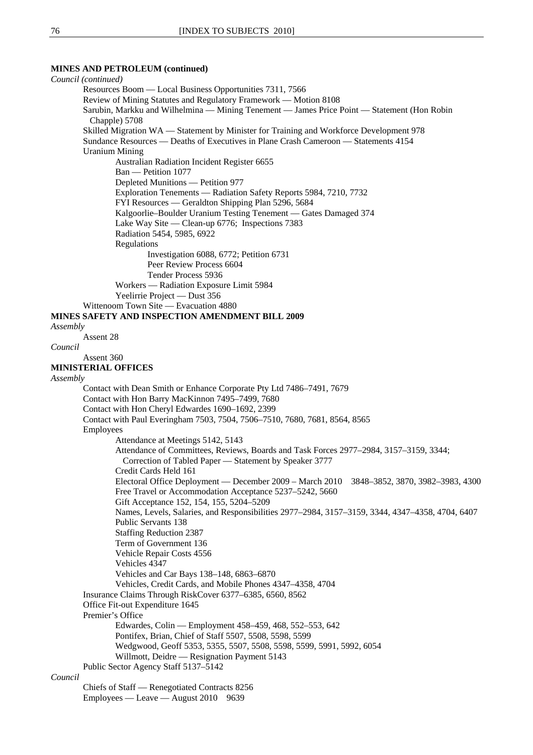**MINES AND PETROLEUM (continued)**  *Council (continued)*  Resources Boom — Local Business Opportunities 7311, 7566 Review of Mining Statutes and Regulatory Framework — Motion 8108 Sarubin, Markku and Wilhelmina — Mining Tenement — James Price Point — Statement (Hon Robin Chapple) 5708 Skilled Migration WA — Statement by Minister for Training and Workforce Development 978 Sundance Resources — Deaths of Executives in Plane Crash Cameroon — Statements 4154 Uranium Mining Australian Radiation Incident Register 6655 Ban — Petition 1077 Depleted Munitions — Petition 977 Exploration Tenements — Radiation Safety Reports 5984, 7210, 7732 FYI Resources — Geraldton Shipping Plan 5296, 5684 Kalgoorlie–Boulder Uranium Testing Tenement — Gates Damaged 374 Lake Way Site — Clean-up 6776; Inspections 7383 Radiation 5454, 5985, 6922 Regulations Investigation 6088, 6772; Petition 6731 Peer Review Process 6604 Tender Process 5936 Workers — Radiation Exposure Limit 5984 Yeelirrie Project — Dust 356 Wittenoom Town Site — Evacuation 4880 **MINES SAFETY AND INSPECTION AMENDMENT BILL 2009** *Assembly* Assent 28 *Council* Assent 360 **MINISTERIAL OFFICES** *Assembly* Contact with Dean Smith or Enhance Corporate Pty Ltd 7486–7491, 7679 Contact with Hon Barry MacKinnon 7495–7499, 7680 Contact with Hon Cheryl Edwardes 1690–1692, 2399 Contact with Paul Everingham 7503, 7504, 7506–7510, 7680, 7681, 8564, 8565 Employees Attendance at Meetings 5142, 5143 Attendance of Committees, Reviews, Boards and Task Forces 2977–2984, 3157–3159, 3344; Correction of Tabled Paper — Statement by Speaker 3777 Credit Cards Held 161 Electoral Office Deployment — December 2009 – March 2010 3848–3852, 3870, 3982–3983, 4300 Free Travel or Accommodation Acceptance 5237–5242, 5660 Gift Acceptance 152, 154, 155, 5204–5209 Names, Levels, Salaries, and Responsibilities 2977–2984, 3157–3159, 3344, 4347–4358, 4704, 6407 Public Servants 138 Staffing Reduction 2387 Term of Government 136 Vehicle Repair Costs 4556 Vehicles 4347 Vehicles and Car Bays 138–148, 6863–6870 Vehicles, Credit Cards, and Mobile Phones 4347–4358, 4704 Insurance Claims Through RiskCover 6377–6385, 6560, 8562 Office Fit-out Expenditure 1645 Premier's Office Edwardes, Colin — Employment 458–459, 468, 552–553, 642 Pontifex, Brian, Chief of Staff 5507, 5508, 5598, 5599 Wedgwood, Geoff 5353, 5355, 5507, 5508, 5598, 5599, 5991, 5992, 6054 Willmott, Deidre — Resignation Payment 5143 Public Sector Agency Staff 5137–5142 *Council* Chiefs of Staff — Renegotiated Contracts 8256

Employees — Leave — August 2010 9639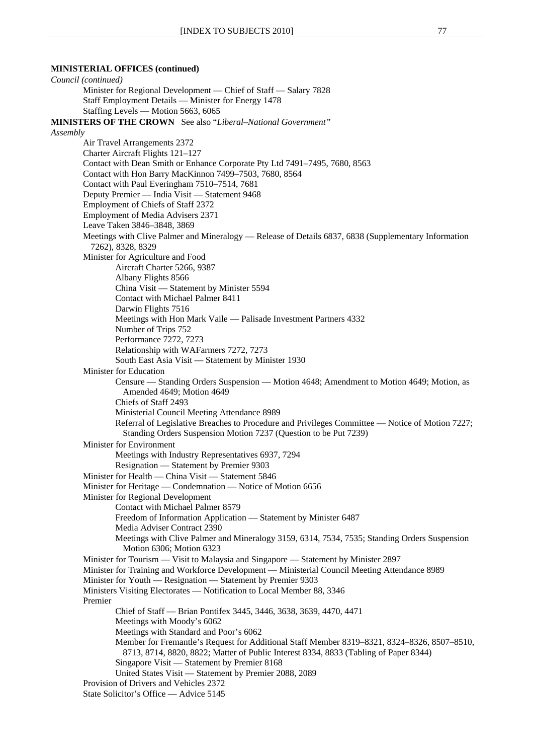## **MINISTERIAL OFFICES (continued)**

*Council (continued)* Minister for Regional Development — Chief of Staff — Salary 7828 Staff Employment Details — Minister for Energy 1478 Staffing Levels — Motion 5663, 6065 **MINISTERS OF THE CROWN** See also "*Liberal–National Government" Assembly* Air Travel Arrangements 2372 Charter Aircraft Flights 121–127 Contact with Dean Smith or Enhance Corporate Pty Ltd 7491–7495, 7680, 8563 Contact with Hon Barry MacKinnon 7499–7503, 7680, 8564 Contact with Paul Everingham 7510–7514, 7681 Deputy Premier — India Visit — Statement 9468 Employment of Chiefs of Staff 2372 Employment of Media Advisers 2371 Leave Taken 3846–3848, 3869 Meetings with Clive Palmer and Mineralogy — Release of Details 6837, 6838 (Supplementary Information 7262), 8328, 8329 Minister for Agriculture and Food Aircraft Charter 5266, 9387 Albany Flights 8566 China Visit — Statement by Minister 5594 Contact with Michael Palmer 8411 Darwin Flights 7516 Meetings with Hon Mark Vaile — Palisade Investment Partners 4332 Number of Trips 752 Performance 7272, 7273 Relationship with WAFarmers 7272, 7273 South East Asia Visit — Statement by Minister 1930 Minister for Education Censure — Standing Orders Suspension — Motion 4648; Amendment to Motion 4649; Motion, as Amended 4649; Motion 4649 Chiefs of Staff 2493 Ministerial Council Meeting Attendance 8989 Referral of Legislative Breaches to Procedure and Privileges Committee — Notice of Motion 7227; Standing Orders Suspension Motion 7237 (Question to be Put 7239) Minister for Environment Meetings with Industry Representatives 6937, 7294 Resignation — Statement by Premier 9303 Minister for Health — China Visit — Statement 5846 Minister for Heritage — Condemnation — Notice of Motion 6656 Minister for Regional Development Contact with Michael Palmer 8579 Freedom of Information Application — Statement by Minister 6487 Media Adviser Contract 2390 Meetings with Clive Palmer and Mineralogy 3159, 6314, 7534, 7535; Standing Orders Suspension Motion 6306; Motion 6323 Minister for Tourism — Visit to Malaysia and Singapore — Statement by Minister 2897 Minister for Training and Workforce Development — Ministerial Council Meeting Attendance 8989 Minister for Youth — Resignation — Statement by Premier 9303 Ministers Visiting Electorates — Notification to Local Member 88, 3346 Premier Chief of Staff — Brian Pontifex 3445, 3446, 3638, 3639, 4470, 4471 Meetings with Moody's 6062 Meetings with Standard and Poor's 6062 Member for Fremantle's Request for Additional Staff Member 8319–8321, 8324–8326, 8507–8510, 8713, 8714, 8820, 8822; Matter of Public Interest 8334, 8833 (Tabling of Paper 8344) Singapore Visit — Statement by Premier 8168 United States Visit — Statement by Premier 2088, 2089 Provision of Drivers and Vehicles 2372 State Solicitor's Office — Advice 5145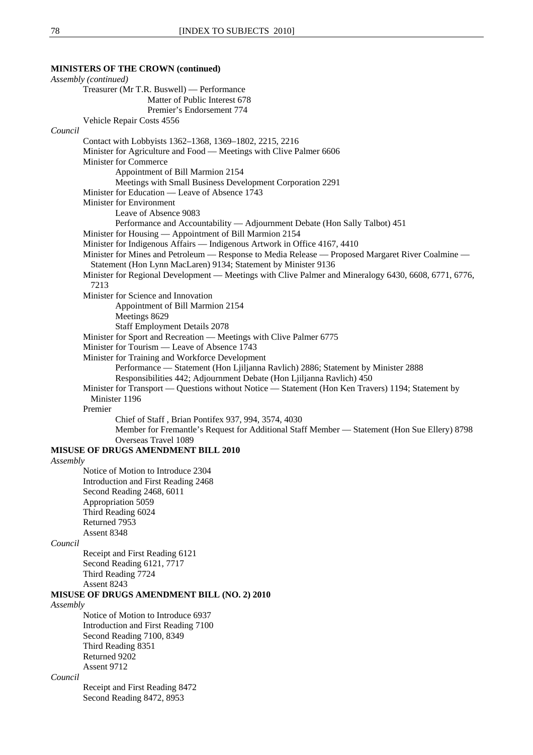## **MINISTERS OF THE CROWN (continued)**

| Assembly (continued)                                                                                  |
|-------------------------------------------------------------------------------------------------------|
| Treasurer (Mr T.R. Buswell) — Performance                                                             |
| Matter of Public Interest 678                                                                         |
| Premier's Endorsement 774                                                                             |
| Vehicle Repair Costs 4556                                                                             |
| Council                                                                                               |
| Contact with Lobbyists 1362-1368, 1369-1802, 2215, 2216                                               |
| Minister for Agriculture and Food — Meetings with Clive Palmer 6606                                   |
| <b>Minister for Commerce</b>                                                                          |
| Appointment of Bill Marmion 2154                                                                      |
| Meetings with Small Business Development Corporation 2291                                             |
| Minister for Education — Leave of Absence 1743                                                        |
| Minister for Environment                                                                              |
| Leave of Absence 9083                                                                                 |
| Performance and Accountability - Adjournment Debate (Hon Sally Talbot) 451                            |
| Minister for Housing — Appointment of Bill Marmion 2154                                               |
| Minister for Indigenous Affairs - Indigenous Artwork in Office 4167, 4410                             |
| Minister for Mines and Petroleum — Response to Media Release — Proposed Margaret River Coalmine —     |
| Statement (Hon Lynn MacLaren) 9134; Statement by Minister 9136                                        |
| Minister for Regional Development — Meetings with Clive Palmer and Mineralogy 6430, 6608, 6771, 6776, |
| 7213                                                                                                  |
| Minister for Science and Innovation                                                                   |
| Appointment of Bill Marmion 2154                                                                      |
| Meetings 8629                                                                                         |
| <b>Staff Employment Details 2078</b>                                                                  |
| Minister for Sport and Recreation — Meetings with Clive Palmer 6775                                   |
| Minister for Tourism — Leave of Absence 1743                                                          |
| Minister for Training and Workforce Development                                                       |
| Performance — Statement (Hon Ljiljanna Ravlich) 2886; Statement by Minister 2888                      |
| Responsibilities 442; Adjournment Debate (Hon Ljiljanna Ravlich) 450                                  |
| Minister for Transport — Questions without Notice — Statement (Hon Ken Travers) 1194; Statement by    |
| Minister 1196                                                                                         |
| Premier                                                                                               |
| Chief of Staff, Brian Pontifex 937, 994, 3574, 4030                                                   |
| Member for Fremantle's Request for Additional Staff Member — Statement (Hon Sue Ellery) 8798          |
| Overseas Travel 1089                                                                                  |
| MISUSE OF DRUGS AMENDMENT BILL 2010                                                                   |
| Assembly                                                                                              |
| Notice of Motion to Introduce 2304                                                                    |
| Introduction and First Reading 2468                                                                   |
| Second Reading 2468, 6011                                                                             |
| Appropriation 5059                                                                                    |
| Third Reading 6024                                                                                    |
| Returned 7953                                                                                         |
| Assent 8348                                                                                           |
| Council                                                                                               |
| Receipt and First Reading 6121                                                                        |
| Second Reading 6121, 7717                                                                             |
| Third Reading 7724                                                                                    |
| Assent 8243                                                                                           |
| MISUSE OF DRUGS AMENDMENT BILL (NO. 2) 2010                                                           |
| Assembly                                                                                              |
| Notice of Motion to Introduce 6937                                                                    |
| Introduction and First Reading 7100                                                                   |
| Second Reading 7100, 8349                                                                             |
| Third Reading 8351                                                                                    |
| Returned 9202                                                                                         |
| Assent 9712                                                                                           |
| Council                                                                                               |
| Receipt and First Reading 8472                                                                        |
| Second Reading 8472, 8953                                                                             |
|                                                                                                       |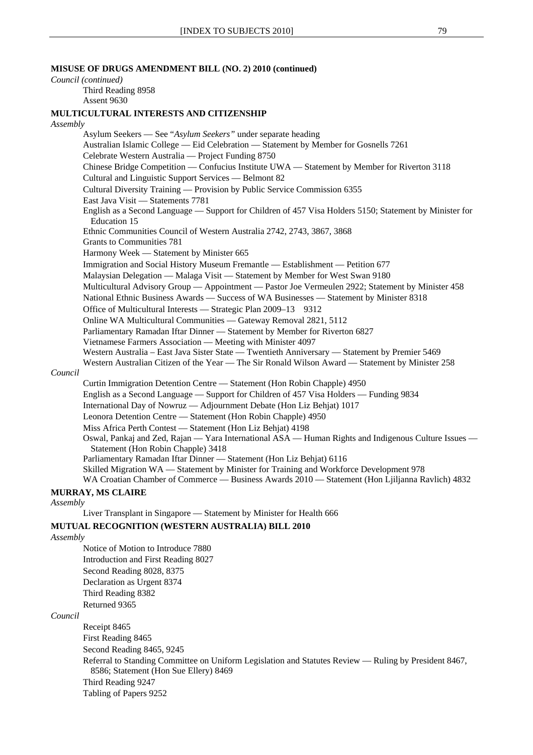## **MISUSE OF DRUGS AMENDMENT BILL (NO. 2) 2010 (continued)**

#### *Council (continued)*

Third Reading 8958 Assent 9630

#### **MULTICULTURAL INTERESTS AND CITIZENSHIP**

#### *Assembly*

Asylum Seekers — See "*Asylum Seekers"* under separate heading Australian Islamic College — Eid Celebration — Statement by Member for Gosnells 7261 Celebrate Western Australia — Project Funding 8750 Chinese Bridge Competition — Confucius Institute UWA — Statement by Member for Riverton 3118 Cultural and Linguistic Support Services — Belmont 82 Cultural Diversity Training — Provision by Public Service Commission 6355 East Java Visit — Statements 7781 English as a Second Language — Support for Children of 457 Visa Holders 5150; Statement by Minister for Education 15 Ethnic Communities Council of Western Australia 2742, 2743, 3867, 3868 Grants to Communities 781 Harmony Week — Statement by Minister 665 Immigration and Social History Museum Fremantle — Establishment — Petition 677 Malaysian Delegation — Malaga Visit — Statement by Member for West Swan 9180 Multicultural Advisory Group — Appointment — Pastor Joe Vermeulen 2922; Statement by Minister 458 National Ethnic Business Awards — Success of WA Businesses — Statement by Minister 8318 Office of Multicultural Interests — Strategic Plan 2009–13 9312 Online WA Multicultural Communities — Gateway Removal 2821, 5112 Parliamentary Ramadan Iftar Dinner — Statement by Member for Riverton 6827 Vietnamese Farmers Association — Meeting with Minister 4097 Western Australia – East Java Sister State — Twentieth Anniversary — Statement by Premier 5469 Western Australian Citizen of the Year — The Sir Ronald Wilson Award — Statement by Minister 258 *Council* Curtin Immigration Detention Centre — Statement (Hon Robin Chapple) 4950 English as a Second Language — Support for Children of 457 Visa Holders — Funding 9834 International Day of Nowruz — Adjournment Debate (Hon Liz Behjat) 1017 Leonora Detention Centre — Statement (Hon Robin Chapple) 4950 Miss Africa Perth Contest — Statement (Hon Liz Behjat) 4198 Oswal, Pankaj and Zed, Rajan — Yara International ASA — Human Rights and Indigenous Culture Issues — Statement (Hon Robin Chapple) 3418 Parliamentary Ramadan Iftar Dinner — Statement (Hon Liz Behjat) 6116 Skilled Migration WA — Statement by Minister for Training and Workforce Development 978 WA Croatian Chamber of Commerce — Business Awards 2010 — Statement (Hon Ljiljanna Ravlich) 4832

#### **MURRAY, MS CLAIRE**

*Assembly*

Liver Transplant in Singapore — Statement by Minister for Health 666

#### **MUTUAL RECOGNITION (WESTERN AUSTRALIA) BILL 2010**

#### *Assembly*

Notice of Motion to Introduce 7880 Introduction and First Reading 8027 Second Reading 8028, 8375 Declaration as Urgent 8374 Third Reading 8382 Returned 9365

## *Council*

Receipt 8465 First Reading 8465 Second Reading 8465, 9245

Referral to Standing Committee on Uniform Legislation and Statutes Review — Ruling by President 8467, 8586; Statement (Hon Sue Ellery) 8469

Third Reading 9247

Tabling of Papers 9252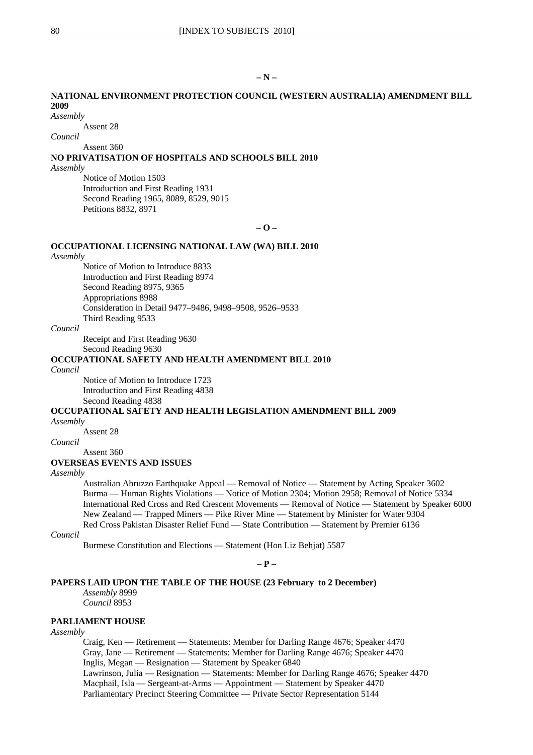## **NATIONAL ENVIRONMENT PROTECTION COUNCIL (WESTERN AUSTRALIA) AMENDMENT BILL 2009**

#### *Assembly*

Assent 28

#### *Council*

Assent 360

## **NO PRIVATISATION OF HOSPITALS AND SCHOOLS BILL 2010**

*Assembly*

Notice of Motion 1503 Introduction and First Reading 1931 Second Reading 1965, 8089, 8529, 9015 Petitions 8832, 8971

**– O –** 

## **OCCUPATIONAL LICENSING NATIONAL LAW (WA) BILL 2010**

#### *Assembly*

Notice of Motion to Introduce 8833 Introduction and First Reading 8974 Second Reading 8975, 9365 Appropriations 8988 Consideration in Detail 9477–9486, 9498–9508, 9526–9533 Third Reading 9533

## *Council*

Receipt and First Reading 9630

Second Reading 9630

## **OCCUPATIONAL SAFETY AND HEALTH AMENDMENT BILL 2010**

*Council*

Notice of Motion to Introduce 1723 Introduction and First Reading 4838 Second Reading 4838

## **OCCUPATIONAL SAFETY AND HEALTH LEGISLATION AMENDMENT BILL 2009**

*Assembly*

Assent 28

*Council*

Assent 360

#### **OVERSEAS EVENTS AND ISSUES**

#### *Assembly*

Australian Abruzzo Earthquake Appeal — Removal of Notice — Statement by Acting Speaker 3602 Burma — Human Rights Violations — Notice of Motion 2304; Motion 2958; Removal of Notice 5334 International Red Cross and Red Crescent Movements — Removal of Notice — Statement by Speaker 6000 New Zealand — Trapped Miners — Pike River Mine — Statement by Minister for Water 9304 Red Cross Pakistan Disaster Relief Fund — State Contribution — Statement by Premier 6136

#### *Council*

Burmese Constitution and Elections — Statement (Hon Liz Behjat) 5587

**– P –** 

#### **PAPERS LAID UPON THE TABLE OF THE HOUSE (23 February to 2 December)**

*Assembly* 8999

*Council* 8953

#### **PARLIAMENT HOUSE**

#### *Assembly*

Craig, Ken — Retirement — Statements: Member for Darling Range 4676; Speaker 4470 Gray, Jane — Retirement — Statements: Member for Darling Range 4676; Speaker 4470 Inglis, Megan — Resignation — Statement by Speaker 6840 Lawrinson, Julia — Resignation — Statements: Member for Darling Range 4676; Speaker 4470 Macphail, Isla — Sergeant-at-Arms — Appointment — Statement by Speaker 4470 Parliamentary Precinct Steering Committee — Private Sector Representation 5144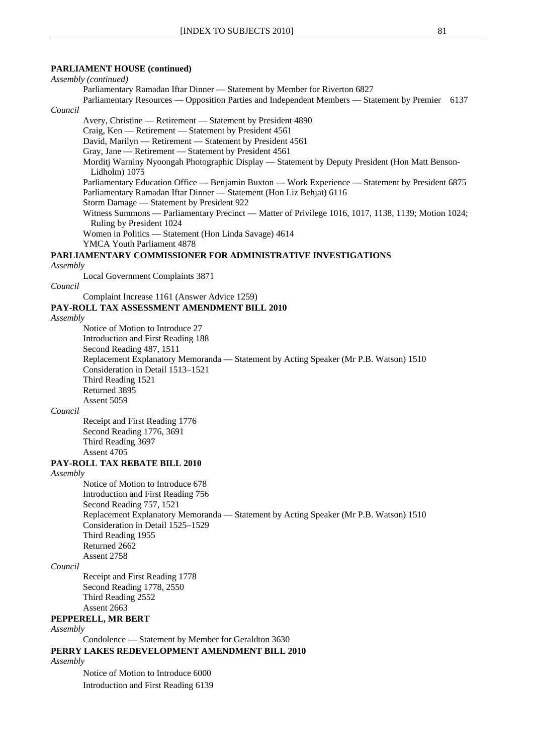#### **PARLIAMENT HOUSE (continued)**

# *Assembly (continued)*

Parliamentary Ramadan Iftar Dinner — Statement by Member for Riverton 6827

Parliamentary Resources — Opposition Parties and Independent Members — Statement by Premier 6137 *Council*

Avery, Christine — Retirement — Statement by President 4890

Craig, Ken — Retirement — Statement by President 4561

David, Marilyn — Retirement — Statement by President 4561

Gray, Jane — Retirement — Statement by President 4561

Morditj Warniny Nyoongah Photographic Display — Statement by Deputy President (Hon Matt Benson-Lidholm) 1075

Parliamentary Education Office — Benjamin Buxton — Work Experience — Statement by President 6875 Parliamentary Ramadan Iftar Dinner — Statement (Hon Liz Behjat) 6116

Storm Damage — Statement by President 922

Witness Summons — Parliamentary Precinct — Matter of Privilege 1016, 1017, 1138, 1139; Motion 1024; Ruling by President 1024

Women in Politics — Statement (Hon Linda Savage) 4614

YMCA Youth Parliament 4878

## **PARLIAMENTARY COMMISSIONER FOR ADMINISTRATIVE INVESTIGATIONS**

#### *Assembly*

Local Government Complaints 3871

#### *Council*

Complaint Increase 1161 (Answer Advice 1259)

## **PAY-ROLL TAX ASSESSMENT AMENDMENT BILL 2010**

*Assembly*

Notice of Motion to Introduce 27 Introduction and First Reading 188 Second Reading 487, 1511 Replacement Explanatory Memoranda — Statement by Acting Speaker (Mr P.B. Watson) 1510 Consideration in Detail 1513–1521 Third Reading 1521 Returned 3895 Assent 5059

#### *Council*

Receipt and First Reading 1776 Second Reading 1776, 3691 Third Reading 3697 Assent 4705

#### **PAY-ROLL TAX REBATE BILL 2010**

#### *Assembly*

Notice of Motion to Introduce 678 Introduction and First Reading 756 Second Reading 757, 1521 Replacement Explanatory Memoranda — Statement by Acting Speaker (Mr P.B. Watson) 1510 Consideration in Detail 1525–1529 Third Reading 1955 Returned 2662 Assent 2758

## *Council*

Receipt and First Reading 1778 Second Reading 1778, 2550 Third Reading 2552 Assent 2663

## **PEPPERELL, MR BERT**

#### *Assembly*

Condolence — Statement by Member for Geraldton 3630 **PERRY LAKES REDEVELOPMENT AMENDMENT BILL 2010**

#### *Assembly*

Notice of Motion to Introduce 6000 Introduction and First Reading 6139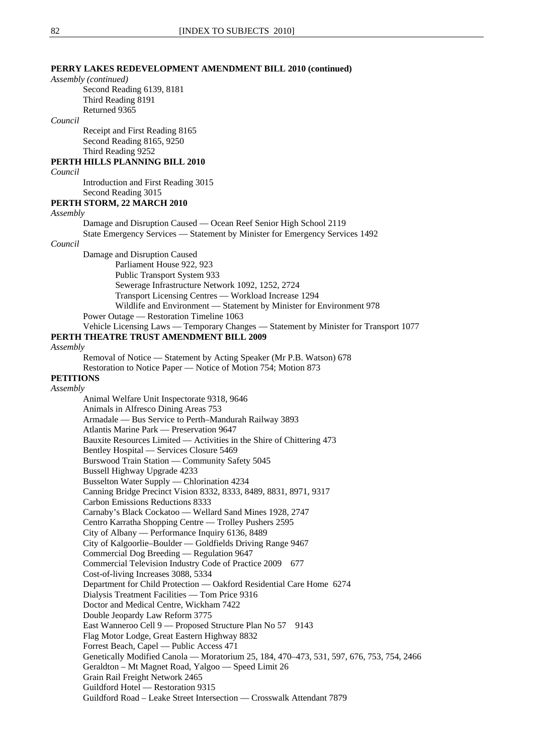## **PERRY LAKES REDEVELOPMENT AMENDMENT BILL 2010 (continued)**

#### *Assembly (continued)*

Second Reading 6139, 8181 Third Reading 8191 Returned 9365

#### *Council*

Receipt and First Reading 8165 Second Reading 8165, 9250 Third Reading 9252

# **PERTH HILLS PLANNING BILL 2010**

*Council*

Introduction and First Reading 3015

#### Second Reading 3015 **PERTH STORM, 22 MARCH 2010**

*Assembly*

*Council*

Damage and Disruption Caused — Ocean Reef Senior High School 2119 State Emergency Services — Statement by Minister for Emergency Services 1492 Damage and Disruption Caused Parliament House 922, 923 Public Transport System 933 Sewerage Infrastructure Network 1092, 1252, 2724 Transport Licensing Centres — Workload Increase 1294

Wildlife and Environment — Statement by Minister for Environment 978

# Power Outage — Restoration Timeline 1063

Vehicle Licensing Laws — Temporary Changes — Statement by Minister for Transport 1077

## **PERTH THEATRE TRUST AMENDMENT BILL 2009**

#### *Assembly*

Removal of Notice — Statement by Acting Speaker (Mr P.B. Watson) 678 Restoration to Notice Paper — Notice of Motion 754; Motion 873

# **PETITIONS**

# *Assembly*

Animal Welfare Unit Inspectorate 9318, 9646 Animals in Alfresco Dining Areas 753 Armadale — Bus Service to Perth–Mandurah Railway 3893 Atlantis Marine Park — Preservation 9647 Bauxite Resources Limited — Activities in the Shire of Chittering 473 Bentley Hospital — Services Closure 5469 Burswood Train Station — Community Safety 5045 Bussell Highway Upgrade 4233 Busselton Water Supply — Chlorination 4234 Canning Bridge Precinct Vision 8332, 8333, 8489, 8831, 8971, 9317 Carbon Emissions Reductions 8333 Carnaby's Black Cockatoo — Wellard Sand Mines 1928, 2747 Centro Karratha Shopping Centre — Trolley Pushers 2595 City of Albany — Performance Inquiry 6136, 8489 City of Kalgoorlie–Boulder — Goldfields Driving Range 9467 Commercial Dog Breeding — Regulation 9647 Commercial Television Industry Code of Practice 2009 677 Cost-of-living Increases 3088, 5334 Department for Child Protection — Oakford Residential Care Home 6274 Dialysis Treatment Facilities — Tom Price 9316 Doctor and Medical Centre, Wickham 7422 Double Jeopardy Law Reform 3775 East Wanneroo Cell 9 — Proposed Structure Plan No 57 9143 Flag Motor Lodge, Great Eastern Highway 8832 Forrest Beach, Capel — Public Access 471 Genetically Modified Canola — Moratorium 25, 184, 470–473, 531, 597, 676, 753, 754, 2466 Geraldton – Mt Magnet Road, Yalgoo — Speed Limit 26 Grain Rail Freight Network 2465 Guildford Hotel — Restoration 9315 Guildford Road – Leake Street Intersection — Crosswalk Attendant 7879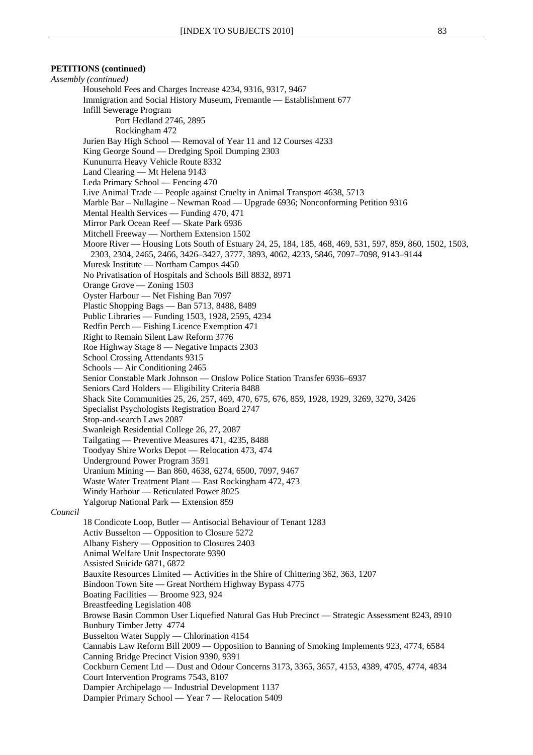## **PETITIONS (continued)**

*Assembly (continued)* Household Fees and Charges Increase 4234, 9316, 9317, 9467 Immigration and Social History Museum, Fremantle — Establishment 677 Infill Sewerage Program Port Hedland 2746, 2895 Rockingham 472 Jurien Bay High School — Removal of Year 11 and 12 Courses 4233 King George Sound — Dredging Spoil Dumping 2303 Kununurra Heavy Vehicle Route 8332 Land Clearing — Mt Helena 9143 Leda Primary School — Fencing 470 Live Animal Trade — People against Cruelty in Animal Transport 4638, 5713 Marble Bar – Nullagine – Newman Road — Upgrade 6936; Nonconforming Petition 9316 Mental Health Services — Funding 470, 471 Mirror Park Ocean Reef — Skate Park 6936 Mitchell Freeway — Northern Extension 1502 Moore River — Housing Lots South of Estuary 24, 25, 184, 185, 468, 469, 531, 597, 859, 860, 1502, 1503, 2303, 2304, 2465, 2466, 3426–3427, 3777, 3893, 4062, 4233, 5846, 7097–7098, 9143–9144 Muresk Institute — Northam Campus 4450 No Privatisation of Hospitals and Schools Bill 8832, 8971 Orange Grove — Zoning 1503 Oyster Harbour — Net Fishing Ban 7097 Plastic Shopping Bags — Ban 5713, 8488, 8489 Public Libraries — Funding 1503, 1928, 2595, 4234 Redfin Perch — Fishing Licence Exemption 471 Right to Remain Silent Law Reform 3776 Roe Highway Stage 8 — Negative Impacts 2303 School Crossing Attendants 9315 Schools — Air Conditioning 2465 Senior Constable Mark Johnson — Onslow Police Station Transfer 6936–6937 Seniors Card Holders — Eligibility Criteria 8488 Shack Site Communities 25, 26, 257, 469, 470, 675, 676, 859, 1928, 1929, 3269, 3270, 3426 Specialist Psychologists Registration Board 2747 Stop-and-search Laws 2087 Swanleigh Residential College 26, 27, 2087 Tailgating — Preventive Measures 471, 4235, 8488 Toodyay Shire Works Depot — Relocation 473, 474 Underground Power Program 3591 Uranium Mining — Ban 860, 4638, 6274, 6500, 7097, 9467 Waste Water Treatment Plant — East Rockingham 472, 473 Windy Harbour — Reticulated Power 8025 Yalgorup National Park — Extension 859 *Council* 18 Condicote Loop, Butler — Antisocial Behaviour of Tenant 1283 Activ Busselton — Opposition to Closure 5272 Albany Fishery — Opposition to Closures 2403 Animal Welfare Unit Inspectorate 9390 Assisted Suicide 6871, 6872 Bauxite Resources Limited — Activities in the Shire of Chittering 362, 363, 1207 Bindoon Town Site — Great Northern Highway Bypass 4775 Boating Facilities — Broome 923, 924 Breastfeeding Legislation 408 Browse Basin Common User Liquefied Natural Gas Hub Precinct — Strategic Assessment 8243, 8910 Bunbury Timber Jetty 4774 Busselton Water Supply — Chlorination 4154 Cannabis Law Reform Bill 2009 — Opposition to Banning of Smoking Implements 923, 4774, 6584 Canning Bridge Precinct Vision 9390, 9391 Cockburn Cement Ltd — Dust and Odour Concerns 3173, 3365, 3657, 4153, 4389, 4705, 4774, 4834 Court Intervention Programs 7543, 8107 Dampier Archipelago — Industrial Development 1137 Dampier Primary School — Year 7 — Relocation 5409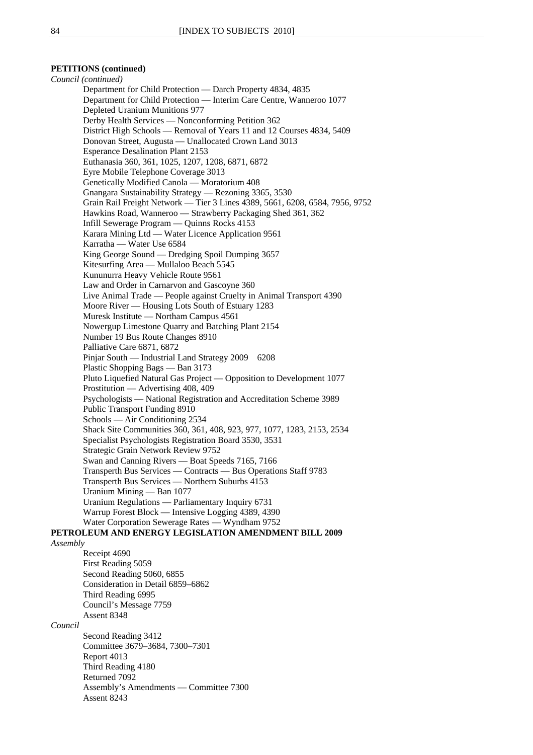## **PETITIONS (continued)**

*Council (continued)* Department for Child Protection — Darch Property 4834, 4835 Department for Child Protection — Interim Care Centre, Wanneroo 1077 Depleted Uranium Munitions 977 Derby Health Services — Nonconforming Petition 362 District High Schools — Removal of Years 11 and 12 Courses 4834, 5409 Donovan Street, Augusta — Unallocated Crown Land 3013 Esperance Desalination Plant 2153 Euthanasia 360, 361, 1025, 1207, 1208, 6871, 6872 Eyre Mobile Telephone Coverage 3013 Genetically Modified Canola — Moratorium 408 Gnangara Sustainability Strategy — Rezoning 3365, 3530 Grain Rail Freight Network — Tier 3 Lines 4389, 5661, 6208, 6584, 7956, 9752 Hawkins Road, Wanneroo — Strawberry Packaging Shed 361, 362 Infill Sewerage Program — Quinns Rocks 4153 Karara Mining Ltd — Water Licence Application 9561 Karratha — Water Use 6584 King George Sound — Dredging Spoil Dumping 3657 Kitesurfing Area — Mullaloo Beach 5545 Kununurra Heavy Vehicle Route 9561 Law and Order in Carnarvon and Gascoyne 360 Live Animal Trade — People against Cruelty in Animal Transport 4390 Moore River — Housing Lots South of Estuary 1283 Muresk Institute — Northam Campus 4561 Nowergup Limestone Quarry and Batching Plant 2154 Number 19 Bus Route Changes 8910 Palliative Care 6871, 6872 Pinjar South — Industrial Land Strategy 2009 6208 Plastic Shopping Bags — Ban 3173 Pluto Liquefied Natural Gas Project — Opposition to Development 1077 Prostitution — Advertising 408, 409 Psychologists — National Registration and Accreditation Scheme 3989 Public Transport Funding 8910 Schools — Air Conditioning 2534 Shack Site Communities 360, 361, 408, 923, 977, 1077, 1283, 2153, 2534 Specialist Psychologists Registration Board 3530, 3531 Strategic Grain Network Review 9752 Swan and Canning Rivers — Boat Speeds 7165, 7166 Transperth Bus Services — Contracts — Bus Operations Staff 9783 Transperth Bus Services — Northern Suburbs 4153 Uranium Mining — Ban 1077 Uranium Regulations — Parliamentary Inquiry 6731 Warrup Forest Block — Intensive Logging 4389, 4390 Water Corporation Sewerage Rates — Wyndham 9752 **PETROLEUM AND ENERGY LEGISLATION AMENDMENT BILL 2009** *Assembly* Receipt 4690 First Reading 5059 Second Reading 5060, 6855 Consideration in Detail 6859–6862 Third Reading 6995 Council's Message 7759 Assent 8348 *Council* Second Reading 3412 Committee 3679–3684, 7300–7301 Report 4013 Third Reading 4180 Returned 7092 Assembly's Amendments — Committee 7300 Assent 8243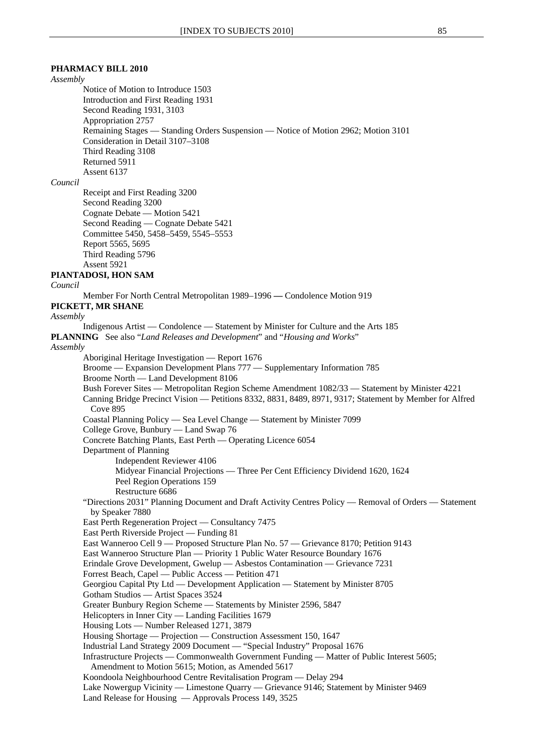## **PHARMACY BILL 2010**

*Assembly*

Notice of Motion to Introduce 1503 Introduction and First Reading 1931 Second Reading 1931, 3103 Appropriation 2757 Remaining Stages — Standing Orders Suspension — Notice of Motion 2962; Motion 3101 Consideration in Detail 3107–3108 Third Reading 3108 Returned 5911 Assent 6137

## *Council*

Receipt and First Reading 3200 Second Reading 3200 Cognate Debate — Motion 5421 Second Reading — Cognate Debate 5421 Committee 5450, 5458–5459, 5545–5553 Report 5565, 5695 Third Reading 5796 Assent 5921

## **PIANTADOSI, HON SAM**

*Council*

Member For North Central Metropolitan 1989–1996 **—** Condolence Motion 919

## **PICKETT, MR SHANE**

*Assembly*

Indigenous Artist — Condolence — Statement by Minister for Culture and the Arts 185 **PLANNING** See also "*Land Releases and Development*" and "*Housing and Works*" *Assembly* Aboriginal Heritage Investigation — Report 1676 Broome — Expansion Development Plans 777 — Supplementary Information 785 Broome North — Land Development 8106 Bush Forever Sites — Metropolitan Region Scheme Amendment 1082/33 — Statement by Minister 4221 Canning Bridge Precinct Vision — Petitions 8332, 8831, 8489, 8971, 9317; Statement by Member for Alfred Cove 895 Coastal Planning Policy — Sea Level Change — Statement by Minister 7099 College Grove, Bunbury — Land Swap 76 Concrete Batching Plants, East Perth — Operating Licence 6054 Department of Planning Independent Reviewer 4106 Midyear Financial Projections — Three Per Cent Efficiency Dividend 1620, 1624 Peel Region Operations 159 Restructure 6686 "Directions 2031" Planning Document and Draft Activity Centres Policy — Removal of Orders — Statement by Speaker 7880 East Perth Regeneration Project — Consultancy 7475 East Perth Riverside Project — Funding 81 East Wanneroo Cell 9 — Proposed Structure Plan No. 57 — Grievance 8170; Petition 9143 East Wanneroo Structure Plan — Priority 1 Public Water Resource Boundary 1676 Erindale Grove Development, Gwelup — Asbestos Contamination — Grievance 7231 Forrest Beach, Capel — Public Access — Petition 471 Georgiou Capital Pty Ltd — Development Application — Statement by Minister 8705 Gotham Studios — Artist Spaces 3524 Greater Bunbury Region Scheme — Statements by Minister 2596, 5847 Helicopters in Inner City — Landing Facilities 1679 Housing Lots — Number Released 1271, 3879 Housing Shortage — Projection — Construction Assessment 150, 1647 Industrial Land Strategy 2009 Document — "Special Industry" Proposal 1676 Infrastructure Projects — Commonwealth Government Funding — Matter of Public Interest 5605; Amendment to Motion 5615; Motion, as Amended 5617 Koondoola Neighbourhood Centre Revitalisation Program — Delay 294 Lake Nowergup Vicinity — Limestone Quarry — Grievance 9146; Statement by Minister 9469 Land Release for Housing — Approvals Process 149, 3525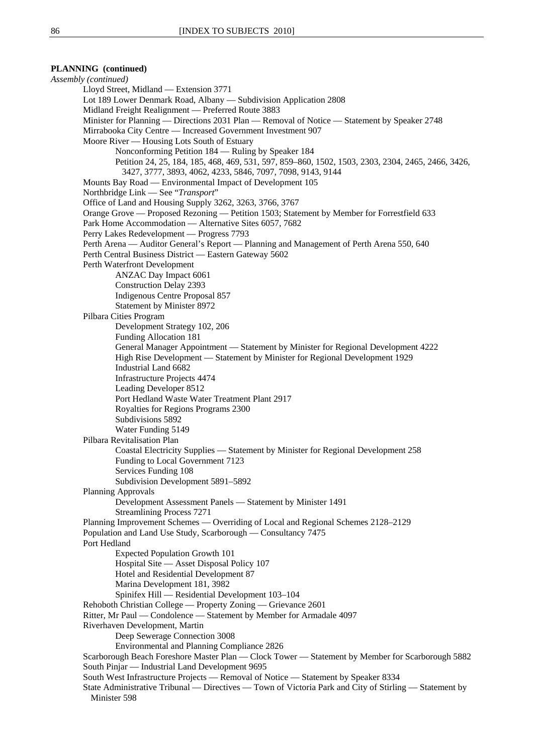## **PLANNING (continued)**

*Assembly (continued)* Lloyd Street, Midland — Extension 3771 Lot 189 Lower Denmark Road, Albany — Subdivision Application 2808 Midland Freight Realignment — Preferred Route 3883 Minister for Planning — Directions 2031 Plan — Removal of Notice — Statement by Speaker 2748 Mirrabooka City Centre — Increased Government Investment 907 Moore River — Housing Lots South of Estuary Nonconforming Petition 184 — Ruling by Speaker 184 Petition 24, 25, 184, 185, 468, 469, 531, 597, 859–860, 1502, 1503, 2303, 2304, 2465, 2466, 3426, 3427, 3777, 3893, 4062, 4233, 5846, 7097, 7098, 9143, 9144 Mounts Bay Road — Environmental Impact of Development 105 Northbridge Link — See "*Transport*" Office of Land and Housing Supply 3262, 3263, 3766, 3767 Orange Grove — Proposed Rezoning — Petition 1503; Statement by Member for Forrestfield 633 Park Home Accommodation — Alternative Sites 6057, 7682 Perry Lakes Redevelopment — Progress 7793 Perth Arena — Auditor General's Report — Planning and Management of Perth Arena 550, 640 Perth Central Business District — Eastern Gateway 5602 Perth Waterfront Development ANZAC Day Impact 6061 Construction Delay 2393 Indigenous Centre Proposal 857 Statement by Minister 8972 Pilbara Cities Program Development Strategy 102, 206 Funding Allocation 181 General Manager Appointment — Statement by Minister for Regional Development 4222 High Rise Development — Statement by Minister for Regional Development 1929 Industrial Land 6682 Infrastructure Projects 4474 Leading Developer 8512 Port Hedland Waste Water Treatment Plant 2917 Royalties for Regions Programs 2300 Subdivisions 5892 Water Funding 5149 Pilbara Revitalisation Plan Coastal Electricity Supplies — Statement by Minister for Regional Development 258 Funding to Local Government 7123 Services Funding 108 Subdivision Development 5891–5892 Planning Approvals Development Assessment Panels — Statement by Minister 1491 Streamlining Process 7271 Planning Improvement Schemes — Overriding of Local and Regional Schemes 2128–2129 Population and Land Use Study, Scarborough — Consultancy 7475 Port Hedland Expected Population Growth 101 Hospital Site — Asset Disposal Policy 107 Hotel and Residential Development 87 Marina Development 181, 3982 Spinifex Hill — Residential Development 103–104 Rehoboth Christian College — Property Zoning — Grievance 2601 Ritter, Mr Paul — Condolence — Statement by Member for Armadale 4097 Riverhaven Development, Martin Deep Sewerage Connection 3008 Environmental and Planning Compliance 2826 Scarborough Beach Foreshore Master Plan — Clock Tower — Statement by Member for Scarborough 5882 South Pinjar — Industrial Land Development 9695 South West Infrastructure Projects — Removal of Notice — Statement by Speaker 8334 State Administrative Tribunal — Directives — Town of Victoria Park and City of Stirling — Statement by Minister 598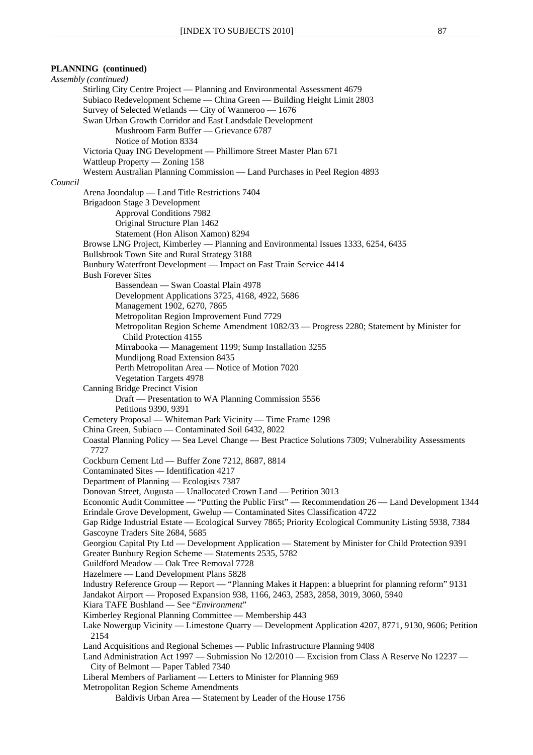## **PLANNING (continued)** *Assembly (continued)* Stirling City Centre Project — Planning and Environmental Assessment 4679 Subiaco Redevelopment Scheme — China Green — Building Height Limit 2803 Survey of Selected Wetlands — City of Wanneroo — 1676 Swan Urban Growth Corridor and East Landsdale Development Mushroom Farm Buffer — Grievance 6787 Notice of Motion 8334 Victoria Quay ING Development — Phillimore Street Master Plan 671 Wattleup Property — Zoning 158 Western Australian Planning Commission — Land Purchases in Peel Region 4893 *Council* Arena Joondalup — Land Title Restrictions 7404 Brigadoon Stage 3 Development Approval Conditions 7982 Original Structure Plan 1462 Statement (Hon Alison Xamon) 8294 Browse LNG Project, Kimberley — Planning and Environmental Issues 1333, 6254, 6435 Bullsbrook Town Site and Rural Strategy 3188 Bunbury Waterfront Development — Impact on Fast Train Service 4414 Bush Forever Sites Bassendean — Swan Coastal Plain 4978 Development Applications 3725, 4168, 4922, 5686 Management 1902, 6270, 7865 Metropolitan Region Improvement Fund 7729 Metropolitan Region Scheme Amendment 1082/33 — Progress 2280; Statement by Minister for Child Protection 4155 Mirrabooka — Management 1199; Sump Installation 3255 Mundijong Road Extension 8435 Perth Metropolitan Area — Notice of Motion 7020 Vegetation Targets 4978 Canning Bridge Precinct Vision Draft — Presentation to WA Planning Commission 5556 Petitions 9390, 9391 Cemetery Proposal — Whiteman Park Vicinity — Time Frame 1298 China Green, Subiaco — Contaminated Soil 6432, 8022 Coastal Planning Policy — Sea Level Change — Best Practice Solutions 7309; Vulnerability Assessments 7727 Cockburn Cement Ltd — Buffer Zone 7212, 8687, 8814 Contaminated Sites — Identification 4217 Department of Planning — Ecologists 7387 Donovan Street, Augusta — Unallocated Crown Land — Petition 3013 Economic Audit Committee — "Putting the Public First" — Recommendation 26 — Land Development 1344 Erindale Grove Development, Gwelup — Contaminated Sites Classification 4722 Gap Ridge Industrial Estate — Ecological Survey 7865; Priority Ecological Community Listing 5938, 7384 Gascoyne Traders Site 2684, 5685 Georgiou Capital Pty Ltd — Development Application — Statement by Minister for Child Protection 9391 Greater Bunbury Region Scheme — Statements 2535, 5782 Guildford Meadow — Oak Tree Removal 7728 Hazelmere — Land Development Plans 5828 Industry Reference Group — Report — "Planning Makes it Happen: a blueprint for planning reform" 9131 Jandakot Airport — Proposed Expansion 938, 1166, 2463, 2583, 2858, 3019, 3060, 5940 Kiara TAFE Bushland — See "*Environment*" Kimberley Regional Planning Committee — Membership 443 Lake Nowergup Vicinity — Limestone Quarry — Development Application 4207, 8771, 9130, 9606; Petition 2154 Land Acquisitions and Regional Schemes — Public Infrastructure Planning 9408 Land Administration Act 1997 — Submission No 12/2010 — Excision from Class A Reserve No 12237 — City of Belmont — Paper Tabled 7340 Liberal Members of Parliament — Letters to Minister for Planning 969 Metropolitan Region Scheme Amendments Baldivis Urban Area — Statement by Leader of the House 1756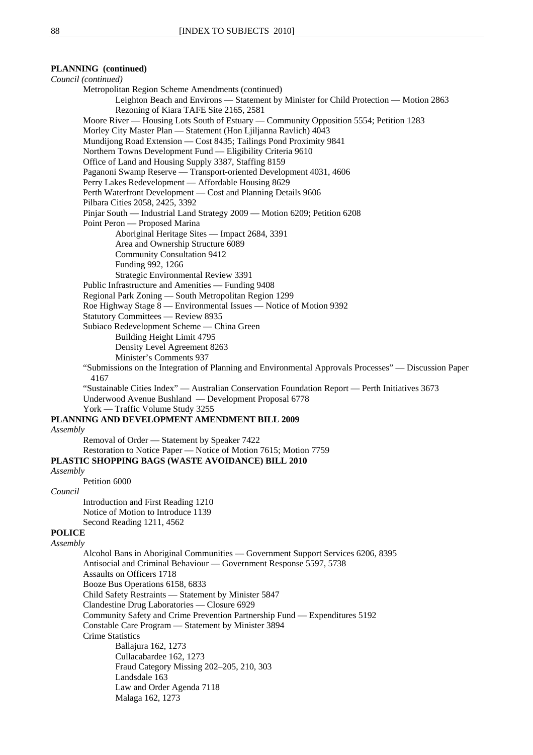## **PLANNING (continued)**

*Council (continued)* Metropolitan Region Scheme Amendments (continued) Leighton Beach and Environs — Statement by Minister for Child Protection — Motion 2863 Rezoning of Kiara TAFE Site 2165, 2581 Moore River — Housing Lots South of Estuary — Community Opposition 5554; Petition 1283 Morley City Master Plan — Statement (Hon Ljiljanna Ravlich) 4043 Mundijong Road Extension — Cost 8435; Tailings Pond Proximity 9841 Northern Towns Development Fund — Eligibility Criteria 9610 Office of Land and Housing Supply 3387, Staffing 8159 Paganoni Swamp Reserve — Transport-oriented Development 4031, 4606 Perry Lakes Redevelopment — Affordable Housing 8629 Perth Waterfront Development — Cost and Planning Details 9606 Pilbara Cities 2058, 2425, 3392 Pinjar South — Industrial Land Strategy 2009 — Motion 6209; Petition 6208 Point Peron — Proposed Marina Aboriginal Heritage Sites — Impact 2684, 3391 Area and Ownership Structure 6089 Community Consultation 9412 Funding 992, 1266 Strategic Environmental Review 3391 Public Infrastructure and Amenities — Funding 9408 Regional Park Zoning — South Metropolitan Region 1299 Roe Highway Stage 8 — Environmental Issues — Notice of Motion 9392 Statutory Committees — Review 8935 Subiaco Redevelopment Scheme — China Green Building Height Limit 4795 Density Level Agreement 8263 Minister's Comments 937 "Submissions on the Integration of Planning and Environmental Approvals Processes" — Discussion Paper 4167 "Sustainable Cities Index" — Australian Conservation Foundation Report — Perth Initiatives 3673 Underwood Avenue Bushland — Development Proposal 6778 York — Traffic Volume Study 3255 **PLANNING AND DEVELOPMENT AMENDMENT BILL 2009** *Assembly* Removal of Order — Statement by Speaker 7422 Restoration to Notice Paper — Notice of Motion 7615; Motion 7759 **PLASTIC SHOPPING BAGS (WASTE AVOIDANCE) BILL 2010** *Assembly* Petition 6000 *Council* Introduction and First Reading 1210 Notice of Motion to Introduce 1139 Second Reading 1211, 4562 **POLICE** *Assembly* Alcohol Bans in Aboriginal Communities — Government Support Services 6206, 8395 Antisocial and Criminal Behaviour — Government Response 5597, 5738 Assaults on Officers 1718 Booze Bus Operations 6158, 6833 Child Safety Restraints — Statement by Minister 5847 Clandestine Drug Laboratories — Closure 6929 Community Safety and Crime Prevention Partnership Fund — Expenditures 5192 Constable Care Program — Statement by Minister 3894 Crime Statistics Ballajura 162, 1273 Cullacabardee 162, 1273 Fraud Category Missing 202–205, 210, 303 Landsdale 163 Law and Order Agenda 7118 Malaga 162, 1273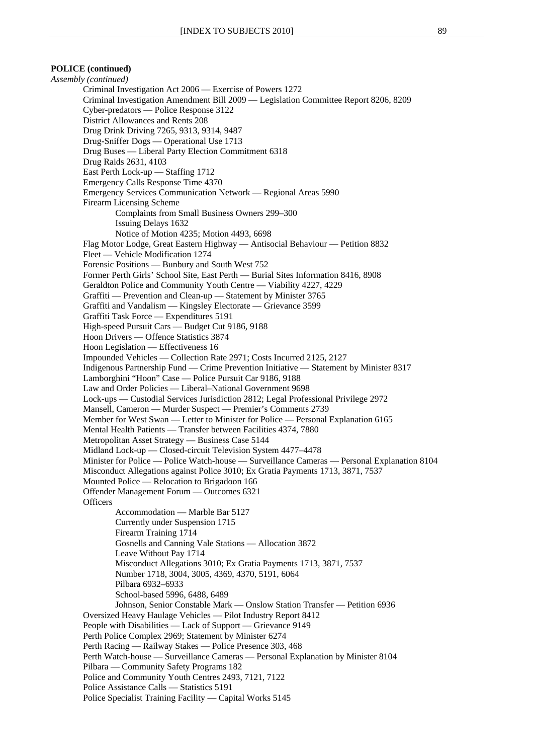## **POLICE (continued)**

*Assembly (continued)* Criminal Investigation Act 2006 — Exercise of Powers 1272 Criminal Investigation Amendment Bill 2009 — Legislation Committee Report 8206, 8209 Cyber-predators — Police Response 3122 District Allowances and Rents 208 Drug Drink Driving 7265, 9313, 9314, 9487 Drug-Sniffer Dogs — Operational Use 1713 Drug Buses — Liberal Party Election Commitment 6318 Drug Raids 2631, 4103 East Perth Lock-up — Staffing 1712 Emergency Calls Response Time 4370 Emergency Services Communication Network — Regional Areas 5990 Firearm Licensing Scheme Complaints from Small Business Owners 299–300 Issuing Delays 1632 Notice of Motion 4235; Motion 4493, 6698 Flag Motor Lodge, Great Eastern Highway — Antisocial Behaviour — Petition 8832 Fleet — Vehicle Modification 1274 Forensic Positions — Bunbury and South West 752 Former Perth Girls' School Site, East Perth — Burial Sites Information 8416, 8908 Geraldton Police and Community Youth Centre — Viability 4227, 4229 Graffiti — Prevention and Clean-up — Statement by Minister 3765 Graffiti and Vandalism — Kingsley Electorate — Grievance 3599 Graffiti Task Force — Expenditures 5191 High-speed Pursuit Cars — Budget Cut 9186, 9188 Hoon Drivers — Offence Statistics 3874 Hoon Legislation — Effectiveness 16 Impounded Vehicles — Collection Rate 2971; Costs Incurred 2125, 2127 Indigenous Partnership Fund — Crime Prevention Initiative — Statement by Minister 8317 Lamborghini "Hoon" Case — Police Pursuit Car 9186, 9188 Law and Order Policies — Liberal–National Government 9698 Lock-ups — Custodial Services Jurisdiction 2812; Legal Professional Privilege 2972 Mansell, Cameron — Murder Suspect — Premier's Comments 2739 Member for West Swan — Letter to Minister for Police — Personal Explanation 6165 Mental Health Patients — Transfer between Facilities 4374, 7880 Metropolitan Asset Strategy — Business Case 5144 Midland Lock-up — Closed-circuit Television System 4477–4478 Minister for Police — Police Watch-house — Surveillance Cameras — Personal Explanation 8104 Misconduct Allegations against Police 3010; Ex Gratia Payments 1713, 3871, 7537 Mounted Police — Relocation to Brigadoon 166 Offender Management Forum — Outcomes 6321 **Officers** Accommodation — Marble Bar 5127 Currently under Suspension 1715 Firearm Training 1714 Gosnells and Canning Vale Stations — Allocation 3872 Leave Without Pay 1714 Misconduct Allegations 3010; Ex Gratia Payments 1713, 3871, 7537 Number 1718, 3004, 3005, 4369, 4370, 5191, 6064 Pilbara 6932–6933 School-based 5996, 6488, 6489 Johnson, Senior Constable Mark — Onslow Station Transfer — Petition 6936 Oversized Heavy Haulage Vehicles — Pilot Industry Report 8412 People with Disabilities — Lack of Support — Grievance 9149 Perth Police Complex 2969; Statement by Minister 6274 Perth Racing — Railway Stakes — Police Presence 303, 468 Perth Watch-house — Surveillance Cameras — Personal Explanation by Minister 8104 Pilbara — Community Safety Programs 182 Police and Community Youth Centres 2493, 7121, 7122 Police Assistance Calls — Statistics 5191 Police Specialist Training Facility — Capital Works 5145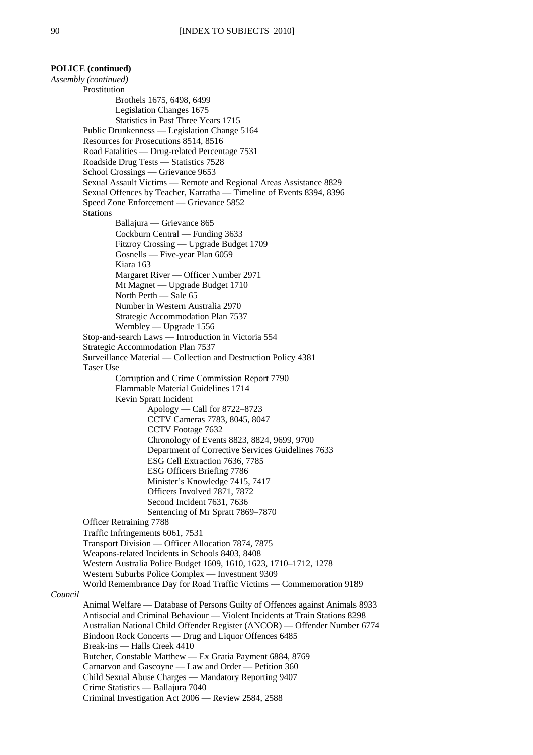## **POLICE (continued)**

*Assembly (continued)* **Prostitution** Brothels 1675, 6498, 6499 Legislation Changes 1675 Statistics in Past Three Years 1715 Public Drunkenness — Legislation Change 5164 Resources for Prosecutions 8514, 8516 Road Fatalities — Drug-related Percentage 7531 Roadside Drug Tests — Statistics 7528 School Crossings — Grievance 9653 Sexual Assault Victims — Remote and Regional Areas Assistance 8829 Sexual Offences by Teacher, Karratha — Timeline of Events 8394, 8396 Speed Zone Enforcement — Grievance 5852 Stations Ballajura — Grievance 865 Cockburn Central — Funding 3633 Fitzroy Crossing — Upgrade Budget 1709 Gosnells — Five-year Plan 6059 Kiara 163 Margaret River — Officer Number 2971 Mt Magnet — Upgrade Budget 1710 North Perth — Sale 65 Number in Western Australia 2970 Strategic Accommodation Plan 7537 Wembley — Upgrade 1556 Stop-and-search Laws — Introduction in Victoria 554 Strategic Accommodation Plan 7537 Surveillance Material — Collection and Destruction Policy 4381 Taser Use Corruption and Crime Commission Report 7790 Flammable Material Guidelines 1714 Kevin Spratt Incident Apology — Call for 8722–8723 CCTV Cameras 7783, 8045, 8047 CCTV Footage 7632 Chronology of Events 8823, 8824, 9699, 9700 Department of Corrective Services Guidelines 7633 ESG Cell Extraction 7636, 7785 ESG Officers Briefing 7786 Minister's Knowledge 7415, 7417 Officers Involved 7871, 7872 Second Incident 7631, 7636 Sentencing of Mr Spratt 7869–7870 Officer Retraining 7788 Traffic Infringements 6061, 7531 Transport Division — Officer Allocation 7874, 7875 Weapons-related Incidents in Schools 8403, 8408 Western Australia Police Budget 1609, 1610, 1623, 1710–1712, 1278 Western Suburbs Police Complex — Investment 9309 World Remembrance Day for Road Traffic Victims — Commemoration 9189 *Council* Animal Welfare — Database of Persons Guilty of Offences against Animals 8933 Antisocial and Criminal Behaviour — Violent Incidents at Train Stations 8298 Australian National Child Offender Register (ANCOR) — Offender Number 6774 Bindoon Rock Concerts — Drug and Liquor Offences 6485 Break-ins — Halls Creek 4410 Butcher, Constable Matthew — Ex Gratia Payment 6884, 8769 Carnarvon and Gascoyne — Law and Order — Petition 360 Child Sexual Abuse Charges — Mandatory Reporting 9407 Crime Statistics — Ballajura 7040

Criminal Investigation Act 2006 — Review 2584, 2588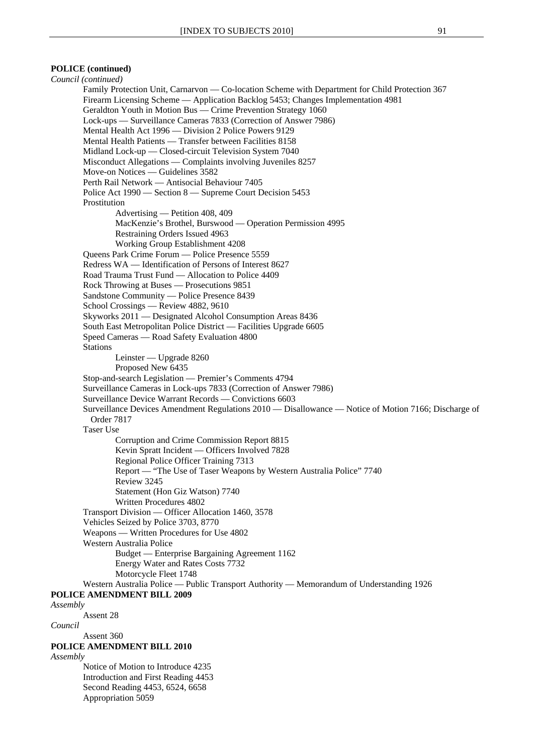## **POLICE (continued)**

*Council (continued)* Family Protection Unit, Carnarvon — Co-location Scheme with Department for Child Protection 367 Firearm Licensing Scheme — Application Backlog 5453; Changes Implementation 4981 Geraldton Youth in Motion Bus — Crime Prevention Strategy 1060 Lock-ups — Surveillance Cameras 7833 (Correction of Answer 7986) Mental Health Act 1996 — Division 2 Police Powers 9129 Mental Health Patients — Transfer between Facilities 8158 Midland Lock-up — Closed-circuit Television System 7040 Misconduct Allegations — Complaints involving Juveniles 8257 Move-on Notices — Guidelines 3582 Perth Rail Network — Antisocial Behaviour 7405 Police Act 1990 — Section 8 — Supreme Court Decision 5453 Prostitution Advertising — Petition 408, 409 MacKenzie's Brothel, Burswood — Operation Permission 4995 Restraining Orders Issued 4963 Working Group Establishment 4208 Queens Park Crime Forum — Police Presence 5559 Redress WA — Identification of Persons of Interest 8627 Road Trauma Trust Fund — Allocation to Police 4409 Rock Throwing at Buses — Prosecutions 9851 Sandstone Community — Police Presence 8439 School Crossings — Review 4882, 9610 Skyworks 2011 — Designated Alcohol Consumption Areas 8436 South East Metropolitan Police District — Facilities Upgrade 6605 Speed Cameras — Road Safety Evaluation 4800 Stations Leinster — Upgrade 8260 Proposed New 6435 Stop-and-search Legislation — Premier's Comments 4794 Surveillance Cameras in Lock-ups 7833 (Correction of Answer 7986) Surveillance Device Warrant Records — Convictions 6603 Surveillance Devices Amendment Regulations 2010 — Disallowance — Notice of Motion 7166; Discharge of Order 7817 Taser Use Corruption and Crime Commission Report 8815 Kevin Spratt Incident — Officers Involved 7828 Regional Police Officer Training 7313 Report — "The Use of Taser Weapons by Western Australia Police" 7740 Review 3245 Statement (Hon Giz Watson) 7740 Written Procedures 4802 Transport Division — Officer Allocation 1460, 3578 Vehicles Seized by Police 3703, 8770 Weapons — Written Procedures for Use 4802 Western Australia Police Budget — Enterprise Bargaining Agreement 1162 Energy Water and Rates Costs 7732 Motorcycle Fleet 1748 Western Australia Police — Public Transport Authority — Memorandum of Understanding 1926 **POLICE AMENDMENT BILL 2009** *Assembly* Assent 28 *Council* Assent 360 **POLICE AMENDMENT BILL 2010** *Assembly* Notice of Motion to Introduce 4235 Introduction and First Reading 4453 Second Reading 4453, 6524, 6658 Appropriation 5059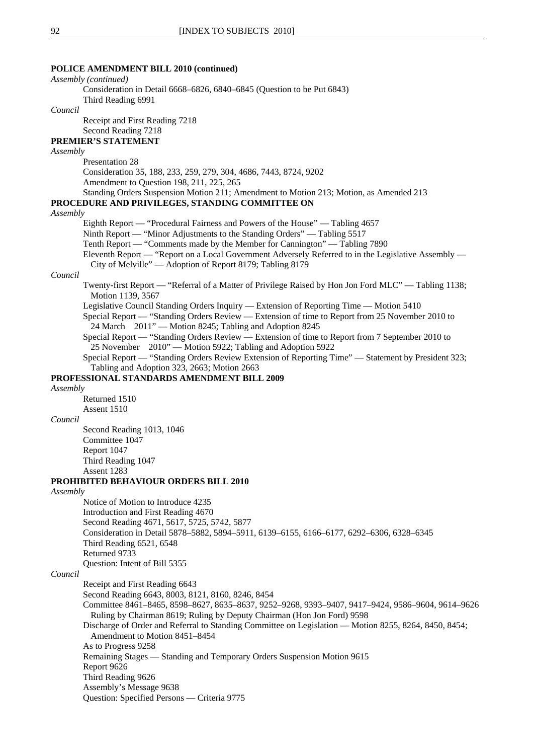## **POLICE AMENDMENT BILL 2010 (continued)** *Assembly (continued)* Consideration in Detail 6668–6826, 6840–6845 (Question to be Put 6843) Third Reading 6991 *Council* Receipt and First Reading 7218 Second Reading 7218 **PREMIER'S STATEMENT** *Assembly* Presentation 28 Consideration 35, 188, 233, 259, 279, 304, 4686, 7443, 8724, 9202 Amendment to Question 198, 211, 225, 265 Standing Orders Suspension Motion 211; Amendment to Motion 213; Motion, as Amended 213 **PROCEDURE AND PRIVILEGES, STANDING COMMITTEE ON** *Assembly* Eighth Report — "Procedural Fairness and Powers of the House" — Tabling 4657 Ninth Report — "Minor Adjustments to the Standing Orders" — Tabling 5517 Tenth Report — "Comments made by the Member for Cannington" — Tabling 7890 Eleventh Report — "Report on a Local Government Adversely Referred to in the Legislative Assembly — City of Melville" — Adoption of Report 8179; Tabling 8179 *Council* Twenty-first Report — "Referral of a Matter of Privilege Raised by Hon Jon Ford MLC" — Tabling 1138; Motion 1139, 3567 Legislative Council Standing Orders Inquiry — Extension of Reporting Time — Motion 5410 Special Report — "Standing Orders Review — Extension of time to Report from 25 November 2010 to 24 March 2011" — Motion 8245; Tabling and Adoption 8245 Special Report — "Standing Orders Review — Extension of time to Report from 7 September 2010 to 25 November 2010" — Motion 5922; Tabling and Adoption 5922 Special Report — "Standing Orders Review Extension of Reporting Time" — Statement by President 323; Tabling and Adoption 323, 2663; Motion 2663 **PROFESSIONAL STANDARDS AMENDMENT BILL 2009** *Assembly* Returned 1510 Assent 1510 *Council* Second Reading 1013, 1046 Committee 1047 Report 1047 Third Reading 1047 Assent 1283 **PROHIBITED BEHAVIOUR ORDERS BILL 2010** *Assembly* Notice of Motion to Introduce 4235 Introduction and First Reading 4670 Second Reading 4671, 5617, 5725, 5742, 5877 Consideration in Detail 5878–5882, 5894–5911, 6139–6155, 6166–6177, 6292–6306, 6328–6345 Third Reading 6521, 6548 Returned 9733 Question: Intent of Bill 5355 *Council* Receipt and First Reading 6643 Second Reading 6643, 8003, 8121, 8160, 8246, 8454 Committee 8461–8465, 8598–8627, 8635–8637, 9252–9268, 9393–9407, 9417–9424, 9586–9604, 9614–9626 Ruling by Chairman 8619; Ruling by Deputy Chairman (Hon Jon Ford) 9598 Discharge of Order and Referral to Standing Committee on Legislation — Motion 8255, 8264, 8450, 8454; Amendment to Motion 8451–8454 As to Progress 9258 Remaining Stages — Standing and Temporary Orders Suspension Motion 9615 Report 9626 Third Reading 9626

Assembly's Message 9638

Question: Specified Persons — Criteria 9775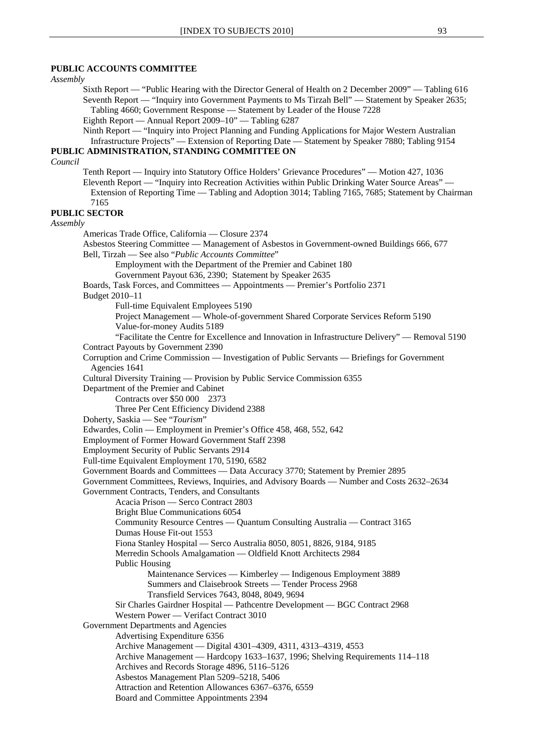## **PUBLIC ACCOUNTS COMMITTEE**

*Assembly*

Sixth Report — "Public Hearing with the Director General of Health on 2 December 2009" — Tabling 616 Seventh Report — "Inquiry into Government Payments to Ms Tirzah Bell" — Statement by Speaker 2635; Tabling 4660; Government Response — Statement by Leader of the House 7228 Eighth Report — Annual Report 2009–10" — Tabling 6287

Ninth Report — "Inquiry into Project Planning and Funding Applications for Major Western Australian Infrastructure Projects" — Extension of Reporting Date — Statement by Speaker 7880; Tabling 9154

# **PUBLIC ADMINISTRATION, STANDING COMMITTEE ON**

*Council*

Tenth Report — Inquiry into Statutory Office Holders' Grievance Procedures" — Motion 427, 1036 Eleventh Report — "Inquiry into Recreation Activities within Public Drinking Water Source Areas" — Extension of Reporting Time — Tabling and Adoption 3014; Tabling 7165, 7685; Statement by Chairman 7165

**PUBLIC SECTOR** *Assembly*  Americas Trade Office, California — Closure 2374 Asbestos Steering Committee — Management of Asbestos in Government-owned Buildings 666, 677 Bell, Tirzah — See also "*Public Accounts Committee*" Employment with the Department of the Premier and Cabinet 180 Government Payout 636, 2390; Statement by Speaker 2635 Boards, Task Forces, and Committees — Appointments — Premier's Portfolio 2371 Budget 2010–11 Full-time Equivalent Employees 5190 Project Management — Whole-of-government Shared Corporate Services Reform 5190 Value-for-money Audits 5189 "Facilitate the Centre for Excellence and Innovation in Infrastructure Delivery" — Removal 5190 Contract Payouts by Government 2390 Corruption and Crime Commission — Investigation of Public Servants — Briefings for Government Agencies 1641 Cultural Diversity Training — Provision by Public Service Commission 6355 Department of the Premier and Cabinet Contracts over \$50 000 2373 Three Per Cent Efficiency Dividend 2388 Doherty, Saskia — See "*Tourism*" Edwardes, Colin — Employment in Premier's Office 458, 468, 552, 642 Employment of Former Howard Government Staff 2398 Employment Security of Public Servants 2914 Full-time Equivalent Employment 170, 5190, 6582 Government Boards and Committees — Data Accuracy 3770; Statement by Premier 2895 Government Committees, Reviews, Inquiries, and Advisory Boards — Number and Costs 2632–2634 Government Contracts, Tenders, and Consultants Acacia Prison — Serco Contract 2803 Bright Blue Communications 6054 Community Resource Centres — Quantum Consulting Australia — Contract 3165 Dumas House Fit-out 1553 Fiona Stanley Hospital — Serco Australia 8050, 8051, 8826, 9184, 9185 Merredin Schools Amalgamation — Oldfield Knott Architects 2984 Public Housing Maintenance Services — Kimberley — Indigenous Employment 3889 Summers and Claisebrook Streets — Tender Process 2968 Transfield Services 7643, 8048, 8049, 9694 Sir Charles Gairdner Hospital — Pathcentre Development — BGC Contract 2968 Western Power — Verifact Contract 3010 Government Departments and Agencies Advertising Expenditure 6356 Archive Management — Digital 4301–4309, 4311, 4313–4319, 4553 Archive Management — Hardcopy 1633–1637, 1996; Shelving Requirements 114–118 Archives and Records Storage 4896, 5116–5126 Asbestos Management Plan 5209–5218, 5406

Attraction and Retention Allowances 6367–6376, 6559

Board and Committee Appointments 2394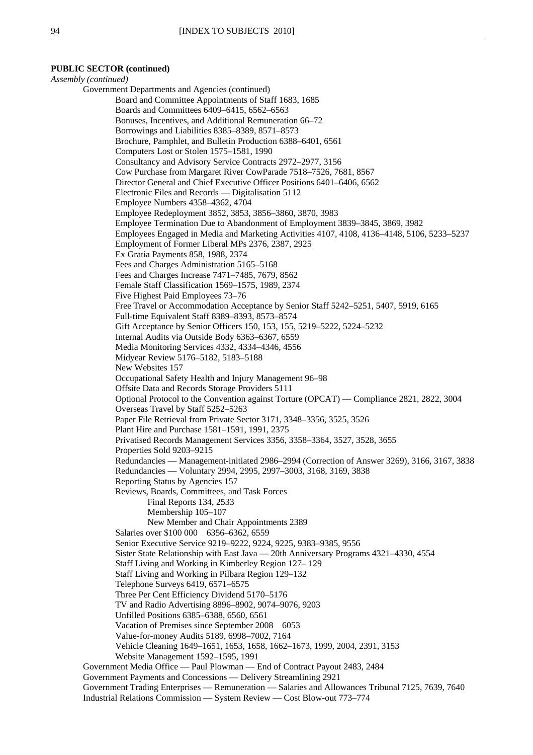## **PUBLIC SECTOR (continued)**

*Assembly (continued)*  Government Departments and Agencies (continued) Board and Committee Appointments of Staff 1683, 1685 Boards and Committees 6409–6415, 6562–6563 Bonuses, Incentives, and Additional Remuneration 66–72 Borrowings and Liabilities 8385–8389, 8571–8573 Brochure, Pamphlet, and Bulletin Production 6388–6401, 6561 Computers Lost or Stolen 1575–1581, 1990 Consultancy and Advisory Service Contracts 2972–2977, 3156 Cow Purchase from Margaret River CowParade 7518–7526, 7681, 8567 Director General and Chief Executive Officer Positions 6401–6406, 6562 Electronic Files and Records — Digitalisation 5112 Employee Numbers 4358–4362, 4704 Employee Redeployment 3852, 3853, 3856–3860, 3870, 3983 Employee Termination Due to Abandonment of Employment 3839–3845, 3869, 3982 Employees Engaged in Media and Marketing Activities 4107, 4108, 4136–4148, 5106, 5233–5237 Employment of Former Liberal MPs 2376, 2387, 2925 Ex Gratia Payments 858, 1988, 2374 Fees and Charges Administration 5165–5168 Fees and Charges Increase 7471–7485, 7679, 8562 Female Staff Classification 1569–1575, 1989, 2374 Five Highest Paid Employees 73–76 Free Travel or Accommodation Acceptance by Senior Staff 5242–5251, 5407, 5919, 6165 Full-time Equivalent Staff 8389–8393, 8573–8574 Gift Acceptance by Senior Officers 150, 153, 155, 5219–5222, 5224–5232 Internal Audits via Outside Body 6363–6367, 6559 Media Monitoring Services 4332, 4334–4346, 4556 Midyear Review 5176–5182, 5183–5188 New Websites 157 Occupational Safety Health and Injury Management 96–98 Offsite Data and Records Storage Providers 5111 Optional Protocol to the Convention against Torture (OPCAT) — Compliance 2821, 2822, 3004 Overseas Travel by Staff 5252–5263 Paper File Retrieval from Private Sector 3171, 3348–3356, 3525, 3526 Plant Hire and Purchase 1581–1591, 1991, 2375 Privatised Records Management Services 3356, 3358–3364, 3527, 3528, 3655 Properties Sold 9203–9215 Redundancies — Management-initiated 2986–2994 (Correction of Answer 3269), 3166, 3167, 3838 Redundancies — Voluntary 2994, 2995, 2997–3003, 3168, 3169, 3838 Reporting Status by Agencies 157 Reviews, Boards, Committees, and Task Forces Final Reports 134, 2533 Membership 105–107 New Member and Chair Appointments 2389 Salaries over \$100 000 6356-6362, 6559 Senior Executive Service 9219–9222, 9224, 9225, 9383–9385, 9556 Sister State Relationship with East Java — 20th Anniversary Programs 4321–4330, 4554 Staff Living and Working in Kimberley Region 127– 129 Staff Living and Working in Pilbara Region 129–132 Telephone Surveys 6419, 6571–6575 Three Per Cent Efficiency Dividend 5170–5176 TV and Radio Advertising 8896–8902, 9074–9076, 9203 Unfilled Positions 6385–6388, 6560, 6561 Vacation of Premises since September 2008 6053 Value-for-money Audits 5189, 6998–7002, 7164 Vehicle Cleaning 1649–1651, 1653, 1658, 1662–1673, 1999, 2004, 2391, 3153 Website Management 1592–1595, 1991 Government Media Office — Paul Plowman — End of Contract Payout 2483, 2484 Government Payments and Concessions — Delivery Streamlining 2921 Government Trading Enterprises — Remuneration — Salaries and Allowances Tribunal 7125, 7639, 7640 Industrial Relations Commission — System Review — Cost Blow-out 773–774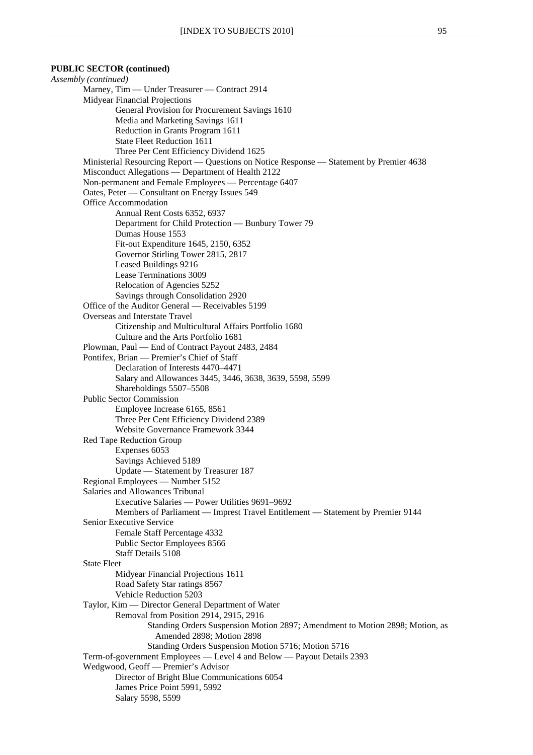## **PUBLIC SECTOR (continued)**

*Assembly (continued)*  Marney, Tim — Under Treasurer — Contract 2914 Midyear Financial Projections General Provision for Procurement Savings 1610 Media and Marketing Savings 1611 Reduction in Grants Program 1611 State Fleet Reduction 1611 Three Per Cent Efficiency Dividend 1625 Ministerial Resourcing Report — Questions on Notice Response — Statement by Premier 4638 Misconduct Allegations — Department of Health 2122 Non-permanent and Female Employees — Percentage 6407 Oates, Peter — Consultant on Energy Issues 549 Office Accommodation Annual Rent Costs 6352, 6937 Department for Child Protection — Bunbury Tower 79 Dumas House 1553 Fit-out Expenditure 1645, 2150, 6352 Governor Stirling Tower 2815, 2817 Leased Buildings 9216 Lease Terminations 3009 Relocation of Agencies 5252 Savings through Consolidation 2920 Office of the Auditor General — Receivables 5199 Overseas and Interstate Travel Citizenship and Multicultural Affairs Portfolio 1680 Culture and the Arts Portfolio 1681 Plowman, Paul — End of Contract Payout 2483, 2484 Pontifex, Brian — Premier's Chief of Staff Declaration of Interests 4470–4471 Salary and Allowances 3445, 3446, 3638, 3639, 5598, 5599 Shareholdings 5507–5508 Public Sector Commission Employee Increase 6165, 8561 Three Per Cent Efficiency Dividend 2389 Website Governance Framework 3344 Red Tape Reduction Group Expenses 6053 Savings Achieved 5189 Update — Statement by Treasurer 187 Regional Employees — Number 5152 Salaries and Allowances Tribunal Executive Salaries — Power Utilities 9691–9692 Members of Parliament — Imprest Travel Entitlement — Statement by Premier 9144 Senior Executive Service Female Staff Percentage 4332 Public Sector Employees 8566 Staff Details 5108 State Fleet Midyear Financial Projections 1611 Road Safety Star ratings 8567 Vehicle Reduction 5203 Taylor, Kim — Director General Department of Water Removal from Position 2914, 2915, 2916 Standing Orders Suspension Motion 2897; Amendment to Motion 2898; Motion, as Amended 2898; Motion 2898 Standing Orders Suspension Motion 5716; Motion 5716 Term-of-government Employees — Level 4 and Below — Payout Details 2393 Wedgwood, Geoff — Premier's Advisor Director of Bright Blue Communications 6054 James Price Point 5991, 5992 Salary 5598, 5599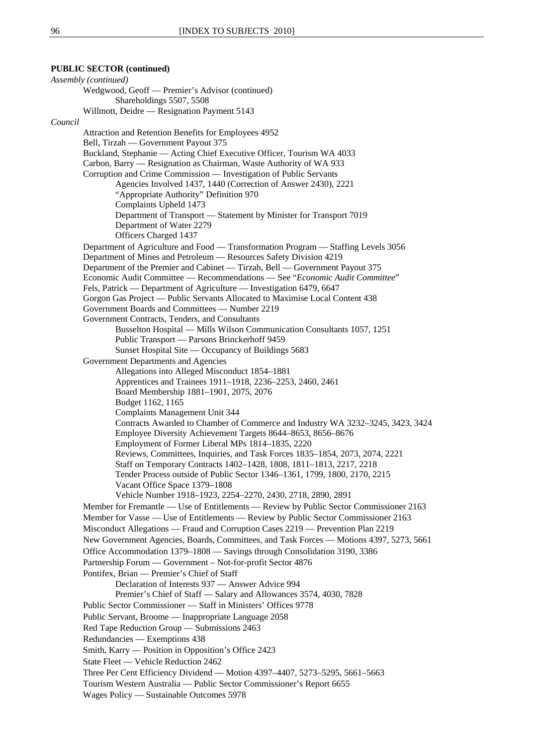**PUBLIC SECTOR (continued)** *Assembly (continued)*  Wedgwood, Geoff — Premier's Advisor (continued) Shareholdings 5507, 5508 Willmott, Deidre — Resignation Payment 5143 *Council* Attraction and Retention Benefits for Employees 4952 Bell, Tirzah — Government Payout 375 Buckland, Stephanie — Acting Chief Executive Officer, Tourism WA 4033 Carbon, Barry — Resignation as Chairman, Waste Authority of WA 933 Corruption and Crime Commission — Investigation of Public Servants Agencies Involved 1437, 1440 (Correction of Answer 2430), 2221 "Appropriate Authority" Definition 970 Complaints Upheld 1473 Department of Transport — Statement by Minister for Transport 7019 Department of Water 2279 Officers Charged 1437 Department of Agriculture and Food — Transformation Program — Staffing Levels 3056 Department of Mines and Petroleum — Resources Safety Division 4219 Department of the Premier and Cabinet — Tirzah, Bell — Government Payout 375 Economic Audit Committee — Recommendations — See "*Economic Audit Committee*" Fels, Patrick — Department of Agriculture — Investigation 6479, 6647 Gorgon Gas Project — Public Servants Allocated to Maximise Local Content 438 Government Boards and Committees — Number 2219 Government Contracts, Tenders, and Consultants Busselton Hospital — Mills Wilson Communication Consultants 1057, 1251 Public Transport — Parsons Brinckerhoff 9459 Sunset Hospital Site — Occupancy of Buildings 5683 Government Departments and Agencies Allegations into Alleged Misconduct 1854–1881 Apprentices and Trainees 1911–1918, 2236–2253, 2460, 2461 Board Membership 1881–1901, 2075, 2076 Budget 1162, 1165 Complaints Management Unit 344 Contracts Awarded to Chamber of Commerce and Industry WA 3232–3245, 3423, 3424 Employee Diversity Achievement Targets 8644–8653, 8656–8676 Employment of Former Liberal MPs 1814–1835, 2220 Reviews, Committees, Inquiries, and Task Forces 1835–1854, 2073, 2074, 2221 Staff on Temporary Contracts 1402–1428, 1808, 1811–1813, 2217, 2218 Tender Process outside of Public Sector 1346–1361, 1799, 1800, 2170, 2215 Vacant Office Space 1379–1808 Vehicle Number 1918–1923, 2254–2270, 2430, 2718, 2890, 2891 Member for Fremantle — Use of Entitlements — Review by Public Sector Commissioner 2163 Member for Vasse — Use of Entitlements — Review by Public Sector Commissioner 2163 Misconduct Allegations — Fraud and Corruption Cases 2219 — Prevention Plan 2219 New Government Agencies, Boards, Committees, and Task Forces — Motions 4397, 5273, 5661 Office Accommodation 1379–1808 — Savings through Consolidation 3190, 3386 Partnership Forum — Government – Not-for-profit Sector 4876 Pontifex, Brian — Premier's Chief of Staff Declaration of Interests 937 — Answer Advice 994 Premier's Chief of Staff — Salary and Allowances 3574, 4030, 7828 Public Sector Commissioner — Staff in Ministers' Offices 9778 Public Servant, Broome — Inappropriate Language 2058 Red Tape Reduction Group — Submissions 2463 Redundancies — Exemptions 438 Smith, Karry — Position in Opposition's Office 2423 State Fleet — Vehicle Reduction 2462 Three Per Cent Efficiency Dividend — Motion 4397–4407, 5273–5295, 5661–5663 Tourism Western Australia — Public Sector Commissioner's Report 6655 Wages Policy — Sustainable Outcomes 5978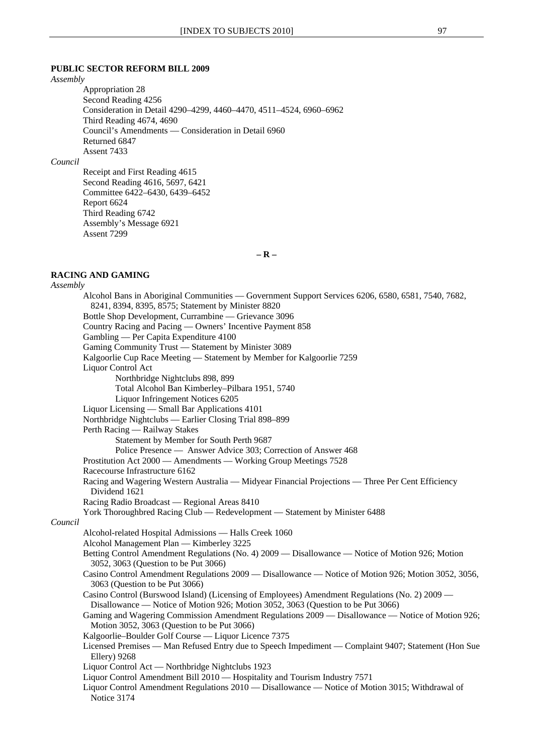## **PUBLIC SECTOR REFORM BILL 2009**

*Assembly*

Appropriation 28 Second Reading 4256 Consideration in Detail 4290–4299, 4460–4470, 4511–4524, 6960–6962 Third Reading 4674, 4690 Council's Amendments — Consideration in Detail 6960 Returned 6847 Assent 7433

*Council*

Receipt and First Reading 4615 Second Reading 4616, 5697, 6421 Committee 6422–6430, 6439–6452 Report 6624 Third Reading 6742 Assembly's Message 6921 Assent 7299

**– R –**

## **RACING AND GAMING**

*Assembly*

Alcohol Bans in Aboriginal Communities — Government Support Services 6206, 6580, 6581, 7540, 7682, 8241, 8394, 8395, 8575; Statement by Minister 8820 Bottle Shop Development, Currambine — Grievance 3096 Country Racing and Pacing — Owners' Incentive Payment 858 Gambling — Per Capita Expenditure 4100 Gaming Community Trust — Statement by Minister 3089 Kalgoorlie Cup Race Meeting — Statement by Member for Kalgoorlie 7259 Liquor Control Act Northbridge Nightclubs 898, 899 Total Alcohol Ban Kimberley–Pilbara 1951, 5740 Liquor Infringement Notices 6205 Liquor Licensing — Small Bar Applications 4101 Northbridge Nightclubs — Earlier Closing Trial 898–899 Perth Racing — Railway Stakes Statement by Member for South Perth 9687 Police Presence — Answer Advice 303; Correction of Answer 468 Prostitution Act 2000 — Amendments — Working Group Meetings 7528 Racecourse Infrastructure 6162 Racing and Wagering Western Australia — Midyear Financial Projections — Three Per Cent Efficiency Dividend 1621 Racing Radio Broadcast — Regional Areas 8410 York Thoroughbred Racing Club — Redevelopment — Statement by Minister 6488 *Council* Alcohol-related Hospital Admissions — Halls Creek 1060 Alcohol Management Plan — Kimberley 3225 Betting Control Amendment Regulations (No. 4) 2009 — Disallowance — Notice of Motion 926; Motion 3052, 3063 (Question to be Put 3066) Casino Control Amendment Regulations 2009 — Disallowance — Notice of Motion 926; Motion 3052, 3056, 3063 (Question to be Put 3066) Casino Control (Burswood Island) (Licensing of Employees) Amendment Regulations (No. 2) 2009 — Disallowance — Notice of Motion 926; Motion 3052, 3063 (Question to be Put 3066) Gaming and Wagering Commission Amendment Regulations 2009 — Disallowance — Notice of Motion 926; Motion 3052, 3063 (Question to be Put 3066) Kalgoorlie–Boulder Golf Course — Liquor Licence 7375 Licensed Premises — Man Refused Entry due to Speech Impediment — Complaint 9407; Statement (Hon Sue Ellery) 9268 Liquor Control Act — Northbridge Nightclubs 1923 Liquor Control Amendment Bill 2010 — Hospitality and Tourism Industry 7571 Liquor Control Amendment Regulations 2010 — Disallowance — Notice of Motion 3015; Withdrawal of Notice 3174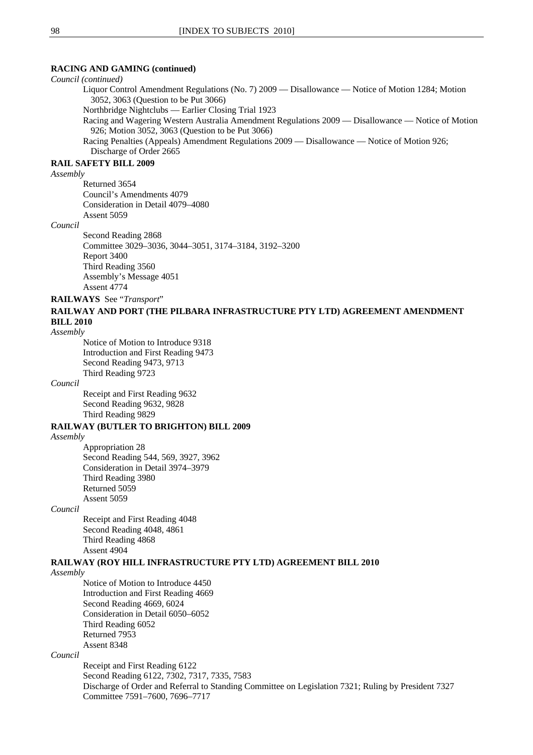## **RACING AND GAMING (continued)**

#### *Council (continued)*

Liquor Control Amendment Regulations (No. 7) 2009 — Disallowance — Notice of Motion 1284; Motion 3052, 3063 (Question to be Put 3066)

Northbridge Nightclubs — Earlier Closing Trial 1923

Racing and Wagering Western Australia Amendment Regulations 2009 — Disallowance — Notice of Motion 926; Motion 3052, 3063 (Question to be Put 3066)

Racing Penalties (Appeals) Amendment Regulations 2009 — Disallowance — Notice of Motion 926; Discharge of Order 2665

## **RAIL SAFETY BILL 2009**

#### *Assembly*

Returned 3654 Council's Amendments 4079 Consideration in Detail 4079–4080 Assent 5059

#### *Council*

Second Reading 2868 Committee 3029–3036, 3044–3051, 3174–3184, 3192–3200 Report 3400 Third Reading 3560 Assembly's Message 4051 Assent 4774

**RAILWAYS** See "*Transport*"

## **RAILWAY AND PORT (THE PILBARA INFRASTRUCTURE PTY LTD) AGREEMENT AMENDMENT BILL 2010**

#### *Assembly*

Notice of Motion to Introduce 9318 Introduction and First Reading 9473 Second Reading 9473, 9713 Third Reading 9723

#### *Council*

Receipt and First Reading 9632 Second Reading 9632, 9828 Third Reading 9829

## **RAILWAY (BUTLER TO BRIGHTON) BILL 2009**

#### *Assembly*

Appropriation 28 Second Reading 544, 569, 3927, 3962 Consideration in Detail 3974–3979 Third Reading 3980 Returned 5059 Assent 5059

## *Council*

Receipt and First Reading 4048 Second Reading 4048, 4861 Third Reading 4868 Assent 4904

#### **RAILWAY (ROY HILL INFRASTRUCTURE PTY LTD) AGREEMENT BILL 2010**

## *Assembly*

Notice of Motion to Introduce 4450 Introduction and First Reading 4669 Second Reading 4669, 6024 Consideration in Detail 6050–6052 Third Reading 6052 Returned 7953 Assent 8348

## *Council*

Receipt and First Reading 6122 Second Reading 6122, 7302, 7317, 7335, 7583 Discharge of Order and Referral to Standing Committee on Legislation 7321; Ruling by President 7327 Committee 7591–7600, 7696–7717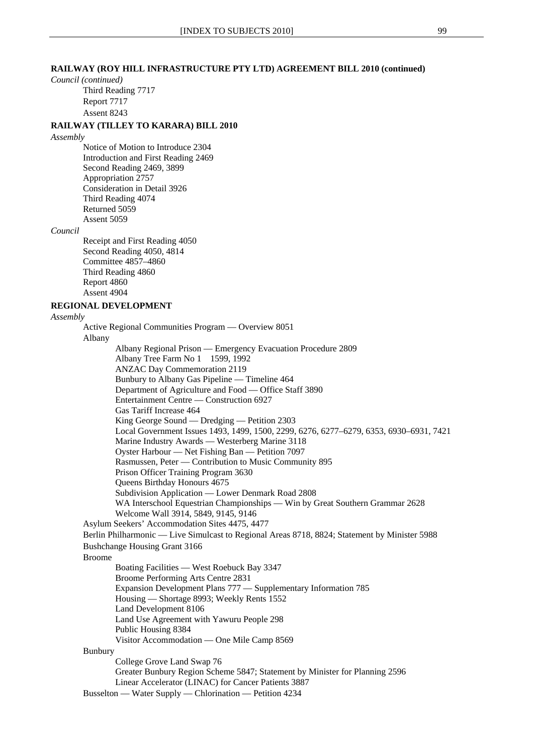## **RAILWAY (ROY HILL INFRASTRUCTURE PTY LTD) AGREEMENT BILL 2010 (continued)**

*Council (continued)*

Third Reading 7717 Report 7717 Assent 8243

## **RAILWAY (TILLEY TO KARARA) BILL 2010**

#### *Assembly*

Notice of Motion to Introduce 2304 Introduction and First Reading 2469 Second Reading 2469, 3899 Appropriation 2757 Consideration in Detail 3926 Third Reading 4074 Returned 5059 Assent 5059

#### *Council*

Receipt and First Reading 4050 Second Reading 4050, 4814 Committee 4857–4860 Third Reading 4860 Report 4860 Assent 4904

## **REGIONAL DEVELOPMENT**

*Assembly*

Active Regional Communities Program — Overview 8051 Albany Albany Regional Prison — Emergency Evacuation Procedure 2809 Albany Tree Farm No 1 1599, 1992 ANZAC Day Commemoration 2119 Bunbury to Albany Gas Pipeline — Timeline 464 Department of Agriculture and Food — Office Staff 3890 Entertainment Centre — Construction 6927 Gas Tariff Increase 464 King George Sound — Dredging — Petition 2303 Local Government Issues 1493, 1499, 1500, 2299, 6276, 6277–6279, 6353, 6930–6931, 7421 Marine Industry Awards — Westerberg Marine 3118 Oyster Harbour — Net Fishing Ban — Petition 7097 Rasmussen, Peter — Contribution to Music Community 895 Prison Officer Training Program 3630 Queens Birthday Honours 4675 Subdivision Application — Lower Denmark Road 2808 WA Interschool Equestrian Championships — Win by Great Southern Grammar 2628 Welcome Wall 3914, 5849, 9145, 9146 Asylum Seekers' Accommodation Sites 4475, 4477 Berlin Philharmonic — Live Simulcast to Regional Areas 8718, 8824; Statement by Minister 5988 Bushchange Housing Grant 3166 Broome Boating Facilities — West Roebuck Bay 3347 Broome Performing Arts Centre 2831 Expansion Development Plans 777 — Supplementary Information 785 Housing — Shortage 8993; Weekly Rents 1552 Land Development 8106 Land Use Agreement with Yawuru People 298 Public Housing 8384 Visitor Accommodation — One Mile Camp 8569 Bunbury College Grove Land Swap 76 Greater Bunbury Region Scheme 5847; Statement by Minister for Planning 2596 Linear Accelerator (LINAC) for Cancer Patients 3887 Busselton — Water Supply — Chlorination — Petition 4234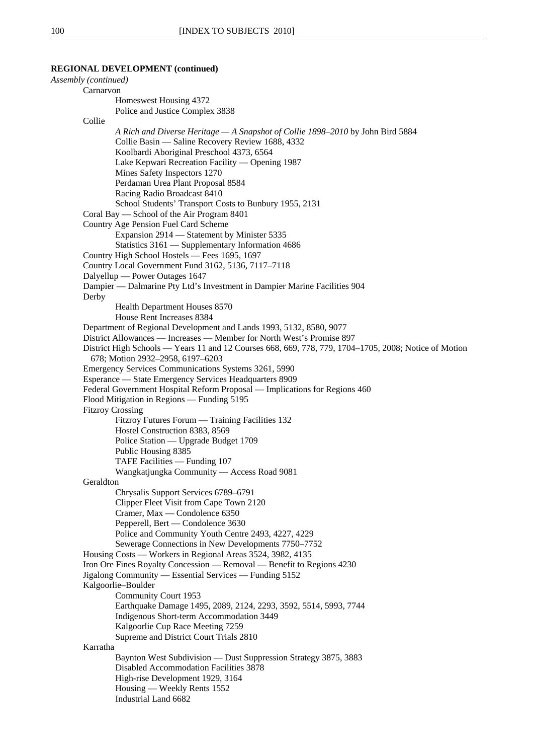| Assembly (continued) |                                                                                                       |
|----------------------|-------------------------------------------------------------------------------------------------------|
|                      | Carnarvon                                                                                             |
|                      | Homeswest Housing 4372                                                                                |
|                      | Police and Justice Complex 3838                                                                       |
| Collie               |                                                                                                       |
|                      | A Rich and Diverse Heritage — A Snapshot of Collie 1898–2010 by John Bird 5884                        |
|                      | Collie Basin — Saline Recovery Review 1688, 4332                                                      |
|                      | Koolbardi Aboriginal Preschool 4373, 6564                                                             |
|                      | Lake Kepwari Recreation Facility - Opening 1987                                                       |
|                      | Mines Safety Inspectors 1270                                                                          |
|                      | Perdaman Urea Plant Proposal 8584                                                                     |
|                      | Racing Radio Broadcast 8410                                                                           |
|                      | School Students' Transport Costs to Bunbury 1955, 2131                                                |
|                      | Coral Bay — School of the Air Program 8401                                                            |
|                      | Country Age Pension Fuel Card Scheme                                                                  |
|                      | Expansion 2914 - Statement by Minister 5335                                                           |
|                      | Statistics 3161 - Supplementary Information 4686                                                      |
|                      | Country High School Hostels - Fees 1695, 1697                                                         |
|                      | Country Local Government Fund 3162, 5136, 7117-7118                                                   |
|                      | Dalyellup — Power Outages 1647                                                                        |
|                      | Dampier — Dalmarine Pty Ltd's Investment in Dampier Marine Facilities 904                             |
| Derby                |                                                                                                       |
|                      | Health Department Houses 8570                                                                         |
|                      | House Rent Increases 8384                                                                             |
|                      | Department of Regional Development and Lands 1993, 5132, 8580, 9077                                   |
|                      | District Allowances — Increases — Member for North West's Promise 897                                 |
|                      | District High Schools — Years 11 and 12 Courses 668, 669, 778, 779, 1704–1705, 2008; Notice of Motion |
|                      | 678; Motion 2932-2958, 6197-6203                                                                      |
|                      | Emergency Services Communications Systems 3261, 5990                                                  |
|                      | Esperance - State Emergency Services Headquarters 8909                                                |
|                      | Federal Government Hospital Reform Proposal — Implications for Regions 460                            |
|                      | Flood Mitigation in Regions - Funding 5195                                                            |
|                      | <b>Fitzroy Crossing</b>                                                                               |
|                      | Fitzroy Futures Forum — Training Facilities 132                                                       |
|                      | Hostel Construction 8383, 8569                                                                        |
|                      | Police Station — Upgrade Budget 1709                                                                  |
|                      | Public Housing 8385                                                                                   |
|                      | TAFE Facilities - Funding 107                                                                         |
|                      | Wangkatjungka Community - Access Road 9081<br>Geraldton                                               |
|                      | Chrysalis Support Services 6789-6791                                                                  |
|                      | Clipper Fleet Visit from Cape Town 2120                                                               |
|                      | Cramer, Max — Condolence 6350                                                                         |
|                      | Pepperell, Bert — Condolence 3630                                                                     |
|                      | Police and Community Youth Centre 2493, 4227, 4229                                                    |
|                      | Sewerage Connections in New Developments 7750-7752                                                    |
|                      | Housing Costs — Workers in Regional Areas 3524, 3982, 4135                                            |
|                      | Iron Ore Fines Royalty Concession — Removal — Benefit to Regions 4230                                 |
|                      | Jigalong Community — Essential Services — Funding 5152                                                |
|                      | Kalgoorlie-Boulder                                                                                    |
|                      | Community Court 1953                                                                                  |
|                      | Earthquake Damage 1495, 2089, 2124, 2293, 3592, 5514, 5993, 7744                                      |
|                      | Indigenous Short-term Accommodation 3449                                                              |
|                      | Kalgoorlie Cup Race Meeting 7259                                                                      |
|                      | Supreme and District Court Trials 2810                                                                |
| Karratha             |                                                                                                       |
|                      | Baynton West Subdivision — Dust Suppression Strategy 3875, 3883                                       |
|                      | Disabled Accommodation Facilities 3878                                                                |
|                      | High-rise Development 1929, 3164                                                                      |
|                      | Housing — Weekly Rents 1552                                                                           |
|                      | Industrial Land 6682                                                                                  |
|                      |                                                                                                       |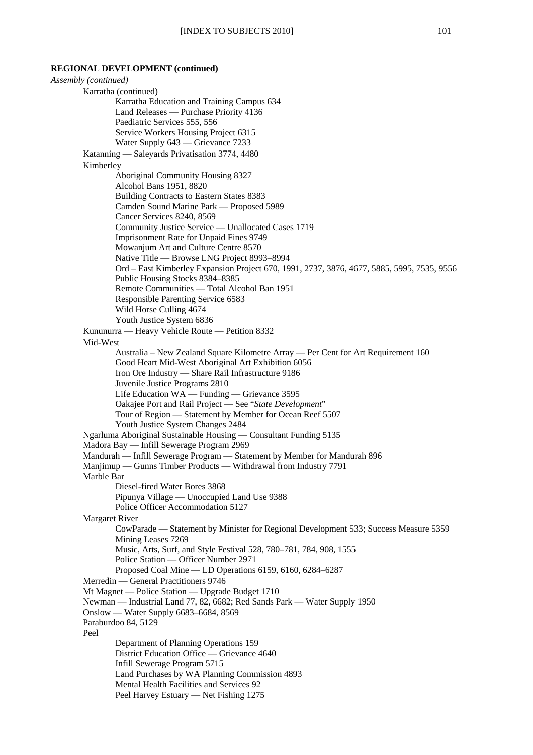*Assembly (continued)*  Karratha (continued) Karratha Education and Training Campus 634 Land Releases — Purchase Priority 4136 Paediatric Services 555, 556 Service Workers Housing Project 6315 Water Supply 643 — Grievance 7233 Katanning — Saleyards Privatisation 3774, 4480 Kimberley Aboriginal Community Housing 8327 Alcohol Bans 1951, 8820 Building Contracts to Eastern States 8383 Camden Sound Marine Park — Proposed 5989 Cancer Services 8240, 8569 Community Justice Service — Unallocated Cases 1719 Imprisonment Rate for Unpaid Fines 9749 Mowanjum Art and Culture Centre 8570 Native Title — Browse LNG Project 8993–8994 Ord – East Kimberley Expansion Project 670, 1991, 2737, 3876, 4677, 5885, 5995, 7535, 9556 Public Housing Stocks 8384–8385 Remote Communities — Total Alcohol Ban 1951 Responsible Parenting Service 6583 Wild Horse Culling 4674 Youth Justice System 6836 Kununurra — Heavy Vehicle Route — Petition 8332 Mid-West Australia – New Zealand Square Kilometre Array — Per Cent for Art Requirement 160 Good Heart Mid-West Aboriginal Art Exhibition 6056 Iron Ore Industry — Share Rail Infrastructure 9186 Juvenile Justice Programs 2810 Life Education WA — Funding — Grievance 3595 Oakajee Port and Rail Project — See "*State Development*" Tour of Region — Statement by Member for Ocean Reef 5507 Youth Justice System Changes 2484 Ngarluma Aboriginal Sustainable Housing — Consultant Funding 5135 Madora Bay — Infill Sewerage Program 2969 Mandurah — Infill Sewerage Program — Statement by Member for Mandurah 896 Manjimup — Gunns Timber Products — Withdrawal from Industry 7791 Marble Bar Diesel-fired Water Bores 3868 Pipunya Village — Unoccupied Land Use 9388 Police Officer Accommodation 5127 Margaret River CowParade — Statement by Minister for Regional Development 533; Success Measure 5359 Mining Leases 7269 Music, Arts, Surf, and Style Festival 528, 780–781, 784, 908, 1555 Police Station — Officer Number 2971 Proposed Coal Mine — LD Operations 6159, 6160, 6284–6287 Merredin — General Practitioners 9746 Mt Magnet — Police Station — Upgrade Budget 1710 Newman — Industrial Land 77, 82, 6682; Red Sands Park — Water Supply 1950 Onslow — Water Supply 6683–6684, 8569 Paraburdoo 84, 5129 Peel Department of Planning Operations 159 District Education Office — Grievance 4640 Infill Sewerage Program 5715 Land Purchases by WA Planning Commission 4893 Mental Health Facilities and Services 92 Peel Harvey Estuary — Net Fishing 1275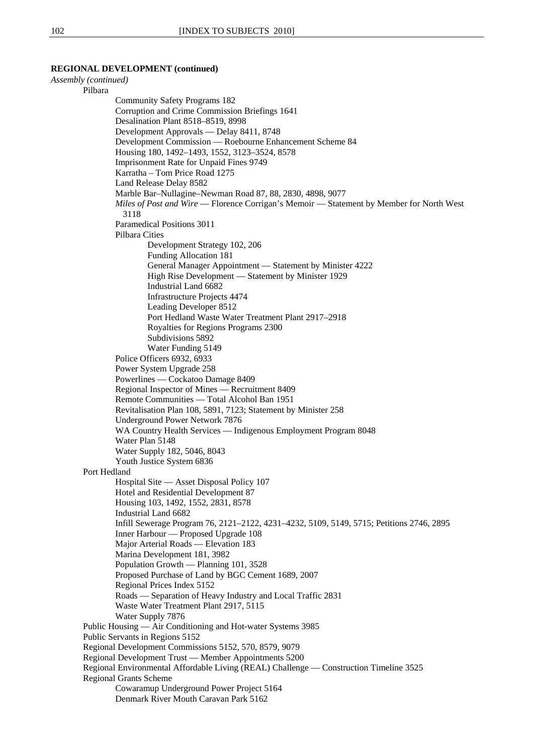*Assembly (continued)*  Pilbara Community Safety Programs 182 Corruption and Crime Commission Briefings 1641 Desalination Plant 8518–8519, 8998 Development Approvals — Delay 8411, 8748 Development Commission — Roebourne Enhancement Scheme 84 Housing 180, 1492–1493, 1552, 3123–3524, 8578 Imprisonment Rate for Unpaid Fines 9749 Karratha – Tom Price Road 1275 Land Release Delay 8582 Marble Bar–Nullagine–Newman Road 87, 88, 2830, 4898, 9077 *Miles of Post and Wire* — Florence Corrigan's Memoir — Statement by Member for North West 3118 Paramedical Positions 3011 Pilbara Cities Development Strategy 102, 206 Funding Allocation 181 General Manager Appointment — Statement by Minister 4222 High Rise Development — Statement by Minister 1929 Industrial Land 6682 Infrastructure Projects 4474 Leading Developer 8512 Port Hedland Waste Water Treatment Plant 2917–2918 Royalties for Regions Programs 2300 Subdivisions 5892 Water Funding 5149 Police Officers 6932, 6933 Power System Upgrade 258 Powerlines — Cockatoo Damage 8409 Regional Inspector of Mines — Recruitment 8409 Remote Communities — Total Alcohol Ban 1951 Revitalisation Plan 108, 5891, 7123; Statement by Minister 258 Underground Power Network 7876 WA Country Health Services — Indigenous Employment Program 8048 Water Plan 5148 Water Supply 182, 5046, 8043 Youth Justice System 6836 Port Hedland Hospital Site — Asset Disposal Policy 107 Hotel and Residential Development 87 Housing 103, 1492, 1552, 2831, 8578 Industrial Land 6682 Infill Sewerage Program 76, 2121–2122, 4231–4232, 5109, 5149, 5715; Petitions 2746, 2895 Inner Harbour — Proposed Upgrade 108 Major Arterial Roads — Elevation 183 Marina Development 181, 3982 Population Growth — Planning 101, 3528 Proposed Purchase of Land by BGC Cement 1689, 2007 Regional Prices Index 5152 Roads — Separation of Heavy Industry and Local Traffic 2831 Waste Water Treatment Plant 2917, 5115 Water Supply 7876 Public Housing — Air Conditioning and Hot-water Systems 3985 Public Servants in Regions 5152 Regional Development Commissions 5152, 570, 8579, 9079 Regional Development Trust — Member Appointments 5200 Regional Environmental Affordable Living (REAL) Challenge — Construction Timeline 3525 Regional Grants Scheme Cowaramup Underground Power Project 5164 Denmark River Mouth Caravan Park 5162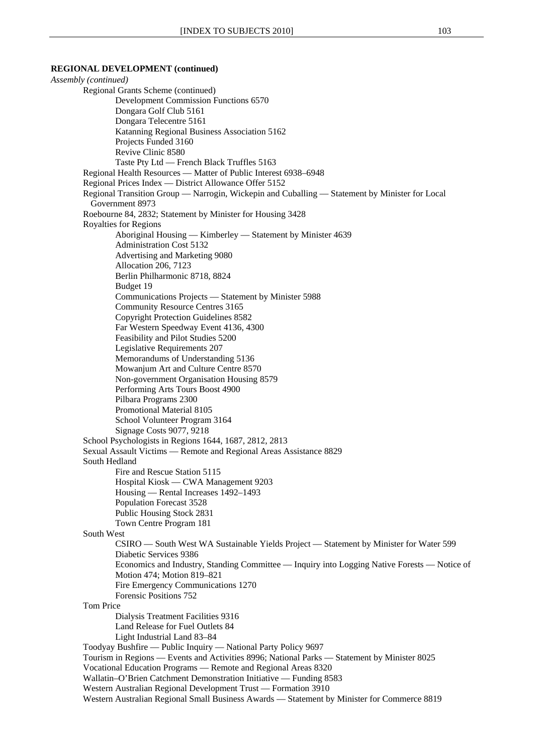*Assembly (continued)*  Regional Grants Scheme (continued) Development Commission Functions 6570 Dongara Golf Club 5161 Dongara Telecentre 5161 Katanning Regional Business Association 5162 Projects Funded 3160 Revive Clinic 8580 Taste Pty Ltd — French Black Truffles 5163 Regional Health Resources — Matter of Public Interest 6938–6948 Regional Prices Index — District Allowance Offer 5152 Regional Transition Group — Narrogin, Wickepin and Cuballing — Statement by Minister for Local Government 8973 Roebourne 84, 2832; Statement by Minister for Housing 3428 Royalties for Regions Aboriginal Housing — Kimberley — Statement by Minister 4639 Administration Cost 5132 Advertising and Marketing 9080 Allocation 206, 7123 Berlin Philharmonic 8718, 8824 Budget 19 Communications Projects — Statement by Minister 5988 Community Resource Centres 3165 Copyright Protection Guidelines 8582 Far Western Speedway Event 4136, 4300 Feasibility and Pilot Studies 5200 Legislative Requirements 207 Memorandums of Understanding 5136 Mowanjum Art and Culture Centre 8570 Non-government Organisation Housing 8579 Performing Arts Tours Boost 4900 Pilbara Programs 2300 Promotional Material 8105 School Volunteer Program 3164 Signage Costs 9077, 9218 School Psychologists in Regions 1644, 1687, 2812, 2813 Sexual Assault Victims — Remote and Regional Areas Assistance 8829 South Hedland Fire and Rescue Station 5115 Hospital Kiosk — CWA Management 9203 Housing — Rental Increases 1492–1493 Population Forecast 3528 Public Housing Stock 2831 Town Centre Program 181 South West CSIRO — South West WA Sustainable Yields Project — Statement by Minister for Water 599 Diabetic Services 9386 Economics and Industry, Standing Committee — Inquiry into Logging Native Forests — Notice of Motion 474; Motion 819–821 Fire Emergency Communications 1270 Forensic Positions 752 Tom Price Dialysis Treatment Facilities 9316 Land Release for Fuel Outlets 84 Light Industrial Land 83–84 Toodyay Bushfire — Public Inquiry — National Party Policy 9697 Tourism in Regions — Events and Activities 8996; National Parks — Statement by Minister 8025 Vocational Education Programs — Remote and Regional Areas 8320 Wallatin–O'Brien Catchment Demonstration Initiative — Funding 8583 Western Australian Regional Development Trust — Formation 3910 Western Australian Regional Small Business Awards — Statement by Minister for Commerce 8819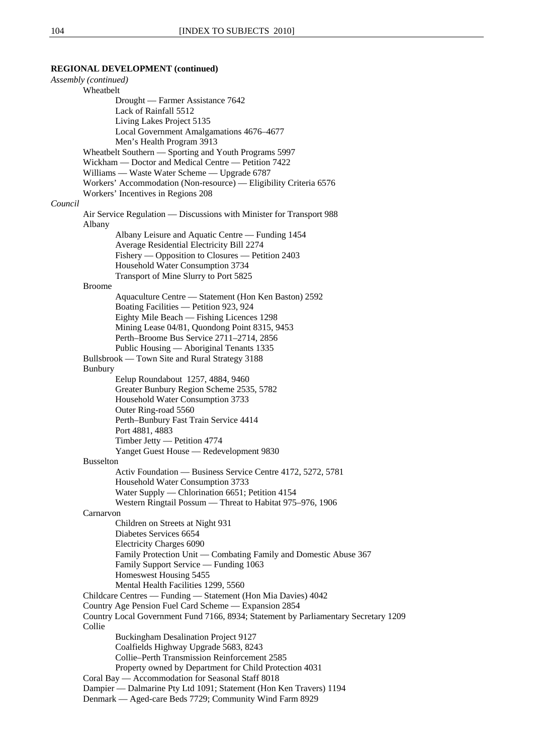*Assembly (continued)*  Wheatbelt Drought — Farmer Assistance 7642 Lack of Rainfall 5512 Living Lakes Project 5135 Local Government Amalgamations 4676–4677 Men's Health Program 3913 Wheatbelt Southern — Sporting and Youth Programs 5997 Wickham — Doctor and Medical Centre — Petition 7422 Williams — Waste Water Scheme — Upgrade 6787 Workers' Accommodation (Non-resource) — Eligibility Criteria 6576 Workers' Incentives in Regions 208 *Council* Air Service Regulation — Discussions with Minister for Transport 988 Albany Albany Leisure and Aquatic Centre — Funding 1454 Average Residential Electricity Bill 2274 Fishery — Opposition to Closures — Petition 2403 Household Water Consumption 3734 Transport of Mine Slurry to Port 5825 Broome Aquaculture Centre — Statement (Hon Ken Baston) 2592 Boating Facilities — Petition 923, 924 Eighty Mile Beach — Fishing Licences 1298 Mining Lease 04/81, Quondong Point 8315, 9453 Perth–Broome Bus Service 2711–2714, 2856 Public Housing — Aboriginal Tenants 1335 Bullsbrook — Town Site and Rural Strategy 3188 Bunbury Eelup Roundabout 1257, 4884, 9460 Greater Bunbury Region Scheme 2535, 5782 Household Water Consumption 3733 Outer Ring-road 5560 Perth–Bunbury Fast Train Service 4414 Port 4881, 4883 Timber Jetty — Petition 4774 Yanget Guest House — Redevelopment 9830 Busselton Activ Foundation — Business Service Centre 4172, 5272, 5781 Household Water Consumption 3733 Water Supply — Chlorination 6651; Petition 4154 Western Ringtail Possum — Threat to Habitat 975–976, 1906 Carnarvon Children on Streets at Night 931 Diabetes Services 6654 Electricity Charges 6090 Family Protection Unit — Combating Family and Domestic Abuse 367 Family Support Service — Funding 1063 Homeswest Housing 5455 Mental Health Facilities 1299, 5560 Childcare Centres — Funding — Statement (Hon Mia Davies) 4042 Country Age Pension Fuel Card Scheme — Expansion 2854 Country Local Government Fund 7166, 8934; Statement by Parliamentary Secretary 1209 Collie Buckingham Desalination Project 9127 Coalfields Highway Upgrade 5683, 8243 Collie–Perth Transmission Reinforcement 2585 Property owned by Department for Child Protection 4031 Coral Bay — Accommodation for Seasonal Staff 8018 Dampier — Dalmarine Pty Ltd 1091; Statement (Hon Ken Travers) 1194 Denmark — Aged-care Beds 7729; Community Wind Farm 8929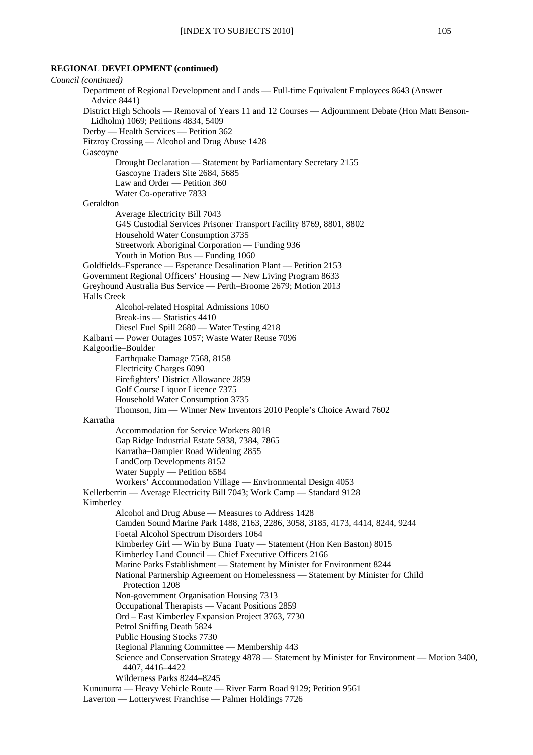*Council (continued)*  Department of Regional Development and Lands — Full-time Equivalent Employees 8643 (Answer Advice 8441) District High Schools — Removal of Years 11 and 12 Courses — Adjournment Debate (Hon Matt Benson-Lidholm) 1069; Petitions 4834, 5409 Derby — Health Services — Petition 362 Fitzroy Crossing — Alcohol and Drug Abuse 1428 Gascoyne Drought Declaration — Statement by Parliamentary Secretary 2155 Gascoyne Traders Site 2684, 5685 Law and Order — Petition 360 Water Co-operative 7833 Geraldton Average Electricity Bill 7043 G4S Custodial Services Prisoner Transport Facility 8769, 8801, 8802 Household Water Consumption 3735 Streetwork Aboriginal Corporation — Funding 936 Youth in Motion Bus — Funding 1060 Goldfields–Esperance — Esperance Desalination Plant — Petition 2153 Government Regional Officers' Housing — New Living Program 8633 Greyhound Australia Bus Service — Perth–Broome 2679; Motion 2013 Halls Creek Alcohol-related Hospital Admissions 1060 Break-ins — Statistics 4410 Diesel Fuel Spill 2680 — Water Testing 4218 Kalbarri — Power Outages 1057; Waste Water Reuse 7096 Kalgoorlie–Boulder Earthquake Damage 7568, 8158 Electricity Charges 6090 Firefighters' District Allowance 2859 Golf Course Liquor Licence 7375 Household Water Consumption 3735 Thomson, Jim — Winner New Inventors 2010 People's Choice Award 7602 Karratha Accommodation for Service Workers 8018 Gap Ridge Industrial Estate 5938, 7384, 7865 Karratha–Dampier Road Widening 2855 LandCorp Developments 8152 Water Supply — Petition 6584 Workers' Accommodation Village — Environmental Design 4053 Kellerberrin — Average Electricity Bill 7043; Work Camp — Standard 9128 Kimberley Alcohol and Drug Abuse — Measures to Address 1428 Camden Sound Marine Park 1488, 2163, 2286, 3058, 3185, 4173, 4414, 8244, 9244 Foetal Alcohol Spectrum Disorders 1064 Kimberley Girl — Win by Buna Tuaty — Statement (Hon Ken Baston) 8015 Kimberley Land Council — Chief Executive Officers 2166 Marine Parks Establishment — Statement by Minister for Environment 8244 National Partnership Agreement on Homelessness — Statement by Minister for Child Protection 1208 Non-government Organisation Housing 7313 Occupational Therapists — Vacant Positions 2859 Ord – East Kimberley Expansion Project 3763, 7730 Petrol Sniffing Death 5824 Public Housing Stocks 7730 Regional Planning Committee — Membership 443 Science and Conservation Strategy 4878 — Statement by Minister for Environment — Motion 3400, 4407, 4416–4422 Wilderness Parks 8244–8245 Kununurra — Heavy Vehicle Route — River Farm Road 9129; Petition 9561 Laverton — Lotterywest Franchise — Palmer Holdings 7726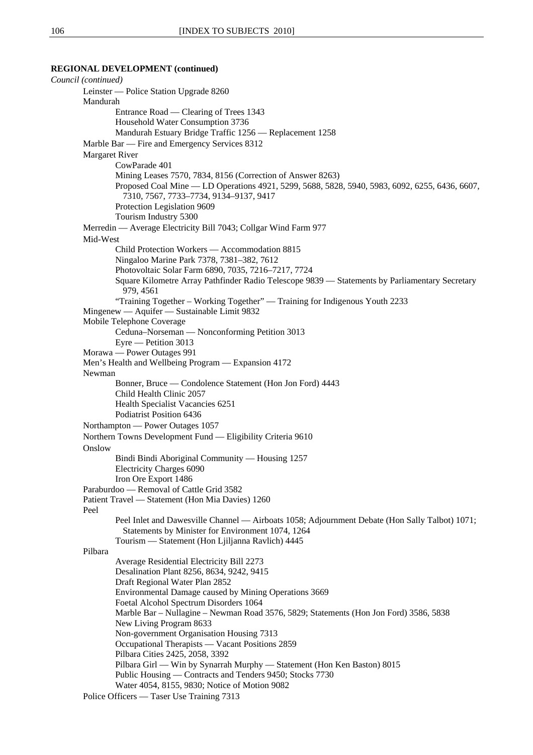*Council (continued)*  Leinster — Police Station Upgrade 8260 Mandurah Entrance Road — Clearing of Trees 1343 Household Water Consumption 3736 Mandurah Estuary Bridge Traffic 1256 — Replacement 1258 Marble Bar — Fire and Emergency Services 8312 Margaret River CowParade 401 Mining Leases 7570, 7834, 8156 (Correction of Answer 8263) Proposed Coal Mine — LD Operations 4921, 5299, 5688, 5828, 5940, 5983, 6092, 6255, 6436, 6607, 7310, 7567, 7733–7734, 9134–9137, 9417 Protection Legislation 9609 Tourism Industry 5300 Merredin — Average Electricity Bill 7043; Collgar Wind Farm 977 Mid-West Child Protection Workers — Accommodation 8815 Ningaloo Marine Park 7378, 7381–382, 7612 Photovoltaic Solar Farm 6890, 7035, 7216–7217, 7724 Square Kilometre Array Pathfinder Radio Telescope 9839 — Statements by Parliamentary Secretary 979, 4561 "Training Together – Working Together" — Training for Indigenous Youth 2233 Mingenew — Aquifer — Sustainable Limit 9832 Mobile Telephone Coverage Ceduna–Norseman — Nonconforming Petition 3013 Eyre — Petition 3013 Morawa — Power Outages 991 Men's Health and Wellbeing Program — Expansion 4172 Newman Bonner, Bruce — Condolence Statement (Hon Jon Ford) 4443 Child Health Clinic 2057 Health Specialist Vacancies 6251 Podiatrist Position 6436 Northampton — Power Outages 1057 Northern Towns Development Fund — Eligibility Criteria 9610 **Onslow** Bindi Bindi Aboriginal Community — Housing 1257 Electricity Charges 6090 Iron Ore Export 1486 Paraburdoo — Removal of Cattle Grid 3582 Patient Travel — Statement (Hon Mia Davies) 1260 Peel Peel Inlet and Dawesville Channel — Airboats 1058; Adjournment Debate (Hon Sally Talbot) 1071; Statements by Minister for Environment 1074, 1264 Tourism — Statement (Hon Ljiljanna Ravlich) 4445 Pilbara Average Residential Electricity Bill 2273 Desalination Plant 8256, 8634, 9242, 9415 Draft Regional Water Plan 2852 Environmental Damage caused by Mining Operations 3669 Foetal Alcohol Spectrum Disorders 1064 Marble Bar – Nullagine – Newman Road 3576, 5829; Statements (Hon Jon Ford) 3586, 5838 New Living Program 8633 Non-government Organisation Housing 7313 Occupational Therapists — Vacant Positions 2859 Pilbara Cities 2425, 2058, 3392 Pilbara Girl — Win by Synarrah Murphy — Statement (Hon Ken Baston) 8015 Public Housing — Contracts and Tenders 9450; Stocks 7730 Water 4054, 8155, 9830; Notice of Motion 9082 Police Officers — Taser Use Training 7313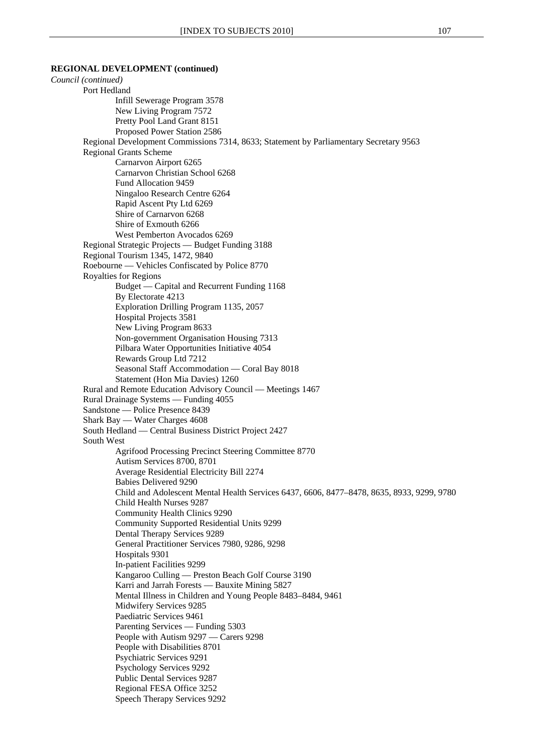#### **REGIONAL DEVELOPMENT (continued)**

*Council (continued)*  Port Hedland Infill Sewerage Program 3578 New Living Program 7572 Pretty Pool Land Grant 8151 Proposed Power Station 2586 Regional Development Commissions 7314, 8633; Statement by Parliamentary Secretary 9563 Regional Grants Scheme Carnarvon Airport 6265 Carnarvon Christian School 6268 Fund Allocation 9459 Ningaloo Research Centre 6264 Rapid Ascent Pty Ltd 6269 Shire of Carnarvon 6268 Shire of Exmouth 6266 West Pemberton Avocados 6269 Regional Strategic Projects — Budget Funding 3188 Regional Tourism 1345, 1472, 9840 Roebourne — Vehicles Confiscated by Police 8770 Royalties for Regions Budget — Capital and Recurrent Funding 1168 By Electorate 4213 Exploration Drilling Program 1135, 2057 Hospital Projects 3581 New Living Program 8633 Non-government Organisation Housing 7313 Pilbara Water Opportunities Initiative 4054 Rewards Group Ltd 7212 Seasonal Staff Accommodation — Coral Bay 8018 Statement (Hon Mia Davies) 1260 Rural and Remote Education Advisory Council — Meetings 1467 Rural Drainage Systems — Funding 4055 Sandstone — Police Presence 8439 Shark Bay — Water Charges 4608 South Hedland — Central Business District Project 2427 South West Agrifood Processing Precinct Steering Committee 8770 Autism Services 8700, 8701 Average Residential Electricity Bill 2274 Babies Delivered 9290 Child and Adolescent Mental Health Services 6437, 6606, 8477–8478, 8635, 8933, 9299, 9780 Child Health Nurses 9287 Community Health Clinics 9290 Community Supported Residential Units 9299 Dental Therapy Services 9289 General Practitioner Services 7980, 9286, 9298 Hospitals 9301 In-patient Facilities 9299 Kangaroo Culling — Preston Beach Golf Course 3190 Karri and Jarrah Forests — Bauxite Mining 5827 Mental Illness in Children and Young People 8483–8484, 9461 Midwifery Services 9285 Paediatric Services 9461 Parenting Services — Funding 5303 People with Autism 9297 — Carers 9298 People with Disabilities 8701 Psychiatric Services 9291 Psychology Services 9292 Public Dental Services 9287 Regional FESA Office 3252 Speech Therapy Services 9292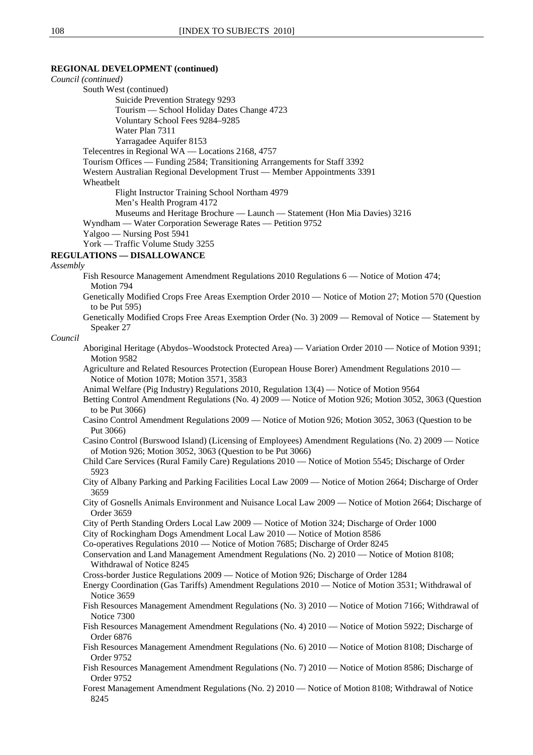8245

**REGIONAL DEVELOPMENT (continued)**  *Council (continued)*  South West (continued) Suicide Prevention Strategy 9293 Tourism — School Holiday Dates Change 4723 Voluntary School Fees 9284–9285 Water Plan 7311 Yarragadee Aquifer 8153 Telecentres in Regional WA — Locations 2168, 4757 Tourism Offices — Funding 2584; Transitioning Arrangements for Staff 3392 Western Australian Regional Development Trust — Member Appointments 3391 Wheatbelt Flight Instructor Training School Northam 4979 Men's Health Program 4172 Museums and Heritage Brochure — Launch — Statement (Hon Mia Davies) 3216 Wyndham — Water Corporation Sewerage Rates — Petition 9752 Yalgoo — Nursing Post 5941 York — Traffic Volume Study 3255 **REGULATIONS — DISALLOWANCE** *Assembly* Fish Resource Management Amendment Regulations 2010 Regulations 6 — Notice of Motion 474; Motion 794 Genetically Modified Crops Free Areas Exemption Order 2010 — Notice of Motion 27; Motion 570 (Question to be Put 595) Genetically Modified Crops Free Areas Exemption Order (No. 3) 2009 — Removal of Notice — Statement by Speaker 27 *Council* Aboriginal Heritage (Abydos–Woodstock Protected Area) — Variation Order 2010 — Notice of Motion 9391; Motion 9582 Agriculture and Related Resources Protection (European House Borer) Amendment Regulations 2010 — Notice of Motion 1078; Motion 3571, 3583 Animal Welfare (Pig Industry) Regulations 2010, Regulation 13(4) — Notice of Motion 9564 Betting Control Amendment Regulations (No. 4) 2009 — Notice of Motion 926; Motion 3052, 3063 (Question to be Put 3066) Casino Control Amendment Regulations 2009 — Notice of Motion 926; Motion 3052, 3063 (Question to be Put 3066) Casino Control (Burswood Island) (Licensing of Employees) Amendment Regulations (No. 2) 2009 — Notice of Motion 926; Motion 3052, 3063 (Question to be Put 3066) Child Care Services (Rural Family Care) Regulations 2010 — Notice of Motion 5545; Discharge of Order 5923 City of Albany Parking and Parking Facilities Local Law 2009 — Notice of Motion 2664; Discharge of Order 3659 City of Gosnells Animals Environment and Nuisance Local Law 2009 — Notice of Motion 2664; Discharge of Order 3659 City of Perth Standing Orders Local Law 2009 — Notice of Motion 324; Discharge of Order 1000 City of Rockingham Dogs Amendment Local Law 2010 — Notice of Motion 8586 Co-operatives Regulations 2010 — Notice of Motion 7685; Discharge of Order 8245 Conservation and Land Management Amendment Regulations (No. 2) 2010 — Notice of Motion 8108; Withdrawal of Notice 8245 Cross-border Justice Regulations 2009 — Notice of Motion 926; Discharge of Order 1284 Energy Coordination (Gas Tariffs) Amendment Regulations 2010 — Notice of Motion 3531; Withdrawal of Notice 3659 Fish Resources Management Amendment Regulations (No. 3) 2010 — Notice of Motion 7166; Withdrawal of Notice 7300 Fish Resources Management Amendment Regulations (No. 4) 2010 — Notice of Motion 5922; Discharge of Order 6876 Fish Resources Management Amendment Regulations (No. 6) 2010 — Notice of Motion 8108; Discharge of Order 9752 Fish Resources Management Amendment Regulations (No. 7) 2010 — Notice of Motion 8586; Discharge of Order 9752 Forest Management Amendment Regulations (No. 2) 2010 — Notice of Motion 8108; Withdrawal of Notice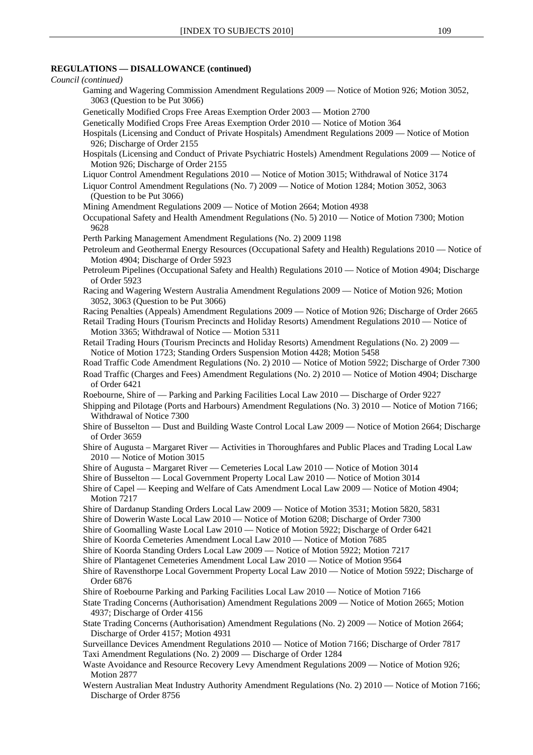# **REGULATIONS — DISALLOWANCE (continued)**

|                     | REGULA I IONS — DISALLOWANCE (CONINUEG)                                                                                                                                         |
|---------------------|---------------------------------------------------------------------------------------------------------------------------------------------------------------------------------|
| Council (continued) | Gaming and Wagering Commission Amendment Regulations 2009 — Notice of Motion 926; Motion 3052,                                                                                  |
|                     | 3063 (Question to be Put 3066)                                                                                                                                                  |
|                     | Genetically Modified Crops Free Areas Exemption Order 2003 - Motion 2700                                                                                                        |
|                     | Genetically Modified Crops Free Areas Exemption Order 2010 — Notice of Motion 364                                                                                               |
|                     | Hospitals (Licensing and Conduct of Private Hospitals) Amendment Regulations 2009 — Notice of Motion<br>926; Discharge of Order 2155                                            |
|                     | Hospitals (Licensing and Conduct of Private Psychiatric Hostels) Amendment Regulations 2009 — Notice of<br>Motion 926; Discharge of Order 2155                                  |
|                     | Liquor Control Amendment Regulations 2010 — Notice of Motion 3015; Withdrawal of Notice 3174                                                                                    |
|                     | Liquor Control Amendment Regulations (No. 7) 2009 — Notice of Motion 1284; Motion 3052, 3063<br>(Question to be Put 3066)                                                       |
|                     | Mining Amendment Regulations 2009 - Notice of Motion 2664; Motion 4938                                                                                                          |
| 9628                | Occupational Safety and Health Amendment Regulations (No. 5) 2010 — Notice of Motion 7300; Motion                                                                               |
|                     | Perth Parking Management Amendment Regulations (No. 2) 2009 1198                                                                                                                |
|                     | Petroleum and Geothermal Energy Resources (Occupational Safety and Health) Regulations 2010 — Notice of<br>Motion 4904; Discharge of Order 5923                                 |
|                     | Petroleum Pipelines (Occupational Safety and Health) Regulations 2010 — Notice of Motion 4904; Discharge<br>of Order 5923                                                       |
|                     | Racing and Wagering Western Australia Amendment Regulations 2009 — Notice of Motion 926; Motion<br>3052, 3063 (Question to be Put 3066)                                         |
|                     | Racing Penalties (Appeals) Amendment Regulations 2009 — Notice of Motion 926; Discharge of Order 2665                                                                           |
|                     | Retail Trading Hours (Tourism Precincts and Holiday Resorts) Amendment Regulations 2010 — Notice of<br>Motion 3365; Withdrawal of Notice - Motion 5311                          |
|                     | Retail Trading Hours (Tourism Precincts and Holiday Resorts) Amendment Regulations (No. 2) 2009 —<br>Notice of Motion 1723; Standing Orders Suspension Motion 4428; Motion 5458 |
|                     | Road Traffic Code Amendment Regulations (No. 2) 2010 — Notice of Motion 5922; Discharge of Order 7300                                                                           |
|                     | Road Traffic (Charges and Fees) Amendment Regulations (No. 2) 2010 — Notice of Motion 4904; Discharge<br>of Order 6421                                                          |
|                     | Roebourne, Shire of — Parking and Parking Facilities Local Law 2010 — Discharge of Order 9227                                                                                   |
|                     | Shipping and Pilotage (Ports and Harbours) Amendment Regulations (No. 3) 2010 - Notice of Motion 7166;<br>Withdrawal of Notice 7300                                             |
|                     | Shire of Busselton — Dust and Building Waste Control Local Law 2009 — Notice of Motion 2664; Discharge<br>of Order 3659                                                         |
|                     | Shire of Augusta – Margaret River — Activities in Thoroughfares and Public Places and Trading Local Law<br>2010 - Notice of Motion 3015                                         |
|                     | Shire of Augusta – Margaret River — Cemeteries Local Law 2010 — Notice of Motion 3014                                                                                           |
|                     | Shire of Busselton — Local Government Property Local Law 2010 — Notice of Motion 3014                                                                                           |
| Motion 7217         | Shire of Capel — Keeping and Welfare of Cats Amendment Local Law 2009 — Notice of Motion 4904;                                                                                  |
|                     | Shire of Dardanup Standing Orders Local Law 2009 — Notice of Motion 3531; Motion 5820, 5831                                                                                     |
|                     | Shire of Dowerin Waste Local Law 2010 — Notice of Motion 6208; Discharge of Order 7300                                                                                          |
|                     | Shire of Goomalling Waste Local Law 2010 — Notice of Motion 5922; Discharge of Order 6421<br>Shire of Koorda Cemeteries Amendment Local Law 2010 — Notice of Motion 7685        |
|                     | Shire of Koorda Standing Orders Local Law 2009 — Notice of Motion 5922; Motion 7217                                                                                             |
|                     | Shire of Plantagenet Cemeteries Amendment Local Law 2010 — Notice of Motion 9564                                                                                                |
| Order 6876          | Shire of Ravensthorpe Local Government Property Local Law 2010 — Notice of Motion 5922; Discharge of                                                                            |
|                     | Shire of Roebourne Parking and Parking Facilities Local Law 2010 — Notice of Motion 7166                                                                                        |
|                     | State Trading Concerns (Authorisation) Amendment Regulations 2009 — Notice of Motion 2665; Motion<br>4937; Discharge of Order 4156                                              |
|                     | State Trading Concerns (Authorisation) Amendment Regulations (No. 2) 2009 - Notice of Motion 2664;<br>Discharge of Order 4157; Motion 4931                                      |
|                     | Surveillance Devices Amendment Regulations 2010 — Notice of Motion 7166; Discharge of Order 7817                                                                                |
|                     | Taxi Amendment Regulations (No. 2) 2009 - Discharge of Order 1284<br>Waste Avoidance and Resource Recovery Levy Amendment Regulations 2009 — Notice of Motion 926;              |
| Motion 2877         |                                                                                                                                                                                 |
|                     | Western Australian Meat Industry Authority Amendment Regulations (No. 2) 2010 — Notice of Motion 7166;<br>Discharge of Order 8756                                               |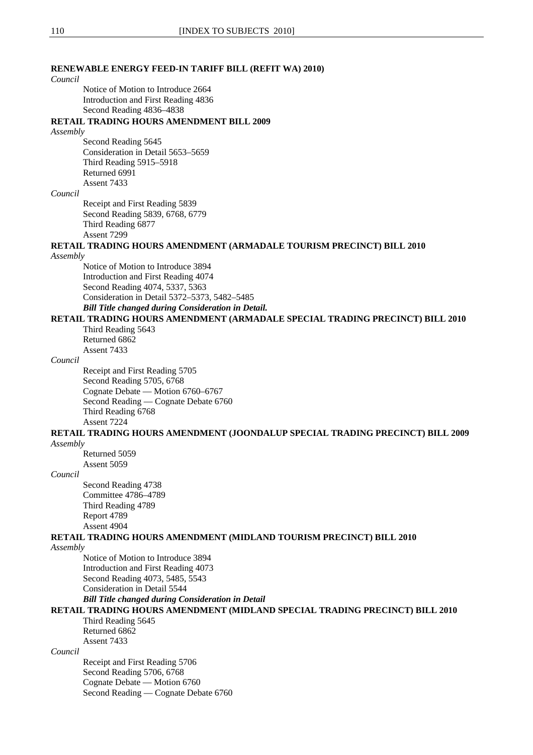# **RENEWABLE ENERGY FEED-IN TARIFF BILL (REFIT WA) 2010)** *Council*

Notice of Motion to Introduce 2664 Introduction and First Reading 4836 Second Reading 4836–4838

#### **RETAIL TRADING HOURS AMENDMENT BILL 2009**

#### *Assembly*

Second Reading 5645 Consideration in Detail 5653–5659 Third Reading 5915–5918 Returned 6991 Assent 7433

#### *Council*

Receipt and First Reading 5839 Second Reading 5839, 6768, 6779 Third Reading 6877 Assent 7299

#### **RETAIL TRADING HOURS AMENDMENT (ARMADALE TOURISM PRECINCT) BILL 2010**

#### *Assembly*

Notice of Motion to Introduce 3894 Introduction and First Reading 4074 Second Reading 4074, 5337, 5363 Consideration in Detail 5372–5373, 5482–5485 *Bill Title changed during Consideration in Detail.* 

#### **RETAIL TRADING HOURS AMENDMENT (ARMADALE SPECIAL TRADING PRECINCT) BILL 2010**

Third Reading 5643 Returned 6862 Assent 7433

#### *Council*

Receipt and First Reading 5705 Second Reading 5705, 6768 Cognate Debate — Motion 6760–6767 Second Reading — Cognate Debate 6760 Third Reading 6768 Assent 7224

#### **RETAIL TRADING HOURS AMENDMENT (JOONDALUP SPECIAL TRADING PRECINCT) BILL 2009** *Assembly*

Returned 5059 Assent 5059

#### *Council*

Second Reading 4738 Committee 4786–4789 Third Reading 4789 Report 4789 Assent 4904

# **RETAIL TRADING HOURS AMENDMENT (MIDLAND TOURISM PRECINCT) BILL 2010**

*Assembly*

Notice of Motion to Introduce 3894 Introduction and First Reading 4073 Second Reading 4073, 5485, 5543 Consideration in Detail 5544

# *Bill Title changed during Consideration in Detail*

# **RETAIL TRADING HOURS AMENDMENT (MIDLAND SPECIAL TRADING PRECINCT) BILL 2010** Third Reading 5645

Returned 6862 Assent 7433

# *Council*

Receipt and First Reading 5706 Second Reading 5706, 6768 Cognate Debate — Motion 6760 Second Reading — Cognate Debate 6760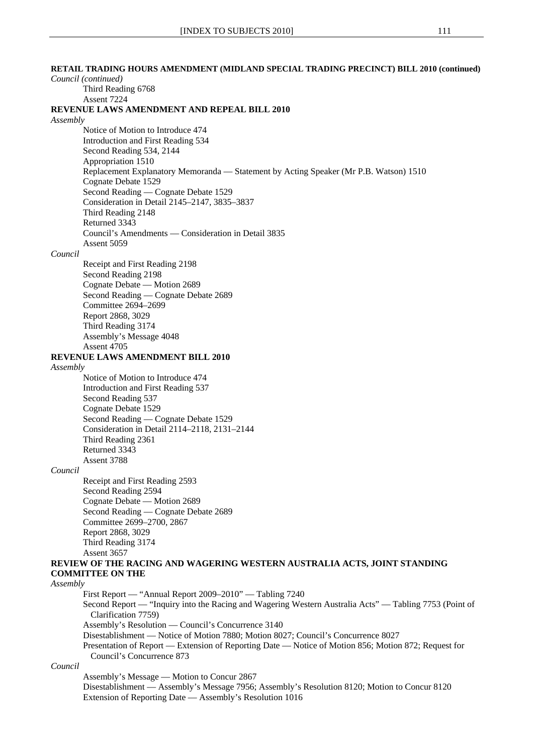**RETAIL TRADING HOURS AMENDMENT (MIDLAND SPECIAL TRADING PRECINCT) BILL 2010 (continued)** *Council (continued)*

# Third Reading 6768 Assent 7224 **REVENUE LAWS AMENDMENT AND REPEAL BILL 2010** *Assembly* Notice of Motion to Introduce 474 Introduction and First Reading 534 Second Reading 534, 2144 Appropriation 1510 Replacement Explanatory Memoranda — Statement by Acting Speaker (Mr P.B. Watson) 1510 Cognate Debate 1529 Second Reading — Cognate Debate 1529 Consideration in Detail 2145–2147, 3835–3837 Third Reading 2148 Returned 3343 Council's Amendments — Consideration in Detail 3835 Assent 5059 *Council* Receipt and First Reading 2198 Second Reading 2198 Cognate Debate — Motion 2689 Second Reading — Cognate Debate 2689 Committee 2694–2699 Report 2868, 3029 Third Reading 3174 Assembly's Message 4048 Assent 4705 **REVENUE LAWS AMENDMENT BILL 2010** *Assembly* Notice of Motion to Introduce 474 Introduction and First Reading 537 Second Reading 537 Cognate Debate 1529 Second Reading — Cognate Debate 1529 Consideration in Detail 2114–2118, 2131–2144 Third Reading 2361 Returned 3343 Assent 3788 *Council* Receipt and First Reading 2593 Second Reading 2594 Cognate Debate — Motion 2689 Second Reading — Cognate Debate 2689 Committee 2699–2700, 2867 Report 2868, 3029 Third Reading 3174 Assent 3657 **REVIEW OF THE RACING AND WAGERING WESTERN AUSTRALIA ACTS, JOINT STANDING COMMITTEE ON THE** *Assembly* First Report — "Annual Report 2009–2010" — Tabling 7240 Second Report — "Inquiry into the Racing and Wagering Western Australia Acts" — Tabling 7753 (Point of Clarification 7759) Assembly's Resolution — Council's Concurrence 3140 Disestablishment — Notice of Motion 7880; Motion 8027; Council's Concurrence 8027 Presentation of Report — Extension of Reporting Date — Notice of Motion 856; Motion 872; Request for Council's Concurrence 873 *Council* Assembly's Message — Motion to Concur 2867

Disestablishment — Assembly's Message 7956; Assembly's Resolution 8120; Motion to Concur 8120 Extension of Reporting Date — Assembly's Resolution 1016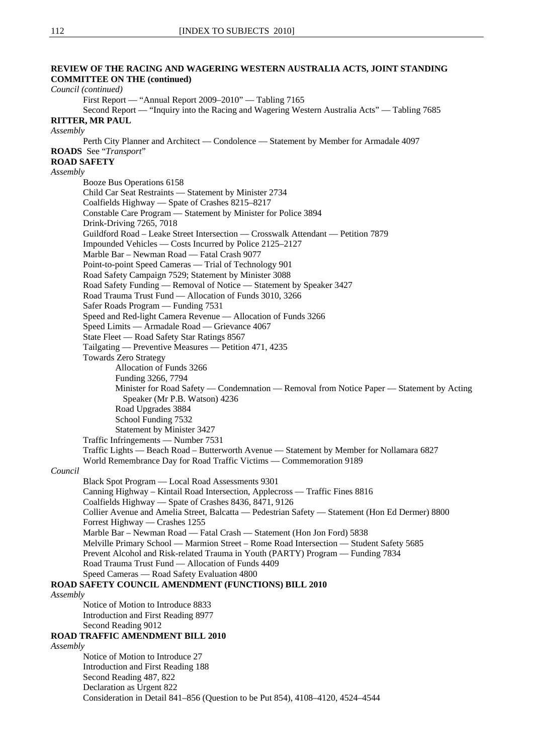# **REVIEW OF THE RACING AND WAGERING WESTERN AUSTRALIA ACTS, JOINT STANDING COMMITTEE ON THE (continued)**  *Council (continued)* First Report — "Annual Report 2009–2010" — Tabling 7165 Second Report — "Inquiry into the Racing and Wagering Western Australia Acts" — Tabling 7685 **RITTER, MR PAUL**  *Assembly*  Perth City Planner and Architect — Condolence — Statement by Member for Armadale 4097 **ROADS** See "*Transport*" **ROAD SAFETY** *Assembly* Booze Bus Operations 6158 Child Car Seat Restraints — Statement by Minister 2734 Coalfields Highway — Spate of Crashes 8215–8217 Constable Care Program — Statement by Minister for Police 3894 Drink-Driving 7265, 7018 Guildford Road – Leake Street Intersection — Crosswalk Attendant — Petition 7879 Impounded Vehicles — Costs Incurred by Police 2125–2127 Marble Bar – Newman Road — Fatal Crash 9077 Point-to-point Speed Cameras — Trial of Technology 901 Road Safety Campaign 7529; Statement by Minister 3088 Road Safety Funding — Removal of Notice — Statement by Speaker 3427 Road Trauma Trust Fund — Allocation of Funds 3010, 3266 Safer Roads Program — Funding 7531 Speed and Red-light Camera Revenue — Allocation of Funds 3266 Speed Limits — Armadale Road — Grievance 4067 State Fleet — Road Safety Star Ratings 8567 Tailgating — Preventive Measures — Petition 471, 4235 Towards Zero Strategy Allocation of Funds 3266 Funding 3266, 7794 Minister for Road Safety — Condemnation — Removal from Notice Paper — Statement by Acting Speaker (Mr P.B. Watson) 4236 Road Upgrades 3884 School Funding 7532 Statement by Minister 3427 Traffic Infringements — Number 7531 Traffic Lights — Beach Road – Butterworth Avenue — Statement by Member for Nollamara 6827 World Remembrance Day for Road Traffic Victims — Commemoration 9189 *Council* Black Spot Program — Local Road Assessments 9301 Canning Highway – Kintail Road Intersection, Applecross — Traffic Fines 8816 Coalfields Highway — Spate of Crashes 8436, 8471, 9126 Collier Avenue and Amelia Street, Balcatta — Pedestrian Safety — Statement (Hon Ed Dermer) 8800 Forrest Highway — Crashes 1255 Marble Bar – Newman Road — Fatal Crash — Statement (Hon Jon Ford) 5838 Melville Primary School — Marmion Street – Rome Road Intersection — Student Safety 5685 Prevent Alcohol and Risk-related Trauma in Youth (PARTY) Program — Funding 7834 Road Trauma Trust Fund — Allocation of Funds 4409 Speed Cameras — Road Safety Evaluation 4800 **ROAD SAFETY COUNCIL AMENDMENT (FUNCTIONS) BILL 2010** *Assembly* Notice of Motion to Introduce 8833 Introduction and First Reading 8977 Second Reading 9012 **ROAD TRAFFIC AMENDMENT BILL 2010** *Assembly* Notice of Motion to Introduce 27 Introduction and First Reading 188 Second Reading 487, 822 Declaration as Urgent 822 Consideration in Detail 841–856 (Question to be Put 854), 4108–4120, 4524–4544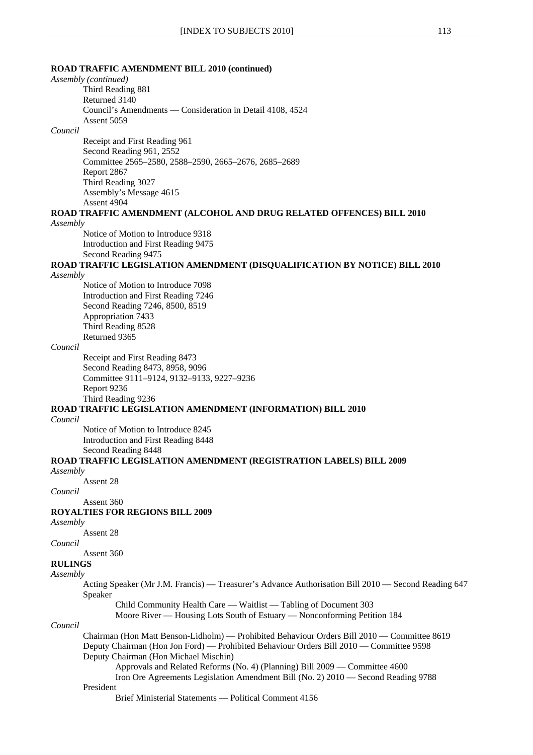#### **ROAD TRAFFIC AMENDMENT BILL 2010 (continued)**

*Assembly (continued)*

Third Reading 881 Returned 3140 Council's Amendments — Consideration in Detail 4108, 4524 Assent 5059

#### *Council*

Receipt and First Reading 961 Second Reading 961, 2552 Committee 2565–2580, 2588–2590, 2665–2676, 2685–2689 Report 2867 Third Reading 3027 Assembly's Message 4615 Assent 4904

#### **ROAD TRAFFIC AMENDMENT (ALCOHOL AND DRUG RELATED OFFENCES) BILL 2010** *Assembly*

Notice of Motion to Introduce 9318 Introduction and First Reading 9475 Second Reading 9475

# **ROAD TRAFFIC LEGISLATION AMENDMENT (DISQUALIFICATION BY NOTICE) BILL 2010**

*Assembly*

Notice of Motion to Introduce 7098 Introduction and First Reading 7246 Second Reading 7246, 8500, 8519 Appropriation 7433 Third Reading 8528 Returned 9365

#### *Council*

Receipt and First Reading 8473 Second Reading 8473, 8958, 9096 Committee 9111–9124, 9132–9133, 9227–9236 Report 9236 Third Reading 9236

## **ROAD TRAFFIC LEGISLATION AMENDMENT (INFORMATION) BILL 2010**

*Council*

Notice of Motion to Introduce 8245 Introduction and First Reading 8448 Second Reading 8448

# **ROAD TRAFFIC LEGISLATION AMENDMENT (REGISTRATION LABELS) BILL 2009**

*Assembly*

Assent 28

*Council* 

Assent 360

# **ROYALTIES FOR REGIONS BILL 2009**

*Assembly*

Assent 28

*Council*

Assent 360

# **RULINGS**

*Assembly*

Acting Speaker (Mr J.M. Francis) — Treasurer's Advance Authorisation Bill 2010 — Second Reading 647 Speaker

Child Community Health Care — Waitlist — Tabling of Document 303

Moore River — Housing Lots South of Estuary — Nonconforming Petition 184

#### *Council*

Chairman (Hon Matt Benson-Lidholm) — Prohibited Behaviour Orders Bill 2010 — Committee 8619 Deputy Chairman (Hon Jon Ford) — Prohibited Behaviour Orders Bill 2010 — Committee 9598 Deputy Chairman (Hon Michael Mischin) Approvals and Related Reforms (No. 4) (Planning) Bill 2009 — Committee 4600

# Iron Ore Agreements Legislation Amendment Bill (No. 2) 2010 — Second Reading 9788 President

Brief Ministerial Statements — Political Comment 4156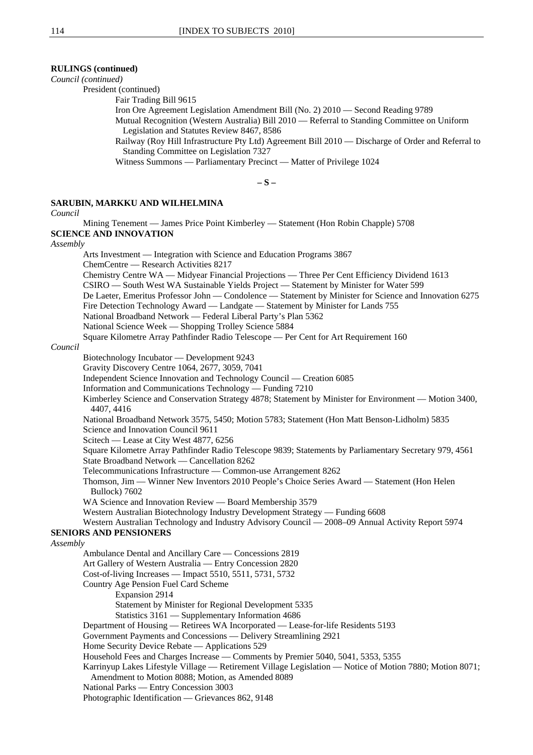# **RULINGS (continued)**

*Council (continued)*

President (continued)

Fair Trading Bill 9615

Iron Ore Agreement Legislation Amendment Bill (No. 2) 2010 — Second Reading 9789

Mutual Recognition (Western Australia) Bill 2010 — Referral to Standing Committee on Uniform Legislation and Statutes Review 8467, 8586

Railway (Roy Hill Infrastructure Pty Ltd) Agreement Bill 2010 — Discharge of Order and Referral to Standing Committee on Legislation 7327

Witness Summons — Parliamentary Precinct — Matter of Privilege 1024

**– S –** 

# **SARUBIN, MARKKU AND WILHELMINA**

*Council*

Mining Tenement — James Price Point Kimberley — Statement (Hon Robin Chapple) 5708 **SCIENCE AND INNOVATION** *Assembly* Arts Investment — Integration with Science and Education Programs 3867 ChemCentre — Research Activities 8217 Chemistry Centre WA — Midyear Financial Projections — Three Per Cent Efficiency Dividend 1613 CSIRO — South West WA Sustainable Yields Project — Statement by Minister for Water 599 De Laeter, Emeritus Professor John — Condolence — Statement by Minister for Science and Innovation 6275 Fire Detection Technology Award — Landgate — Statement by Minister for Lands 755 National Broadband Network — Federal Liberal Party's Plan 5362 National Science Week — Shopping Trolley Science 5884 Square Kilometre Array Pathfinder Radio Telescope — Per Cent for Art Requirement 160 *Council* Biotechnology Incubator — Development 9243 Gravity Discovery Centre 1064, 2677, 3059, 7041 Independent Science Innovation and Technology Council — Creation 6085 Information and Communications Technology — Funding 7210 Kimberley Science and Conservation Strategy 4878; Statement by Minister for Environment — Motion 3400, 4407, 4416 National Broadband Network 3575, 5450; Motion 5783; Statement (Hon Matt Benson-Lidholm) 5835 Science and Innovation Council 9611 Scitech — Lease at City West 4877, 6256 Square Kilometre Array Pathfinder Radio Telescope 9839; Statements by Parliamentary Secretary 979, 4561 State Broadband Network — Cancellation 8262 Telecommunications Infrastructure — Common-use Arrangement 8262 Thomson, Jim — Winner New Inventors 2010 People's Choice Series Award — Statement (Hon Helen Bullock) 7602 WA Science and Innovation Review — Board Membership 3579 Western Australian Biotechnology Industry Development Strategy — Funding 6608 Western Australian Technology and Industry Advisory Council — 2008–09 Annual Activity Report 5974 **SENIORS AND PENSIONERS** *Assembly* Ambulance Dental and Ancillary Care — Concessions 2819 Art Gallery of Western Australia — Entry Concession 2820 Cost-of-living Increases — Impact 5510, 5511, 5731, 5732 Country Age Pension Fuel Card Scheme Expansion 2914 Statement by Minister for Regional Development 5335 Statistics 3161 — Supplementary Information 4686 Department of Housing — Retirees WA Incorporated — Lease-for-life Residents 5193 Government Payments and Concessions — Delivery Streamlining 2921 Home Security Device Rebate — Applications 529 Household Fees and Charges Increase — Comments by Premier 5040, 5041, 5353, 5355 Karrinyup Lakes Lifestyle Village — Retirement Village Legislation — Notice of Motion 7880; Motion 8071; Amendment to Motion 8088; Motion, as Amended 8089 National Parks — Entry Concession 3003 Photographic Identification — Grievances 862, 9148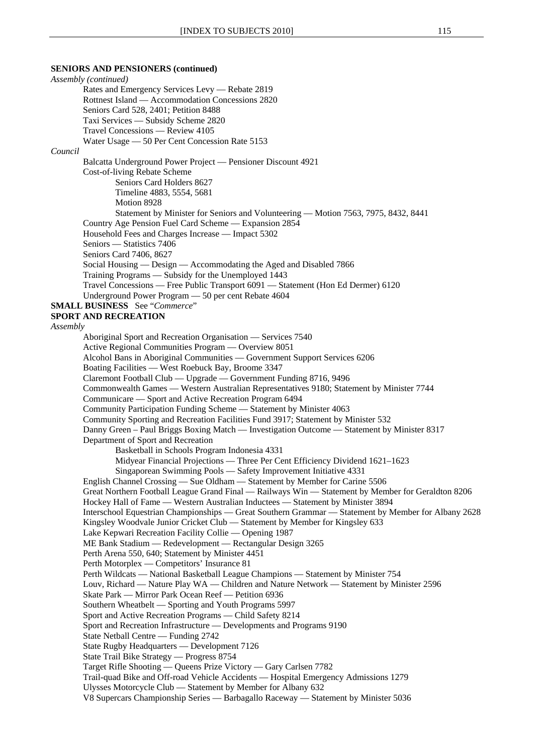### **SENIORS AND PENSIONERS (continued)**

*Assembly (continued)* Rates and Emergency Services Levy — Rebate 2819 Rottnest Island — Accommodation Concessions 2820 Seniors Card 528, 2401; Petition 8488 Taxi Services — Subsidy Scheme 2820 Travel Concessions — Review 4105 Water Usage — 50 Per Cent Concession Rate 5153 *Council* Balcatta Underground Power Project — Pensioner Discount 4921 Cost-of-living Rebate Scheme Seniors Card Holders 8627 Timeline 4883, 5554, 5681 Motion 8928 Statement by Minister for Seniors and Volunteering — Motion 7563, 7975, 8432, 8441 Country Age Pension Fuel Card Scheme — Expansion 2854 Household Fees and Charges Increase — Impact 5302 Seniors — Statistics 7406 Seniors Card 7406, 8627 Social Housing — Design — Accommodating the Aged and Disabled 7866 Training Programs — Subsidy for the Unemployed 1443 Travel Concessions — Free Public Transport 6091 — Statement (Hon Ed Dermer) 6120 Underground Power Program — 50 per cent Rebate 4604 **SMALL BUSINESS** See "*Commerce*" **SPORT AND RECREATION** *Assembly* Aboriginal Sport and Recreation Organisation — Services 7540 Active Regional Communities Program — Overview 8051 Alcohol Bans in Aboriginal Communities — Government Support Services 6206 Boating Facilities — West Roebuck Bay, Broome 3347 Claremont Football Club — Upgrade — Government Funding 8716, 9496 Commonwealth Games — Western Australian Representatives 9180; Statement by Minister 7744 Communicare — Sport and Active Recreation Program 6494 Community Participation Funding Scheme — Statement by Minister 4063 Community Sporting and Recreation Facilities Fund 3917; Statement by Minister 532 Danny Green – Paul Briggs Boxing Match — Investigation Outcome — Statement by Minister 8317 Department of Sport and Recreation Basketball in Schools Program Indonesia 4331 Midyear Financial Projections — Three Per Cent Efficiency Dividend 1621–1623 Singaporean Swimming Pools — Safety Improvement Initiative 4331 English Channel Crossing — Sue Oldham — Statement by Member for Carine 5506 Great Northern Football League Grand Final — Railways Win — Statement by Member for Geraldton 8206 Hockey Hall of Fame — Western Australian Inductees — Statement by Minister 3894 Interschool Equestrian Championships — Great Southern Grammar — Statement by Member for Albany 2628 Kingsley Woodvale Junior Cricket Club — Statement by Member for Kingsley 633 Lake Kepwari Recreation Facility Collie — Opening 1987 ME Bank Stadium — Redevelopment — Rectangular Design 3265 Perth Arena 550, 640; Statement by Minister 4451 Perth Motorplex — Competitors' Insurance 81 Perth Wildcats — National Basketball League Champions — Statement by Minister 754 Louv, Richard — Nature Play WA — Children and Nature Network — Statement by Minister 2596 Skate Park — Mirror Park Ocean Reef — Petition 6936 Southern Wheatbelt — Sporting and Youth Programs 5997 Sport and Active Recreation Programs — Child Safety 8214 Sport and Recreation Infrastructure — Developments and Programs 9190 State Netball Centre — Funding 2742 State Rugby Headquarters — Development 7126 State Trail Bike Strategy — Progress 8754 Target Rifle Shooting — Queens Prize Victory — Gary Carlsen 7782 Trail-quad Bike and Off-road Vehicle Accidents — Hospital Emergency Admissions 1279 Ulysses Motorcycle Club — Statement by Member for Albany 632 V8 Supercars Championship Series — Barbagallo Raceway — Statement by Minister 5036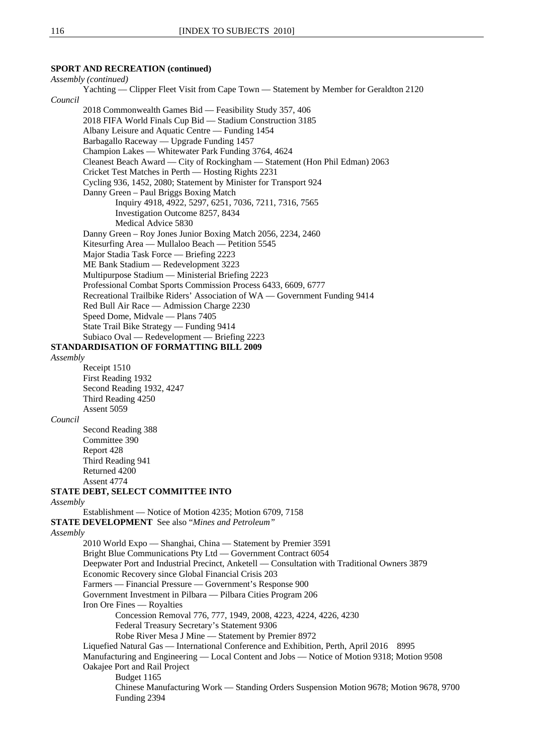# **SPORT AND RECREATION (continued)**

*Assembly (continued)* Yachting — Clipper Fleet Visit from Cape Town — Statement by Member for Geraldton 2120 *Council* 2018 Commonwealth Games Bid — Feasibility Study 357, 406 2018 FIFA World Finals Cup Bid — Stadium Construction 3185 Albany Leisure and Aquatic Centre — Funding 1454 Barbagallo Raceway — Upgrade Funding 1457 Champion Lakes — Whitewater Park Funding 3764, 4624 Cleanest Beach Award — City of Rockingham — Statement (Hon Phil Edman) 2063 Cricket Test Matches in Perth — Hosting Rights 2231 Cycling 936, 1452, 2080; Statement by Minister for Transport 924 Danny Green – Paul Briggs Boxing Match Inquiry 4918, 4922, 5297, 6251, 7036, 7211, 7316, 7565 Investigation Outcome 8257, 8434 Medical Advice 5830 Danny Green – Roy Jones Junior Boxing Match 2056, 2234, 2460 Kitesurfing Area — Mullaloo Beach — Petition 5545 Major Stadia Task Force — Briefing 2223 ME Bank Stadium — Redevelopment 3223 Multipurpose Stadium — Ministerial Briefing 2223 Professional Combat Sports Commission Process 6433, 6609, 6777 Recreational Trailbike Riders' Association of WA — Government Funding 9414 Red Bull Air Race — Admission Charge 2230 Speed Dome, Midvale — Plans 7405 State Trail Bike Strategy — Funding 9414 Subiaco Oval — Redevelopment — Briefing 2223 **STANDARDISATION OF FORMATTING BILL 2009** *Assembly* Receipt 1510 First Reading 1932 Second Reading 1932, 4247 Third Reading 4250 Assent 5059 *Council* Second Reading 388 Committee 390 Report 428 Third Reading 941 Returned 4200 Assent 4774 **STATE DEBT, SELECT COMMITTEE INTO** *Assembly* Establishment — Notice of Motion 4235; Motion 6709, 7158 **STATE DEVELOPMENT** See also "*Mines and Petroleum" Assembly* 2010 World Expo — Shanghai, China — Statement by Premier 3591 Bright Blue Communications Pty Ltd — Government Contract 6054 Deepwater Port and Industrial Precinct, Anketell — Consultation with Traditional Owners 3879 Economic Recovery since Global Financial Crisis 203 Farmers — Financial Pressure — Government's Response 900 Government Investment in Pilbara — Pilbara Cities Program 206 Iron Ore Fines — Royalties Concession Removal 776, 777, 1949, 2008, 4223, 4224, 4226, 4230 Federal Treasury Secretary's Statement 9306 Robe River Mesa J Mine — Statement by Premier 8972 Liquefied Natural Gas — International Conference and Exhibition, Perth, April 2016 8995 Manufacturing and Engineering — Local Content and Jobs — Notice of Motion 9318; Motion 9508 Oakajee Port and Rail Project Budget 1165 Chinese Manufacturing Work — Standing Orders Suspension Motion 9678; Motion 9678, 9700 Funding 2394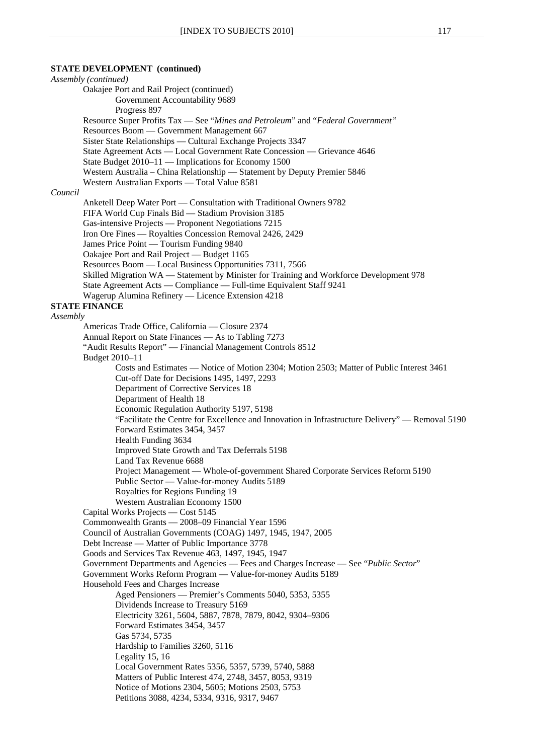# **STATE DEVELOPMENT (continued)**

*Assembly (continued)* Oakajee Port and Rail Project (continued) Government Accountability 9689 Progress 897 Resource Super Profits Tax — See "*Mines and Petroleum*" and "*Federal Government"* Resources Boom — Government Management 667 Sister State Relationships — Cultural Exchange Projects 3347 State Agreement Acts — Local Government Rate Concession — Grievance 4646 State Budget 2010–11 — Implications for Economy 1500 Western Australia – China Relationship — Statement by Deputy Premier 5846 Western Australian Exports — Total Value 8581 *Council* Anketell Deep Water Port — Consultation with Traditional Owners 9782 FIFA World Cup Finals Bid — Stadium Provision 3185 Gas-intensive Projects — Proponent Negotiations 7215 Iron Ore Fines — Royalties Concession Removal 2426, 2429 James Price Point — Tourism Funding 9840 Oakajee Port and Rail Project — Budget 1165 Resources Boom — Local Business Opportunities 7311, 7566 Skilled Migration WA — Statement by Minister for Training and Workforce Development 978 State Agreement Acts — Compliance — Full-time Equivalent Staff 9241 Wagerup Alumina Refinery — Licence Extension 4218 **STATE FINANCE** *Assembly* Americas Trade Office, California — Closure 2374 Annual Report on State Finances — As to Tabling 7273 "Audit Results Report" — Financial Management Controls 8512 Budget 2010–11 Costs and Estimates — Notice of Motion 2304; Motion 2503; Matter of Public Interest 3461 Cut-off Date for Decisions 1495, 1497, 2293 Department of Corrective Services 18 Department of Health 18 Economic Regulation Authority 5197, 5198 "Facilitate the Centre for Excellence and Innovation in Infrastructure Delivery" — Removal 5190 Forward Estimates 3454, 3457 Health Funding 3634 Improved State Growth and Tax Deferrals 5198 Land Tax Revenue 6688 Project Management — Whole-of-government Shared Corporate Services Reform 5190 Public Sector — Value-for-money Audits 5189 Royalties for Regions Funding 19 Western Australian Economy 1500 Capital Works Projects — Cost 5145 Commonwealth Grants — 2008–09 Financial Year 1596 Council of Australian Governments (COAG) 1497, 1945, 1947, 2005 Debt Increase — Matter of Public Importance 3778 Goods and Services Tax Revenue 463, 1497, 1945, 1947 Government Departments and Agencies — Fees and Charges Increase — See "*Public Sector*" Government Works Reform Program — Value-for-money Audits 5189 Household Fees and Charges Increase Aged Pensioners — Premier's Comments 5040, 5353, 5355 Dividends Increase to Treasury 5169 Electricity 3261, 5604, 5887, 7878, 7879, 8042, 9304–9306 Forward Estimates 3454, 3457 Gas 5734, 5735 Hardship to Families 3260, 5116 Legality 15, 16 Local Government Rates 5356, 5357, 5739, 5740, 5888 Matters of Public Interest 474, 2748, 3457, 8053, 9319 Notice of Motions 2304, 5605; Motions 2503, 5753 Petitions 3088, 4234, 5334, 9316, 9317, 9467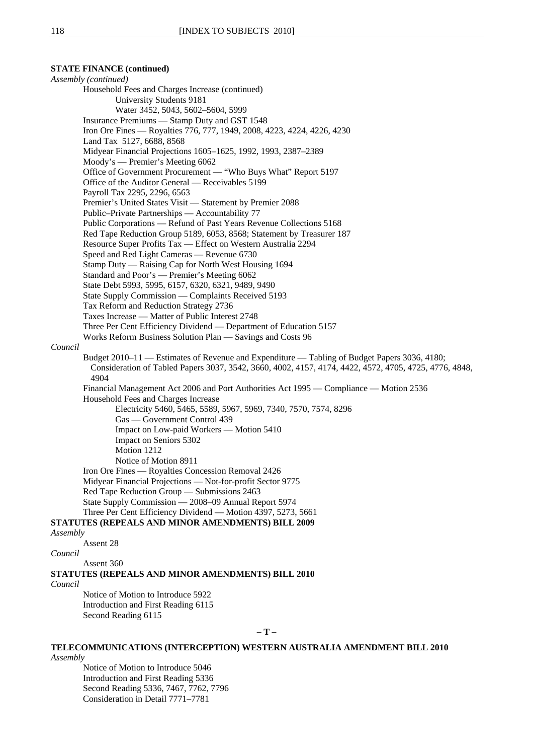# **TELECOMMUNICATIONS (INTERCEPTION) WESTERN AUSTRALIA AMENDMENT BILL 2010**

*Assembly*

Notice of Motion to Introduce 5046 Introduction and First Reading 5336 Second Reading 5336, 7467, 7762, 7796 Consideration in Detail 7771–7781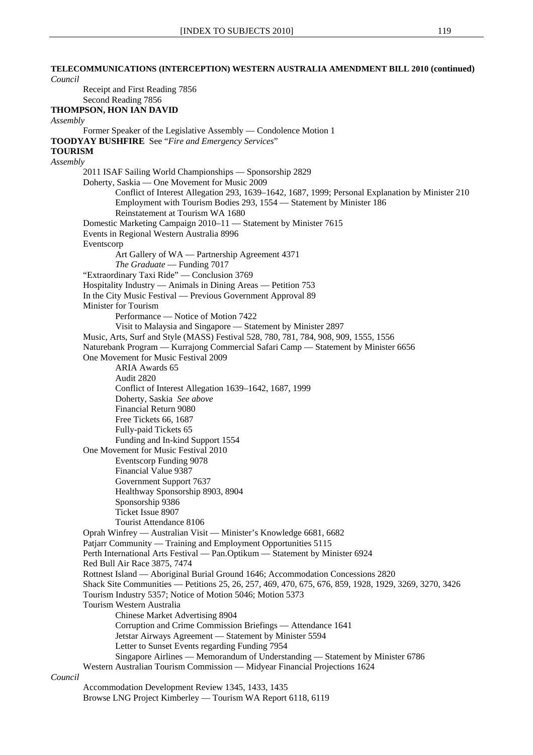# **TELECOMMUNICATIONS (INTERCEPTION) WESTERN AUSTRALIA AMENDMENT BILL 2010 (continued)** *Council* Receipt and First Reading 7856 Second Reading 7856 **THOMPSON, HON IAN DAVID**  *Assembly* Former Speaker of the Legislative Assembly — Condolence Motion 1 **TOODYAY BUSHFIRE** See "*Fire and Emergency Services*" **TOURISM** *Assembly* 2011 ISAF Sailing World Championships — Sponsorship 2829 Doherty, Saskia — One Movement for Music 2009 Conflict of Interest Allegation 293, 1639–1642, 1687, 1999; Personal Explanation by Minister 210 Employment with Tourism Bodies 293, 1554 — Statement by Minister 186 Reinstatement at Tourism WA 1680 Domestic Marketing Campaign 2010–11 — Statement by Minister 7615 Events in Regional Western Australia 8996 Eventscorp Art Gallery of WA — Partnership Agreement 4371 *The Graduate* — Funding 7017 "Extraordinary Taxi Ride" — Conclusion 3769 Hospitality Industry — Animals in Dining Areas — Petition 753 In the City Music Festival — Previous Government Approval 89 Minister for Tourism Performance — Notice of Motion 7422 Visit to Malaysia and Singapore — Statement by Minister 2897 Music, Arts, Surf and Style (MASS) Festival 528, 780, 781, 784, 908, 909, 1555, 1556 Naturebank Program — Kurrajong Commercial Safari Camp — Statement by Minister 6656 One Movement for Music Festival 2009 ARIA Awards 65 Audit 2820 Conflict of Interest Allegation 1639–1642, 1687, 1999 Doherty, Saskia *See above* Financial Return 9080 Free Tickets 66, 1687 Fully-paid Tickets 65 Funding and In-kind Support 1554 One Movement for Music Festival 2010 Eventscorp Funding 9078 Financial Value 9387 Government Support 7637 Healthway Sponsorship 8903, 8904 Sponsorship 9386 Ticket Issue 8907 Tourist Attendance 8106 Oprah Winfrey — Australian Visit — Minister's Knowledge 6681, 6682 Patjarr Community — Training and Employment Opportunities 5115 Perth International Arts Festival — Pan.Optikum — Statement by Minister 6924 Red Bull Air Race 3875, 7474 Rottnest Island — Aboriginal Burial Ground 1646; Accommodation Concessions 2820 Shack Site Communities — Petitions 25, 26, 257, 469, 470, 675, 676, 859, 1928, 1929, 3269, 3270, 3426 Tourism Industry 5357; Notice of Motion 5046; Motion 5373 Tourism Western Australia Chinese Market Advertising 8904 Corruption and Crime Commission Briefings — Attendance 1641 Jetstar Airways Agreement — Statement by Minister 5594 Letter to Sunset Events regarding Funding 7954 Singapore Airlines — Memorandum of Understanding — Statement by Minister 6786 Western Australian Tourism Commission — Midyear Financial Projections 1624

#### *Council*

Accommodation Development Review 1345, 1433, 1435 Browse LNG Project Kimberley — Tourism WA Report 6118, 6119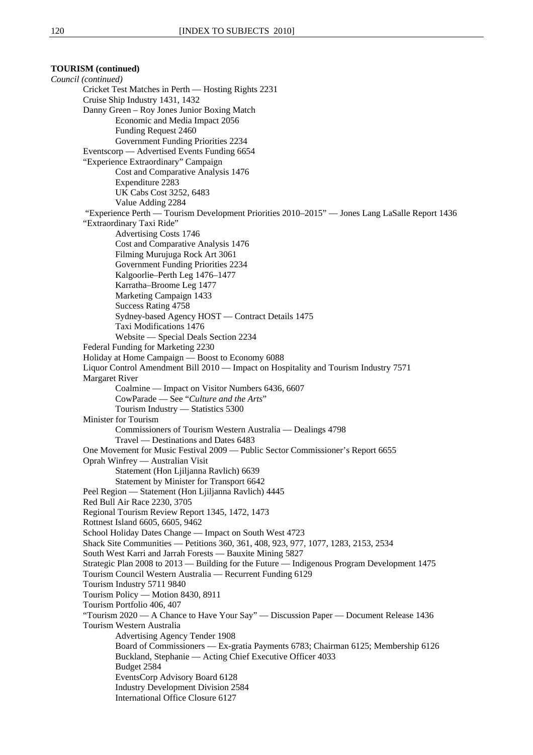**TOURISM (continued)** *Council (continued)* Cricket Test Matches in Perth — Hosting Rights 2231 Cruise Ship Industry 1431, 1432 Danny Green – Roy Jones Junior Boxing Match Economic and Media Impact 2056 Funding Request 2460 Government Funding Priorities 2234 Eventscorp — Advertised Events Funding 6654 "Experience Extraordinary" Campaign Cost and Comparative Analysis 1476 Expenditure 2283 UK Cabs Cost 3252, 6483 Value Adding 2284 "Experience Perth — Tourism Development Priorities 2010–2015" — Jones Lang LaSalle Report 1436 "Extraordinary Taxi Ride" Advertising Costs 1746 Cost and Comparative Analysis 1476 Filming Murujuga Rock Art 3061 Government Funding Priorities 2234 Kalgoorlie–Perth Leg 1476–1477 Karratha–Broome Leg 1477 Marketing Campaign 1433 Success Rating 4758 Sydney-based Agency HOST — Contract Details 1475 Taxi Modifications 1476 Website — Special Deals Section 2234 Federal Funding for Marketing 2230 Holiday at Home Campaign — Boost to Economy 6088 Liquor Control Amendment Bill 2010 — Impact on Hospitality and Tourism Industry 7571 Margaret River Coalmine — Impact on Visitor Numbers 6436, 6607 CowParade — See "*Culture and the Arts*" Tourism Industry — Statistics 5300 Minister for Tourism Commissioners of Tourism Western Australia — Dealings 4798 Travel — Destinations and Dates 6483 One Movement for Music Festival 2009 — Public Sector Commissioner's Report 6655 Oprah Winfrey — Australian Visit Statement (Hon Ljiljanna Ravlich) 6639 Statement by Minister for Transport 6642 Peel Region — Statement (Hon Ljiljanna Ravlich) 4445 Red Bull Air Race 2230, 3705 Regional Tourism Review Report 1345, 1472, 1473 Rottnest Island 6605, 6605, 9462 School Holiday Dates Change — Impact on South West 4723 Shack Site Communities — Petitions 360, 361, 408, 923, 977, 1077, 1283, 2153, 2534 South West Karri and Jarrah Forests — Bauxite Mining 5827 Strategic Plan 2008 to 2013 — Building for the Future — Indigenous Program Development 1475 Tourism Council Western Australia — Recurrent Funding 6129 Tourism Industry 5711 9840 Tourism Policy — Motion 8430, 8911 Tourism Portfolio 406, 407 "Tourism 2020 — A Chance to Have Your Say" — Discussion Paper — Document Release 1436 Tourism Western Australia Advertising Agency Tender 1908 Board of Commissioners — Ex-gratia Payments 6783; Chairman 6125; Membership 6126 Buckland, Stephanie — Acting Chief Executive Officer 4033 Budget 2584 EventsCorp Advisory Board 6128 Industry Development Division 2584 International Office Closure 6127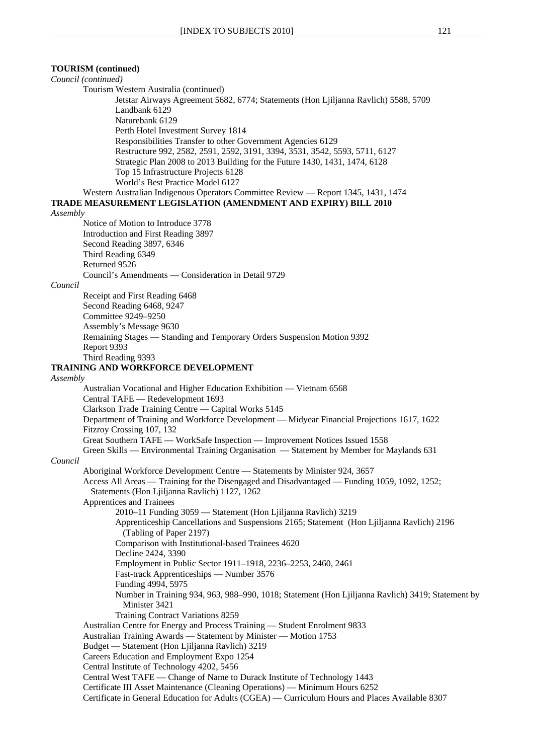**TOURISM (continued)**

# *Council (continued)*  Tourism Western Australia (continued) Jetstar Airways Agreement 5682, 6774; Statements (Hon Ljiljanna Ravlich) 5588, 5709 Landbank 6129 Naturebank 6129 Perth Hotel Investment Survey 1814 Responsibilities Transfer to other Government Agencies 6129 Restructure 992, 2582, 2591, 2592, 3191, 3394, 3531, 3542, 5593, 5711, 6127 Strategic Plan 2008 to 2013 Building for the Future 1430, 1431, 1474, 6128 Top 15 Infrastructure Projects 6128 World's Best Practice Model 6127 Western Australian Indigenous Operators Committee Review — Report 1345, 1431, 1474 **TRADE MEASUREMENT LEGISLATION (AMENDMENT AND EXPIRY) BILL 2010** *Assembly* Notice of Motion to Introduce 3778 Introduction and First Reading 3897 Second Reading 3897, 6346 Third Reading 6349 Returned 9526 Council's Amendments — Consideration in Detail 9729 *Council* Receipt and First Reading 6468 Second Reading 6468, 9247 Committee 9249–9250 Assembly's Message 9630 Remaining Stages — Standing and Temporary Orders Suspension Motion 9392 Report 9393 Third Reading 9393 **TRAINING AND WORKFORCE DEVELOPMENT** *Assembly* Australian Vocational and Higher Education Exhibition — Vietnam 6568 Central TAFE — Redevelopment 1693 Clarkson Trade Training Centre — Capital Works 5145 Department of Training and Workforce Development — Midyear Financial Projections 1617, 1622 Fitzroy Crossing 107, 132 Great Southern TAFE — WorkSafe Inspection — Improvement Notices Issued 1558 Green Skills — Environmental Training Organisation — Statement by Member for Maylands 631 *Council* Aboriginal Workforce Development Centre — Statements by Minister 924, 3657 Access All Areas — Training for the Disengaged and Disadvantaged — Funding 1059, 1092, 1252; Statements (Hon Ljiljanna Ravlich) 1127, 1262 Apprentices and Trainees 2010–11 Funding 3059 — Statement (Hon Ljiljanna Ravlich) 3219 Apprenticeship Cancellations and Suspensions 2165; Statement (Hon Ljiljanna Ravlich) 2196 (Tabling of Paper 2197) Comparison with Institutional-based Trainees 4620 Decline 2424, 3390 Employment in Public Sector 1911–1918, 2236–2253, 2460, 2461 Fast-track Apprenticeships — Number 3576 Funding 4994, 5975 Number in Training 934, 963, 988–990, 1018; Statement (Hon Ljiljanna Ravlich) 3419; Statement by Minister 3421 Training Contract Variations 8259 Australian Centre for Energy and Process Training — Student Enrolment 9833 Australian Training Awards — Statement by Minister — Motion 1753 Budget — Statement (Hon Ljiljanna Ravlich) 3219 Careers Education and Employment Expo 1254 Central Institute of Technology 4202, 5456 Central West TAFE — Change of Name to Durack Institute of Technology 1443 Certificate III Asset Maintenance (Cleaning Operations) — Minimum Hours 6252 Certificate in General Education for Adults (CGEA) — Curriculum Hours and Places Available 8307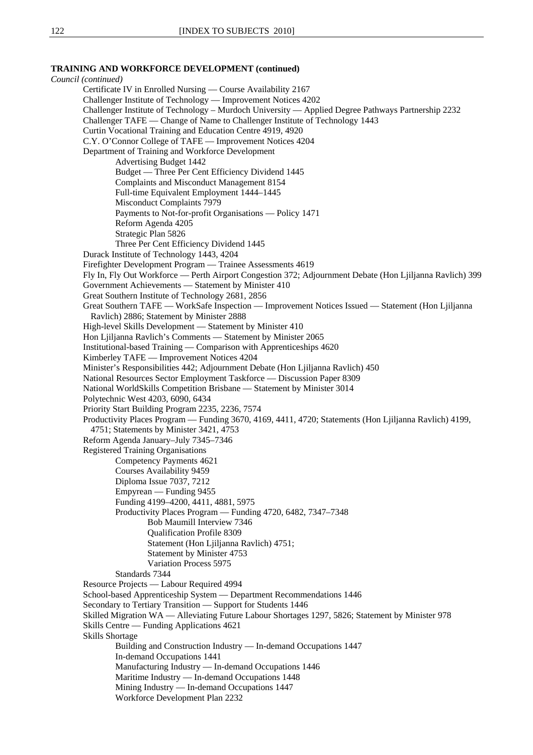### **TRAINING AND WORKFORCE DEVELOPMENT (continued)**

*Council (continued)* Certificate IV in Enrolled Nursing — Course Availability 2167 Challenger Institute of Technology — Improvement Notices 4202 Challenger Institute of Technology – Murdoch University — Applied Degree Pathways Partnership 2232 Challenger TAFE — Change of Name to Challenger Institute of Technology 1443 Curtin Vocational Training and Education Centre 4919, 4920 C.Y. O'Connor College of TAFE — Improvement Notices 4204 Department of Training and Workforce Development Advertising Budget 1442 Budget — Three Per Cent Efficiency Dividend 1445 Complaints and Misconduct Management 8154 Full-time Equivalent Employment 1444–1445 Misconduct Complaints 7979 Payments to Not-for-profit Organisations — Policy 1471 Reform Agenda 4205 Strategic Plan 5826 Three Per Cent Efficiency Dividend 1445 Durack Institute of Technology 1443, 4204 Firefighter Development Program — Trainee Assessments 4619 Fly In, Fly Out Workforce — Perth Airport Congestion 372; Adjournment Debate (Hon Ljiljanna Ravlich) 399 Government Achievements — Statement by Minister 410 Great Southern Institute of Technology 2681, 2856 Great Southern TAFE — WorkSafe Inspection — Improvement Notices Issued — Statement (Hon Ljiljanna Ravlich) 2886; Statement by Minister 2888 High-level Skills Development — Statement by Minister 410 Hon Ljiljanna Ravlich's Comments — Statement by Minister 2065 Institutional-based Training — Comparison with Apprenticeships 4620 Kimberley TAFE — Improvement Notices 4204 Minister's Responsibilities 442; Adjournment Debate (Hon Ljiljanna Ravlich) 450 National Resources Sector Employment Taskforce — Discussion Paper 8309 National WorldSkills Competition Brisbane — Statement by Minister 3014 Polytechnic West 4203, 6090, 6434 Priority Start Building Program 2235, 2236, 7574 Productivity Places Program — Funding 3670, 4169, 4411, 4720; Statements (Hon Ljiljanna Ravlich) 4199, 4751; Statements by Minister 3421, 4753 Reform Agenda January–July 7345–7346 Registered Training Organisations Competency Payments 4621 Courses Availability 9459 Diploma Issue 7037, 7212 Empyrean — Funding 9455 Funding 4199–4200, 4411, 4881, 5975 Productivity Places Program — Funding 4720, 6482, 7347–7348 Bob Maumill Interview 7346 Qualification Profile 8309 Statement (Hon Ljiljanna Ravlich) 4751; Statement by Minister 4753 Variation Process 5975 Standards 7344 Resource Projects — Labour Required 4994 School-based Apprenticeship System — Department Recommendations 1446 Secondary to Tertiary Transition — Support for Students 1446 Skilled Migration WA — Alleviating Future Labour Shortages 1297, 5826; Statement by Minister 978 Skills Centre — Funding Applications 4621 Skills Shortage Building and Construction Industry — In-demand Occupations 1447 In-demand Occupations 1441 Manufacturing Industry — In-demand Occupations 1446 Maritime Industry — In-demand Occupations 1448 Mining Industry — In-demand Occupations 1447 Workforce Development Plan 2232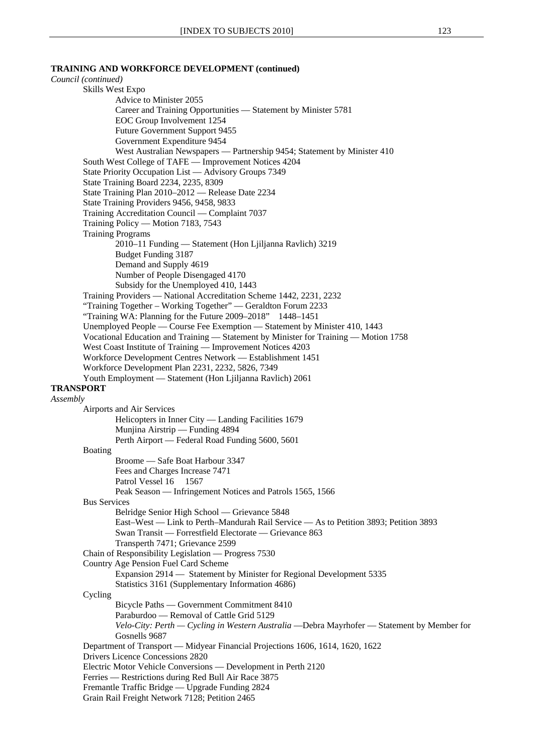# **TRAINING AND WORKFORCE DEVELOPMENT (continued)**

| Council (continued)                                                                                                                      |
|------------------------------------------------------------------------------------------------------------------------------------------|
| Skills West Expo                                                                                                                         |
| Advice to Minister 2055                                                                                                                  |
| Career and Training Opportunities - Statement by Minister 5781                                                                           |
| EOC Group Involvement 1254                                                                                                               |
| Future Government Support 9455<br>Government Expenditure 9454                                                                            |
| West Australian Newspapers — Partnership 9454; Statement by Minister 410                                                                 |
| South West College of TAFE — Improvement Notices 4204                                                                                    |
| State Priority Occupation List — Advisory Groups 7349                                                                                    |
| State Training Board 2234, 2235, 8309                                                                                                    |
| State Training Plan 2010–2012 — Release Date 2234                                                                                        |
| State Training Providers 9456, 9458, 9833                                                                                                |
| Training Accreditation Council — Complaint 7037                                                                                          |
| Training Policy — Motion 7183, 7543<br><b>Training Programs</b>                                                                          |
| 2010-11 Funding - Statement (Hon Ljiljanna Ravlich) 3219                                                                                 |
| <b>Budget Funding 3187</b>                                                                                                               |
| Demand and Supply 4619                                                                                                                   |
| Number of People Disengaged 4170                                                                                                         |
| Subsidy for the Unemployed 410, 1443                                                                                                     |
| Training Providers — National Accreditation Scheme 1442, 2231, 2232                                                                      |
| "Training Together - Working Together" - Geraldton Forum 2233                                                                            |
| "Training WA: Planning for the Future 2009–2018" 1448–1451<br>Unemployed People — Course Fee Exemption — Statement by Minister 410, 1443 |
| Vocational Education and Training — Statement by Minister for Training — Motion 1758                                                     |
| West Coast Institute of Training - Improvement Notices 4203                                                                              |
| Workforce Development Centres Network - Establishment 1451                                                                               |
| Workforce Development Plan 2231, 2232, 5826, 7349                                                                                        |
| Youth Employment — Statement (Hon Ljiljanna Ravlich) 2061                                                                                |
| <b>TRANSPORT</b>                                                                                                                         |
| Assembly<br>Airports and Air Services                                                                                                    |
| Helicopters in Inner City — Landing Facilities 1679                                                                                      |
| Munjina Airstrip — Funding 4894                                                                                                          |
| Perth Airport — Federal Road Funding 5600, 5601                                                                                          |
| Boating                                                                                                                                  |
| Broome - Safe Boat Harbour 3347                                                                                                          |
| Fees and Charges Increase 7471<br>Patrol Vessel 16 1567                                                                                  |
| Peak Season — Infringement Notices and Patrols 1565, 1566                                                                                |
| <b>Bus Services</b>                                                                                                                      |
| Belridge Senior High School - Grievance 5848                                                                                             |
| East-West — Link to Perth-Mandurah Rail Service — As to Petition 3893; Petition 3893                                                     |
| Swan Transit - Forrestfield Electorate - Grievance 863                                                                                   |
| Transperth 7471; Grievance 2599                                                                                                          |
| Chain of Responsibility Legislation - Progress 7530                                                                                      |
| Country Age Pension Fuel Card Scheme<br>Expansion 2914 - Statement by Minister for Regional Development 5335                             |
| Statistics 3161 (Supplementary Information 4686)                                                                                         |
| Cycling                                                                                                                                  |
| Bicycle Paths — Government Commitment 8410                                                                                               |
| Paraburdoo — Removal of Cattle Grid 5129                                                                                                 |
| Velo-City: Perth — Cycling in Western Australia — Debra Mayrhofer — Statement by Member for                                              |
| Gosnells 9687                                                                                                                            |
| Department of Transport — Midyear Financial Projections 1606, 1614, 1620, 1622<br>Drivers Licence Concessions 2820                       |
| Electric Motor Vehicle Conversions — Development in Perth 2120                                                                           |
| Ferries — Restrictions during Red Bull Air Race 3875                                                                                     |
| Fremantle Traffic Bridge — Upgrade Funding 2824                                                                                          |
| Grain Rail Freight Network 7128; Petition 2465                                                                                           |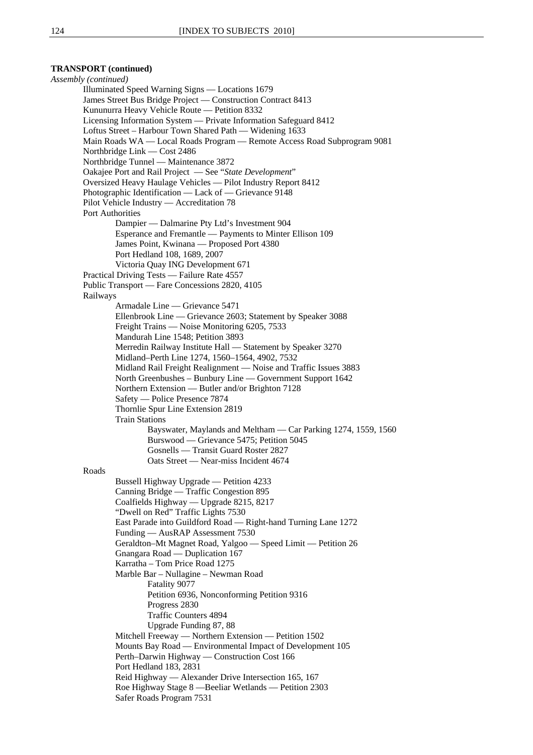# **TRANSPORT (continued)**

*Assembly (continued)* Illuminated Speed Warning Signs — Locations 1679 James Street Bus Bridge Project — Construction Contract 8413 Kununurra Heavy Vehicle Route — Petition 8332 Licensing Information System — Private Information Safeguard 8412 Loftus Street – Harbour Town Shared Path — Widening 1633 Main Roads WA — Local Roads Program — Remote Access Road Subprogram 9081 Northbridge Link — Cost 2486 Northbridge Tunnel — Maintenance 3872 Oakajee Port and Rail Project — See "*State Development*" Oversized Heavy Haulage Vehicles — Pilot Industry Report 8412 Photographic Identification — Lack of — Grievance 9148 Pilot Vehicle Industry — Accreditation 78 Port Authorities Dampier — Dalmarine Pty Ltd's Investment 904 Esperance and Fremantle — Payments to Minter Ellison 109 James Point, Kwinana — Proposed Port 4380 Port Hedland 108, 1689, 2007 Victoria Quay ING Development 671 Practical Driving Tests — Failure Rate 4557 Public Transport — Fare Concessions 2820, 4105 Railways Armadale Line — Grievance 5471 Ellenbrook Line — Grievance 2603; Statement by Speaker 3088 Freight Trains — Noise Monitoring 6205, 7533 Mandurah Line 1548; Petition 3893 Merredin Railway Institute Hall — Statement by Speaker 3270 Midland–Perth Line 1274, 1560–1564, 4902, 7532 Midland Rail Freight Realignment — Noise and Traffic Issues 3883 North Greenbushes – Bunbury Line — Government Support 1642 Northern Extension — Butler and/or Brighton 7128 Safety — Police Presence 7874 Thornlie Spur Line Extension 2819 Train Stations Bayswater, Maylands and Meltham — Car Parking 1274, 1559, 1560 Burswood — Grievance 5475; Petition 5045 Gosnells — Transit Guard Roster 2827 Oats Street — Near-miss Incident 4674 Roads Bussell Highway Upgrade — Petition 4233 Canning Bridge — Traffic Congestion 895 Coalfields Highway — Upgrade 8215, 8217 "Dwell on Red" Traffic Lights 7530 East Parade into Guildford Road — Right-hand Turning Lane 1272 Funding — AusRAP Assessment 7530 Geraldton–Mt Magnet Road, Yalgoo — Speed Limit — Petition 26 Gnangara Road — Duplication 167 Karratha – Tom Price Road 1275 Marble Bar – Nullagine – Newman Road Fatality 9077 Petition 6936, Nonconforming Petition 9316 Progress 2830 Traffic Counters 4894 Upgrade Funding 87, 88 Mitchell Freeway — Northern Extension — Petition 1502 Mounts Bay Road — Environmental Impact of Development 105 Perth–Darwin Highway — Construction Cost 166 Port Hedland 183, 2831 Reid Highway — Alexander Drive Intersection 165, 167 Roe Highway Stage 8 —Beeliar Wetlands — Petition 2303 Safer Roads Program 7531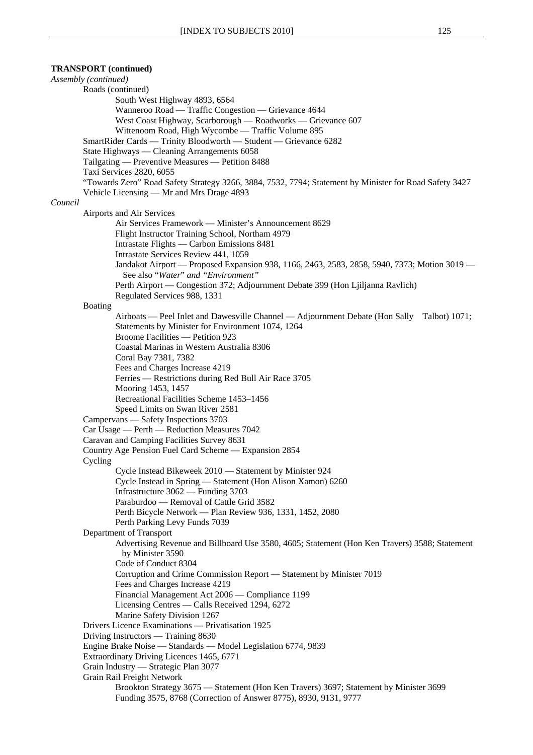**TRANSPORT (continued)**  *Assembly (continued)* Roads (continued) South West Highway 4893, 6564 Wanneroo Road — Traffic Congestion — Grievance 4644 West Coast Highway, Scarborough — Roadworks — Grievance 607 Wittenoom Road, High Wycombe — Traffic Volume 895 SmartRider Cards — Trinity Bloodworth — Student — Grievance 6282 State Highways — Cleaning Arrangements 6058 Tailgating — Preventive Measures — Petition 8488 Taxi Services 2820, 6055 "Towards Zero" Road Safety Strategy 3266, 3884, 7532, 7794; Statement by Minister for Road Safety 3427 Vehicle Licensing — Mr and Mrs Drage 4893 *Council* Airports and Air Services Air Services Framework — Minister's Announcement 8629 Flight Instructor Training School, Northam 4979 Intrastate Flights — Carbon Emissions 8481 Intrastate Services Review 441, 1059 Jandakot Airport — Proposed Expansion 938, 1166, 2463, 2583, 2858, 5940, 7373; Motion 3019 — See also "*Water*" *and "Environment"* Perth Airport — Congestion 372; Adjournment Debate 399 (Hon Ljiljanna Ravlich) Regulated Services 988, 1331 Boating Airboats — Peel Inlet and Dawesville Channel — Adjournment Debate (Hon Sally Talbot) 1071; Statements by Minister for Environment 1074, 1264 Broome Facilities — Petition 923 Coastal Marinas in Western Australia 8306 Coral Bay 7381, 7382 Fees and Charges Increase 4219 Ferries — Restrictions during Red Bull Air Race 3705 Mooring 1453, 1457 Recreational Facilities Scheme 1453–1456 Speed Limits on Swan River 2581 Campervans — Safety Inspections 3703 Car Usage — Perth — Reduction Measures 7042 Caravan and Camping Facilities Survey 8631 Country Age Pension Fuel Card Scheme — Expansion 2854 Cycling Cycle Instead Bikeweek 2010 — Statement by Minister 924 Cycle Instead in Spring — Statement (Hon Alison Xamon) 6260 Infrastructure 3062 — Funding 3703 Paraburdoo — Removal of Cattle Grid 3582 Perth Bicycle Network — Plan Review 936, 1331, 1452, 2080 Perth Parking Levy Funds 7039 Department of Transport Advertising Revenue and Billboard Use 3580, 4605; Statement (Hon Ken Travers) 3588; Statement by Minister 3590 Code of Conduct 8304 Corruption and Crime Commission Report — Statement by Minister 7019 Fees and Charges Increase 4219 Financial Management Act 2006 — Compliance 1199 Licensing Centres — Calls Received 1294, 6272 Marine Safety Division 1267 Drivers Licence Examinations — Privatisation 1925 Driving Instructors — Training 8630 Engine Brake Noise — Standards — Model Legislation 6774, 9839 Extraordinary Driving Licences 1465, 6771 Grain Industry — Strategic Plan 3077 Grain Rail Freight Network Brookton Strategy 3675 — Statement (Hon Ken Travers) 3697; Statement by Minister 3699 Funding 3575, 8768 (Correction of Answer 8775), 8930, 9131, 9777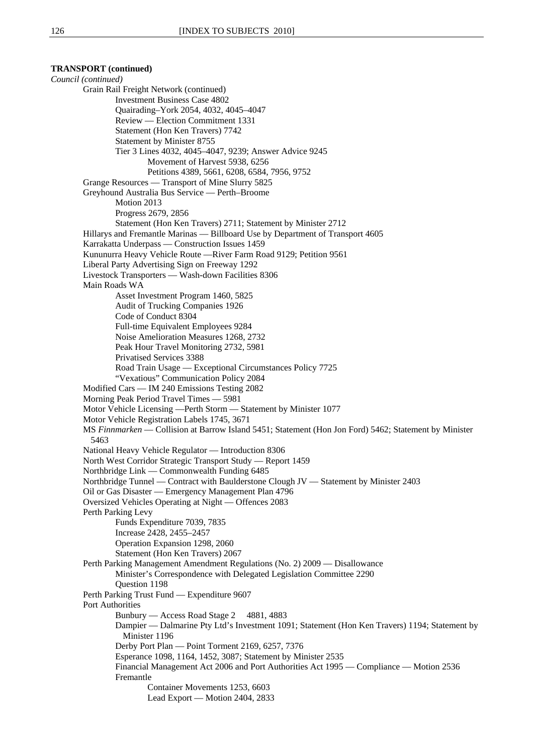**TRANSPORT (continued)**  *Council (continued)* Grain Rail Freight Network (continued) Investment Business Case 4802 Quairading–York 2054, 4032, 4045–4047 Review — Election Commitment 1331 Statement (Hon Ken Travers) 7742 Statement by Minister 8755 Tier 3 Lines 4032, 4045–4047, 9239; Answer Advice 9245 Movement of Harvest 5938, 6256 Petitions 4389, 5661, 6208, 6584, 7956, 9752 Grange Resources — Transport of Mine Slurry 5825 Greyhound Australia Bus Service — Perth–Broome Motion 2013 Progress 2679, 2856 Statement (Hon Ken Travers) 2711; Statement by Minister 2712 Hillarys and Fremantle Marinas — Billboard Use by Department of Transport 4605 Karrakatta Underpass — Construction Issues 1459 Kununurra Heavy Vehicle Route —River Farm Road 9129; Petition 9561 Liberal Party Advertising Sign on Freeway 1292 Livestock Transporters — Wash-down Facilities 8306 Main Roads WA Asset Investment Program 1460, 5825 Audit of Trucking Companies 1926 Code of Conduct 8304 Full-time Equivalent Employees 9284 Noise Amelioration Measures 1268, 2732 Peak Hour Travel Monitoring 2732, 5981 Privatised Services 3388 Road Train Usage — Exceptional Circumstances Policy 7725 "Vexatious" Communication Policy 2084 Modified Cars — IM 240 Emissions Testing 2082 Morning Peak Period Travel Times — 5981 Motor Vehicle Licensing —Perth Storm — Statement by Minister 1077 Motor Vehicle Registration Labels 1745, 3671 MS *Finnmarken* — Collision at Barrow Island 5451; Statement (Hon Jon Ford) 5462; Statement by Minister 5463 National Heavy Vehicle Regulator — Introduction 8306 North West Corridor Strategic Transport Study — Report 1459 Northbridge Link — Commonwealth Funding 6485 Northbridge Tunnel — Contract with Baulderstone Clough JV — Statement by Minister 2403 Oil or Gas Disaster — Emergency Management Plan 4796 Oversized Vehicles Operating at Night — Offences 2083 Perth Parking Levy Funds Expenditure 7039, 7835 Increase 2428, 2455–2457 Operation Expansion 1298, 2060 Statement (Hon Ken Travers) 2067 Perth Parking Management Amendment Regulations (No. 2) 2009 — Disallowance Minister's Correspondence with Delegated Legislation Committee 2290 Question 1198 Perth Parking Trust Fund — Expenditure 9607 Port Authorities Bunbury — Access Road Stage 2 4881, 4883 Dampier — Dalmarine Pty Ltd's Investment 1091; Statement (Hon Ken Travers) 1194; Statement by Minister 1196 Derby Port Plan — Point Torment 2169, 6257, 7376 Esperance 1098, 1164, 1452, 3087; Statement by Minister 2535 Financial Management Act 2006 and Port Authorities Act 1995 — Compliance — Motion 2536 Fremantle Container Movements 1253, 6603 Lead Export — Motion 2404, 2833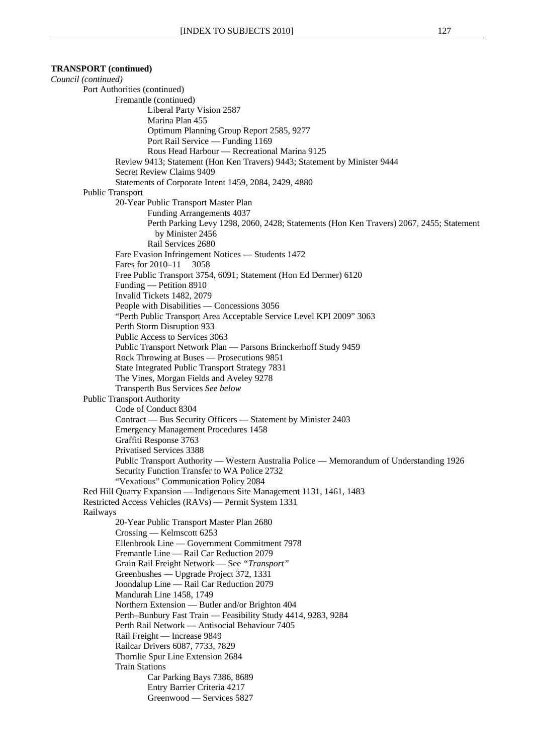**TRANSPORT (continued)**  *Council (continued)*  Port Authorities (continued) Fremantle (continued) Liberal Party Vision 2587 Marina Plan 455 Optimum Planning Group Report 2585, 9277 Port Rail Service — Funding 1169 Rous Head Harbour — Recreational Marina 9125 Review 9413; Statement (Hon Ken Travers) 9443; Statement by Minister 9444 Secret Review Claims 9409 Statements of Corporate Intent 1459, 2084, 2429, 4880 Public Transport 20-Year Public Transport Master Plan Funding Arrangements 4037 Perth Parking Levy 1298, 2060, 2428; Statements (Hon Ken Travers) 2067, 2455; Statement by Minister 2456 Rail Services 2680 Fare Evasion Infringement Notices — Students 1472 Fares for 2010–11 3058 Free Public Transport 3754, 6091; Statement (Hon Ed Dermer) 6120 Funding — Petition 8910 Invalid Tickets 1482, 2079 People with Disabilities — Concessions 3056 "Perth Public Transport Area Acceptable Service Level KPI 2009" 3063 Perth Storm Disruption 933 Public Access to Services 3063 Public Transport Network Plan — Parsons Brinckerhoff Study 9459 Rock Throwing at Buses — Prosecutions 9851 State Integrated Public Transport Strategy 7831 The Vines, Morgan Fields and Aveley 9278 Transperth Bus Services *See below* Public Transport Authority Code of Conduct 8304 Contract — Bus Security Officers — Statement by Minister 2403 Emergency Management Procedures 1458 Graffiti Response 3763 Privatised Services 3388 Public Transport Authority — Western Australia Police — Memorandum of Understanding 1926 Security Function Transfer to WA Police 2732 "Vexatious" Communication Policy 2084 Red Hill Quarry Expansion — Indigenous Site Management 1131, 1461, 1483 Restricted Access Vehicles (RAVs) — Permit System 1331 Railways 20-Year Public Transport Master Plan 2680 Crossing — Kelmscott 6253 Ellenbrook Line — Government Commitment 7978 Fremantle Line — Rail Car Reduction 2079 Grain Rail Freight Network — See *"Transport"*  Greenbushes — Upgrade Project 372, 1331 Joondalup Line — Rail Car Reduction 2079 Mandurah Line 1458, 1749 Northern Extension — Butler and/or Brighton 404 Perth–Bunbury Fast Train — Feasibility Study 4414, 9283, 9284 Perth Rail Network — Antisocial Behaviour 7405 Rail Freight — Increase 9849 Railcar Drivers 6087, 7733, 7829 Thornlie Spur Line Extension 2684 Train Stations Car Parking Bays 7386, 8689 Entry Barrier Criteria 4217 Greenwood — Services 5827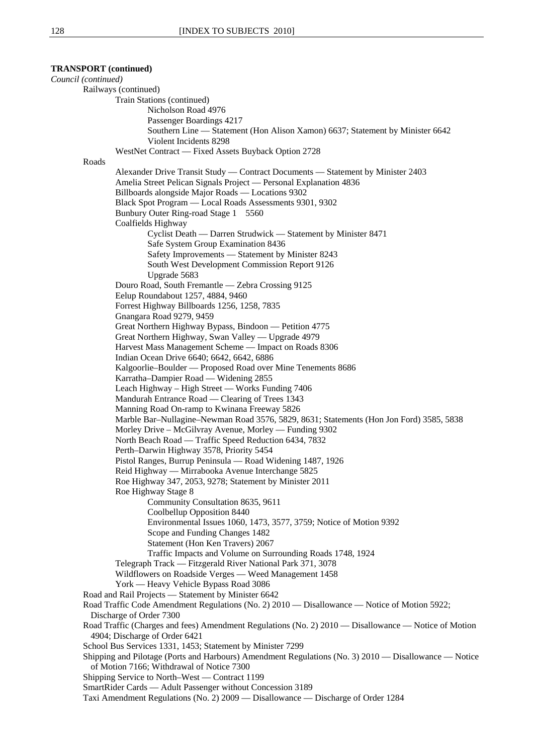# **TRANSPORT (continued)**  *Council (continued)*  Railways (continued)

Train Stations (continued)

```
Nicholson Road 4976
```
Passenger Boardings 4217

Southern Line — Statement (Hon Alison Xamon) 6637; Statement by Minister 6642

Violent Incidents 8298

WestNet Contract — Fixed Assets Buyback Option 2728

Roads

Alexander Drive Transit Study — Contract Documents — Statement by Minister 2403 Amelia Street Pelican Signals Project — Personal Explanation 4836 Billboards alongside Major Roads — Locations 9302 Black Spot Program — Local Roads Assessments 9301, 9302 Bunbury Outer Ring-road Stage 1 5560 Coalfields Highway Cyclist Death — Darren Strudwick — Statement by Minister 8471 Safe System Group Examination 8436 Safety Improvements — Statement by Minister 8243 South West Development Commission Report 9126 Upgrade 5683 Douro Road, South Fremantle — Zebra Crossing 9125 Eelup Roundabout 1257, 4884, 9460 Forrest Highway Billboards 1256, 1258, 7835 Gnangara Road 9279, 9459 Great Northern Highway Bypass, Bindoon — Petition 4775 Great Northern Highway, Swan Valley — Upgrade 4979 Harvest Mass Management Scheme — Impact on Roads 8306 Indian Ocean Drive 6640; 6642, 6642, 6886 Kalgoorlie–Boulder — Proposed Road over Mine Tenements 8686 Karratha–Dampier Road — Widening 2855 Leach Highway – High Street — Works Funding 7406 Mandurah Entrance Road — Clearing of Trees 1343 Manning Road On-ramp to Kwinana Freeway 5826 Marble Bar–Nullagine–Newman Road 3576, 5829, 8631; Statements (Hon Jon Ford) 3585, 5838 Morley Drive – McGilvray Avenue, Morley — Funding 9302 North Beach Road — Traffic Speed Reduction 6434, 7832 Perth–Darwin Highway 3578, Priority 5454 Pistol Ranges, Burrup Peninsula — Road Widening 1487, 1926 Reid Highway — Mirrabooka Avenue Interchange 5825 Roe Highway 347, 2053, 9278; Statement by Minister 2011 Roe Highway Stage 8 Community Consultation 8635, 9611 Coolbellup Opposition 8440 Environmental Issues 1060, 1473, 3577, 3759; Notice of Motion 9392 Scope and Funding Changes 1482 Statement (Hon Ken Travers) 2067 Traffic Impacts and Volume on Surrounding Roads 1748, 1924 Telegraph Track — Fitzgerald River National Park 371, 3078 Wildflowers on Roadside Verges — Weed Management 1458 York — Heavy Vehicle Bypass Road 3086 Road and Rail Projects — Statement by Minister 6642 Road Traffic Code Amendment Regulations (No. 2) 2010 — Disallowance — Notice of Motion 5922; Discharge of Order 7300 Road Traffic (Charges and fees) Amendment Regulations (No. 2) 2010 — Disallowance — Notice of Motion 4904; Discharge of Order 6421 School Bus Services 1331, 1453; Statement by Minister 7299 Shipping and Pilotage (Ports and Harbours) Amendment Regulations (No. 3) 2010 — Disallowance — Notice of Motion 7166; Withdrawal of Notice 7300 Shipping Service to North–West — Contract 1199 SmartRider Cards — Adult Passenger without Concession 3189 Taxi Amendment Regulations (No. 2) 2009 — Disallowance — Discharge of Order 1284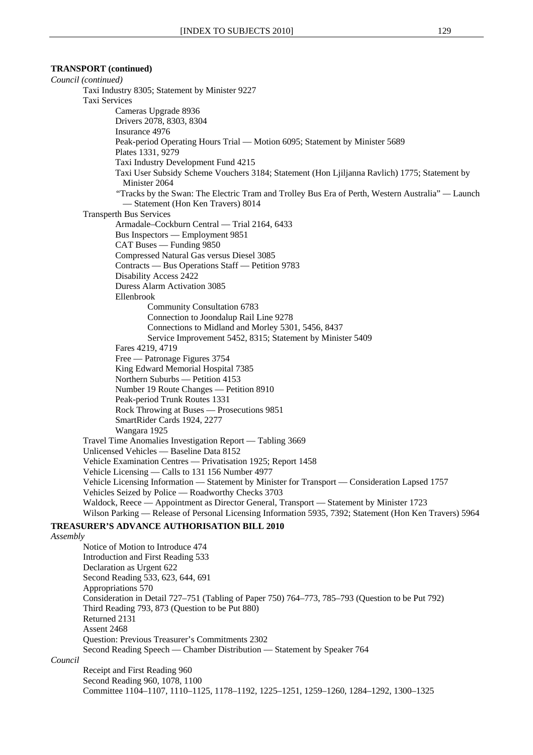# **TRANSPORT (continued)**

*Council (continued)*  Taxi Industry 8305; Statement by Minister 9227 Taxi Services Cameras Upgrade 8936 Drivers 2078, 8303, 8304 Insurance 4976 Peak-period Operating Hours Trial — Motion 6095; Statement by Minister 5689 Plates 1331, 9279 Taxi Industry Development Fund 4215 Taxi User Subsidy Scheme Vouchers 3184; Statement (Hon Ljiljanna Ravlich) 1775; Statement by Minister 2064 *"*Tracks by the Swan: The Electric Tram and Trolley Bus Era of Perth, Western Australia" *—* Launch — Statement (Hon Ken Travers) 8014 Transperth Bus Services Armadale–Cockburn Central — Trial 2164, 6433 Bus Inspectors — Employment 9851 CAT Buses — Funding 9850 Compressed Natural Gas versus Diesel 3085 Contracts — Bus Operations Staff — Petition 9783 Disability Access 2422 Duress Alarm Activation 3085 Ellenbrook Community Consultation 6783 Connection to Joondalup Rail Line 9278 Connections to Midland and Morley 5301, 5456, 8437 Service Improvement 5452, 8315; Statement by Minister 5409 Fares 4219, 4719 Free — Patronage Figures 3754 King Edward Memorial Hospital 7385 Northern Suburbs — Petition 4153 Number 19 Route Changes — Petition 8910 Peak-period Trunk Routes 1331 Rock Throwing at Buses — Prosecutions 9851 SmartRider Cards 1924, 2277 Wangara 1925 Travel Time Anomalies Investigation Report — Tabling 3669 Unlicensed Vehicles — Baseline Data 8152 Vehicle Examination Centres — Privatisation 1925; Report 1458 Vehicle Licensing — Calls to 131 156 Number 4977 Vehicle Licensing Information — Statement by Minister for Transport — Consideration Lapsed 1757 Vehicles Seized by Police — Roadworthy Checks 3703 Waldock, Reece — Appointment as Director General, Transport — Statement by Minister 1723 Wilson Parking — Release of Personal Licensing Information 5935, 7392; Statement (Hon Ken Travers) 5964 **TREASURER'S ADVANCE AUTHORISATION BILL 2010** *Assembly* Notice of Motion to Introduce 474 Introduction and First Reading 533 Declaration as Urgent 622 Second Reading 533, 623, 644, 691 Appropriations 570 Consideration in Detail 727–751 (Tabling of Paper 750) 764–773, 785–793 (Question to be Put 792) Third Reading 793, 873 (Question to be Put 880) Returned 2131 Assent 2468 Question: Previous Treasurer's Commitments 2302 Second Reading Speech — Chamber Distribution — Statement by Speaker 764 *Council* Receipt and First Reading 960 Second Reading 960, 1078, 1100 Committee 1104–1107, 1110–1125, 1178–1192, 1225–1251, 1259–1260, 1284–1292, 1300–1325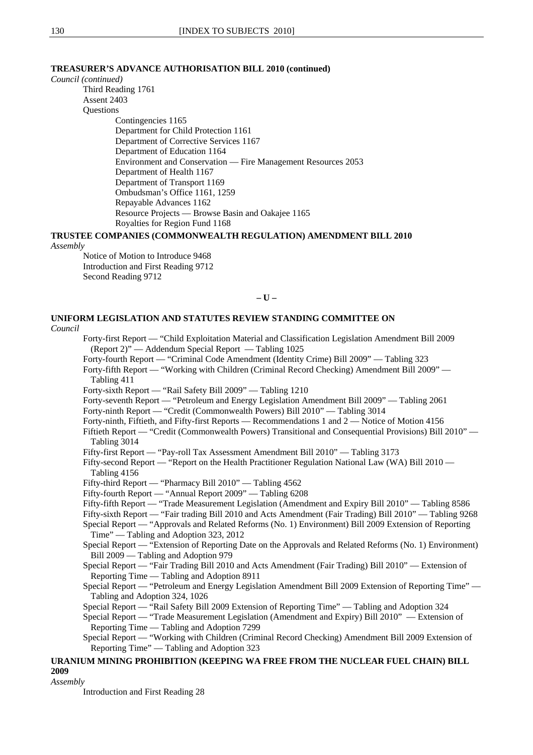# **TREASURER'S ADVANCE AUTHORISATION BILL 2010 (continued)**

*Council (continued)*

Third Reading 1761 Assent 2403 **Ouestions** 

Contingencies 1165 Department for Child Protection 1161 Department of Corrective Services 1167 Department of Education 1164 Environment and Conservation — Fire Management Resources 2053 Department of Health 1167 Department of Transport 1169 Ombudsman's Office 1161, 1259 Repayable Advances 1162 Resource Projects — Browse Basin and Oakajee 1165 Royalties for Region Fund 1168

**TRUSTEE COMPANIES (COMMONWEALTH REGULATION) AMENDMENT BILL 2010**

## *Assembly*

Notice of Motion to Introduce 9468 Introduction and First Reading 9712 Second Reading 9712

**– U –** 

# **UNIFORM LEGISLATION AND STATUTES REVIEW STANDING COMMITTEE ON**

#### *Council*

Forty-first Report — "Child Exploitation Material and Classification Legislation Amendment Bill 2009 (Report 2)" — Addendum Special Report — Tabling 1025

Forty-fourth Report — "Criminal Code Amendment (Identity Crime) Bill 2009" — Tabling 323

Forty-fifth Report — "Working with Children (Criminal Record Checking) Amendment Bill 2009" — Tabling 411

Forty-sixth Report — "Rail Safety Bill 2009" — Tabling 1210

Forty-seventh Report — "Petroleum and Energy Legislation Amendment Bill 2009" — Tabling 2061 Forty-ninth Report — "Credit (Commonwealth Powers) Bill 2010" — Tabling 3014

Forty-ninth, Fiftieth, and Fifty-first Reports — Recommendations 1 and 2 — Notice of Motion 4156

Fiftieth Report — "Credit (Commonwealth Powers) Transitional and Consequential Provisions) Bill 2010" — Tabling 3014

Fifty-first Report — "Pay-roll Tax Assessment Amendment Bill 2010" — Tabling 3173

Fifty-second Report — "Report on the Health Practitioner Regulation National Law (WA) Bill 2010 — Tabling 4156

Fifty-third Report — "Pharmacy Bill 2010" — Tabling 4562

Fifty-fourth Report — "Annual Report 2009" — Tabling 6208

Fifty-fifth Report — "Trade Measurement Legislation (Amendment and Expiry Bill 2010" — Tabling 8586

Fifty-sixth Report — "Fair trading Bill 2010 and Acts Amendment (Fair Trading) Bill 2010" — Tabling 9268

Special Report — "Approvals and Related Reforms (No. 1) Environment) Bill 2009 Extension of Reporting Time" — Tabling and Adoption 323, 2012

Special Report — "Extension of Reporting Date on the Approvals and Related Reforms (No. 1) Environment) Bill 2009 — Tabling and Adoption 979

Special Report — "Fair Trading Bill 2010 and Acts Amendment (Fair Trading) Bill 2010" — Extension of Reporting Time — Tabling and Adoption 8911

Special Report — "Petroleum and Energy Legislation Amendment Bill 2009 Extension of Reporting Time" — Tabling and Adoption 324, 1026

Special Report — "Rail Safety Bill 2009 Extension of Reporting Time" — Tabling and Adoption 324

Special Report — "Trade Measurement Legislation (Amendment and Expiry) Bill 2010" — Extension of Reporting Time — Tabling and Adoption 7299

Special Report — "Working with Children (Criminal Record Checking) Amendment Bill 2009 Extension of Reporting Time" — Tabling and Adoption 323

**URANIUM MINING PROHIBITION (KEEPING WA FREE FROM THE NUCLEAR FUEL CHAIN) BILL 2009**

*Assembly*

Introduction and First Reading 28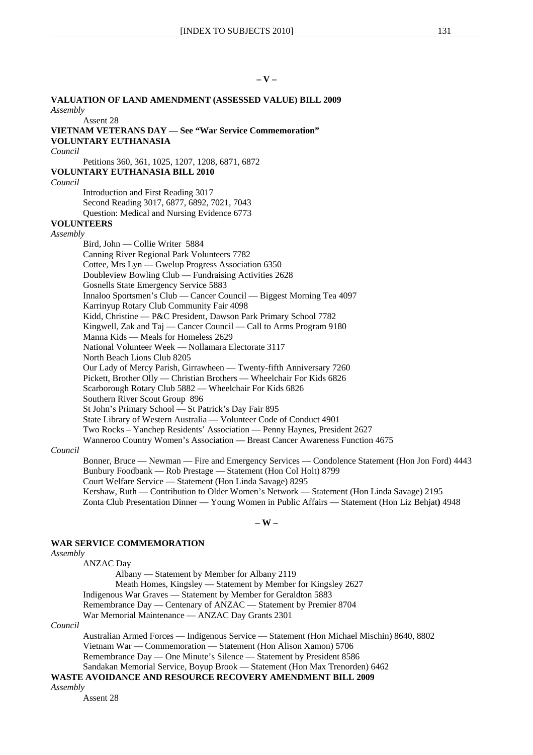## **– V –**

**VALUATION OF LAND AMENDMENT (ASSESSED VALUE) BILL 2009** *Assembly* Assent 28 **VIETNAM VETERANS DAY — See "War Service Commemoration" VOLUNTARY EUTHANASIA** *Council* Petitions 360, 361, 1025, 1207, 1208, 6871, 6872 **VOLUNTARY EUTHANASIA BILL 2010** *Council* Introduction and First Reading 3017 Second Reading 3017, 6877, 6892, 7021, 7043 Question: Medical and Nursing Evidence 6773 **VOLUNTEERS** *Assembly* Bird, John — Collie Writer 5884 Canning River Regional Park Volunteers 7782 Cottee, Mrs Lyn — Gwelup Progress Association 6350 Doubleview Bowling Club — Fundraising Activities 2628 Gosnells State Emergency Service 5883 Innaloo Sportsmen's Club — Cancer Council — Biggest Morning Tea 4097 Karrinyup Rotary Club Community Fair 4098 Kidd, Christine — P&C President, Dawson Park Primary School 7782 Kingwell, Zak and Taj — Cancer Council — Call to Arms Program 9180 Manna Kids — Meals for Homeless 2629 National Volunteer Week — Nollamara Electorate 3117 North Beach Lions Club 8205 Our Lady of Mercy Parish, Girrawheen — Twenty-fifth Anniversary 7260 Pickett, Brother Olly — Christian Brothers — Wheelchair For Kids 6826 Scarborough Rotary Club 5882 — Wheelchair For Kids 6826 Southern River Scout Group 896 St John's Primary School — St Patrick's Day Fair 895 State Library of Western Australia — Volunteer Code of Conduct 4901 Two Rocks – Yanchep Residents' Association — Penny Haynes, President 2627 Wanneroo Country Women's Association — Breast Cancer Awareness Function 4675 *Council* Bonner, Bruce — Newman — Fire and Emergency Services — Condolence Statement (Hon Jon Ford) 4443 Bunbury Foodbank — Rob Prestage — Statement (Hon Col Holt) 8799 Court Welfare Service — Statement (Hon Linda Savage) 8295

Kershaw, Ruth — Contribution to Older Women's Network — Statement (Hon Linda Savage) 2195 Zonta Club Presentation Dinner — Young Women in Public Affairs — Statement (Hon Liz Behjat**)** 4948

**– W –**

#### **WAR SERVICE COMMEMORATION**

#### *Assembly*

ANZAC Day

Albany — Statement by Member for Albany 2119 Meath Homes, Kingsley — Statement by Member for Kingsley 2627 Indigenous War Graves — Statement by Member for Geraldton 5883 Remembrance Day — Centenary of ANZAC — Statement by Premier 8704 War Memorial Maintenance — ANZAC Day Grants 2301

#### *Council*

Australian Armed Forces — Indigenous Service — Statement (Hon Michael Mischin) 8640, 8802 Vietnam War — Commemoration — Statement (Hon Alison Xamon) 5706 Remembrance Day — One Minute's Silence — Statement by President 8586 Sandakan Memorial Service, Boyup Brook — Statement (Hon Max Trenorden) 6462

# **WASTE AVOIDANCE AND RESOURCE RECOVERY AMENDMENT BILL 2009**

*Assembly*

Assent 28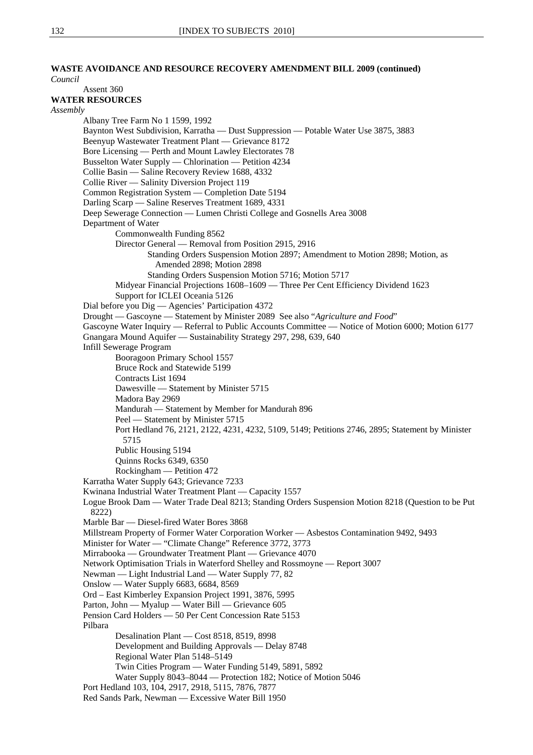# **WASTE AVOIDANCE AND RESOURCE RECOVERY AMENDMENT BILL 2009 (continued)**

*Council* Assent 360 **WATER RESOURCES** *Assembly* Albany Tree Farm No 1 1599, 1992 Baynton West Subdivision, Karratha — Dust Suppression — Potable Water Use 3875, 3883 Beenyup Wastewater Treatment Plant — Grievance 8172 Bore Licensing — Perth and Mount Lawley Electorates 78 Busselton Water Supply — Chlorination — Petition 4234 Collie Basin — Saline Recovery Review 1688, 4332 Collie River — Salinity Diversion Project 119 Common Registration System — Completion Date 5194 Darling Scarp — Saline Reserves Treatment 1689, 4331 Deep Sewerage Connection — Lumen Christi College and Gosnells Area 3008 Department of Water Commonwealth Funding 8562 Director General — Removal from Position 2915, 2916 Standing Orders Suspension Motion 2897; Amendment to Motion 2898; Motion, as Amended 2898; Motion 2898 Standing Orders Suspension Motion 5716; Motion 5717 Midyear Financial Projections 1608–1609 — Three Per Cent Efficiency Dividend 1623 Support for ICLEI Oceania 5126 Dial before you Dig — Agencies' Participation 4372 Drought — Gascoyne — Statement by Minister 2089 See also "*Agriculture and Food*" Gascoyne Water Inquiry — Referral to Public Accounts Committee — Notice of Motion 6000; Motion 6177 Gnangara Mound Aquifer — Sustainability Strategy 297, 298, 639, 640 Infill Sewerage Program Booragoon Primary School 1557 Bruce Rock and Statewide 5199 Contracts List 1694 Dawesville — Statement by Minister 5715 Madora Bay 2969 Mandurah — Statement by Member for Mandurah 896 Peel — Statement by Minister 5715 Port Hedland 76, 2121, 2122, 4231, 4232, 5109, 5149; Petitions 2746, 2895; Statement by Minister 5715 Public Housing 5194 Quinns Rocks 6349, 6350 Rockingham — Petition 472 Karratha Water Supply 643; Grievance 7233 Kwinana Industrial Water Treatment Plant — Capacity 1557 Logue Brook Dam — Water Trade Deal 8213; Standing Orders Suspension Motion 8218 (Question to be Put 8222) Marble Bar — Diesel-fired Water Bores 3868 Millstream Property of Former Water Corporation Worker — Asbestos Contamination 9492, 9493 Minister for Water — "Climate Change" Reference 3772, 3773 Mirrabooka — Groundwater Treatment Plant — Grievance 4070 Network Optimisation Trials in Waterford Shelley and Rossmoyne — Report 3007 Newman — Light Industrial Land — Water Supply 77, 82 Onslow — Water Supply 6683, 6684, 8569 Ord – East Kimberley Expansion Project 1991, 3876, 5995 Parton, John — Myalup — Water Bill — Grievance 605 Pension Card Holders — 50 Per Cent Concession Rate 5153 Pilbara Desalination Plant — Cost 8518, 8519, 8998 Development and Building Approvals — Delay 8748 Regional Water Plan 5148–5149 Twin Cities Program — Water Funding 5149, 5891, 5892 Water Supply 8043–8044 — Protection 182; Notice of Motion 5046 Port Hedland 103, 104, 2917, 2918, 5115, 7876, 7877 Red Sands Park, Newman — Excessive Water Bill 1950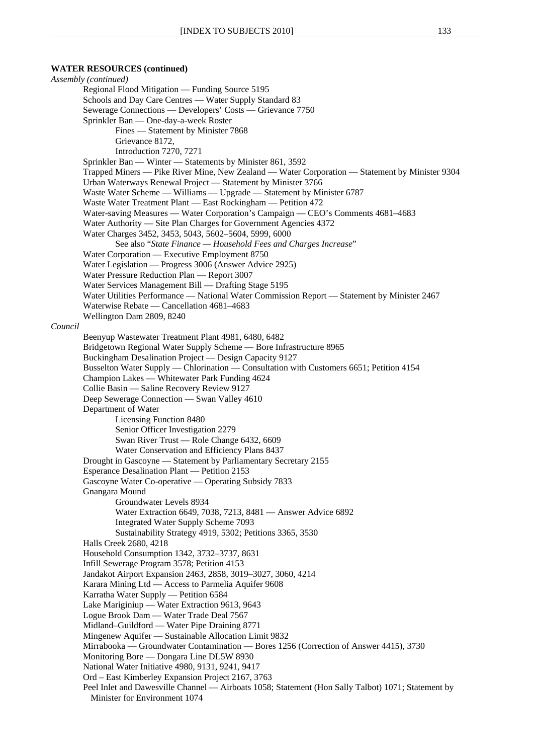#### **WATER RESOURCES (continued)**

*Assembly (continued)* Regional Flood Mitigation — Funding Source 5195 Schools and Day Care Centres — Water Supply Standard 83 Sewerage Connections — Developers' Costs — Grievance 7750 Sprinkler Ban — One-day-a-week Roster Fines — Statement by Minister 7868 Grievance 8172, Introduction 7270, 7271 Sprinkler Ban — Winter — Statements by Minister 861, 3592 Trapped Miners — Pike River Mine, New Zealand — Water Corporation — Statement by Minister 9304 Urban Waterways Renewal Project — Statement by Minister 3766 Waste Water Scheme — Williams — Upgrade — Statement by Minister 6787 Waste Water Treatment Plant — East Rockingham — Petition 472 Water-saving Measures — Water Corporation's Campaign — CEO's Comments 4681–4683 Water Authority — Site Plan Charges for Government Agencies 4372 Water Charges 3452, 3453, 5043, 5602–5604, 5999, 6000 See also "*State Finance — Household Fees and Charges Increase*" Water Corporation — Executive Employment 8750 Water Legislation — Progress 3006 (Answer Advice 2925) Water Pressure Reduction Plan — Report 3007 Water Services Management Bill — Drafting Stage 5195 Water Utilities Performance — National Water Commission Report — Statement by Minister 2467 Waterwise Rebate — Cancellation 4681–4683 Wellington Dam 2809, 8240 *Council* Beenyup Wastewater Treatment Plant 4981, 6480, 6482 Bridgetown Regional Water Supply Scheme — Bore Infrastructure 8965 Buckingham Desalination Project — Design Capacity 9127 Busselton Water Supply — Chlorination — Consultation with Customers 6651; Petition 4154 Champion Lakes — Whitewater Park Funding 4624 Collie Basin — Saline Recovery Review 9127 Deep Sewerage Connection — Swan Valley 4610 Department of Water Licensing Function 8480 Senior Officer Investigation 2279 Swan River Trust — Role Change 6432, 6609 Water Conservation and Efficiency Plans 8437 Drought in Gascoyne — Statement by Parliamentary Secretary 2155 Esperance Desalination Plant — Petition 2153 Gascoyne Water Co-operative — Operating Subsidy 7833 Gnangara Mound Groundwater Levels 8934 Water Extraction 6649, 7038, 7213, 8481 — Answer Advice 6892 Integrated Water Supply Scheme 7093 Sustainability Strategy 4919, 5302; Petitions 3365, 3530 Halls Creek 2680, 4218 Household Consumption 1342, 3732–3737, 8631 Infill Sewerage Program 3578; Petition 4153 Jandakot Airport Expansion 2463, 2858, 3019–3027, 3060, 4214 Karara Mining Ltd — Access to Parmelia Aquifer 9608 Karratha Water Supply — Petition 6584 Lake Mariginiup — Water Extraction 9613, 9643 Logue Brook Dam — Water Trade Deal 7567 Midland–Guildford — Water Pipe Draining 8771 Mingenew Aquifer — Sustainable Allocation Limit 9832 Mirrabooka — Groundwater Contamination — Bores 1256 (Correction of Answer 4415), 3730 Monitoring Bore — Dongara Line DL5W 8930 National Water Initiative 4980, 9131, 9241, 9417 Ord – East Kimberley Expansion Project 2167, 3763 Peel Inlet and Dawesville Channel — Airboats 1058; Statement (Hon Sally Talbot) 1071; Statement by Minister for Environment 1074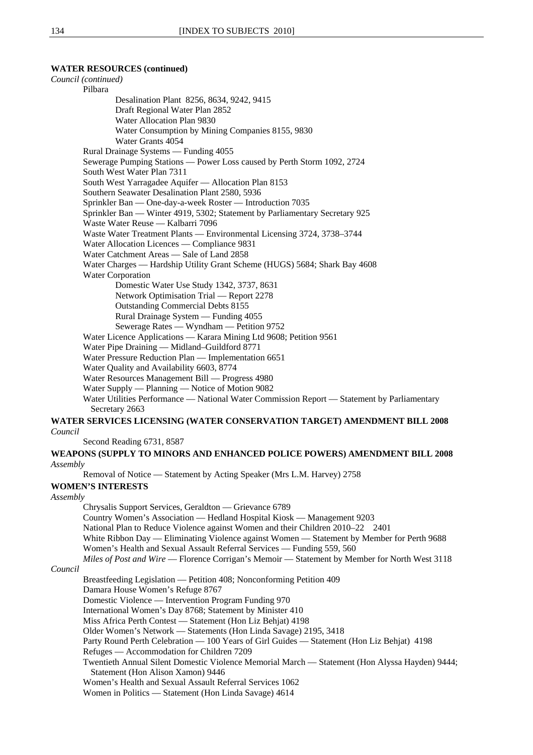# **WATER RESOURCES (continued)**

*Council (continued)* Pilbara Desalination Plant 8256, 8634, 9242, 9415 Draft Regional Water Plan 2852 Water Allocation Plan 9830 Water Consumption by Mining Companies 8155, 9830 Water Grants 4054 Rural Drainage Systems — Funding 4055 Sewerage Pumping Stations — Power Loss caused by Perth Storm 1092, 2724 South West Water Plan 7311 South West Yarragadee Aquifer — Allocation Plan 8153 Southern Seawater Desalination Plant 2580, 5936 Sprinkler Ban — One-day-a-week Roster — Introduction 7035 Sprinkler Ban — Winter 4919, 5302; Statement by Parliamentary Secretary 925 Waste Water Reuse — Kalbarri 7096 Waste Water Treatment Plants — Environmental Licensing 3724, 3738–3744 Water Allocation Licences — Compliance 9831 Water Catchment Areas — Sale of Land 2858 Water Charges — Hardship Utility Grant Scheme (HUGS) 5684; Shark Bay 4608 Water Corporation Domestic Water Use Study 1342, 3737, 8631 Network Optimisation Trial — Report 2278 Outstanding Commercial Debts 8155 Rural Drainage System — Funding 4055 Sewerage Rates — Wyndham — Petition 9752 Water Licence Applications — Karara Mining Ltd 9608; Petition 9561 Water Pipe Draining — Midland–Guildford 8771 Water Pressure Reduction Plan — Implementation 6651 Water Quality and Availability 6603, 8774 Water Resources Management Bill — Progress 4980 Water Supply — Planning — Notice of Motion 9082 Water Utilities Performance — National Water Commission Report — Statement by Parliamentary Secretary 2663 **WATER SERVICES LICENSING (WATER CONSERVATION TARGET) AMENDMENT BILL 2008** *Council* Second Reading 6731, 8587 **WEAPONS (SUPPLY TO MINORS AND ENHANCED POLICE POWERS) AMENDMENT BILL 2008** *Assembly* Removal of Notice — Statement by Acting Speaker (Mrs L.M. Harvey) 2758 **WOMEN'S INTERESTS** *Assembly* Chrysalis Support Services, Geraldton — Grievance 6789 Country Women's Association — Hedland Hospital Kiosk — Management 9203

National Plan to Reduce Violence against Women and their Children 2010–22 2401

White Ribbon Day — Eliminating Violence against Women — Statement by Member for Perth 9688 Women's Health and Sexual Assault Referral Services — Funding 559, 560

*Miles of Post and Wire* — Florence Corrigan's Memoir — Statement by Member for North West 3118

# *Council*

Breastfeeding Legislation — Petition 408; Nonconforming Petition 409 Damara House Women's Refuge 8767 Domestic Violence — Intervention Program Funding 970 International Women's Day 8768; Statement by Minister 410 Miss Africa Perth Contest — Statement (Hon Liz Behjat) 4198 Older Women's Network — Statements (Hon Linda Savage) 2195, 3418 Party Round Perth Celebration — 100 Years of Girl Guides — Statement (Hon Liz Behjat) 4198 Refuges — Accommodation for Children 7209 Twentieth Annual Silent Domestic Violence Memorial March — Statement (Hon Alyssa Hayden) 9444; Statement (Hon Alison Xamon) 9446 Women's Health and Sexual Assault Referral Services 1062 Women in Politics — Statement (Hon Linda Savage) 4614